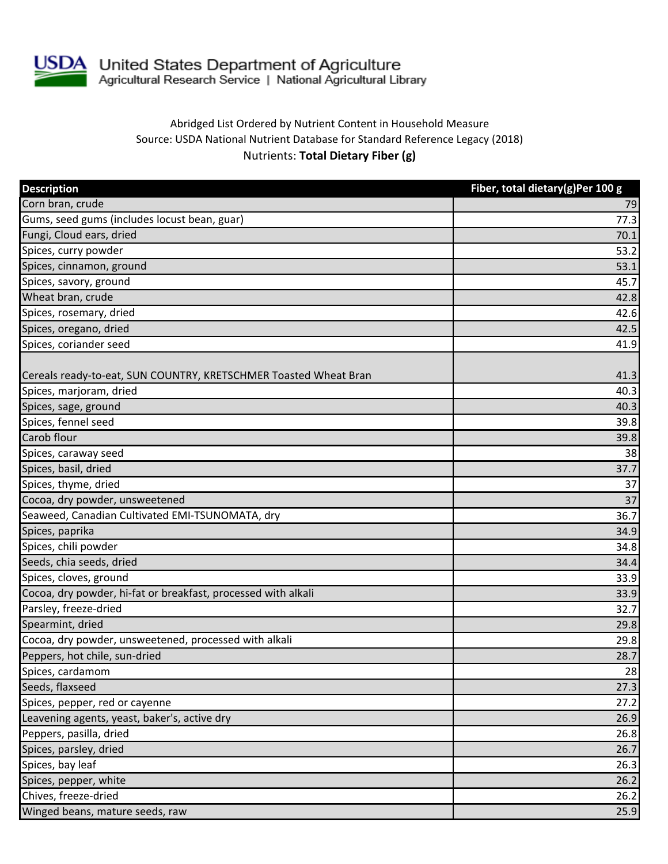

## Abridged List Ordered by Nutrient Content in Household Measure Source: USDA National Nutrient Database for Standard Reference Legacy (2018) Nutrients: **Total Dietary Fiber (g)**

| <b>Description</b>                                               | Fiber, total dietary(g)Per 100 g |
|------------------------------------------------------------------|----------------------------------|
| Corn bran, crude                                                 | 79                               |
| Gums, seed gums (includes locust bean, guar)                     | 77.3                             |
| Fungi, Cloud ears, dried                                         | 70.1                             |
| Spices, curry powder                                             | 53.2                             |
| Spices, cinnamon, ground                                         | 53.1                             |
| Spices, savory, ground                                           | 45.7                             |
| Wheat bran, crude                                                | 42.8                             |
| Spices, rosemary, dried                                          | 42.6                             |
| Spices, oregano, dried                                           | 42.5                             |
| Spices, coriander seed                                           | 41.9                             |
| Cereals ready-to-eat, SUN COUNTRY, KRETSCHMER Toasted Wheat Bran | 41.3                             |
| Spices, marjoram, dried                                          | 40.3                             |
| Spices, sage, ground                                             | 40.3                             |
| Spices, fennel seed                                              | 39.8                             |
| Carob flour                                                      | 39.8                             |
| Spices, caraway seed                                             | 38                               |
| Spices, basil, dried                                             | 37.7                             |
| Spices, thyme, dried                                             | 37                               |
| Cocoa, dry powder, unsweetened                                   | 37                               |
| Seaweed, Canadian Cultivated EMI-TSUNOMATA, dry                  | 36.7                             |
| Spices, paprika                                                  | 34.9                             |
| Spices, chili powder                                             | 34.8                             |
| Seeds, chia seeds, dried                                         | 34.4                             |
| Spices, cloves, ground                                           | 33.9                             |
| Cocoa, dry powder, hi-fat or breakfast, processed with alkali    | 33.9                             |
| Parsley, freeze-dried                                            | 32.7                             |
| Spearmint, dried                                                 | 29.8                             |
| Cocoa, dry powder, unsweetened, processed with alkali            | 29.8                             |
| Peppers, hot chile, sun-dried                                    | 28.7                             |
| Spices, cardamom                                                 | 28                               |
| Seeds, flaxseed                                                  | 27.3                             |
| Spices, pepper, red or cayenne                                   | 27.2                             |
| Leavening agents, yeast, baker's, active dry                     | 26.9                             |
| Peppers, pasilla, dried                                          | 26.8                             |
| Spices, parsley, dried                                           | 26.7                             |
| Spices, bay leaf                                                 | 26.3                             |
| Spices, pepper, white                                            | 26.2                             |
| Chives, freeze-dried                                             | 26.2                             |
| Winged beans, mature seeds, raw                                  | 25.9                             |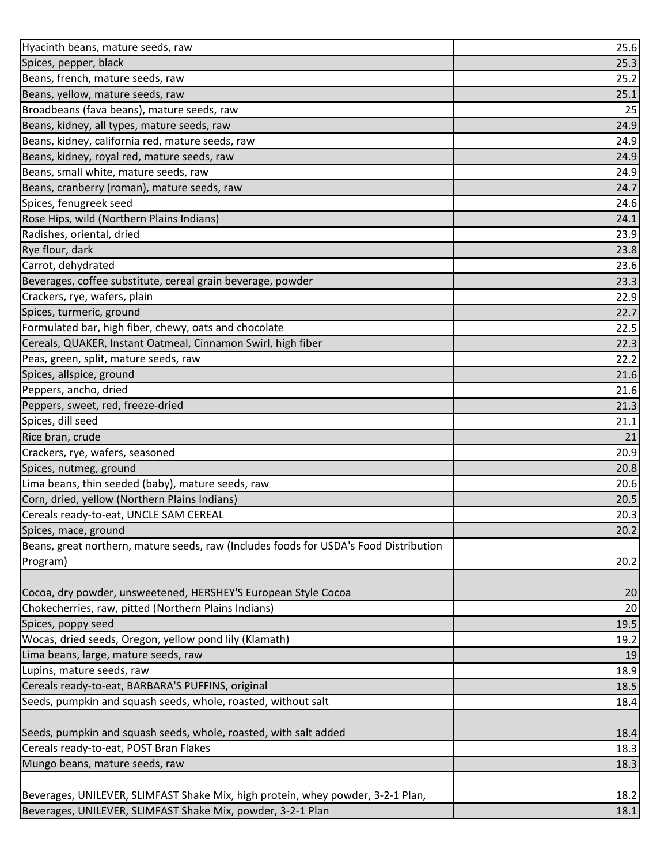| Hyacinth beans, mature seeds, raw                                                     | 25.6 |
|---------------------------------------------------------------------------------------|------|
| Spices, pepper, black                                                                 | 25.3 |
| Beans, french, mature seeds, raw                                                      | 25.2 |
| Beans, yellow, mature seeds, raw                                                      | 25.1 |
| Broadbeans (fava beans), mature seeds, raw                                            | 25   |
| Beans, kidney, all types, mature seeds, raw                                           | 24.9 |
| Beans, kidney, california red, mature seeds, raw                                      | 24.9 |
| Beans, kidney, royal red, mature seeds, raw                                           | 24.9 |
| Beans, small white, mature seeds, raw                                                 | 24.9 |
| Beans, cranberry (roman), mature seeds, raw                                           | 24.7 |
| Spices, fenugreek seed                                                                | 24.6 |
| Rose Hips, wild (Northern Plains Indians)                                             | 24.1 |
| Radishes, oriental, dried                                                             | 23.9 |
| Rye flour, dark                                                                       | 23.8 |
| Carrot, dehydrated                                                                    | 23.6 |
| Beverages, coffee substitute, cereal grain beverage, powder                           | 23.3 |
| Crackers, rye, wafers, plain                                                          | 22.9 |
| Spices, turmeric, ground                                                              | 22.7 |
| Formulated bar, high fiber, chewy, oats and chocolate                                 | 22.5 |
| Cereals, QUAKER, Instant Oatmeal, Cinnamon Swirl, high fiber                          | 22.3 |
| Peas, green, split, mature seeds, raw                                                 | 22.2 |
| Spices, allspice, ground                                                              | 21.6 |
| Peppers, ancho, dried                                                                 | 21.6 |
| Peppers, sweet, red, freeze-dried                                                     | 21.3 |
| Spices, dill seed                                                                     | 21.1 |
| Rice bran, crude                                                                      | 21   |
| Crackers, rye, wafers, seasoned                                                       | 20.9 |
| Spices, nutmeg, ground                                                                | 20.8 |
| Lima beans, thin seeded (baby), mature seeds, raw                                     | 20.6 |
| Corn, dried, yellow (Northern Plains Indians)                                         | 20.5 |
| Cereals ready-to-eat, UNCLE SAM CEREAL                                                | 20.3 |
| Spices, mace, ground                                                                  | 20.2 |
| Beans, great northern, mature seeds, raw (Includes foods for USDA's Food Distribution |      |
| Program)                                                                              | 20.2 |
|                                                                                       |      |
| Cocoa, dry powder, unsweetened, HERSHEY'S European Style Cocoa                        | 20   |
| Chokecherries, raw, pitted (Northern Plains Indians)                                  | 20   |
| Spices, poppy seed                                                                    | 19.5 |
| Wocas, dried seeds, Oregon, yellow pond lily (Klamath)                                | 19.2 |
| Lima beans, large, mature seeds, raw                                                  | 19   |
| Lupins, mature seeds, raw                                                             | 18.9 |
| Cereals ready-to-eat, BARBARA'S PUFFINS, original                                     | 18.5 |
| Seeds, pumpkin and squash seeds, whole, roasted, without salt                         | 18.4 |
|                                                                                       |      |
| Seeds, pumpkin and squash seeds, whole, roasted, with salt added                      | 18.4 |
| Cereals ready-to-eat, POST Bran Flakes<br>Mungo beans, mature seeds, raw              | 18.3 |
|                                                                                       | 18.3 |
| Beverages, UNILEVER, SLIMFAST Shake Mix, high protein, whey powder, 3-2-1 Plan,       | 18.2 |
| Beverages, UNILEVER, SLIMFAST Shake Mix, powder, 3-2-1 Plan                           |      |
|                                                                                       | 18.1 |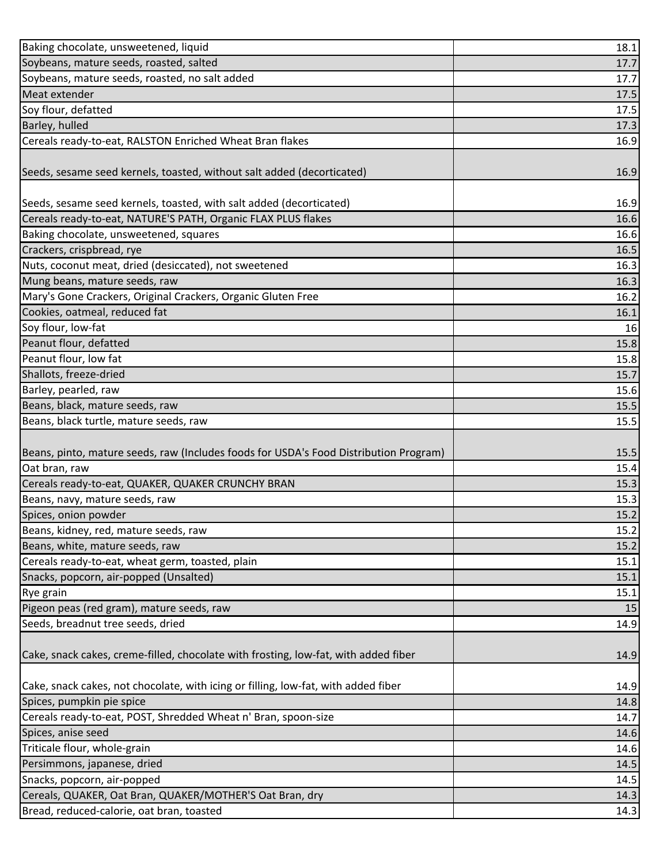| Baking chocolate, unsweetened, liquid                                                 | 18.1 |
|---------------------------------------------------------------------------------------|------|
| Soybeans, mature seeds, roasted, salted                                               | 17.7 |
| Soybeans, mature seeds, roasted, no salt added                                        | 17.7 |
| Meat extender                                                                         | 17.5 |
| Soy flour, defatted                                                                   | 17.5 |
| Barley, hulled                                                                        | 17.3 |
| Cereals ready-to-eat, RALSTON Enriched Wheat Bran flakes                              | 16.9 |
|                                                                                       |      |
| Seeds, sesame seed kernels, toasted, without salt added (decorticated)                | 16.9 |
|                                                                                       |      |
| Seeds, sesame seed kernels, toasted, with salt added (decorticated)                   | 16.9 |
| Cereals ready-to-eat, NATURE'S PATH, Organic FLAX PLUS flakes                         | 16.6 |
| Baking chocolate, unsweetened, squares                                                | 16.6 |
| Crackers, crispbread, rye                                                             | 16.5 |
| Nuts, coconut meat, dried (desiccated), not sweetened                                 | 16.3 |
| Mung beans, mature seeds, raw                                                         | 16.3 |
| Mary's Gone Crackers, Original Crackers, Organic Gluten Free                          | 16.2 |
| Cookies, oatmeal, reduced fat                                                         | 16.1 |
| Soy flour, low-fat                                                                    | 16   |
| Peanut flour, defatted                                                                | 15.8 |
| Peanut flour, low fat                                                                 | 15.8 |
| Shallots, freeze-dried                                                                | 15.7 |
| Barley, pearled, raw                                                                  | 15.6 |
| Beans, black, mature seeds, raw                                                       | 15.5 |
| Beans, black turtle, mature seeds, raw                                                | 15.5 |
|                                                                                       |      |
| Beans, pinto, mature seeds, raw (Includes foods for USDA's Food Distribution Program) | 15.5 |
| Oat bran, raw                                                                         | 15.4 |
| Cereals ready-to-eat, QUAKER, QUAKER CRUNCHY BRAN                                     | 15.3 |
| Beans, navy, mature seeds, raw                                                        | 15.3 |
| Spices, onion powder                                                                  | 15.2 |
| Beans, kidney, red, mature seeds, raw                                                 | 15.2 |
| Beans, white, mature seeds, raw                                                       | 15.2 |
| Cereals ready-to-eat, wheat germ, toasted, plain                                      | 15.1 |
| Snacks, popcorn, air-popped (Unsalted)                                                | 15.1 |
| Rye grain                                                                             | 15.1 |
| Pigeon peas (red gram), mature seeds, raw                                             | 15   |
| Seeds, breadnut tree seeds, dried                                                     | 14.9 |
|                                                                                       |      |
| Cake, snack cakes, creme-filled, chocolate with frosting, low-fat, with added fiber   | 14.9 |
| Cake, snack cakes, not chocolate, with icing or filling, low-fat, with added fiber    | 14.9 |
| Spices, pumpkin pie spice                                                             | 14.8 |
| Cereals ready-to-eat, POST, Shredded Wheat n' Bran, spoon-size                        | 14.7 |
| Spices, anise seed                                                                    | 14.6 |
| Triticale flour, whole-grain                                                          | 14.6 |
| Persimmons, japanese, dried                                                           | 14.5 |
| Snacks, popcorn, air-popped                                                           | 14.5 |
| Cereals, QUAKER, Oat Bran, QUAKER/MOTHER'S Oat Bran, dry                              | 14.3 |
| Bread, reduced-calorie, oat bran, toasted                                             | 14.3 |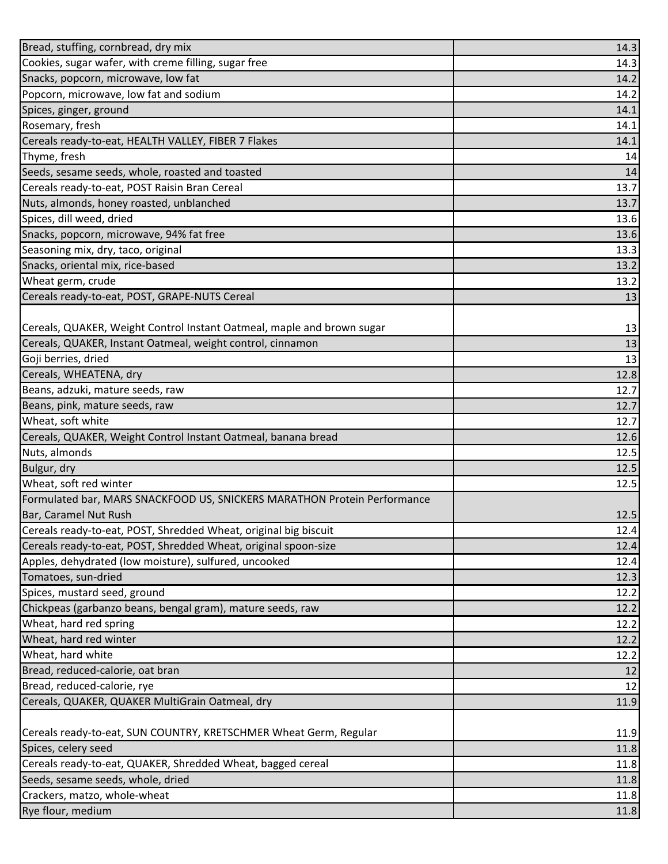| Bread, stuffing, cornbread, dry mix                                      | 14.3 |
|--------------------------------------------------------------------------|------|
| Cookies, sugar wafer, with creme filling, sugar free                     | 14.3 |
| Snacks, popcorn, microwave, low fat                                      | 14.2 |
| Popcorn, microwave, low fat and sodium                                   | 14.2 |
| Spices, ginger, ground                                                   | 14.1 |
| Rosemary, fresh                                                          | 14.1 |
| Cereals ready-to-eat, HEALTH VALLEY, FIBER 7 Flakes                      | 14.1 |
| Thyme, fresh                                                             | 14   |
| Seeds, sesame seeds, whole, roasted and toasted                          | 14   |
| Cereals ready-to-eat, POST Raisin Bran Cereal                            | 13.7 |
| Nuts, almonds, honey roasted, unblanched                                 | 13.7 |
| Spices, dill weed, dried                                                 | 13.6 |
| Snacks, popcorn, microwave, 94% fat free                                 | 13.6 |
| Seasoning mix, dry, taco, original                                       | 13.3 |
| Snacks, oriental mix, rice-based                                         | 13.2 |
| Wheat germ, crude                                                        | 13.2 |
| Cereals ready-to-eat, POST, GRAPE-NUTS Cereal                            | 13   |
|                                                                          |      |
| Cereals, QUAKER, Weight Control Instant Oatmeal, maple and brown sugar   | 13   |
| Cereals, QUAKER, Instant Oatmeal, weight control, cinnamon               | 13   |
| Goji berries, dried                                                      | 13   |
| Cereals, WHEATENA, dry                                                   | 12.8 |
| Beans, adzuki, mature seeds, raw                                         | 12.7 |
| Beans, pink, mature seeds, raw                                           | 12.7 |
| Wheat, soft white                                                        | 12.7 |
| Cereals, QUAKER, Weight Control Instant Oatmeal, banana bread            | 12.6 |
| Nuts, almonds                                                            | 12.5 |
| Bulgur, dry                                                              | 12.5 |
| Wheat, soft red winter                                                   | 12.5 |
| Formulated bar, MARS SNACKFOOD US, SNICKERS MARATHON Protein Performance |      |
| Bar, Caramel Nut Rush                                                    | 12.5 |
| Cereals ready-to-eat, POST, Shredded Wheat, original big biscuit         | 12.4 |
| Cereals ready-to-eat, POST, Shredded Wheat, original spoon-size          | 12.4 |
| Apples, dehydrated (low moisture), sulfured, uncooked                    | 12.4 |
| Tomatoes, sun-dried                                                      | 12.3 |
| Spices, mustard seed, ground                                             | 12.2 |
| Chickpeas (garbanzo beans, bengal gram), mature seeds, raw               | 12.2 |
| Wheat, hard red spring                                                   | 12.2 |
| Wheat, hard red winter                                                   | 12.2 |
| Wheat, hard white                                                        | 12.2 |
| Bread, reduced-calorie, oat bran                                         | 12   |
| Bread, reduced-calorie, rye                                              | 12   |
| Cereals, QUAKER, QUAKER MultiGrain Oatmeal, dry                          | 11.9 |
|                                                                          |      |
| Cereals ready-to-eat, SUN COUNTRY, KRETSCHMER Wheat Germ, Regular        | 11.9 |
| Spices, celery seed                                                      | 11.8 |
| Cereals ready-to-eat, QUAKER, Shredded Wheat, bagged cereal              | 11.8 |
| Seeds, sesame seeds, whole, dried                                        | 11.8 |
| Crackers, matzo, whole-wheat                                             | 11.8 |
| Rye flour, medium                                                        | 11.8 |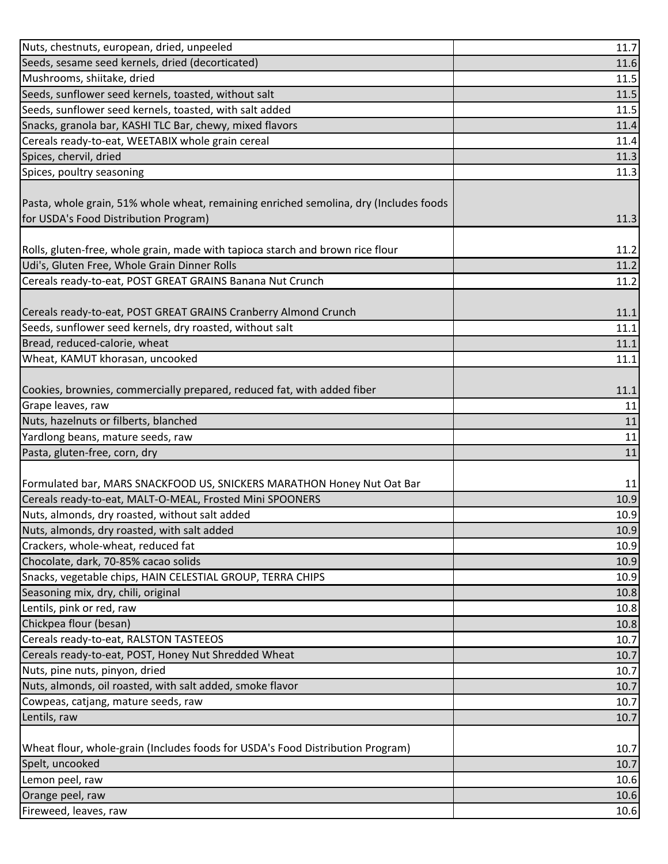| Seeds, sesame seed kernels, dried (decorticated)<br>11.6<br>Mushrooms, shiitake, dried<br>11.5<br>Seeds, sunflower seed kernels, toasted, without salt<br>11.5<br>Seeds, sunflower seed kernels, toasted, with salt added<br>11.5<br>Snacks, granola bar, KASHI TLC Bar, chewy, mixed flavors<br>11.4<br>Cereals ready-to-eat, WEETABIX whole grain cereal<br>11.4<br>Spices, chervil, dried<br>11.3<br>Spices, poultry seasoning<br>11.3<br>Pasta, whole grain, 51% whole wheat, remaining enriched semolina, dry (Includes foods<br>for USDA's Food Distribution Program)<br>11.3<br>Rolls, gluten-free, whole grain, made with tapioca starch and brown rice flour<br>11.2<br>Udi's, Gluten Free, Whole Grain Dinner Rolls<br>11.2<br>Cereals ready-to-eat, POST GREAT GRAINS Banana Nut Crunch<br>11.2<br>Cereals ready-to-eat, POST GREAT GRAINS Cranberry Almond Crunch<br>11.1<br>Seeds, sunflower seed kernels, dry roasted, without salt<br>11.1<br>Bread, reduced-calorie, wheat<br>11.1<br>Wheat, KAMUT khorasan, uncooked<br>11.1<br>Cookies, brownies, commercially prepared, reduced fat, with added fiber<br>11.1<br>Grape leaves, raw<br>11<br>Nuts, hazelnuts or filberts, blanched<br>11<br>Yardlong beans, mature seeds, raw<br>11<br>Pasta, gluten-free, corn, dry<br>11<br>Formulated bar, MARS SNACKFOOD US, SNICKERS MARATHON Honey Nut Oat Bar<br>11<br>10.9<br>Nuts, almonds, dry roasted, with salt added<br>10.9<br>10.9<br>Snacks, vegetable chips, HAIN CELESTIAL GROUP, TERRA CHIPS<br>10.9<br>10.8<br>10.8<br>10.8<br>10.7<br>10.7<br>10.7<br>10.7<br>10.7<br>10.7<br>10.7<br>10.7<br>10.6<br>10.6 | Nuts, chestnuts, european, dried, unpeeled                                     | 11.7 |
|-----------------------------------------------------------------------------------------------------------------------------------------------------------------------------------------------------------------------------------------------------------------------------------------------------------------------------------------------------------------------------------------------------------------------------------------------------------------------------------------------------------------------------------------------------------------------------------------------------------------------------------------------------------------------------------------------------------------------------------------------------------------------------------------------------------------------------------------------------------------------------------------------------------------------------------------------------------------------------------------------------------------------------------------------------------------------------------------------------------------------------------------------------------------------------------------------------------------------------------------------------------------------------------------------------------------------------------------------------------------------------------------------------------------------------------------------------------------------------------------------------------------------------------------------------------------------------------------------------------------------------------|--------------------------------------------------------------------------------|------|
|                                                                                                                                                                                                                                                                                                                                                                                                                                                                                                                                                                                                                                                                                                                                                                                                                                                                                                                                                                                                                                                                                                                                                                                                                                                                                                                                                                                                                                                                                                                                                                                                                                   |                                                                                |      |
|                                                                                                                                                                                                                                                                                                                                                                                                                                                                                                                                                                                                                                                                                                                                                                                                                                                                                                                                                                                                                                                                                                                                                                                                                                                                                                                                                                                                                                                                                                                                                                                                                                   |                                                                                |      |
|                                                                                                                                                                                                                                                                                                                                                                                                                                                                                                                                                                                                                                                                                                                                                                                                                                                                                                                                                                                                                                                                                                                                                                                                                                                                                                                                                                                                                                                                                                                                                                                                                                   |                                                                                |      |
|                                                                                                                                                                                                                                                                                                                                                                                                                                                                                                                                                                                                                                                                                                                                                                                                                                                                                                                                                                                                                                                                                                                                                                                                                                                                                                                                                                                                                                                                                                                                                                                                                                   |                                                                                |      |
|                                                                                                                                                                                                                                                                                                                                                                                                                                                                                                                                                                                                                                                                                                                                                                                                                                                                                                                                                                                                                                                                                                                                                                                                                                                                                                                                                                                                                                                                                                                                                                                                                                   |                                                                                |      |
|                                                                                                                                                                                                                                                                                                                                                                                                                                                                                                                                                                                                                                                                                                                                                                                                                                                                                                                                                                                                                                                                                                                                                                                                                                                                                                                                                                                                                                                                                                                                                                                                                                   |                                                                                |      |
|                                                                                                                                                                                                                                                                                                                                                                                                                                                                                                                                                                                                                                                                                                                                                                                                                                                                                                                                                                                                                                                                                                                                                                                                                                                                                                                                                                                                                                                                                                                                                                                                                                   |                                                                                |      |
|                                                                                                                                                                                                                                                                                                                                                                                                                                                                                                                                                                                                                                                                                                                                                                                                                                                                                                                                                                                                                                                                                                                                                                                                                                                                                                                                                                                                                                                                                                                                                                                                                                   |                                                                                |      |
|                                                                                                                                                                                                                                                                                                                                                                                                                                                                                                                                                                                                                                                                                                                                                                                                                                                                                                                                                                                                                                                                                                                                                                                                                                                                                                                                                                                                                                                                                                                                                                                                                                   |                                                                                |      |
| 10.9<br>10.9<br>10.6                                                                                                                                                                                                                                                                                                                                                                                                                                                                                                                                                                                                                                                                                                                                                                                                                                                                                                                                                                                                                                                                                                                                                                                                                                                                                                                                                                                                                                                                                                                                                                                                              |                                                                                |      |
|                                                                                                                                                                                                                                                                                                                                                                                                                                                                                                                                                                                                                                                                                                                                                                                                                                                                                                                                                                                                                                                                                                                                                                                                                                                                                                                                                                                                                                                                                                                                                                                                                                   |                                                                                |      |
|                                                                                                                                                                                                                                                                                                                                                                                                                                                                                                                                                                                                                                                                                                                                                                                                                                                                                                                                                                                                                                                                                                                                                                                                                                                                                                                                                                                                                                                                                                                                                                                                                                   |                                                                                |      |
|                                                                                                                                                                                                                                                                                                                                                                                                                                                                                                                                                                                                                                                                                                                                                                                                                                                                                                                                                                                                                                                                                                                                                                                                                                                                                                                                                                                                                                                                                                                                                                                                                                   |                                                                                |      |
|                                                                                                                                                                                                                                                                                                                                                                                                                                                                                                                                                                                                                                                                                                                                                                                                                                                                                                                                                                                                                                                                                                                                                                                                                                                                                                                                                                                                                                                                                                                                                                                                                                   |                                                                                |      |
|                                                                                                                                                                                                                                                                                                                                                                                                                                                                                                                                                                                                                                                                                                                                                                                                                                                                                                                                                                                                                                                                                                                                                                                                                                                                                                                                                                                                                                                                                                                                                                                                                                   |                                                                                |      |
|                                                                                                                                                                                                                                                                                                                                                                                                                                                                                                                                                                                                                                                                                                                                                                                                                                                                                                                                                                                                                                                                                                                                                                                                                                                                                                                                                                                                                                                                                                                                                                                                                                   |                                                                                |      |
|                                                                                                                                                                                                                                                                                                                                                                                                                                                                                                                                                                                                                                                                                                                                                                                                                                                                                                                                                                                                                                                                                                                                                                                                                                                                                                                                                                                                                                                                                                                                                                                                                                   |                                                                                |      |
|                                                                                                                                                                                                                                                                                                                                                                                                                                                                                                                                                                                                                                                                                                                                                                                                                                                                                                                                                                                                                                                                                                                                                                                                                                                                                                                                                                                                                                                                                                                                                                                                                                   |                                                                                |      |
|                                                                                                                                                                                                                                                                                                                                                                                                                                                                                                                                                                                                                                                                                                                                                                                                                                                                                                                                                                                                                                                                                                                                                                                                                                                                                                                                                                                                                                                                                                                                                                                                                                   |                                                                                |      |
|                                                                                                                                                                                                                                                                                                                                                                                                                                                                                                                                                                                                                                                                                                                                                                                                                                                                                                                                                                                                                                                                                                                                                                                                                                                                                                                                                                                                                                                                                                                                                                                                                                   |                                                                                |      |
|                                                                                                                                                                                                                                                                                                                                                                                                                                                                                                                                                                                                                                                                                                                                                                                                                                                                                                                                                                                                                                                                                                                                                                                                                                                                                                                                                                                                                                                                                                                                                                                                                                   |                                                                                |      |
|                                                                                                                                                                                                                                                                                                                                                                                                                                                                                                                                                                                                                                                                                                                                                                                                                                                                                                                                                                                                                                                                                                                                                                                                                                                                                                                                                                                                                                                                                                                                                                                                                                   |                                                                                |      |
|                                                                                                                                                                                                                                                                                                                                                                                                                                                                                                                                                                                                                                                                                                                                                                                                                                                                                                                                                                                                                                                                                                                                                                                                                                                                                                                                                                                                                                                                                                                                                                                                                                   |                                                                                |      |
|                                                                                                                                                                                                                                                                                                                                                                                                                                                                                                                                                                                                                                                                                                                                                                                                                                                                                                                                                                                                                                                                                                                                                                                                                                                                                                                                                                                                                                                                                                                                                                                                                                   |                                                                                |      |
|                                                                                                                                                                                                                                                                                                                                                                                                                                                                                                                                                                                                                                                                                                                                                                                                                                                                                                                                                                                                                                                                                                                                                                                                                                                                                                                                                                                                                                                                                                                                                                                                                                   |                                                                                |      |
|                                                                                                                                                                                                                                                                                                                                                                                                                                                                                                                                                                                                                                                                                                                                                                                                                                                                                                                                                                                                                                                                                                                                                                                                                                                                                                                                                                                                                                                                                                                                                                                                                                   |                                                                                |      |
|                                                                                                                                                                                                                                                                                                                                                                                                                                                                                                                                                                                                                                                                                                                                                                                                                                                                                                                                                                                                                                                                                                                                                                                                                                                                                                                                                                                                                                                                                                                                                                                                                                   |                                                                                |      |
|                                                                                                                                                                                                                                                                                                                                                                                                                                                                                                                                                                                                                                                                                                                                                                                                                                                                                                                                                                                                                                                                                                                                                                                                                                                                                                                                                                                                                                                                                                                                                                                                                                   |                                                                                |      |
|                                                                                                                                                                                                                                                                                                                                                                                                                                                                                                                                                                                                                                                                                                                                                                                                                                                                                                                                                                                                                                                                                                                                                                                                                                                                                                                                                                                                                                                                                                                                                                                                                                   | Cereals ready-to-eat, MALT-O-MEAL, Frosted Mini SPOONERS                       |      |
|                                                                                                                                                                                                                                                                                                                                                                                                                                                                                                                                                                                                                                                                                                                                                                                                                                                                                                                                                                                                                                                                                                                                                                                                                                                                                                                                                                                                                                                                                                                                                                                                                                   | Nuts, almonds, dry roasted, without salt added                                 |      |
|                                                                                                                                                                                                                                                                                                                                                                                                                                                                                                                                                                                                                                                                                                                                                                                                                                                                                                                                                                                                                                                                                                                                                                                                                                                                                                                                                                                                                                                                                                                                                                                                                                   |                                                                                |      |
|                                                                                                                                                                                                                                                                                                                                                                                                                                                                                                                                                                                                                                                                                                                                                                                                                                                                                                                                                                                                                                                                                                                                                                                                                                                                                                                                                                                                                                                                                                                                                                                                                                   | Crackers, whole-wheat, reduced fat                                             |      |
|                                                                                                                                                                                                                                                                                                                                                                                                                                                                                                                                                                                                                                                                                                                                                                                                                                                                                                                                                                                                                                                                                                                                                                                                                                                                                                                                                                                                                                                                                                                                                                                                                                   | Chocolate, dark, 70-85% cacao solids                                           |      |
|                                                                                                                                                                                                                                                                                                                                                                                                                                                                                                                                                                                                                                                                                                                                                                                                                                                                                                                                                                                                                                                                                                                                                                                                                                                                                                                                                                                                                                                                                                                                                                                                                                   |                                                                                |      |
|                                                                                                                                                                                                                                                                                                                                                                                                                                                                                                                                                                                                                                                                                                                                                                                                                                                                                                                                                                                                                                                                                                                                                                                                                                                                                                                                                                                                                                                                                                                                                                                                                                   | Seasoning mix, dry, chili, original                                            |      |
|                                                                                                                                                                                                                                                                                                                                                                                                                                                                                                                                                                                                                                                                                                                                                                                                                                                                                                                                                                                                                                                                                                                                                                                                                                                                                                                                                                                                                                                                                                                                                                                                                                   | Lentils, pink or red, raw                                                      |      |
|                                                                                                                                                                                                                                                                                                                                                                                                                                                                                                                                                                                                                                                                                                                                                                                                                                                                                                                                                                                                                                                                                                                                                                                                                                                                                                                                                                                                                                                                                                                                                                                                                                   | Chickpea flour (besan)                                                         |      |
|                                                                                                                                                                                                                                                                                                                                                                                                                                                                                                                                                                                                                                                                                                                                                                                                                                                                                                                                                                                                                                                                                                                                                                                                                                                                                                                                                                                                                                                                                                                                                                                                                                   | Cereals ready-to-eat, RALSTON TASTEEOS                                         |      |
|                                                                                                                                                                                                                                                                                                                                                                                                                                                                                                                                                                                                                                                                                                                                                                                                                                                                                                                                                                                                                                                                                                                                                                                                                                                                                                                                                                                                                                                                                                                                                                                                                                   | Cereals ready-to-eat, POST, Honey Nut Shredded Wheat                           |      |
|                                                                                                                                                                                                                                                                                                                                                                                                                                                                                                                                                                                                                                                                                                                                                                                                                                                                                                                                                                                                                                                                                                                                                                                                                                                                                                                                                                                                                                                                                                                                                                                                                                   | Nuts, pine nuts, pinyon, dried                                                 |      |
|                                                                                                                                                                                                                                                                                                                                                                                                                                                                                                                                                                                                                                                                                                                                                                                                                                                                                                                                                                                                                                                                                                                                                                                                                                                                                                                                                                                                                                                                                                                                                                                                                                   | Nuts, almonds, oil roasted, with salt added, smoke flavor                      |      |
|                                                                                                                                                                                                                                                                                                                                                                                                                                                                                                                                                                                                                                                                                                                                                                                                                                                                                                                                                                                                                                                                                                                                                                                                                                                                                                                                                                                                                                                                                                                                                                                                                                   | Cowpeas, catjang, mature seeds, raw                                            |      |
|                                                                                                                                                                                                                                                                                                                                                                                                                                                                                                                                                                                                                                                                                                                                                                                                                                                                                                                                                                                                                                                                                                                                                                                                                                                                                                                                                                                                                                                                                                                                                                                                                                   | Lentils, raw                                                                   |      |
|                                                                                                                                                                                                                                                                                                                                                                                                                                                                                                                                                                                                                                                                                                                                                                                                                                                                                                                                                                                                                                                                                                                                                                                                                                                                                                                                                                                                                                                                                                                                                                                                                                   |                                                                                |      |
|                                                                                                                                                                                                                                                                                                                                                                                                                                                                                                                                                                                                                                                                                                                                                                                                                                                                                                                                                                                                                                                                                                                                                                                                                                                                                                                                                                                                                                                                                                                                                                                                                                   | Wheat flour, whole-grain (Includes foods for USDA's Food Distribution Program) |      |
|                                                                                                                                                                                                                                                                                                                                                                                                                                                                                                                                                                                                                                                                                                                                                                                                                                                                                                                                                                                                                                                                                                                                                                                                                                                                                                                                                                                                                                                                                                                                                                                                                                   | Spelt, uncooked                                                                |      |
|                                                                                                                                                                                                                                                                                                                                                                                                                                                                                                                                                                                                                                                                                                                                                                                                                                                                                                                                                                                                                                                                                                                                                                                                                                                                                                                                                                                                                                                                                                                                                                                                                                   | Lemon peel, raw                                                                |      |
|                                                                                                                                                                                                                                                                                                                                                                                                                                                                                                                                                                                                                                                                                                                                                                                                                                                                                                                                                                                                                                                                                                                                                                                                                                                                                                                                                                                                                                                                                                                                                                                                                                   | Orange peel, raw                                                               |      |
|                                                                                                                                                                                                                                                                                                                                                                                                                                                                                                                                                                                                                                                                                                                                                                                                                                                                                                                                                                                                                                                                                                                                                                                                                                                                                                                                                                                                                                                                                                                                                                                                                                   | Fireweed, leaves, raw                                                          |      |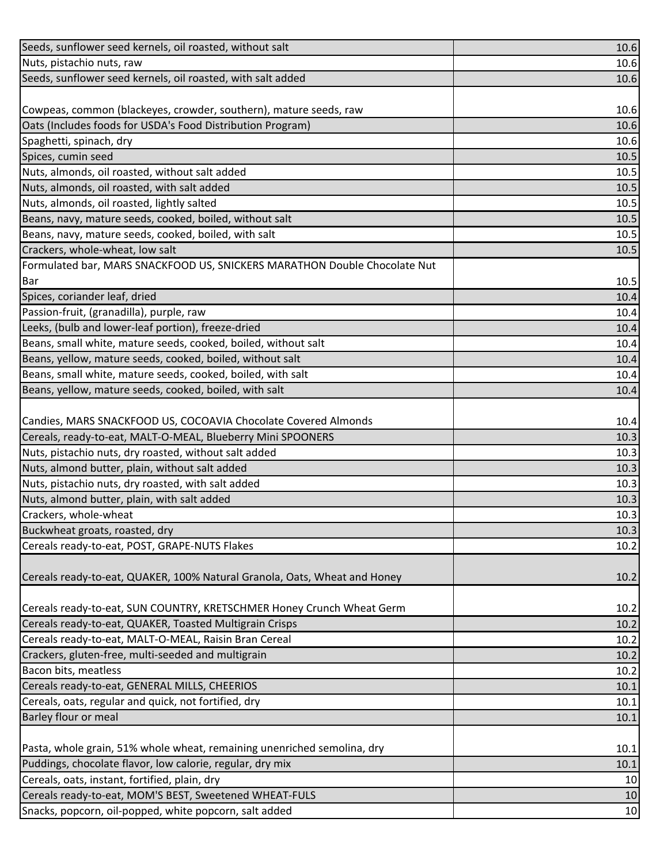| Seeds, sunflower seed kernels, oil roasted, without salt                  | 10.6 |
|---------------------------------------------------------------------------|------|
| Nuts, pistachio nuts, raw                                                 | 10.6 |
| Seeds, sunflower seed kernels, oil roasted, with salt added               | 10.6 |
|                                                                           |      |
| Cowpeas, common (blackeyes, crowder, southern), mature seeds, raw         | 10.6 |
| Oats (Includes foods for USDA's Food Distribution Program)                | 10.6 |
| Spaghetti, spinach, dry                                                   | 10.6 |
| Spices, cumin seed                                                        | 10.5 |
| Nuts, almonds, oil roasted, without salt added                            | 10.5 |
| Nuts, almonds, oil roasted, with salt added                               | 10.5 |
| Nuts, almonds, oil roasted, lightly salted                                | 10.5 |
| Beans, navy, mature seeds, cooked, boiled, without salt                   | 10.5 |
| Beans, navy, mature seeds, cooked, boiled, with salt                      | 10.5 |
| Crackers, whole-wheat, low salt                                           | 10.5 |
| Formulated bar, MARS SNACKFOOD US, SNICKERS MARATHON Double Chocolate Nut |      |
| Bar                                                                       | 10.5 |
| Spices, coriander leaf, dried                                             | 10.4 |
| Passion-fruit, (granadilla), purple, raw                                  | 10.4 |
| Leeks, (bulb and lower-leaf portion), freeze-dried                        | 10.4 |
| Beans, small white, mature seeds, cooked, boiled, without salt            | 10.4 |
| Beans, yellow, mature seeds, cooked, boiled, without salt                 | 10.4 |
| Beans, small white, mature seeds, cooked, boiled, with salt               | 10.4 |
| Beans, yellow, mature seeds, cooked, boiled, with salt                    | 10.4 |
|                                                                           |      |
| Candies, MARS SNACKFOOD US, COCOAVIA Chocolate Covered Almonds            | 10.4 |
| Cereals, ready-to-eat, MALT-O-MEAL, Blueberry Mini SPOONERS               | 10.3 |
| Nuts, pistachio nuts, dry roasted, without salt added                     | 10.3 |
| Nuts, almond butter, plain, without salt added                            | 10.3 |
| Nuts, pistachio nuts, dry roasted, with salt added                        | 10.3 |
| Nuts, almond butter, plain, with salt added                               | 10.3 |
| Crackers, whole-wheat                                                     | 10.3 |
| Buckwheat groats, roasted, dry                                            | 10.3 |
| Cereals ready-to-eat, POST, GRAPE-NUTS Flakes                             | 10.2 |
|                                                                           |      |
| Cereals ready-to-eat, QUAKER, 100% Natural Granola, Oats, Wheat and Honey | 10.2 |
|                                                                           |      |
| Cereals ready-to-eat, SUN COUNTRY, KRETSCHMER Honey Crunch Wheat Germ     | 10.2 |
| Cereals ready-to-eat, QUAKER, Toasted Multigrain Crisps                   | 10.2 |
| Cereals ready-to-eat, MALT-O-MEAL, Raisin Bran Cereal                     | 10.2 |
| Crackers, gluten-free, multi-seeded and multigrain                        | 10.2 |
| Bacon bits, meatless                                                      | 10.2 |
| Cereals ready-to-eat, GENERAL MILLS, CHEERIOS                             | 10.1 |
| Cereals, oats, regular and quick, not fortified, dry                      | 10.1 |
| Barley flour or meal                                                      | 10.1 |
|                                                                           |      |
| Pasta, whole grain, 51% whole wheat, remaining unenriched semolina, dry   | 10.1 |
| Puddings, chocolate flavor, low calorie, regular, dry mix                 | 10.1 |
| Cereals, oats, instant, fortified, plain, dry                             | 10   |
| Cereals ready-to-eat, MOM'S BEST, Sweetened WHEAT-FULS                    | 10   |
| Snacks, popcorn, oil-popped, white popcorn, salt added                    | 10   |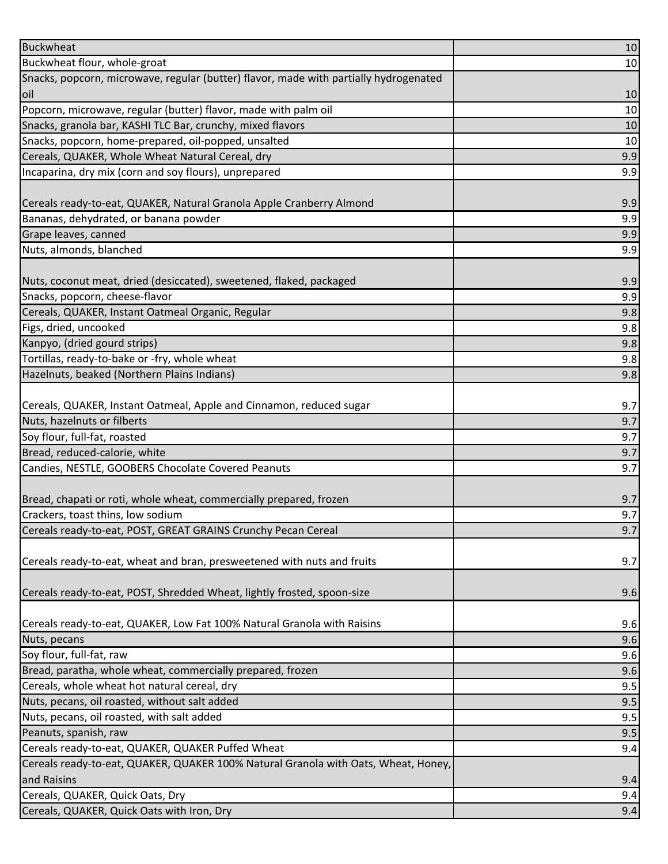| <b>Buckwheat</b>                                                                      | 10  |
|---------------------------------------------------------------------------------------|-----|
| Buckwheat flour, whole-groat                                                          | 10  |
| Snacks, popcorn, microwave, regular (butter) flavor, made with partially hydrogenated |     |
| loil                                                                                  | 10  |
| Popcorn, microwave, regular (butter) flavor, made with palm oil                       | 10  |
| Snacks, granola bar, KASHI TLC Bar, crunchy, mixed flavors                            | 10  |
| Snacks, popcorn, home-prepared, oil-popped, unsalted                                  | 10  |
| Cereals, QUAKER, Whole Wheat Natural Cereal, dry                                      | 9.9 |
| Incaparina, dry mix (corn and soy flours), unprepared                                 | 9.9 |
|                                                                                       |     |
| Cereals ready-to-eat, QUAKER, Natural Granola Apple Cranberry Almond                  | 9.9 |
| Bananas, dehydrated, or banana powder                                                 | 9.9 |
| Grape leaves, canned                                                                  | 9.9 |
| Nuts, almonds, blanched                                                               | 9.9 |
|                                                                                       |     |
| Nuts, coconut meat, dried (desiccated), sweetened, flaked, packaged                   | 9.9 |
| Snacks, popcorn, cheese-flavor                                                        | 9.9 |
| Cereals, QUAKER, Instant Oatmeal Organic, Regular                                     | 9.8 |
| Figs, dried, uncooked                                                                 | 9.8 |
| Kanpyo, (dried gourd strips)                                                          | 9.8 |
| Tortillas, ready-to-bake or -fry, whole wheat                                         | 9.8 |
| Hazelnuts, beaked (Northern Plains Indians)                                           | 9.8 |
|                                                                                       |     |
| Cereals, QUAKER, Instant Oatmeal, Apple and Cinnamon, reduced sugar                   | 9.7 |
| Nuts, hazelnuts or filberts                                                           | 9.7 |
| Soy flour, full-fat, roasted                                                          | 9.7 |
| Bread, reduced-calorie, white                                                         | 9.7 |
| Candies, NESTLE, GOOBERS Chocolate Covered Peanuts                                    | 9.7 |
|                                                                                       |     |
| Bread, chapati or roti, whole wheat, commercially prepared, frozen                    | 9.7 |
| Crackers, toast thins, low sodium                                                     | 9.7 |
| Cereals ready-to-eat, POST, GREAT GRAINS Crunchy Pecan Cereal                         | 9.7 |
|                                                                                       |     |
| Cereals ready-to-eat, wheat and bran, presweetened with nuts and fruits               | 9.7 |
|                                                                                       |     |
| Cereals ready-to-eat, POST, Shredded Wheat, lightly frosted, spoon-size               | 9.6 |
|                                                                                       |     |
| Cereals ready-to-eat, QUAKER, Low Fat 100% Natural Granola with Raisins               | 9.6 |
| Nuts, pecans                                                                          | 9.6 |
| Soy flour, full-fat, raw                                                              | 9.6 |
| Bread, paratha, whole wheat, commercially prepared, frozen                            | 9.6 |
| Cereals, whole wheat hot natural cereal, dry                                          | 9.5 |
| Nuts, pecans, oil roasted, without salt added                                         | 9.5 |
| Nuts, pecans, oil roasted, with salt added                                            | 9.5 |
| Peanuts, spanish, raw                                                                 | 9.5 |
| Cereals ready-to-eat, QUAKER, QUAKER Puffed Wheat                                     | 9.4 |
| Cereals ready-to-eat, QUAKER, QUAKER 100% Natural Granola with Oats, Wheat, Honey,    |     |
| and Raisins                                                                           | 9.4 |
| Cereals, QUAKER, Quick Oats, Dry                                                      | 9.4 |
| Cereals, QUAKER, Quick Oats with Iron, Dry                                            | 9.4 |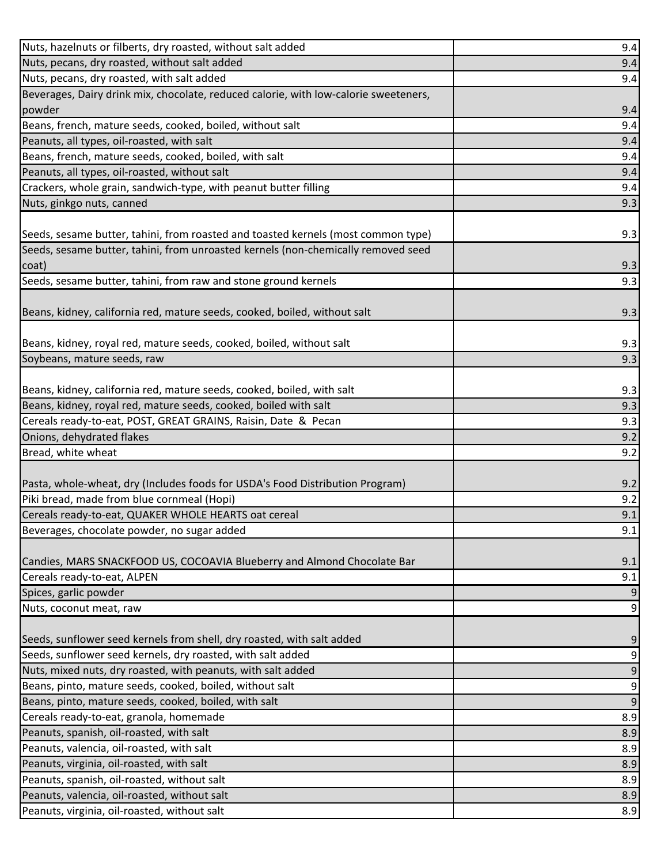| Nuts, hazelnuts or filberts, dry roasted, without salt added                                 | 9.4              |
|----------------------------------------------------------------------------------------------|------------------|
| Nuts, pecans, dry roasted, without salt added                                                | 9.4              |
| Nuts, pecans, dry roasted, with salt added                                                   | 9.4              |
| Beverages, Dairy drink mix, chocolate, reduced calorie, with low-calorie sweeteners,         |                  |
| powder                                                                                       | 9.4              |
| Beans, french, mature seeds, cooked, boiled, without salt                                    | 9.4              |
| Peanuts, all types, oil-roasted, with salt                                                   | 9.4              |
| Beans, french, mature seeds, cooked, boiled, with salt                                       | 9.4              |
| Peanuts, all types, oil-roasted, without salt                                                | 9.4              |
| Crackers, whole grain, sandwich-type, with peanut butter filling                             | 9.4              |
| Nuts, ginkgo nuts, canned                                                                    | 9.3              |
|                                                                                              |                  |
| (Seeds, sesame butter, tahini, from roasted and toasted kernels (most common type)           | 9.3              |
| Seeds, sesame butter, tahini, from unroasted kernels (non-chemically removed seed            |                  |
| coat)                                                                                        | 9.3              |
| Seeds, sesame butter, tahini, from raw and stone ground kernels                              | 9.3              |
|                                                                                              |                  |
| Beans, kidney, california red, mature seeds, cooked, boiled, without salt                    | 9.3              |
|                                                                                              |                  |
| Beans, kidney, royal red, mature seeds, cooked, boiled, without salt                         | 9.3              |
| Soybeans, mature seeds, raw                                                                  | 9.3              |
|                                                                                              |                  |
| Beans, kidney, california red, mature seeds, cooked, boiled, with salt                       | 9.3              |
| Beans, kidney, royal red, mature seeds, cooked, boiled with salt                             | 9.3              |
| Cereals ready-to-eat, POST, GREAT GRAINS, Raisin, Date & Pecan                               | 9.3              |
|                                                                                              |                  |
| Onions, dehydrated flakes                                                                    | 9.2              |
| Bread, white wheat                                                                           | 9.2              |
|                                                                                              |                  |
| Pasta, whole-wheat, dry (Includes foods for USDA's Food Distribution Program)                | 9.2              |
| Piki bread, made from blue cornmeal (Hopi)                                                   | 9.2              |
| Cereals ready-to-eat, QUAKER WHOLE HEARTS oat cereal                                         | 9.1              |
| Beverages, chocolate powder, no sugar added                                                  | 9.1              |
|                                                                                              |                  |
| Candies, MARS SNACKFOOD US, COCOAVIA Blueberry and Almond Chocolate Bar                      | 9.1              |
| Cereals ready-to-eat, ALPEN                                                                  | 9.1              |
| Spices, garlic powder                                                                        | 9                |
| Nuts, coconut meat, raw                                                                      | $\boldsymbol{9}$ |
|                                                                                              |                  |
| Seeds, sunflower seed kernels from shell, dry roasted, with salt added                       | $\overline{9}$   |
| Seeds, sunflower seed kernels, dry roasted, with salt added                                  | 9                |
| Nuts, mixed nuts, dry roasted, with peanuts, with salt added                                 | $\overline{9}$   |
| Beans, pinto, mature seeds, cooked, boiled, without salt                                     | $\boldsymbol{9}$ |
| Beans, pinto, mature seeds, cooked, boiled, with salt                                        | $\overline{9}$   |
| Cereals ready-to-eat, granola, homemade                                                      | 8.9              |
| Peanuts, spanish, oil-roasted, with salt                                                     | 8.9              |
| Peanuts, valencia, oil-roasted, with salt                                                    | 8.9              |
| Peanuts, virginia, oil-roasted, with salt                                                    | 8.9              |
| Peanuts, spanish, oil-roasted, without salt                                                  | 8.9              |
| Peanuts, valencia, oil-roasted, without salt<br>Peanuts, virginia, oil-roasted, without salt | 8.9<br>8.9       |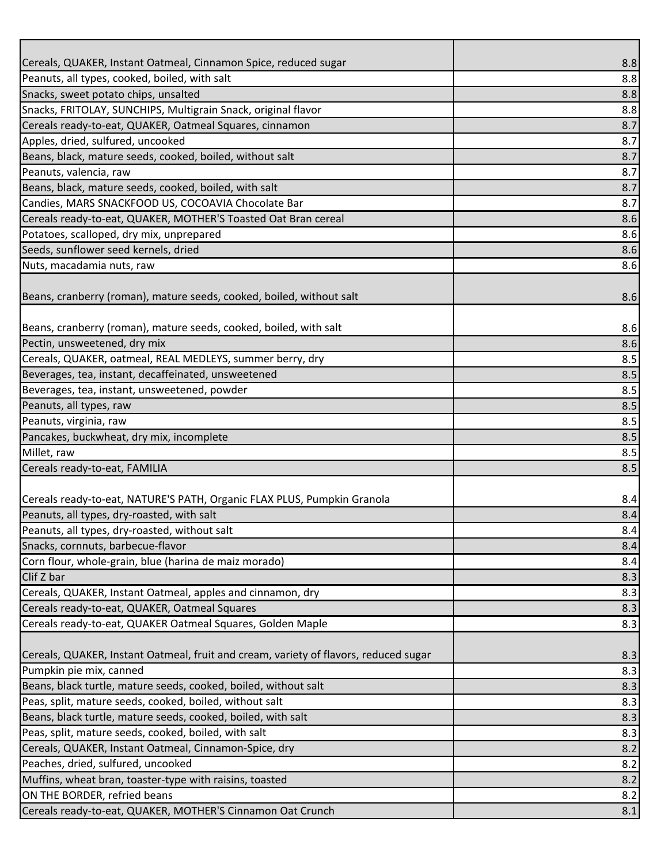| Peanuts, all types, cooked, boiled, with salt<br>8.8<br>Snacks, sweet potato chips, unsalted<br>8.8<br>Snacks, FRITOLAY, SUNCHIPS, Multigrain Snack, original flavor<br>8.8<br>Cereals ready-to-eat, QUAKER, Oatmeal Squares, cinnamon<br>8.7<br>Apples, dried, sulfured, uncooked<br>8.7<br>Beans, black, mature seeds, cooked, boiled, without salt<br>8.7<br>Peanuts, valencia, raw<br>8.7<br>8.7<br>8.7<br>8.6<br>8.6<br>8.6<br>8.6<br>8.6<br>Beans, cranberry (roman), mature seeds, cooked, boiled, with salt<br>8.6<br>Pectin, unsweetened, dry mix<br>8.6<br>Cereals, QUAKER, oatmeal, REAL MEDLEYS, summer berry, dry<br>8.5<br>Beverages, tea, instant, decaffeinated, unsweetened<br>8.5<br>Beverages, tea, instant, unsweetened, powder<br>8.5<br>Peanuts, all types, raw<br>8.5<br>Peanuts, virginia, raw<br>8.5<br>Pancakes, buckwheat, dry mix, incomplete<br>8.5<br>Millet, raw<br>8.5<br>Cereals ready-to-eat, FAMILIA<br>8.5<br>Cereals ready-to-eat, NATURE'S PATH, Organic FLAX PLUS, Pumpkin Granola<br>8.4<br>Peanuts, all types, dry-roasted, with salt<br>8.4<br>Peanuts, all types, dry-roasted, without salt<br>8.4<br>Snacks, cornnuts, barbecue-flavor<br>8.4<br>Corn flour, whole-grain, blue (harina de maiz morado)<br>8.4<br>Clif Z bar<br>8.3<br>Cereals, QUAKER, Instant Oatmeal, apples and cinnamon, dry<br>8.3<br>8.3<br>Cereals ready-to-eat, QUAKER, Oatmeal Squares<br>Cereals ready-to-eat, QUAKER Oatmeal Squares, Golden Maple<br>8.3<br>8.3<br>8.3<br>8.3<br>8.3<br>8.3<br>8.3<br>8.2<br>8.2<br>Muffins, wheat bran, toaster-type with raisins, toasted<br>8.2<br>8.2 |                                                                                      |     |
|-------------------------------------------------------------------------------------------------------------------------------------------------------------------------------------------------------------------------------------------------------------------------------------------------------------------------------------------------------------------------------------------------------------------------------------------------------------------------------------------------------------------------------------------------------------------------------------------------------------------------------------------------------------------------------------------------------------------------------------------------------------------------------------------------------------------------------------------------------------------------------------------------------------------------------------------------------------------------------------------------------------------------------------------------------------------------------------------------------------------------------------------------------------------------------------------------------------------------------------------------------------------------------------------------------------------------------------------------------------------------------------------------------------------------------------------------------------------------------------------------------------------------------------------------------------------------------------------------------------------|--------------------------------------------------------------------------------------|-----|
|                                                                                                                                                                                                                                                                                                                                                                                                                                                                                                                                                                                                                                                                                                                                                                                                                                                                                                                                                                                                                                                                                                                                                                                                                                                                                                                                                                                                                                                                                                                                                                                                                   | Cereals, QUAKER, Instant Oatmeal, Cinnamon Spice, reduced sugar                      | 8.8 |
|                                                                                                                                                                                                                                                                                                                                                                                                                                                                                                                                                                                                                                                                                                                                                                                                                                                                                                                                                                                                                                                                                                                                                                                                                                                                                                                                                                                                                                                                                                                                                                                                                   |                                                                                      |     |
|                                                                                                                                                                                                                                                                                                                                                                                                                                                                                                                                                                                                                                                                                                                                                                                                                                                                                                                                                                                                                                                                                                                                                                                                                                                                                                                                                                                                                                                                                                                                                                                                                   |                                                                                      |     |
|                                                                                                                                                                                                                                                                                                                                                                                                                                                                                                                                                                                                                                                                                                                                                                                                                                                                                                                                                                                                                                                                                                                                                                                                                                                                                                                                                                                                                                                                                                                                                                                                                   |                                                                                      |     |
|                                                                                                                                                                                                                                                                                                                                                                                                                                                                                                                                                                                                                                                                                                                                                                                                                                                                                                                                                                                                                                                                                                                                                                                                                                                                                                                                                                                                                                                                                                                                                                                                                   |                                                                                      |     |
|                                                                                                                                                                                                                                                                                                                                                                                                                                                                                                                                                                                                                                                                                                                                                                                                                                                                                                                                                                                                                                                                                                                                                                                                                                                                                                                                                                                                                                                                                                                                                                                                                   |                                                                                      |     |
|                                                                                                                                                                                                                                                                                                                                                                                                                                                                                                                                                                                                                                                                                                                                                                                                                                                                                                                                                                                                                                                                                                                                                                                                                                                                                                                                                                                                                                                                                                                                                                                                                   |                                                                                      |     |
|                                                                                                                                                                                                                                                                                                                                                                                                                                                                                                                                                                                                                                                                                                                                                                                                                                                                                                                                                                                                                                                                                                                                                                                                                                                                                                                                                                                                                                                                                                                                                                                                                   |                                                                                      |     |
|                                                                                                                                                                                                                                                                                                                                                                                                                                                                                                                                                                                                                                                                                                                                                                                                                                                                                                                                                                                                                                                                                                                                                                                                                                                                                                                                                                                                                                                                                                                                                                                                                   | Beans, black, mature seeds, cooked, boiled, with salt                                |     |
|                                                                                                                                                                                                                                                                                                                                                                                                                                                                                                                                                                                                                                                                                                                                                                                                                                                                                                                                                                                                                                                                                                                                                                                                                                                                                                                                                                                                                                                                                                                                                                                                                   | Candies, MARS SNACKFOOD US, COCOAVIA Chocolate Bar                                   |     |
|                                                                                                                                                                                                                                                                                                                                                                                                                                                                                                                                                                                                                                                                                                                                                                                                                                                                                                                                                                                                                                                                                                                                                                                                                                                                                                                                                                                                                                                                                                                                                                                                                   | Cereals ready-to-eat, QUAKER, MOTHER'S Toasted Oat Bran cereal                       |     |
|                                                                                                                                                                                                                                                                                                                                                                                                                                                                                                                                                                                                                                                                                                                                                                                                                                                                                                                                                                                                                                                                                                                                                                                                                                                                                                                                                                                                                                                                                                                                                                                                                   | Potatoes, scalloped, dry mix, unprepared                                             |     |
|                                                                                                                                                                                                                                                                                                                                                                                                                                                                                                                                                                                                                                                                                                                                                                                                                                                                                                                                                                                                                                                                                                                                                                                                                                                                                                                                                                                                                                                                                                                                                                                                                   | Seeds, sunflower seed kernels, dried                                                 |     |
|                                                                                                                                                                                                                                                                                                                                                                                                                                                                                                                                                                                                                                                                                                                                                                                                                                                                                                                                                                                                                                                                                                                                                                                                                                                                                                                                                                                                                                                                                                                                                                                                                   | Nuts, macadamia nuts, raw                                                            |     |
|                                                                                                                                                                                                                                                                                                                                                                                                                                                                                                                                                                                                                                                                                                                                                                                                                                                                                                                                                                                                                                                                                                                                                                                                                                                                                                                                                                                                                                                                                                                                                                                                                   | Beans, cranberry (roman), mature seeds, cooked, boiled, without salt                 |     |
|                                                                                                                                                                                                                                                                                                                                                                                                                                                                                                                                                                                                                                                                                                                                                                                                                                                                                                                                                                                                                                                                                                                                                                                                                                                                                                                                                                                                                                                                                                                                                                                                                   |                                                                                      |     |
|                                                                                                                                                                                                                                                                                                                                                                                                                                                                                                                                                                                                                                                                                                                                                                                                                                                                                                                                                                                                                                                                                                                                                                                                                                                                                                                                                                                                                                                                                                                                                                                                                   |                                                                                      |     |
|                                                                                                                                                                                                                                                                                                                                                                                                                                                                                                                                                                                                                                                                                                                                                                                                                                                                                                                                                                                                                                                                                                                                                                                                                                                                                                                                                                                                                                                                                                                                                                                                                   |                                                                                      |     |
|                                                                                                                                                                                                                                                                                                                                                                                                                                                                                                                                                                                                                                                                                                                                                                                                                                                                                                                                                                                                                                                                                                                                                                                                                                                                                                                                                                                                                                                                                                                                                                                                                   |                                                                                      |     |
|                                                                                                                                                                                                                                                                                                                                                                                                                                                                                                                                                                                                                                                                                                                                                                                                                                                                                                                                                                                                                                                                                                                                                                                                                                                                                                                                                                                                                                                                                                                                                                                                                   |                                                                                      |     |
|                                                                                                                                                                                                                                                                                                                                                                                                                                                                                                                                                                                                                                                                                                                                                                                                                                                                                                                                                                                                                                                                                                                                                                                                                                                                                                                                                                                                                                                                                                                                                                                                                   |                                                                                      |     |
|                                                                                                                                                                                                                                                                                                                                                                                                                                                                                                                                                                                                                                                                                                                                                                                                                                                                                                                                                                                                                                                                                                                                                                                                                                                                                                                                                                                                                                                                                                                                                                                                                   |                                                                                      |     |
|                                                                                                                                                                                                                                                                                                                                                                                                                                                                                                                                                                                                                                                                                                                                                                                                                                                                                                                                                                                                                                                                                                                                                                                                                                                                                                                                                                                                                                                                                                                                                                                                                   |                                                                                      |     |
|                                                                                                                                                                                                                                                                                                                                                                                                                                                                                                                                                                                                                                                                                                                                                                                                                                                                                                                                                                                                                                                                                                                                                                                                                                                                                                                                                                                                                                                                                                                                                                                                                   |                                                                                      |     |
|                                                                                                                                                                                                                                                                                                                                                                                                                                                                                                                                                                                                                                                                                                                                                                                                                                                                                                                                                                                                                                                                                                                                                                                                                                                                                                                                                                                                                                                                                                                                                                                                                   |                                                                                      |     |
|                                                                                                                                                                                                                                                                                                                                                                                                                                                                                                                                                                                                                                                                                                                                                                                                                                                                                                                                                                                                                                                                                                                                                                                                                                                                                                                                                                                                                                                                                                                                                                                                                   |                                                                                      |     |
|                                                                                                                                                                                                                                                                                                                                                                                                                                                                                                                                                                                                                                                                                                                                                                                                                                                                                                                                                                                                                                                                                                                                                                                                                                                                                                                                                                                                                                                                                                                                                                                                                   |                                                                                      |     |
|                                                                                                                                                                                                                                                                                                                                                                                                                                                                                                                                                                                                                                                                                                                                                                                                                                                                                                                                                                                                                                                                                                                                                                                                                                                                                                                                                                                                                                                                                                                                                                                                                   |                                                                                      |     |
|                                                                                                                                                                                                                                                                                                                                                                                                                                                                                                                                                                                                                                                                                                                                                                                                                                                                                                                                                                                                                                                                                                                                                                                                                                                                                                                                                                                                                                                                                                                                                                                                                   |                                                                                      |     |
|                                                                                                                                                                                                                                                                                                                                                                                                                                                                                                                                                                                                                                                                                                                                                                                                                                                                                                                                                                                                                                                                                                                                                                                                                                                                                                                                                                                                                                                                                                                                                                                                                   |                                                                                      |     |
|                                                                                                                                                                                                                                                                                                                                                                                                                                                                                                                                                                                                                                                                                                                                                                                                                                                                                                                                                                                                                                                                                                                                                                                                                                                                                                                                                                                                                                                                                                                                                                                                                   |                                                                                      |     |
|                                                                                                                                                                                                                                                                                                                                                                                                                                                                                                                                                                                                                                                                                                                                                                                                                                                                                                                                                                                                                                                                                                                                                                                                                                                                                                                                                                                                                                                                                                                                                                                                                   |                                                                                      |     |
|                                                                                                                                                                                                                                                                                                                                                                                                                                                                                                                                                                                                                                                                                                                                                                                                                                                                                                                                                                                                                                                                                                                                                                                                                                                                                                                                                                                                                                                                                                                                                                                                                   |                                                                                      |     |
|                                                                                                                                                                                                                                                                                                                                                                                                                                                                                                                                                                                                                                                                                                                                                                                                                                                                                                                                                                                                                                                                                                                                                                                                                                                                                                                                                                                                                                                                                                                                                                                                                   |                                                                                      |     |
|                                                                                                                                                                                                                                                                                                                                                                                                                                                                                                                                                                                                                                                                                                                                                                                                                                                                                                                                                                                                                                                                                                                                                                                                                                                                                                                                                                                                                                                                                                                                                                                                                   |                                                                                      |     |
|                                                                                                                                                                                                                                                                                                                                                                                                                                                                                                                                                                                                                                                                                                                                                                                                                                                                                                                                                                                                                                                                                                                                                                                                                                                                                                                                                                                                                                                                                                                                                                                                                   |                                                                                      |     |
|                                                                                                                                                                                                                                                                                                                                                                                                                                                                                                                                                                                                                                                                                                                                                                                                                                                                                                                                                                                                                                                                                                                                                                                                                                                                                                                                                                                                                                                                                                                                                                                                                   | Cereals, QUAKER, Instant Oatmeal, fruit and cream, variety of flavors, reduced sugar |     |
|                                                                                                                                                                                                                                                                                                                                                                                                                                                                                                                                                                                                                                                                                                                                                                                                                                                                                                                                                                                                                                                                                                                                                                                                                                                                                                                                                                                                                                                                                                                                                                                                                   | Pumpkin pie mix, canned                                                              |     |
|                                                                                                                                                                                                                                                                                                                                                                                                                                                                                                                                                                                                                                                                                                                                                                                                                                                                                                                                                                                                                                                                                                                                                                                                                                                                                                                                                                                                                                                                                                                                                                                                                   | Beans, black turtle, mature seeds, cooked, boiled, without salt                      |     |
|                                                                                                                                                                                                                                                                                                                                                                                                                                                                                                                                                                                                                                                                                                                                                                                                                                                                                                                                                                                                                                                                                                                                                                                                                                                                                                                                                                                                                                                                                                                                                                                                                   | Peas, split, mature seeds, cooked, boiled, without salt                              |     |
|                                                                                                                                                                                                                                                                                                                                                                                                                                                                                                                                                                                                                                                                                                                                                                                                                                                                                                                                                                                                                                                                                                                                                                                                                                                                                                                                                                                                                                                                                                                                                                                                                   | Beans, black turtle, mature seeds, cooked, boiled, with salt                         |     |
|                                                                                                                                                                                                                                                                                                                                                                                                                                                                                                                                                                                                                                                                                                                                                                                                                                                                                                                                                                                                                                                                                                                                                                                                                                                                                                                                                                                                                                                                                                                                                                                                                   | Peas, split, mature seeds, cooked, boiled, with salt                                 |     |
|                                                                                                                                                                                                                                                                                                                                                                                                                                                                                                                                                                                                                                                                                                                                                                                                                                                                                                                                                                                                                                                                                                                                                                                                                                                                                                                                                                                                                                                                                                                                                                                                                   | Cereals, QUAKER, Instant Oatmeal, Cinnamon-Spice, dry                                |     |
|                                                                                                                                                                                                                                                                                                                                                                                                                                                                                                                                                                                                                                                                                                                                                                                                                                                                                                                                                                                                                                                                                                                                                                                                                                                                                                                                                                                                                                                                                                                                                                                                                   | Peaches, dried, sulfured, uncooked                                                   |     |
|                                                                                                                                                                                                                                                                                                                                                                                                                                                                                                                                                                                                                                                                                                                                                                                                                                                                                                                                                                                                                                                                                                                                                                                                                                                                                                                                                                                                                                                                                                                                                                                                                   |                                                                                      |     |
|                                                                                                                                                                                                                                                                                                                                                                                                                                                                                                                                                                                                                                                                                                                                                                                                                                                                                                                                                                                                                                                                                                                                                                                                                                                                                                                                                                                                                                                                                                                                                                                                                   | ON THE BORDER, refried beans                                                         |     |
|                                                                                                                                                                                                                                                                                                                                                                                                                                                                                                                                                                                                                                                                                                                                                                                                                                                                                                                                                                                                                                                                                                                                                                                                                                                                                                                                                                                                                                                                                                                                                                                                                   | Cereals ready-to-eat, QUAKER, MOTHER'S Cinnamon Oat Crunch                           | 8.1 |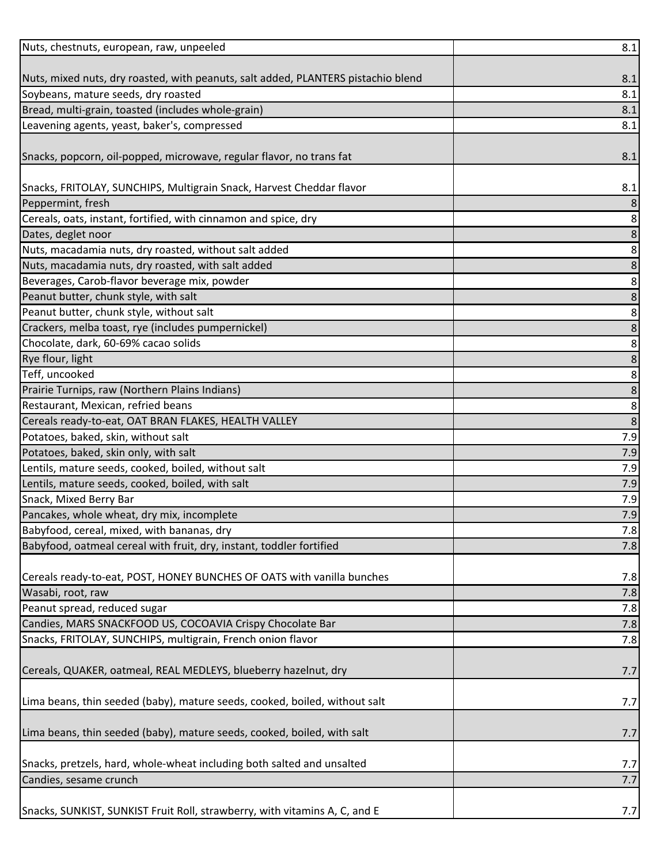| Nuts, chestnuts, european, raw, unpeeled                                                  | 8.1        |
|-------------------------------------------------------------------------------------------|------------|
|                                                                                           |            |
| Nuts, mixed nuts, dry roasted, with peanuts, salt added, PLANTERS pistachio blend         | 8.1        |
| Soybeans, mature seeds, dry roasted                                                       | 8.1        |
| Bread, multi-grain, toasted (includes whole-grain)                                        | 8.1        |
| Leavening agents, yeast, baker's, compressed                                              | 8.1        |
|                                                                                           |            |
| Snacks, popcorn, oil-popped, microwave, regular flavor, no trans fat                      | 8.1        |
| Snacks, FRITOLAY, SUNCHIPS, Multigrain Snack, Harvest Cheddar flavor                      | 8.1        |
| Peppermint, fresh                                                                         | 8          |
| Cereals, oats, instant, fortified, with cinnamon and spice, dry                           | 8          |
| Dates, deglet noor                                                                        | 8          |
| Nuts, macadamia nuts, dry roasted, without salt added                                     | 8          |
| Nuts, macadamia nuts, dry roasted, with salt added                                        | 8          |
| Beverages, Carob-flavor beverage mix, powder                                              | 8          |
| Peanut butter, chunk style, with salt                                                     | 8          |
| Peanut butter, chunk style, without salt                                                  | 8          |
| Crackers, melba toast, rye (includes pumpernickel)                                        | 8          |
| Chocolate, dark, 60-69% cacao solids                                                      | 8          |
| Rye flour, light                                                                          | 8          |
| Teff, uncooked                                                                            | 8          |
| Prairie Turnips, raw (Northern Plains Indians)                                            | 8          |
| Restaurant, Mexican, refried beans                                                        | 8          |
| Cereals ready-to-eat, OAT BRAN FLAKES, HEALTH VALLEY                                      | $\,8$      |
| Potatoes, baked, skin, without salt                                                       | $7.9$      |
| Potatoes, baked, skin only, with salt                                                     | 7.9        |
| Lentils, mature seeds, cooked, boiled, without salt                                       | 7.9        |
| Lentils, mature seeds, cooked, boiled, with salt                                          | 7.9        |
| Snack, Mixed Berry Bar                                                                    | 7.9        |
| Pancakes, whole wheat, dry mix, incomplete                                                | 7.9        |
| Babyfood, cereal, mixed, with bananas, dry                                                | 7.8        |
| Babyfood, oatmeal cereal with fruit, dry, instant, toddler fortified                      | 7.8        |
|                                                                                           |            |
| Cereals ready-to-eat, POST, HONEY BUNCHES OF OATS with vanilla bunches                    | 7.8        |
| Wasabi, root, raw                                                                         | 7.8<br>7.8 |
| Peanut spread, reduced sugar<br>Candies, MARS SNACKFOOD US, COCOAVIA Crispy Chocolate Bar |            |
| Snacks, FRITOLAY, SUNCHIPS, multigrain, French onion flavor                               | 7.8<br>7.8 |
|                                                                                           |            |
| Cereals, QUAKER, oatmeal, REAL MEDLEYS, blueberry hazelnut, dry                           | 7.7        |
|                                                                                           |            |
| Lima beans, thin seeded (baby), mature seeds, cooked, boiled, without salt                | 7.7        |
|                                                                                           |            |
| Lima beans, thin seeded (baby), mature seeds, cooked, boiled, with salt                   | 7.7        |
|                                                                                           |            |
| Snacks, pretzels, hard, whole-wheat including both salted and unsalted                    | 7.7        |
| Candies, sesame crunch                                                                    | 7.7        |
|                                                                                           |            |
| Snacks, SUNKIST, SUNKIST Fruit Roll, strawberry, with vitamins A, C, and E                | 7.7        |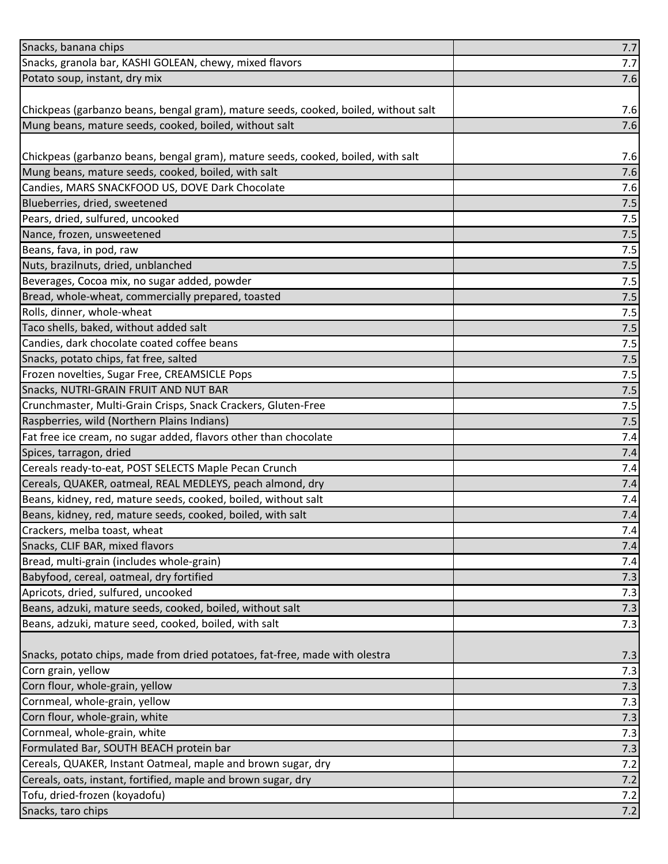| Snacks, banana chips                                                                | 7.7 |
|-------------------------------------------------------------------------------------|-----|
| Snacks, granola bar, KASHI GOLEAN, chewy, mixed flavors                             | 7.7 |
| Potato soup, instant, dry mix                                                       | 7.6 |
|                                                                                     |     |
| Chickpeas (garbanzo beans, bengal gram), mature seeds, cooked, boiled, without salt | 7.6 |
| Mung beans, mature seeds, cooked, boiled, without salt                              | 7.6 |
|                                                                                     |     |
| Chickpeas (garbanzo beans, bengal gram), mature seeds, cooked, boiled, with salt    | 7.6 |
| Mung beans, mature seeds, cooked, boiled, with salt                                 | 7.6 |
| Candies, MARS SNACKFOOD US, DOVE Dark Chocolate                                     | 7.6 |
| Blueberries, dried, sweetened                                                       | 7.5 |
| Pears, dried, sulfured, uncooked                                                    | 7.5 |
| Nance, frozen, unsweetened                                                          | 7.5 |
| Beans, fava, in pod, raw                                                            | 7.5 |
| Nuts, brazilnuts, dried, unblanched                                                 | 7.5 |
| Beverages, Cocoa mix, no sugar added, powder                                        | 7.5 |
| Bread, whole-wheat, commercially prepared, toasted                                  | 7.5 |
| Rolls, dinner, whole-wheat                                                          | 7.5 |
| Taco shells, baked, without added salt                                              | 7.5 |
| Candies, dark chocolate coated coffee beans                                         | 7.5 |
| Snacks, potato chips, fat free, salted                                              | 7.5 |
| Frozen novelties, Sugar Free, CREAMSICLE Pops                                       | 7.5 |
| Snacks, NUTRI-GRAIN FRUIT AND NUT BAR                                               | 7.5 |
| Crunchmaster, Multi-Grain Crisps, Snack Crackers, Gluten-Free                       | 7.5 |
| Raspberries, wild (Northern Plains Indians)                                         | 7.5 |
| Fat free ice cream, no sugar added, flavors other than chocolate                    | 7.4 |
| Spices, tarragon, dried                                                             | 7.4 |
| Cereals ready-to-eat, POST SELECTS Maple Pecan Crunch                               | 7.4 |
| Cereals, QUAKER, oatmeal, REAL MEDLEYS, peach almond, dry                           | 7.4 |
| Beans, kidney, red, mature seeds, cooked, boiled, without salt                      | 7.4 |
| Beans, kidney, red, mature seeds, cooked, boiled, with salt                         | 7.4 |
| Crackers, melba toast, wheat                                                        | 7.4 |
| Snacks, CLIF BAR, mixed flavors                                                     | 7.4 |
| Bread, multi-grain (includes whole-grain)                                           | 7.4 |
| Babyfood, cereal, oatmeal, dry fortified                                            | 7.3 |
| Apricots, dried, sulfured, uncooked                                                 | 7.3 |
| Beans, adzuki, mature seeds, cooked, boiled, without salt                           | 7.3 |
| Beans, adzuki, mature seed, cooked, boiled, with salt                               | 7.3 |
|                                                                                     |     |
| Snacks, potato chips, made from dried potatoes, fat-free, made with olestra         | 7.3 |
| Corn grain, yellow                                                                  | 7.3 |
| Corn flour, whole-grain, yellow                                                     | 7.3 |
| Cornmeal, whole-grain, yellow                                                       | 7.3 |
| Corn flour, whole-grain, white                                                      | 7.3 |
| Cornmeal, whole-grain, white                                                        | 7.3 |
| Formulated Bar, SOUTH BEACH protein bar                                             | 7.3 |
| Cereals, QUAKER, Instant Oatmeal, maple and brown sugar, dry                        | 7.2 |
| Cereals, oats, instant, fortified, maple and brown sugar, dry                       | 7.2 |
| Tofu, dried-frozen (koyadofu)                                                       | 7.2 |
| Snacks, taro chips                                                                  | 7.2 |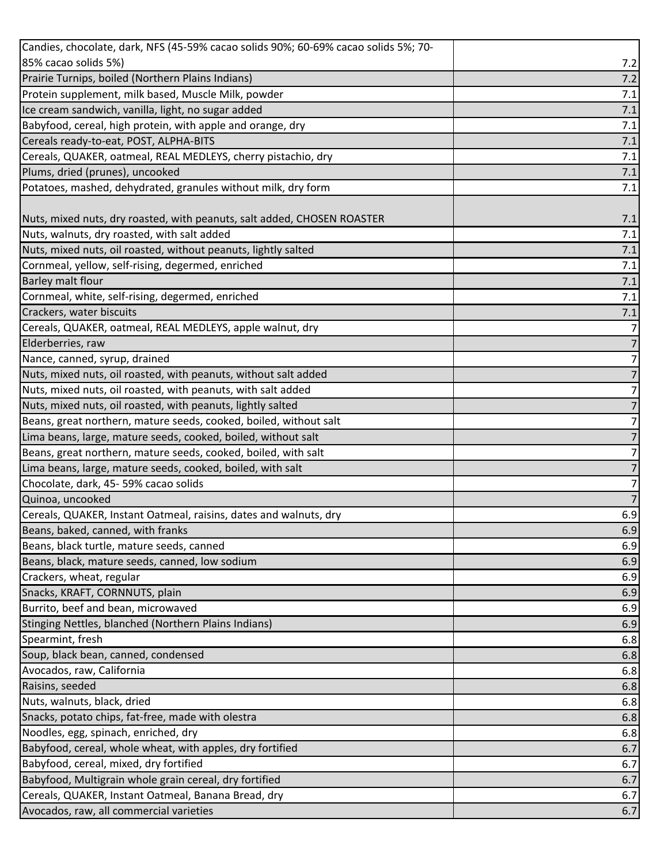| Candies, chocolate, dark, NFS (45-59% cacao solids 90%; 60-69% cacao solids 5%; 70- |                |
|-------------------------------------------------------------------------------------|----------------|
| 85% cacao solids 5%)                                                                | 7.2            |
| Prairie Turnips, boiled (Northern Plains Indians)                                   | 7.2            |
| Protein supplement, milk based, Muscle Milk, powder                                 | 7.1            |
| Ice cream sandwich, vanilla, light, no sugar added                                  | 7.1            |
| Babyfood, cereal, high protein, with apple and orange, dry                          | 7.1            |
| Cereals ready-to-eat, POST, ALPHA-BITS                                              | $7.1$          |
| Cereals, QUAKER, oatmeal, REAL MEDLEYS, cherry pistachio, dry                       | 7.1            |
| Plums, dried (prunes), uncooked                                                     | $7.1$          |
| Potatoes, mashed, dehydrated, granules without milk, dry form                       | 7.1            |
|                                                                                     |                |
| Nuts, mixed nuts, dry roasted, with peanuts, salt added, CHOSEN ROASTER             | 7.1            |
| Nuts, walnuts, dry roasted, with salt added                                         | 7.1            |
| Nuts, mixed nuts, oil roasted, without peanuts, lightly salted                      | 7.1            |
| Cornmeal, yellow, self-rising, degermed, enriched                                   | 7.1            |
| <b>Barley malt flour</b>                                                            | 7.1            |
| Cornmeal, white, self-rising, degermed, enriched                                    | 7.1            |
| Crackers, water biscuits                                                            | 7.1            |
| Cereals, QUAKER, oatmeal, REAL MEDLEYS, apple walnut, dry                           | $\overline{7}$ |
| Elderberries, raw                                                                   | $\overline{7}$ |
| Nance, canned, syrup, drained                                                       | 7              |
| Nuts, mixed nuts, oil roasted, with peanuts, without salt added                     | 7              |
| Nuts, mixed nuts, oil roasted, with peanuts, with salt added                        | 7              |
| Nuts, mixed nuts, oil roasted, with peanuts, lightly salted                         | 7              |
| Beans, great northern, mature seeds, cooked, boiled, without salt                   | 7              |
| Lima beans, large, mature seeds, cooked, boiled, without salt                       | 7              |
| Beans, great northern, mature seeds, cooked, boiled, with salt                      | 7              |
| Lima beans, large, mature seeds, cooked, boiled, with salt                          | 7              |
| Chocolate, dark, 45-59% cacao solids                                                | 7              |
| Quinoa, uncooked                                                                    |                |
| Cereals, QUAKER, Instant Oatmeal, raisins, dates and walnuts, dry                   | 6.9            |
| Beans, baked, canned, with franks                                                   | 6.9            |
| Beans, black turtle, mature seeds, canned                                           | 6.9            |
| Beans, black, mature seeds, canned, low sodium                                      | 6.9            |
|                                                                                     |                |
| Crackers, wheat, regular                                                            | 6.9            |
| Snacks, KRAFT, CORNNUTS, plain                                                      | 6.9            |
| Burrito, beef and bean, microwaved                                                  | 6.9            |
| Stinging Nettles, blanched (Northern Plains Indians)                                | 6.9            |
| Spearmint, fresh                                                                    | 6.8            |
|                                                                                     | 6.8            |
|                                                                                     | 6.8            |
| Soup, black bean, canned, condensed<br>Avocados, raw, California<br>Raisins, seeded | 6.8            |
| Nuts, walnuts, black, dried                                                         | 6.8            |
| Snacks, potato chips, fat-free, made with olestra                                   | 6.8            |
| Noodles, egg, spinach, enriched, dry                                                | 6.8            |
| Babyfood, cereal, whole wheat, with apples, dry fortified                           | 6.7            |
| Babyfood, cereal, mixed, dry fortified                                              | 6.7            |
| Babyfood, Multigrain whole grain cereal, dry fortified                              | 6.7            |
| Cereals, QUAKER, Instant Oatmeal, Banana Bread, dry                                 | 6.7            |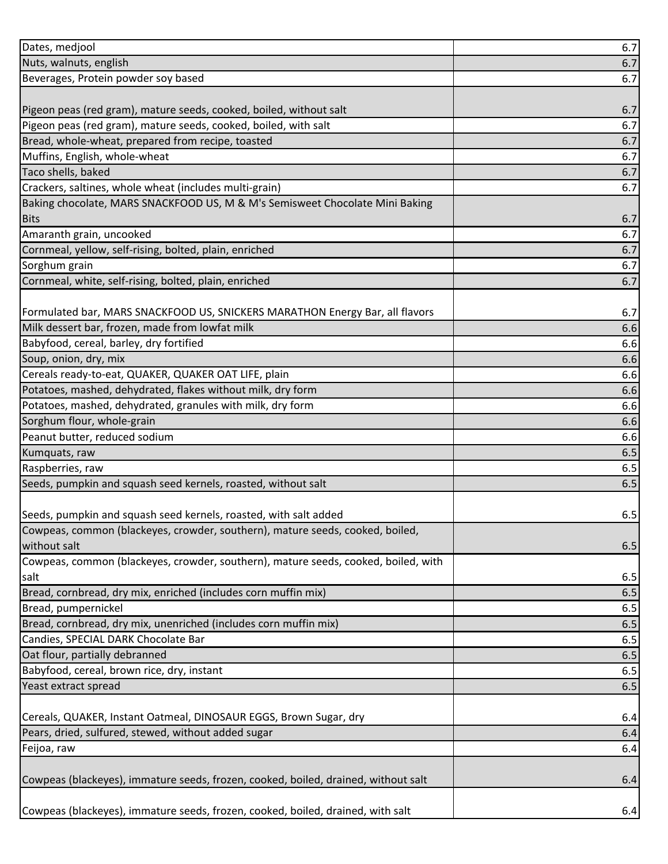| Dates, medjool                                                                     | 6.7 |
|------------------------------------------------------------------------------------|-----|
| Nuts, walnuts, english                                                             | 6.7 |
| Beverages, Protein powder soy based                                                | 6.7 |
|                                                                                    |     |
| Pigeon peas (red gram), mature seeds, cooked, boiled, without salt                 | 6.7 |
| Pigeon peas (red gram), mature seeds, cooked, boiled, with salt                    | 6.7 |
| Bread, whole-wheat, prepared from recipe, toasted                                  | 6.7 |
| Muffins, English, whole-wheat                                                      | 6.7 |
| Taco shells, baked                                                                 | 6.7 |
| Crackers, saltines, whole wheat (includes multi-grain)                             | 6.7 |
| Baking chocolate, MARS SNACKFOOD US, M & M's Semisweet Chocolate Mini Baking       |     |
| <b>Bits</b>                                                                        | 6.7 |
| Amaranth grain, uncooked                                                           | 6.7 |
| Cornmeal, yellow, self-rising, bolted, plain, enriched                             | 6.7 |
| Sorghum grain                                                                      | 6.7 |
| Cornmeal, white, self-rising, bolted, plain, enriched                              | 6.7 |
|                                                                                    |     |
| Formulated bar, MARS SNACKFOOD US, SNICKERS MARATHON Energy Bar, all flavors       | 6.7 |
| Milk dessert bar, frozen, made from lowfat milk                                    | 6.6 |
| Babyfood, cereal, barley, dry fortified                                            | 6.6 |
| Soup, onion, dry, mix                                                              | 6.6 |
| Cereals ready-to-eat, QUAKER, QUAKER OAT LIFE, plain                               | 6.6 |
| Potatoes, mashed, dehydrated, flakes without milk, dry form                        | 6.6 |
| Potatoes, mashed, dehydrated, granules with milk, dry form                         | 6.6 |
| Sorghum flour, whole-grain                                                         | 6.6 |
|                                                                                    |     |
| Peanut butter, reduced sodium                                                      | 6.6 |
| Kumquats, raw                                                                      | 6.5 |
| Raspberries, raw                                                                   | 6.5 |
|                                                                                    | 6.5 |
| Seeds, pumpkin and squash seed kernels, roasted, without salt                      |     |
| Seeds, pumpkin and squash seed kernels, roasted, with salt added                   | 6.5 |
| Cowpeas, common (blackeyes, crowder, southern), mature seeds, cooked, boiled,      |     |
| without salt                                                                       | 6.5 |
| Cowpeas, common (blackeyes, crowder, southern), mature seeds, cooked, boiled, with |     |
| salt                                                                               | 6.5 |
| Bread, cornbread, dry mix, enriched (includes corn muffin mix)                     | 6.5 |
| Bread, pumpernickel                                                                | 6.5 |
| Bread, cornbread, dry mix, unenriched (includes corn muffin mix)                   | 6.5 |
| Candies, SPECIAL DARK Chocolate Bar                                                | 6.5 |
| Oat flour, partially debranned                                                     | 6.5 |
| Babyfood, cereal, brown rice, dry, instant                                         | 6.5 |
| Yeast extract spread                                                               | 6.5 |
|                                                                                    |     |
| Cereals, QUAKER, Instant Oatmeal, DINOSAUR EGGS, Brown Sugar, dry                  | 6.4 |
| Pears, dried, sulfured, stewed, without added sugar                                | 6.4 |
| Feijoa, raw                                                                        | 6.4 |
|                                                                                    |     |
| Cowpeas (blackeyes), immature seeds, frozen, cooked, boiled, drained, without salt | 6.4 |
|                                                                                    |     |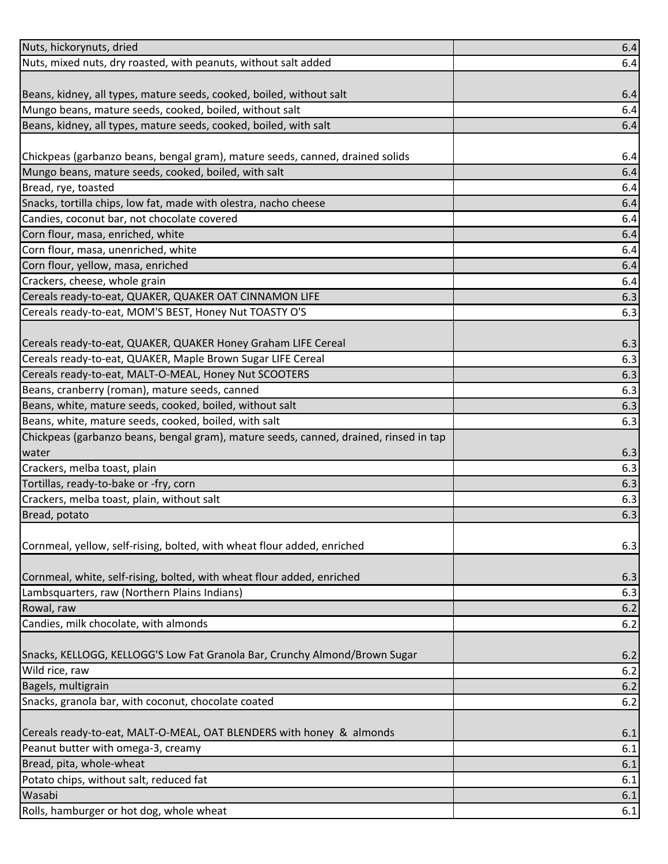| Nuts, hickorynuts, dried                                                                     | 6.4        |
|----------------------------------------------------------------------------------------------|------------|
| Nuts, mixed nuts, dry roasted, with peanuts, without salt added                              | 6.4        |
|                                                                                              |            |
| Beans, kidney, all types, mature seeds, cooked, boiled, without salt                         | 6.4        |
| Mungo beans, mature seeds, cooked, boiled, without salt                                      | 6.4        |
| Beans, kidney, all types, mature seeds, cooked, boiled, with salt                            | 6.4        |
|                                                                                              |            |
| Chickpeas (garbanzo beans, bengal gram), mature seeds, canned, drained solids                | 6.4        |
| Mungo beans, mature seeds, cooked, boiled, with salt                                         | 6.4        |
| Bread, rye, toasted                                                                          | 6.4        |
| Snacks, tortilla chips, low fat, made with olestra, nacho cheese                             | 6.4        |
| Candies, coconut bar, not chocolate covered                                                  | 6.4        |
| Corn flour, masa, enriched, white                                                            | 6.4        |
| Corn flour, masa, unenriched, white                                                          | 6.4        |
| Corn flour, yellow, masa, enriched                                                           | 6.4        |
| Crackers, cheese, whole grain                                                                | 6.4        |
| Cereals ready-to-eat, QUAKER, QUAKER OAT CINNAMON LIFE                                       | 6.3        |
| Cereals ready-to-eat, MOM'S BEST, Honey Nut TOASTY O'S                                       | 6.3        |
|                                                                                              |            |
| Cereals ready-to-eat, QUAKER, QUAKER Honey Graham LIFE Cereal                                | 6.3        |
| Cereals ready-to-eat, QUAKER, Maple Brown Sugar LIFE Cereal                                  | 6.3        |
| Cereals ready-to-eat, MALT-O-MEAL, Honey Nut SCOOTERS                                        | 6.3        |
| Beans, cranberry (roman), mature seeds, canned                                               | 6.3        |
| Beans, white, mature seeds, cooked, boiled, without salt                                     | 6.3        |
| Beans, white, mature seeds, cooked, boiled, with salt                                        | 6.3        |
| Chickpeas (garbanzo beans, bengal gram), mature seeds, canned, drained, rinsed in tap        |            |
| water                                                                                        | 6.3        |
| Crackers, melba toast, plain                                                                 | 6.3        |
| Tortillas, ready-to-bake or -fry, corn                                                       | 6.3        |
| Crackers, melba toast, plain, without salt                                                   | 6.3        |
| Bread, potato                                                                                | 6.3        |
|                                                                                              |            |
| Cornmeal, yellow, self-rising, bolted, with wheat flour added, enriched                      | 6.3        |
|                                                                                              |            |
| Cornmeal, white, self-rising, bolted, with wheat flour added, enriched                       | 6.3        |
| Lambsquarters, raw (Northern Plains Indians)                                                 | 6.3        |
| Rowal, raw                                                                                   | 6.2        |
| Candies, milk chocolate, with almonds                                                        | 6.2        |
|                                                                                              |            |
| Snacks, KELLOGG, KELLOGG'S Low Fat Granola Bar, Crunchy Almond/Brown Sugar<br>Wild rice, raw | 6.2<br>6.2 |
| Bagels, multigrain                                                                           |            |
| Snacks, granola bar, with coconut, chocolate coated                                          | 6.2<br>6.2 |
|                                                                                              |            |
| Cereals ready-to-eat, MALT-O-MEAL, OAT BLENDERS with honey & almonds                         | 6.1        |
| Peanut butter with omega-3, creamy                                                           | 6.1        |
| Bread, pita, whole-wheat                                                                     | 6.1        |
| Potato chips, without salt, reduced fat                                                      | 6.1        |
| Wasabi                                                                                       | 6.1        |
| Rolls, hamburger or hot dog, whole wheat                                                     | 6.1        |
|                                                                                              |            |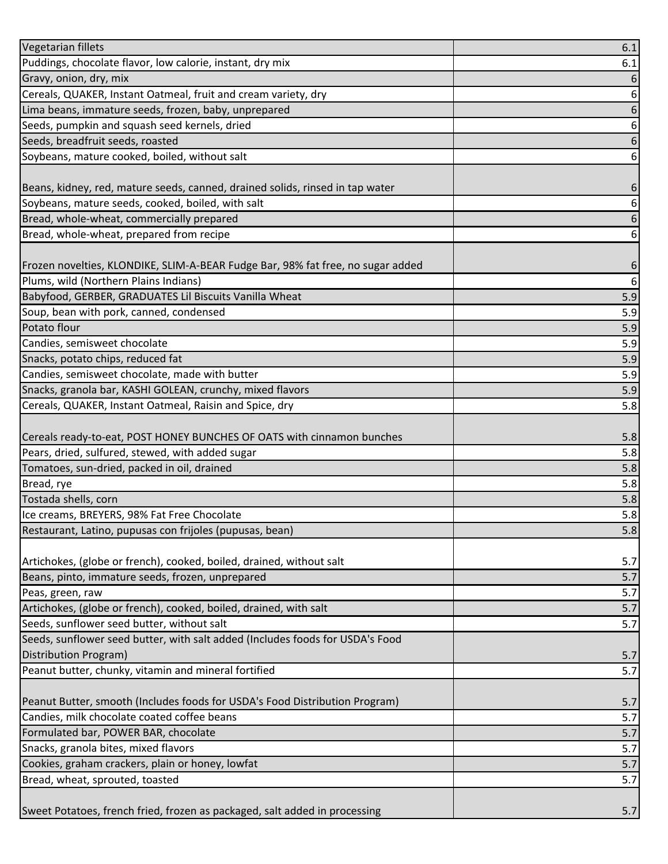| Vegetarian fillets                                                              | 6.1 |
|---------------------------------------------------------------------------------|-----|
| Puddings, chocolate flavor, low calorie, instant, dry mix                       | 6.1 |
| Gravy, onion, dry, mix                                                          | 6   |
| Cereals, QUAKER, Instant Oatmeal, fruit and cream variety, dry                  | 6   |
| Lima beans, immature seeds, frozen, baby, unprepared                            | 6   |
| Seeds, pumpkin and squash seed kernels, dried                                   | 6   |
| Seeds, breadfruit seeds, roasted                                                | 6   |
| Soybeans, mature cooked, boiled, without salt                                   | 6   |
|                                                                                 |     |
| Beans, kidney, red, mature seeds, canned, drained solids, rinsed in tap water   | 6   |
| Soybeans, mature seeds, cooked, boiled, with salt                               | 6   |
| Bread, whole-wheat, commercially prepared                                       | 6   |
| Bread, whole-wheat, prepared from recipe                                        | 6   |
|                                                                                 |     |
| Frozen novelties, KLONDIKE, SLIM-A-BEAR Fudge Bar, 98% fat free, no sugar added | 6   |
| Plums, wild (Northern Plains Indians)                                           | 6   |
| Babyfood, GERBER, GRADUATES Lil Biscuits Vanilla Wheat                          | 5.9 |
| Soup, bean with pork, canned, condensed                                         | 5.9 |
| Potato flour                                                                    | 5.9 |
| Candies, semisweet chocolate                                                    | 5.9 |
| Snacks, potato chips, reduced fat                                               | 5.9 |
| Candies, semisweet chocolate, made with butter                                  | 5.9 |
| Snacks, granola bar, KASHI GOLEAN, crunchy, mixed flavors                       | 5.9 |
| Cereals, QUAKER, Instant Oatmeal, Raisin and Spice, dry                         | 5.8 |
|                                                                                 |     |
| Cereals ready-to-eat, POST HONEY BUNCHES OF OATS with cinnamon bunches          | 5.8 |
| Pears, dried, sulfured, stewed, with added sugar                                | 5.8 |
| Tomatoes, sun-dried, packed in oil, drained                                     | 5.8 |
| Bread, rye                                                                      | 5.8 |
| Tostada shells, corn                                                            | 5.8 |
| Ice creams, BREYERS, 98% Fat Free Chocolate                                     | 5.8 |
| Restaurant, Latino, pupusas con frijoles (pupusas, bean)                        | 5.8 |
|                                                                                 |     |
| Artichokes, (globe or french), cooked, boiled, drained, without salt            | 5.7 |
| Beans, pinto, immature seeds, frozen, unprepared                                | 5.7 |
| Peas, green, raw                                                                | 5.7 |
| Artichokes, (globe or french), cooked, boiled, drained, with salt               | 5.7 |
| Seeds, sunflower seed butter, without salt                                      | 5.7 |
| Seeds, sunflower seed butter, with salt added (Includes foods for USDA's Food   |     |
| Distribution Program)                                                           | 5.7 |
| Peanut butter, chunky, vitamin and mineral fortified                            | 5.7 |
|                                                                                 |     |
| Peanut Butter, smooth (Includes foods for USDA's Food Distribution Program)     | 5.7 |
| Candies, milk chocolate coated coffee beans                                     | 5.7 |
| Formulated bar, POWER BAR, chocolate                                            | 5.7 |
| Snacks, granola bites, mixed flavors                                            | 5.7 |
| Cookies, graham crackers, plain or honey, lowfat                                | 5.7 |
| Bread, wheat, sprouted, toasted                                                 | 5.7 |
|                                                                                 |     |
| Sweet Potatoes, french fried, frozen as packaged, salt added in processing      | 5.7 |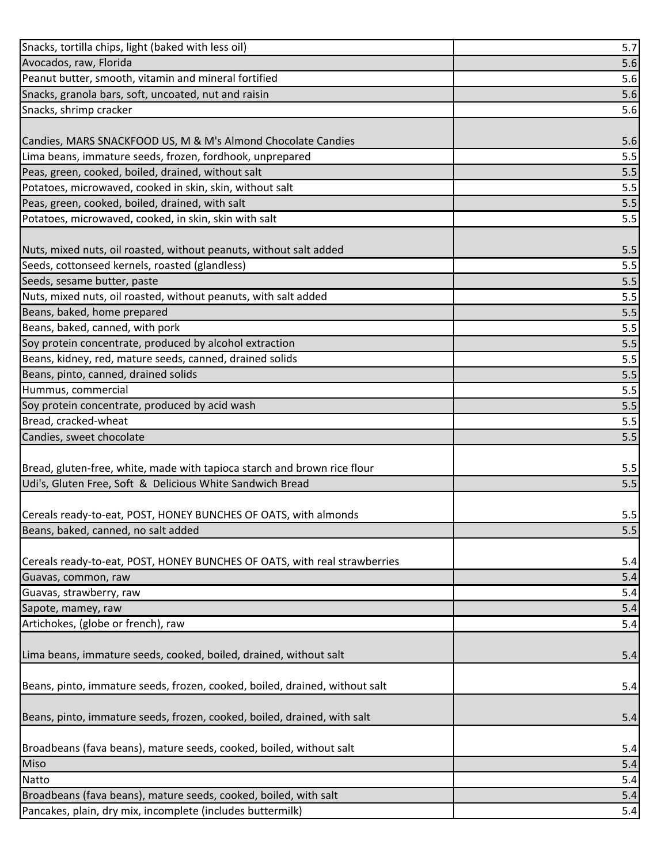| Snacks, tortilla chips, light (baked with less oil)                         | 5.7        |
|-----------------------------------------------------------------------------|------------|
| Avocados, raw, Florida                                                      | 5.6        |
| Peanut butter, smooth, vitamin and mineral fortified                        | 5.6        |
| Snacks, granola bars, soft, uncoated, nut and raisin                        | 5.6        |
| Snacks, shrimp cracker                                                      | 5.6        |
|                                                                             |            |
| Candies, MARS SNACKFOOD US, M & M's Almond Chocolate Candies                | 5.6        |
| Lima beans, immature seeds, frozen, fordhook, unprepared                    | 5.5        |
| Peas, green, cooked, boiled, drained, without salt                          | 5.5        |
| Potatoes, microwaved, cooked in skin, skin, without salt                    | 5.5        |
| Peas, green, cooked, boiled, drained, with salt                             | 5.5        |
| Potatoes, microwaved, cooked, in skin, skin with salt                       | 5.5        |
|                                                                             |            |
| Nuts, mixed nuts, oil roasted, without peanuts, without salt added          | 5.5        |
| Seeds, cottonseed kernels, roasted (glandless)                              | 5.5        |
| Seeds, sesame butter, paste                                                 | 5.5        |
| Nuts, mixed nuts, oil roasted, without peanuts, with salt added             | 5.5        |
| Beans, baked, home prepared                                                 | 5.5        |
| Beans, baked, canned, with pork                                             | 5.5        |
| Soy protein concentrate, produced by alcohol extraction                     | 5.5        |
| Beans, kidney, red, mature seeds, canned, drained solids                    | 5.5        |
| Beans, pinto, canned, drained solids                                        | 5.5        |
| Hummus, commercial                                                          | 5.5        |
| Soy protein concentrate, produced by acid wash                              | 5.5        |
| Bread, cracked-wheat                                                        | 5.5        |
| Candies, sweet chocolate                                                    | 5.5        |
|                                                                             |            |
| Bread, gluten-free, white, made with tapioca starch and brown rice flour    | 5.5        |
| Udi's, Gluten Free, Soft & Delicious White Sandwich Bread                   | 5.5        |
|                                                                             |            |
| Cereals ready-to-eat, POST, HONEY BUNCHES OF OATS, with almonds             | 5.5        |
| Beans, baked, canned, no salt added                                         | 5.5        |
|                                                                             |            |
| Cereals ready-to-eat, POST, HONEY BUNCHES OF OATS, with real strawberries   | 5.4        |
| Guavas, common, raw                                                         | 5.4        |
| Guavas, strawberry, raw                                                     | 5.4        |
| Sapote, mamey, raw<br>Artichokes, (globe or french), raw                    | 5.4        |
|                                                                             | 5.4        |
|                                                                             |            |
| Lima beans, immature seeds, cooked, boiled, drained, without salt           | 5.4        |
|                                                                             |            |
| Beans, pinto, immature seeds, frozen, cooked, boiled, drained, without salt | 5.4        |
|                                                                             |            |
| Beans, pinto, immature seeds, frozen, cooked, boiled, drained, with salt    | 5.4        |
|                                                                             |            |
| Broadbeans (fava beans), mature seeds, cooked, boiled, without salt<br>Miso | 5.4<br>5.4 |
| Natto                                                                       | 5.4        |
| Broadbeans (fava beans), mature seeds, cooked, boiled, with salt            | 5.4        |
| Pancakes, plain, dry mix, incomplete (includes buttermilk)                  | $5.4$      |
|                                                                             |            |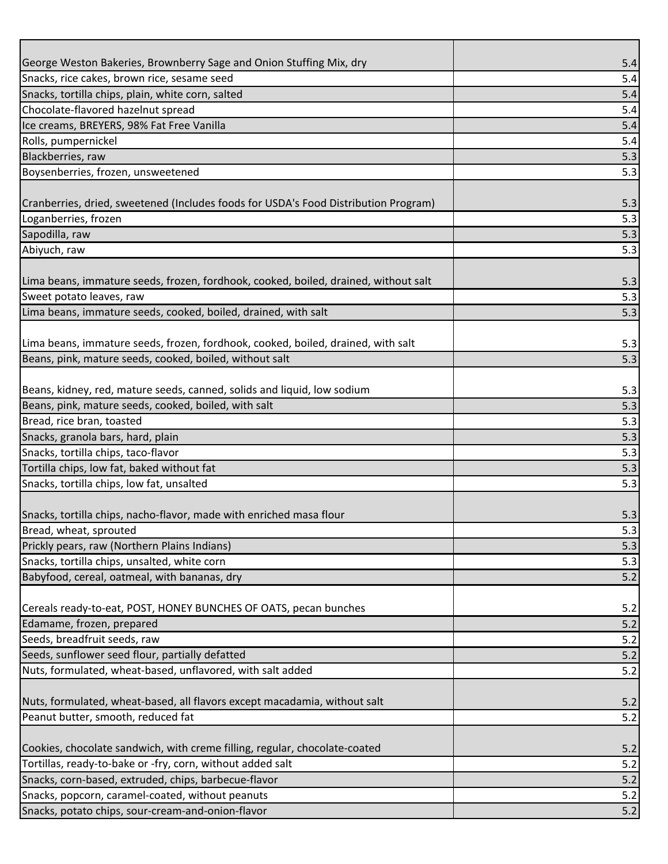| George Weston Bakeries, Brownberry Sage and Onion Stuffing Mix, dry<br>Snacks, rice cakes, brown rice, sesame seed | 5.4<br>5.4 |
|--------------------------------------------------------------------------------------------------------------------|------------|
| Snacks, tortilla chips, plain, white corn, salted                                                                  | 5.4        |
| Chocolate-flavored hazelnut spread                                                                                 | 5.4        |
| Ice creams, BREYERS, 98% Fat Free Vanilla                                                                          | 5.4        |
| Rolls, pumpernickel                                                                                                | 5.4        |
| Blackberries, raw                                                                                                  | 5.3        |
| Boysenberries, frozen, unsweetened                                                                                 | 5.3        |
|                                                                                                                    |            |
| Cranberries, dried, sweetened (Includes foods for USDA's Food Distribution Program)                                | 5.3        |
| Loganberries, frozen                                                                                               | 5.3        |
| Sapodilla, raw                                                                                                     | 5.3        |
| Abiyuch, raw                                                                                                       | 5.3        |
|                                                                                                                    |            |
| Lima beans, immature seeds, frozen, fordhook, cooked, boiled, drained, without salt                                | 5.3        |
| Sweet potato leaves, raw                                                                                           | 5.3        |
| Lima beans, immature seeds, cooked, boiled, drained, with salt                                                     | 5.3        |
|                                                                                                                    |            |
| Lima beans, immature seeds, frozen, fordhook, cooked, boiled, drained, with salt                                   | 5.3        |
| Beans, pink, mature seeds, cooked, boiled, without salt                                                            | 5.3        |
|                                                                                                                    |            |
| Beans, kidney, red, mature seeds, canned, solids and liquid, low sodium                                            | 5.3        |
| Beans, pink, mature seeds, cooked, boiled, with salt                                                               | 5.3        |
| Bread, rice bran, toasted                                                                                          | 5.3        |
| Snacks, granola bars, hard, plain                                                                                  | 5.3        |
| Snacks, tortilla chips, taco-flavor                                                                                | 5.3        |
| Tortilla chips, low fat, baked without fat                                                                         | 5.3        |
| Snacks, tortilla chips, low fat, unsalted                                                                          | 5.3        |
|                                                                                                                    |            |
| Snacks, tortilla chips, nacho-flavor, made with enriched masa flour                                                | 5.3        |
| Bread, wheat, sprouted                                                                                             | 5.3        |
| Prickly pears, raw (Northern Plains Indians)                                                                       | 5.3        |
| Snacks, tortilla chips, unsalted, white corn                                                                       | 5.3        |
| Babyfood, cereal, oatmeal, with bananas, dry                                                                       | 5.2        |
|                                                                                                                    |            |
| Cereals ready-to-eat, POST, HONEY BUNCHES OF OATS, pecan bunches                                                   | 5.2        |
| Edamame, frozen, prepared                                                                                          | 5.2        |
| Seeds, breadfruit seeds, raw                                                                                       | 5.2        |
| Seeds, sunflower seed flour, partially defatted                                                                    | 5.2        |
| Nuts, formulated, wheat-based, unflavored, with salt added                                                         | 5.2        |
|                                                                                                                    |            |
| Nuts, formulated, wheat-based, all flavors except macadamia, without salt                                          | 5.2        |
| Peanut butter, smooth, reduced fat                                                                                 | 5.2        |
|                                                                                                                    |            |
| Cookies, chocolate sandwich, with creme filling, regular, chocolate-coated                                         | 5.2        |
| Tortillas, ready-to-bake or -fry, corn, without added salt                                                         | 5.2        |
| Snacks, corn-based, extruded, chips, barbecue-flavor                                                               | 5.2        |
| Snacks, popcorn, caramel-coated, without peanuts                                                                   | 5.2        |
| Snacks, potato chips, sour-cream-and-onion-flavor                                                                  | $5.2$      |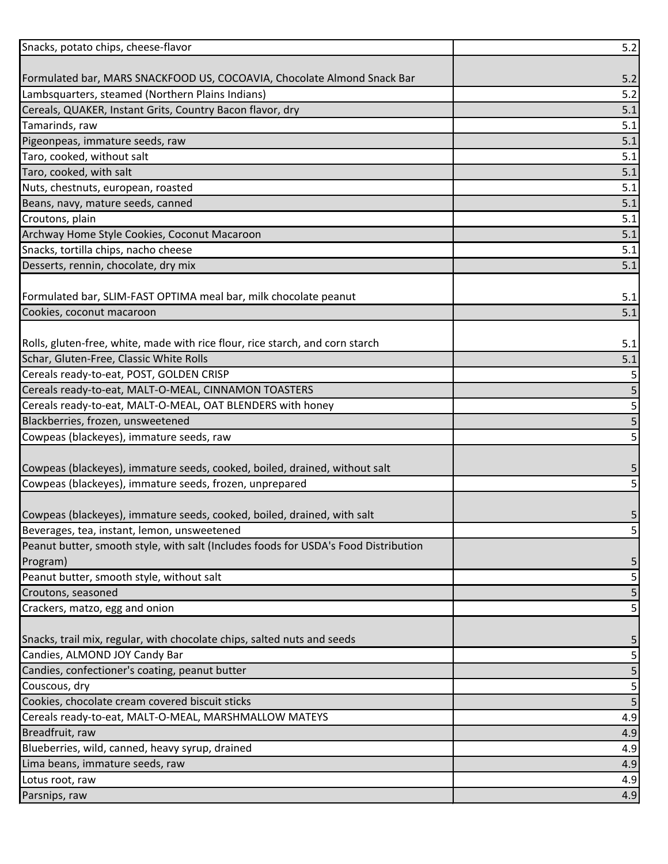| Formulated bar, MARS SNACKFOOD US, COCOAVIA, Chocolate Almond Snack Bar<br>5.2<br>5.2<br>Lambsquarters, steamed (Northern Plains Indians)<br>Cereals, QUAKER, Instant Grits, Country Bacon flavor, dry<br>5.1<br>5.1<br>Tamarinds, raw<br>Pigeonpeas, immature seeds, raw<br>5.1<br>5.1<br>Taro, cooked, without salt<br>Taro, cooked, with salt<br>5.1<br>5.1<br>Nuts, chestnuts, european, roasted<br>Beans, navy, mature seeds, canned<br>5.1<br>Croutons, plain<br>5.1<br>Archway Home Style Cookies, Coconut Macaroon<br>5.1<br>5.1<br>Snacks, tortilla chips, nacho cheese<br>Desserts, rennin, chocolate, dry mix<br>5.1<br>5.1<br>5.1<br>5.1<br>5.1<br>5<br>5<br>5<br>5<br>5<br>5<br>5<br>5<br>5<br>5<br>5<br>5<br>5<br>5<br>5<br>5<br>5<br>4.9<br>4.9<br>4.9<br>4.9<br>4.9<br>4.9 | Snacks, potato chips, cheese-flavor                                                 | $5.2$ |
|--------------------------------------------------------------------------------------------------------------------------------------------------------------------------------------------------------------------------------------------------------------------------------------------------------------------------------------------------------------------------------------------------------------------------------------------------------------------------------------------------------------------------------------------------------------------------------------------------------------------------------------------------------------------------------------------------------------------------------------------------------------------------------------------|-------------------------------------------------------------------------------------|-------|
|                                                                                                                                                                                                                                                                                                                                                                                                                                                                                                                                                                                                                                                                                                                                                                                            |                                                                                     |       |
|                                                                                                                                                                                                                                                                                                                                                                                                                                                                                                                                                                                                                                                                                                                                                                                            |                                                                                     |       |
|                                                                                                                                                                                                                                                                                                                                                                                                                                                                                                                                                                                                                                                                                                                                                                                            |                                                                                     |       |
|                                                                                                                                                                                                                                                                                                                                                                                                                                                                                                                                                                                                                                                                                                                                                                                            |                                                                                     |       |
|                                                                                                                                                                                                                                                                                                                                                                                                                                                                                                                                                                                                                                                                                                                                                                                            |                                                                                     |       |
|                                                                                                                                                                                                                                                                                                                                                                                                                                                                                                                                                                                                                                                                                                                                                                                            |                                                                                     |       |
|                                                                                                                                                                                                                                                                                                                                                                                                                                                                                                                                                                                                                                                                                                                                                                                            |                                                                                     |       |
|                                                                                                                                                                                                                                                                                                                                                                                                                                                                                                                                                                                                                                                                                                                                                                                            |                                                                                     |       |
|                                                                                                                                                                                                                                                                                                                                                                                                                                                                                                                                                                                                                                                                                                                                                                                            |                                                                                     |       |
|                                                                                                                                                                                                                                                                                                                                                                                                                                                                                                                                                                                                                                                                                                                                                                                            |                                                                                     |       |
|                                                                                                                                                                                                                                                                                                                                                                                                                                                                                                                                                                                                                                                                                                                                                                                            |                                                                                     |       |
|                                                                                                                                                                                                                                                                                                                                                                                                                                                                                                                                                                                                                                                                                                                                                                                            |                                                                                     |       |
|                                                                                                                                                                                                                                                                                                                                                                                                                                                                                                                                                                                                                                                                                                                                                                                            |                                                                                     |       |
|                                                                                                                                                                                                                                                                                                                                                                                                                                                                                                                                                                                                                                                                                                                                                                                            |                                                                                     |       |
|                                                                                                                                                                                                                                                                                                                                                                                                                                                                                                                                                                                                                                                                                                                                                                                            |                                                                                     |       |
|                                                                                                                                                                                                                                                                                                                                                                                                                                                                                                                                                                                                                                                                                                                                                                                            | Formulated bar, SLIM-FAST OPTIMA meal bar, milk chocolate peanut                    |       |
|                                                                                                                                                                                                                                                                                                                                                                                                                                                                                                                                                                                                                                                                                                                                                                                            | Cookies, coconut macaroon                                                           |       |
|                                                                                                                                                                                                                                                                                                                                                                                                                                                                                                                                                                                                                                                                                                                                                                                            |                                                                                     |       |
|                                                                                                                                                                                                                                                                                                                                                                                                                                                                                                                                                                                                                                                                                                                                                                                            | Rolls, gluten-free, white, made with rice flour, rice starch, and corn starch       |       |
|                                                                                                                                                                                                                                                                                                                                                                                                                                                                                                                                                                                                                                                                                                                                                                                            | Schar, Gluten-Free, Classic White Rolls                                             |       |
|                                                                                                                                                                                                                                                                                                                                                                                                                                                                                                                                                                                                                                                                                                                                                                                            | Cereals ready-to-eat, POST, GOLDEN CRISP                                            |       |
|                                                                                                                                                                                                                                                                                                                                                                                                                                                                                                                                                                                                                                                                                                                                                                                            | Cereals ready-to-eat, MALT-O-MEAL, CINNAMON TOASTERS                                |       |
|                                                                                                                                                                                                                                                                                                                                                                                                                                                                                                                                                                                                                                                                                                                                                                                            | Cereals ready-to-eat, MALT-O-MEAL, OAT BLENDERS with honey                          |       |
|                                                                                                                                                                                                                                                                                                                                                                                                                                                                                                                                                                                                                                                                                                                                                                                            | Blackberries, frozen, unsweetened                                                   |       |
|                                                                                                                                                                                                                                                                                                                                                                                                                                                                                                                                                                                                                                                                                                                                                                                            | Cowpeas (blackeyes), immature seeds, raw                                            |       |
|                                                                                                                                                                                                                                                                                                                                                                                                                                                                                                                                                                                                                                                                                                                                                                                            |                                                                                     |       |
|                                                                                                                                                                                                                                                                                                                                                                                                                                                                                                                                                                                                                                                                                                                                                                                            | Cowpeas (blackeyes), immature seeds, cooked, boiled, drained, without salt          |       |
|                                                                                                                                                                                                                                                                                                                                                                                                                                                                                                                                                                                                                                                                                                                                                                                            | Cowpeas (blackeyes), immature seeds, frozen, unprepared                             |       |
|                                                                                                                                                                                                                                                                                                                                                                                                                                                                                                                                                                                                                                                                                                                                                                                            |                                                                                     |       |
|                                                                                                                                                                                                                                                                                                                                                                                                                                                                                                                                                                                                                                                                                                                                                                                            | Cowpeas (blackeyes), immature seeds, cooked, boiled, drained, with salt             |       |
|                                                                                                                                                                                                                                                                                                                                                                                                                                                                                                                                                                                                                                                                                                                                                                                            | Beverages, tea, instant, lemon, unsweetened                                         |       |
|                                                                                                                                                                                                                                                                                                                                                                                                                                                                                                                                                                                                                                                                                                                                                                                            | Peanut butter, smooth style, with salt (Includes foods for USDA's Food Distribution |       |
|                                                                                                                                                                                                                                                                                                                                                                                                                                                                                                                                                                                                                                                                                                                                                                                            | Program)                                                                            |       |
|                                                                                                                                                                                                                                                                                                                                                                                                                                                                                                                                                                                                                                                                                                                                                                                            | Peanut butter, smooth style, without salt                                           |       |
|                                                                                                                                                                                                                                                                                                                                                                                                                                                                                                                                                                                                                                                                                                                                                                                            | Croutons, seasoned                                                                  |       |
|                                                                                                                                                                                                                                                                                                                                                                                                                                                                                                                                                                                                                                                                                                                                                                                            | Crackers, matzo, egg and onion                                                      |       |
|                                                                                                                                                                                                                                                                                                                                                                                                                                                                                                                                                                                                                                                                                                                                                                                            |                                                                                     |       |
|                                                                                                                                                                                                                                                                                                                                                                                                                                                                                                                                                                                                                                                                                                                                                                                            | Snacks, trail mix, regular, with chocolate chips, salted nuts and seeds             |       |
|                                                                                                                                                                                                                                                                                                                                                                                                                                                                                                                                                                                                                                                                                                                                                                                            | Candies, ALMOND JOY Candy Bar                                                       |       |
|                                                                                                                                                                                                                                                                                                                                                                                                                                                                                                                                                                                                                                                                                                                                                                                            | Candies, confectioner's coating, peanut butter                                      |       |
|                                                                                                                                                                                                                                                                                                                                                                                                                                                                                                                                                                                                                                                                                                                                                                                            | Couscous, dry                                                                       |       |
|                                                                                                                                                                                                                                                                                                                                                                                                                                                                                                                                                                                                                                                                                                                                                                                            | Cookies, chocolate cream covered biscuit sticks                                     |       |
|                                                                                                                                                                                                                                                                                                                                                                                                                                                                                                                                                                                                                                                                                                                                                                                            | Cereals ready-to-eat, MALT-O-MEAL, MARSHMALLOW MATEYS                               |       |
|                                                                                                                                                                                                                                                                                                                                                                                                                                                                                                                                                                                                                                                                                                                                                                                            | Breadfruit, raw                                                                     |       |
|                                                                                                                                                                                                                                                                                                                                                                                                                                                                                                                                                                                                                                                                                                                                                                                            | Blueberries, wild, canned, heavy syrup, drained                                     |       |
|                                                                                                                                                                                                                                                                                                                                                                                                                                                                                                                                                                                                                                                                                                                                                                                            | Lima beans, immature seeds, raw                                                     |       |
|                                                                                                                                                                                                                                                                                                                                                                                                                                                                                                                                                                                                                                                                                                                                                                                            | Lotus root, raw                                                                     |       |
|                                                                                                                                                                                                                                                                                                                                                                                                                                                                                                                                                                                                                                                                                                                                                                                            | Parsnips, raw                                                                       |       |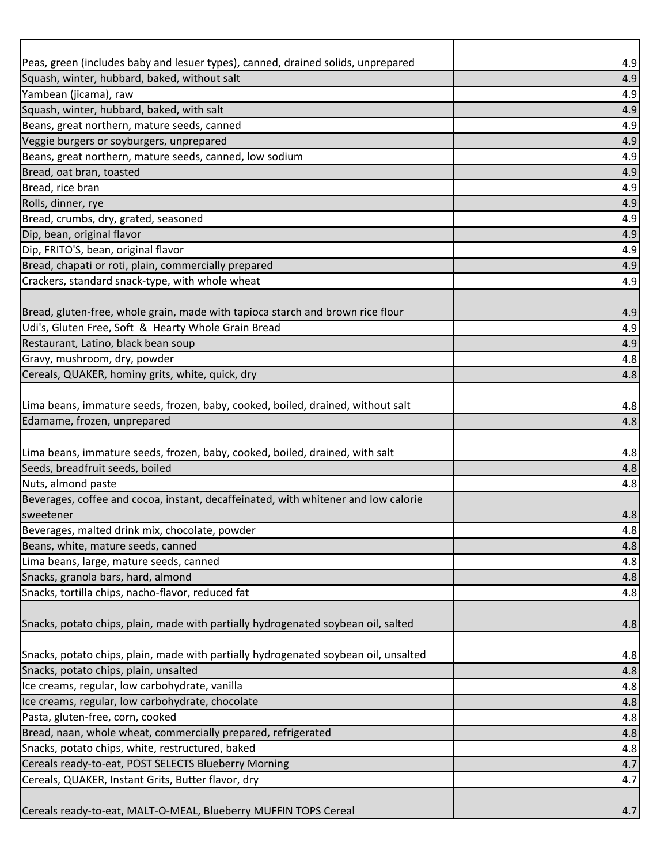| Peas, green (includes baby and lesuer types), canned, drained solids, unprepared    | 4.9        |
|-------------------------------------------------------------------------------------|------------|
| Squash, winter, hubbard, baked, without salt                                        | 4.9        |
| Yambean (jicama), raw                                                               | 4.9        |
| Squash, winter, hubbard, baked, with salt                                           | 4.9        |
| Beans, great northern, mature seeds, canned                                         | 4.9        |
| Veggie burgers or soyburgers, unprepared                                            | 4.9        |
| Beans, great northern, mature seeds, canned, low sodium                             | 4.9        |
| Bread, oat bran, toasted                                                            | 4.9        |
| Bread, rice bran                                                                    | 4.9        |
| Rolls, dinner, rye                                                                  | 4.9        |
| Bread, crumbs, dry, grated, seasoned                                                | 4.9        |
| Dip, bean, original flavor                                                          | 4.9        |
| Dip, FRITO'S, bean, original flavor                                                 | 4.9        |
| Bread, chapati or roti, plain, commercially prepared                                | 4.9        |
| Crackers, standard snack-type, with whole wheat                                     | 4.9        |
|                                                                                     |            |
| Bread, gluten-free, whole grain, made with tapioca starch and brown rice flour      | 4.9        |
| Udi's, Gluten Free, Soft & Hearty Whole Grain Bread                                 | 4.9        |
| Restaurant, Latino, black bean soup                                                 | 4.9        |
| Gravy, mushroom, dry, powder                                                        | 4.8        |
| Cereals, QUAKER, hominy grits, white, quick, dry                                    | 4.8        |
|                                                                                     |            |
| Lima beans, immature seeds, frozen, baby, cooked, boiled, drained, without salt     | 4.8        |
| Edamame, frozen, unprepared                                                         | 4.8        |
|                                                                                     |            |
| Lima beans, immature seeds, frozen, baby, cooked, boiled, drained, with salt        | 4.8        |
| Seeds, breadfruit seeds, boiled                                                     | 4.8        |
| Nuts, almond paste                                                                  | 4.8        |
| Beverages, coffee and cocoa, instant, decaffeinated, with whitener and low calorie  |            |
| sweetener                                                                           | 4.8        |
| Beverages, malted drink mix, chocolate, powder                                      | 4.8        |
| Beans, white, mature seeds, canned                                                  | 4.8        |
| Lima beans, large, mature seeds, canned                                             | 4.8        |
| Snacks, granola bars, hard, almond                                                  | 4.8        |
| Snacks, tortilla chips, nacho-flavor, reduced fat                                   | 4.8        |
|                                                                                     |            |
| Snacks, potato chips, plain, made with partially hydrogenated soybean oil, salted   | 4.8        |
| Snacks, potato chips, plain, made with partially hydrogenated soybean oil, unsalted | 4.8        |
| Snacks, potato chips, plain, unsalted                                               | 4.8        |
| Ice creams, regular, low carbohydrate, vanilla                                      | 4.8        |
| Ice creams, regular, low carbohydrate, chocolate                                    | 4.8        |
| Pasta, gluten-free, corn, cooked                                                    | 4.8        |
| Bread, naan, whole wheat, commercially prepared, refrigerated                       |            |
| Snacks, potato chips, white, restructured, baked                                    | 4.8<br>4.8 |
| Cereals ready-to-eat, POST SELECTS Blueberry Morning                                | 4.7        |
| Cereals, QUAKER, Instant Grits, Butter flavor, dry                                  | 4.7        |
|                                                                                     |            |
| Cereals ready-to-eat, MALT-O-MEAL, Blueberry MUFFIN TOPS Cereal                     | 4.7        |
|                                                                                     |            |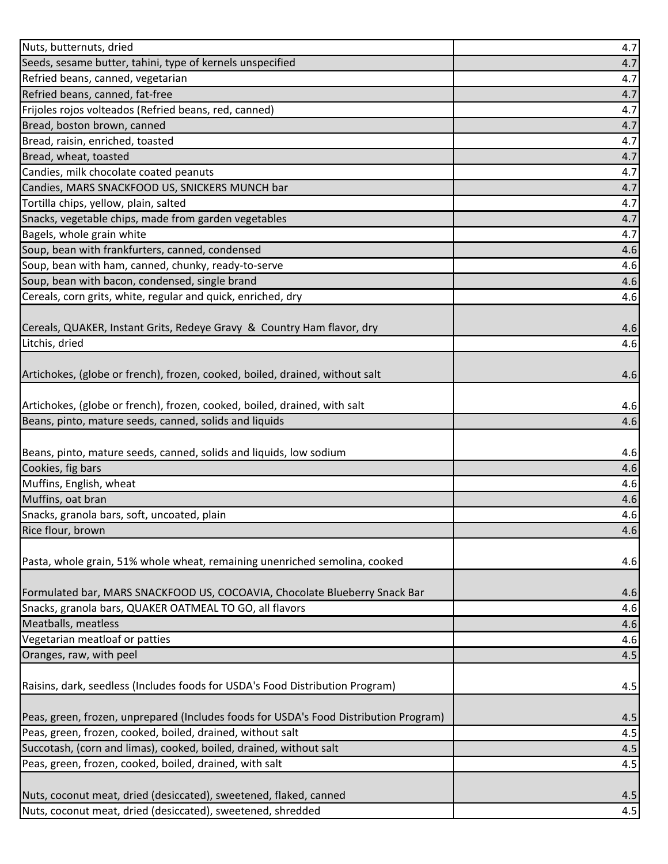|                                                                                                                                  | 4.7        |
|----------------------------------------------------------------------------------------------------------------------------------|------------|
| Seeds, sesame butter, tahini, type of kernels unspecified                                                                        | 4.7        |
| Refried beans, canned, vegetarian                                                                                                | 4.7        |
| Refried beans, canned, fat-free                                                                                                  | 4.7        |
| Frijoles rojos volteados (Refried beans, red, canned)                                                                            | 4.7        |
| Bread, boston brown, canned                                                                                                      | 4.7        |
| Bread, raisin, enriched, toasted                                                                                                 | 4.7        |
| Bread, wheat, toasted                                                                                                            | 4.7        |
| Candies, milk chocolate coated peanuts                                                                                           | 4.7        |
| Candies, MARS SNACKFOOD US, SNICKERS MUNCH bar                                                                                   | 4.7        |
| Tortilla chips, yellow, plain, salted                                                                                            | 4.7        |
| Snacks, vegetable chips, made from garden vegetables                                                                             | 4.7        |
| Bagels, whole grain white                                                                                                        | 4.7        |
| Soup, bean with frankfurters, canned, condensed                                                                                  | 4.6        |
| Soup, bean with ham, canned, chunky, ready-to-serve                                                                              | 4.6        |
| Soup, bean with bacon, condensed, single brand                                                                                   | 4.6        |
| Cereals, corn grits, white, regular and quick, enriched, dry                                                                     | 4.6        |
|                                                                                                                                  |            |
| Cereals, QUAKER, Instant Grits, Redeye Gravy & Country Ham flavor, dry                                                           | 4.6        |
| Litchis, dried                                                                                                                   | 4.6        |
|                                                                                                                                  |            |
| Artichokes, (globe or french), frozen, cooked, boiled, drained, without salt                                                     | 4.6        |
|                                                                                                                                  |            |
| Artichokes, (globe or french), frozen, cooked, boiled, drained, with salt                                                        | 4.6        |
| Beans, pinto, mature seeds, canned, solids and liquids                                                                           | 4.6        |
|                                                                                                                                  |            |
| Beans, pinto, mature seeds, canned, solids and liquids, low sodium                                                               | 4.6        |
| Cookies, fig bars                                                                                                                | 4.6        |
| Muffins, English, wheat                                                                                                          |            |
|                                                                                                                                  | 4.6        |
| Muffins, oat bran                                                                                                                | 4.6        |
| Snacks, granola bars, soft, uncoated, plain                                                                                      | 4.6        |
| Rice flour, brown                                                                                                                | 4.6        |
|                                                                                                                                  |            |
| Pasta, whole grain, 51% whole wheat, remaining unenriched semolina, cooked                                                       | 4.6        |
|                                                                                                                                  |            |
| Formulated bar, MARS SNACKFOOD US, COCOAVIA, Chocolate Blueberry Snack Bar                                                       | 4.6        |
| Snacks, granola bars, QUAKER OATMEAL TO GO, all flavors                                                                          | 4.6        |
| Meatballs, meatless                                                                                                              | 4.6        |
| Vegetarian meatloaf or patties                                                                                                   | 4.6        |
| Oranges, raw, with peel                                                                                                          | 4.5        |
|                                                                                                                                  |            |
|                                                                                                                                  | 4.5        |
| Raisins, dark, seedless (Includes foods for USDA's Food Distribution Program)                                                    |            |
| Peas, green, frozen, unprepared (Includes foods for USDA's Food Distribution Program)                                            | 4.5        |
| Peas, green, frozen, cooked, boiled, drained, without salt                                                                       | 4.5        |
| Succotash, (corn and limas), cooked, boiled, drained, without salt                                                               | 4.5        |
| Peas, green, frozen, cooked, boiled, drained, with salt                                                                          | 4.5        |
|                                                                                                                                  |            |
| Nuts, coconut meat, dried (desiccated), sweetened, flaked, canned<br>Nuts, coconut meat, dried (desiccated), sweetened, shredded | 4.5<br>4.5 |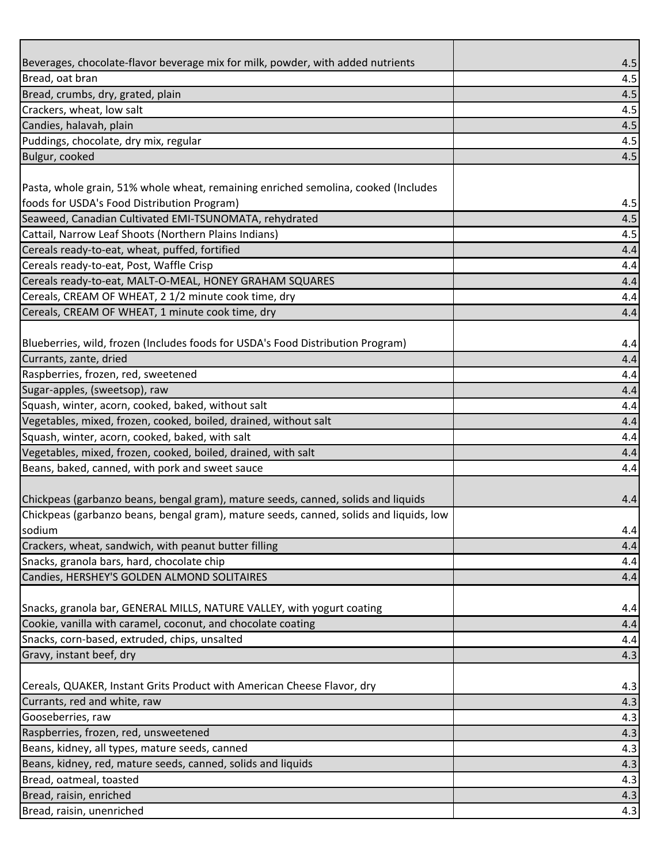| Beverages, chocolate-flavor beverage mix for milk, powder, with added nutrients                                  | 4.5        |
|------------------------------------------------------------------------------------------------------------------|------------|
| Bread, oat bran                                                                                                  | 4.5        |
| Bread, crumbs, dry, grated, plain                                                                                | 4.5        |
| Crackers, wheat, low salt                                                                                        | 4.5        |
| Candies, halavah, plain                                                                                          | 4.5        |
| Puddings, chocolate, dry mix, regular                                                                            | 4.5        |
| Bulgur, cooked                                                                                                   | 4.5        |
|                                                                                                                  |            |
| Pasta, whole grain, 51% whole wheat, remaining enriched semolina, cooked (Includes                               |            |
| foods for USDA's Food Distribution Program)                                                                      | 4.5        |
| Seaweed, Canadian Cultivated EMI-TSUNOMATA, rehydrated                                                           | 4.5        |
| Cattail, Narrow Leaf Shoots (Northern Plains Indians)                                                            | 4.5        |
| Cereals ready-to-eat, wheat, puffed, fortified                                                                   | 4.4        |
| Cereals ready-to-eat, Post, Waffle Crisp                                                                         | 4.4        |
| Cereals ready-to-eat, MALT-O-MEAL, HONEY GRAHAM SQUARES                                                          | 4.4        |
| Cereals, CREAM OF WHEAT, 2 1/2 minute cook time, dry                                                             | 4.4        |
| Cereals, CREAM OF WHEAT, 1 minute cook time, dry                                                                 | 4.4        |
|                                                                                                                  |            |
| Blueberries, wild, frozen (Includes foods for USDA's Food Distribution Program)                                  | 4.4        |
| Currants, zante, dried                                                                                           | 4.4        |
| Raspberries, frozen, red, sweetened                                                                              | 4.4        |
| Sugar-apples, (sweetsop), raw                                                                                    | 4.4        |
| Squash, winter, acorn, cooked, baked, without salt                                                               | 4.4        |
| Vegetables, mixed, frozen, cooked, boiled, drained, without salt                                                 | 4.4        |
| Squash, winter, acorn, cooked, baked, with salt                                                                  | 4.4        |
| Vegetables, mixed, frozen, cooked, boiled, drained, with salt<br>Beans, baked, canned, with pork and sweet sauce | 4.4<br>4.4 |
|                                                                                                                  |            |
| Chickpeas (garbanzo beans, bengal gram), mature seeds, canned, solids and liquids                                | 4.4        |
| Chickpeas (garbanzo beans, bengal gram), mature seeds, canned, solids and liquids, low                           |            |
| sodium                                                                                                           | 4.4        |
| Crackers, wheat, sandwich, with peanut butter filling                                                            | 4.4        |
| Snacks, granola bars, hard, chocolate chip                                                                       | 4.4        |
| Candies, HERSHEY'S GOLDEN ALMOND SOLITAIRES                                                                      | 4.4        |
|                                                                                                                  |            |
| Snacks, granola bar, GENERAL MILLS, NATURE VALLEY, with yogurt coating                                           | 4.4        |
| Cookie, vanilla with caramel, coconut, and chocolate coating                                                     | 4.4        |
| Snacks, corn-based, extruded, chips, unsalted                                                                    | 4.4        |
| Gravy, instant beef, dry                                                                                         | 4.3        |
|                                                                                                                  |            |
| Cereals, QUAKER, Instant Grits Product with American Cheese Flavor, dry                                          | 4.3        |
| Currants, red and white, raw                                                                                     | 4.3        |
| Gooseberries, raw                                                                                                | 4.3        |
| Raspberries, frozen, red, unsweetened                                                                            | 4.3        |
| Beans, kidney, all types, mature seeds, canned                                                                   | 4.3        |
| Beans, kidney, red, mature seeds, canned, solids and liquids                                                     | 4.3        |
| Bread, oatmeal, toasted                                                                                          | 4.3        |
| Bread, raisin, enriched                                                                                          | 4.3        |
| Bread, raisin, unenriched                                                                                        | 4.3        |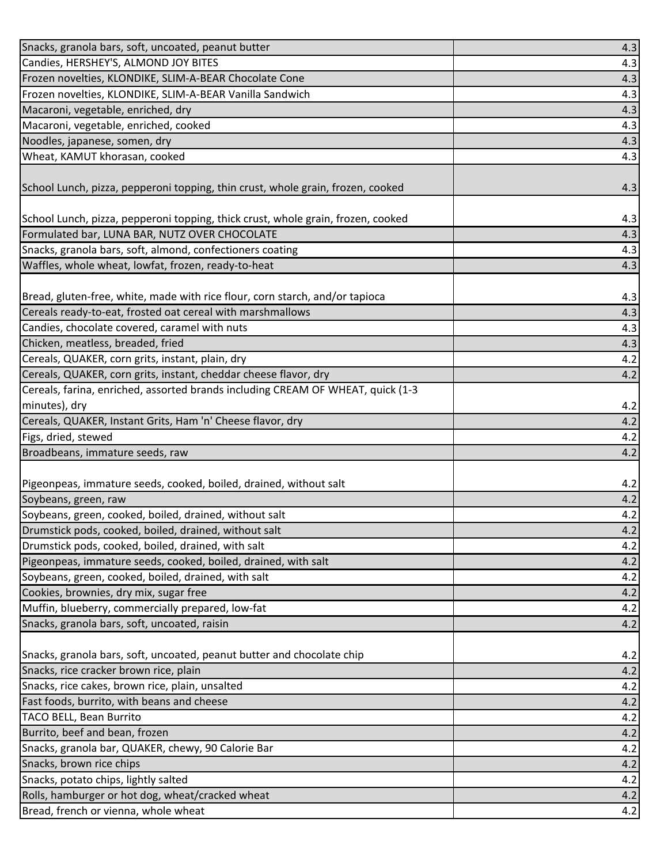| Snacks, granola bars, soft, uncoated, peanut butter                                                                                        | 4.3        |
|--------------------------------------------------------------------------------------------------------------------------------------------|------------|
| Candies, HERSHEY'S, ALMOND JOY BITES                                                                                                       | 4.3        |
| Frozen novelties, KLONDIKE, SLIM-A-BEAR Chocolate Cone                                                                                     | 4.3        |
| Frozen novelties, KLONDIKE, SLIM-A-BEAR Vanilla Sandwich                                                                                   | 4.3        |
| Macaroni, vegetable, enriched, dry                                                                                                         | 4.3        |
| Macaroni, vegetable, enriched, cooked                                                                                                      | 4.3        |
| Noodles, japanese, somen, dry                                                                                                              | 4.3        |
| Wheat, KAMUT khorasan, cooked                                                                                                              | 4.3        |
| School Lunch, pizza, pepperoni topping, thin crust, whole grain, frozen, cooked                                                            | 4.3        |
| School Lunch, pizza, pepperoni topping, thick crust, whole grain, frozen, cooked                                                           | 4.3        |
| Formulated bar, LUNA BAR, NUTZ OVER CHOCOLATE                                                                                              | 4.3        |
| Snacks, granola bars, soft, almond, confectioners coating                                                                                  | 4.3        |
| Waffles, whole wheat, lowfat, frozen, ready-to-heat                                                                                        | 4.3        |
| Bread, gluten-free, white, made with rice flour, corn starch, and/or tapioca<br>Cereals ready-to-eat, frosted oat cereal with marshmallows | 4.3<br>4.3 |
| Candies, chocolate covered, caramel with nuts                                                                                              | 4.3        |
| Chicken, meatless, breaded, fried                                                                                                          | 4.3        |
| Cereals, QUAKER, corn grits, instant, plain, dry                                                                                           | 4.2        |
| Cereals, QUAKER, corn grits, instant, cheddar cheese flavor, dry                                                                           | 4.2        |
| Cereals, farina, enriched, assorted brands including CREAM OF WHEAT, quick (1-3                                                            |            |
| minutes), dry                                                                                                                              | 4.2        |
| Cereals, QUAKER, Instant Grits, Ham 'n' Cheese flavor, dry                                                                                 | 4.2        |
| Figs, dried, stewed                                                                                                                        | 4.2        |
| Broadbeans, immature seeds, raw                                                                                                            | 4.2        |
|                                                                                                                                            |            |
| Pigeonpeas, immature seeds, cooked, boiled, drained, without salt                                                                          | 4.2        |
| Soybeans, green, raw                                                                                                                       | 4.2        |
| Soybeans, green, cooked, boiled, drained, without salt                                                                                     | 4.2        |
| Drumstick pods, cooked, boiled, drained, without salt                                                                                      | 4.2        |
| Drumstick pods, cooked, boiled, drained, with salt                                                                                         | 4.2        |
| Pigeonpeas, immature seeds, cooked, boiled, drained, with salt                                                                             | 4.2        |
| Soybeans, green, cooked, boiled, drained, with salt                                                                                        | 4.2        |
| Cookies, brownies, dry mix, sugar free                                                                                                     | 4.2        |
| Muffin, blueberry, commercially prepared, low-fat                                                                                          | 4.2        |
| Snacks, granola bars, soft, uncoated, raisin                                                                                               | 4.2        |
| Snacks, granola bars, soft, uncoated, peanut butter and chocolate chip                                                                     | 4.2        |
| Snacks, rice cracker brown rice, plain                                                                                                     | 4.2        |
| Snacks, rice cakes, brown rice, plain, unsalted                                                                                            | 4.2        |
| Fast foods, burrito, with beans and cheese                                                                                                 | 4.2        |
| TACO BELL, Bean Burrito                                                                                                                    | 4.2        |
| Burrito, beef and bean, frozen                                                                                                             | 4.2        |
| Snacks, granola bar, QUAKER, chewy, 90 Calorie Bar                                                                                         | 4.2        |
| Snacks, brown rice chips                                                                                                                   | 4.2        |
| Snacks, potato chips, lightly salted                                                                                                       | 4.2        |
| Rolls, hamburger or hot dog, wheat/cracked wheat                                                                                           | 4.2        |
| Bread, french or vienna, whole wheat                                                                                                       | 4.2        |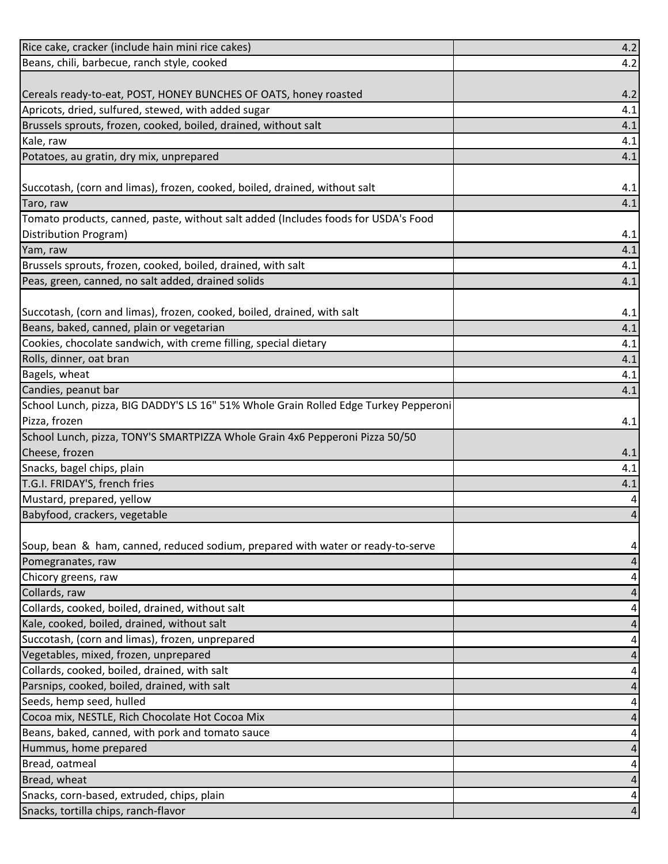| Rice cake, cracker (include hain mini rice cakes)                                                           | 4.2                     |
|-------------------------------------------------------------------------------------------------------------|-------------------------|
| Beans, chili, barbecue, ranch style, cooked                                                                 | 4.2                     |
|                                                                                                             |                         |
| Cereals ready-to-eat, POST, HONEY BUNCHES OF OATS, honey roasted                                            | 4.2                     |
| Apricots, dried, sulfured, stewed, with added sugar                                                         | 4.1                     |
| Brussels sprouts, frozen, cooked, boiled, drained, without salt                                             | 4.1                     |
| Kale, raw                                                                                                   | 4.1                     |
| Potatoes, au gratin, dry mix, unprepared                                                                    | 4.1                     |
|                                                                                                             |                         |
| Succotash, (corn and limas), frozen, cooked, boiled, drained, without salt                                  | 4.1                     |
| Taro, raw                                                                                                   | 4.1                     |
| Tomato products, canned, paste, without salt added (Includes foods for USDA's Food                          |                         |
| Distribution Program)                                                                                       | 4.1                     |
| Yam, raw                                                                                                    | 4.1                     |
| Brussels sprouts, frozen, cooked, boiled, drained, with salt                                                | 4.1                     |
| Peas, green, canned, no salt added, drained solids                                                          | 4.1                     |
|                                                                                                             |                         |
| Succotash, (corn and limas), frozen, cooked, boiled, drained, with salt                                     | 4.1                     |
| Beans, baked, canned, plain or vegetarian                                                                   | 4.1                     |
| Cookies, chocolate sandwich, with creme filling, special dietary                                            | 4.1                     |
| Rolls, dinner, oat bran                                                                                     |                         |
| Bagels, wheat                                                                                               | 4.1<br>4.1              |
|                                                                                                             |                         |
| Candies, peanut bar<br>School Lunch, pizza, BIG DADDY'S LS 16" 51% Whole Grain Rolled Edge Turkey Pepperoni | 4.1                     |
|                                                                                                             |                         |
| Pizza, frozen<br>School Lunch, pizza, TONY'S SMARTPIZZA Whole Grain 4x6 Pepperoni Pizza 50/50               | 4.1                     |
| Cheese, frozen                                                                                              |                         |
|                                                                                                             | 4.1                     |
| Snacks, bagel chips, plain                                                                                  | 4.1                     |
| T.G.I. FRIDAY'S, french fries                                                                               | 4.1                     |
| Mustard, prepared, yellow                                                                                   | 4                       |
| Babyfood, crackers, vegetable                                                                               | $\overline{\mathbf{r}}$ |
|                                                                                                             |                         |
| Soup, bean & ham, canned, reduced sodium, prepared with water or ready-to-serve                             |                         |
| Pomegranates, raw                                                                                           |                         |
| Chicory greens, raw                                                                                         |                         |
| Collards, raw                                                                                               |                         |
| Collards, cooked, boiled, drained, without salt                                                             |                         |
| Kale, cooked, boiled, drained, without salt                                                                 |                         |
| Succotash, (corn and limas), frozen, unprepared                                                             |                         |
| Vegetables, mixed, frozen, unprepared                                                                       |                         |
| Collards, cooked, boiled, drained, with salt                                                                | 4                       |
| Parsnips, cooked, boiled, drained, with salt                                                                |                         |
| Seeds, hemp seed, hulled                                                                                    |                         |
| Cocoa mix, NESTLE, Rich Chocolate Hot Cocoa Mix                                                             |                         |
| Beans, baked, canned, with pork and tomato sauce                                                            |                         |
| Hummus, home prepared                                                                                       |                         |
| Bread, oatmeal                                                                                              |                         |
| Bread, wheat                                                                                                |                         |
| Snacks, corn-based, extruded, chips, plain                                                                  |                         |
| Snacks, tortilla chips, ranch-flavor                                                                        |                         |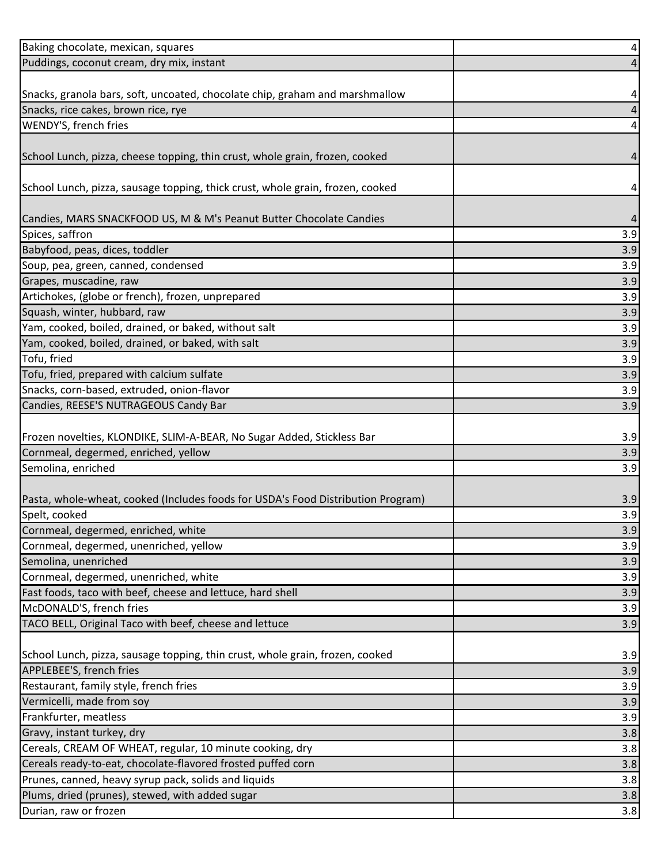| Baking chocolate, mexican, squares                                               | 4   |
|----------------------------------------------------------------------------------|-----|
| Puddings, coconut cream, dry mix, instant                                        |     |
|                                                                                  |     |
| Snacks, granola bars, soft, uncoated, chocolate chip, graham and marshmallow     | 4   |
| Snacks, rice cakes, brown rice, rye                                              |     |
| WENDY'S, french fries                                                            | 4   |
|                                                                                  |     |
| School Lunch, pizza, cheese topping, thin crust, whole grain, frozen, cooked     | 4   |
|                                                                                  |     |
| School Lunch, pizza, sausage topping, thick crust, whole grain, frozen, cooked   | 4   |
|                                                                                  |     |
| Candies, MARS SNACKFOOD US, M & M's Peanut Butter Chocolate Candies              | 4   |
| Spices, saffron                                                                  | 3.9 |
| Babyfood, peas, dices, toddler                                                   | 3.9 |
| Soup, pea, green, canned, condensed                                              | 3.9 |
| Grapes, muscadine, raw                                                           | 3.9 |
| Artichokes, (globe or french), frozen, unprepared                                | 3.9 |
| Squash, winter, hubbard, raw                                                     | 3.9 |
| Yam, cooked, boiled, drained, or baked, without salt                             | 3.9 |
| Yam, cooked, boiled, drained, or baked, with salt                                | 3.9 |
| Tofu, fried                                                                      | 3.9 |
| Tofu, fried, prepared with calcium sulfate                                       | 3.9 |
| Snacks, corn-based, extruded, onion-flavor                                       | 3.9 |
| Candies, REESE'S NUTRAGEOUS Candy Bar                                            | 3.9 |
|                                                                                  |     |
| Frozen novelties, KLONDIKE, SLIM-A-BEAR, No Sugar Added, Stickless Bar           | 3.9 |
| Cornmeal, degermed, enriched, yellow                                             | 3.9 |
| Semolina, enriched                                                               | 3.9 |
|                                                                                  |     |
| Pasta, whole-wheat, cooked (Includes foods for USDA's Food Distribution Program) | 3.9 |
| Spelt, cooked                                                                    | 3.9 |
| Cornmeal, degermed, enriched, white                                              | 3.9 |
| Cornmeal, degermed, unenriched, yellow                                           | 3.9 |
| Semolina, unenriched                                                             | 3.9 |
| Cornmeal, degermed, unenriched, white                                            | 3.9 |
| Fast foods, taco with beef, cheese and lettuce, hard shell                       | 3.9 |
| McDONALD'S, french fries                                                         | 3.9 |
| TACO BELL, Original Taco with beef, cheese and lettuce                           | 3.9 |
|                                                                                  |     |
| School Lunch, pizza, sausage topping, thin crust, whole grain, frozen, cooked    | 3.9 |
| APPLEBEE'S, french fries                                                         | 3.9 |
| Restaurant, family style, french fries                                           | 3.9 |
| Vermicelli, made from soy                                                        | 3.9 |
| Frankfurter, meatless                                                            | 3.9 |
| Gravy, instant turkey, dry                                                       | 3.8 |
| Cereals, CREAM OF WHEAT, regular, 10 minute cooking, dry                         | 3.8 |
| Cereals ready-to-eat, chocolate-flavored frosted puffed corn                     | 3.8 |
| Prunes, canned, heavy syrup pack, solids and liquids                             | 3.8 |
| Plums, dried (prunes), stewed, with added sugar                                  | 3.8 |
| Durian, raw or frozen                                                            | 3.8 |
|                                                                                  |     |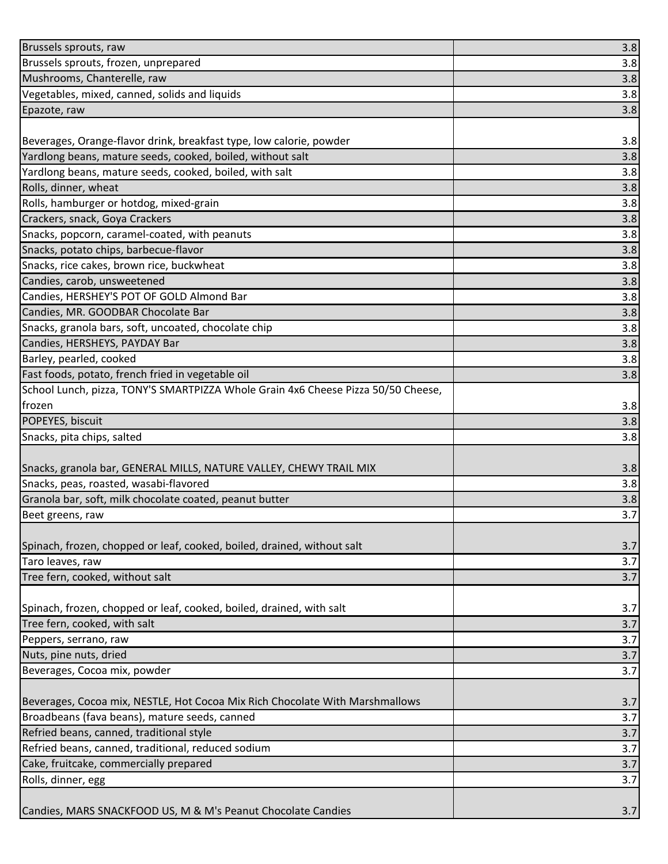| Brussels sprouts, raw                                                             | 3.8 |
|-----------------------------------------------------------------------------------|-----|
| Brussels sprouts, frozen, unprepared                                              | 3.8 |
| Mushrooms, Chanterelle, raw                                                       | 3.8 |
| Vegetables, mixed, canned, solids and liquids                                     | 3.8 |
| Epazote, raw                                                                      | 3.8 |
|                                                                                   |     |
| Beverages, Orange-flavor drink, breakfast type, low calorie, powder               | 3.8 |
| Yardlong beans, mature seeds, cooked, boiled, without salt                        | 3.8 |
| Yardlong beans, mature seeds, cooked, boiled, with salt                           | 3.8 |
| Rolls, dinner, wheat                                                              | 3.8 |
| Rolls, hamburger or hotdog, mixed-grain                                           | 3.8 |
| Crackers, snack, Goya Crackers                                                    | 3.8 |
| Snacks, popcorn, caramel-coated, with peanuts                                     | 3.8 |
| Snacks, potato chips, barbecue-flavor                                             | 3.8 |
| Snacks, rice cakes, brown rice, buckwheat                                         | 3.8 |
| Candies, carob, unsweetened                                                       | 3.8 |
| Candies, HERSHEY'S POT OF GOLD Almond Bar                                         | 3.8 |
| Candies, MR. GOODBAR Chocolate Bar                                                | 3.8 |
| Snacks, granola bars, soft, uncoated, chocolate chip                              | 3.8 |
| Candies, HERSHEYS, PAYDAY Bar                                                     | 3.8 |
| Barley, pearled, cooked                                                           | 3.8 |
| Fast foods, potato, french fried in vegetable oil                                 | 3.8 |
| School Lunch, pizza, TONY'S SMARTPIZZA Whole Grain 4x6 Cheese Pizza 50/50 Cheese, |     |
| frozen                                                                            | 3.8 |
| POPEYES, biscuit                                                                  | 3.8 |
| Snacks, pita chips, salted                                                        | 3.8 |
|                                                                                   |     |
| Snacks, granola bar, GENERAL MILLS, NATURE VALLEY, CHEWY TRAIL MIX                | 3.8 |
| Snacks, peas, roasted, wasabi-flavored                                            | 3.8 |
| Granola bar, soft, milk chocolate coated, peanut butter                           | 3.8 |
| Beet greens, raw                                                                  | 3.7 |
|                                                                                   |     |
| Spinach, frozen, chopped or leaf, cooked, boiled, drained, without salt           | 3.7 |
| Taro leaves, raw                                                                  | 3.7 |
| Tree fern, cooked, without salt                                                   | 3.7 |
|                                                                                   |     |
| Spinach, frozen, chopped or leaf, cooked, boiled, drained, with salt              | 3.7 |
| Tree fern, cooked, with salt                                                      | 3.7 |
| Peppers, serrano, raw                                                             | 3.7 |
| Nuts, pine nuts, dried                                                            | 3.7 |
| Beverages, Cocoa mix, powder                                                      | 3.7 |
|                                                                                   |     |
| Beverages, Cocoa mix, NESTLE, Hot Cocoa Mix Rich Chocolate With Marshmallows      | 3.7 |
| Broadbeans (fava beans), mature seeds, canned                                     | 3.7 |
| Refried beans, canned, traditional style                                          | 3.7 |
| Refried beans, canned, traditional, reduced sodium                                | 3.7 |
| Cake, fruitcake, commercially prepared                                            | 3.7 |
| Rolls, dinner, egg                                                                | 3.7 |
|                                                                                   |     |
| Candies, MARS SNACKFOOD US, M & M's Peanut Chocolate Candies                      | 3.7 |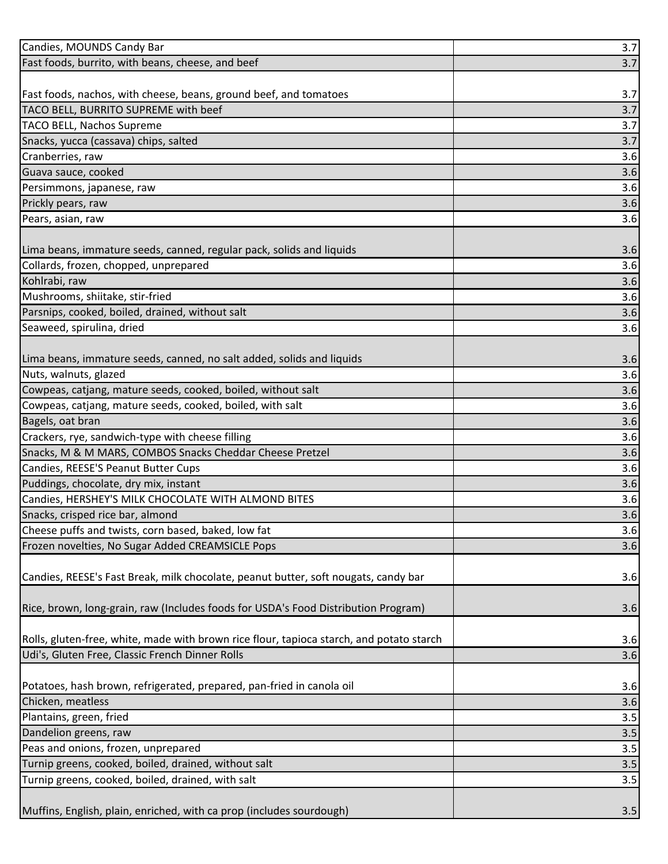| Candies, MOUNDS Candy Bar                                                                | 3.7 |
|------------------------------------------------------------------------------------------|-----|
| Fast foods, burrito, with beans, cheese, and beef                                        | 3.7 |
|                                                                                          |     |
| Fast foods, nachos, with cheese, beans, ground beef, and tomatoes                        | 3.7 |
| TACO BELL, BURRITO SUPREME with beef                                                     | 3.7 |
| <b>TACO BELL, Nachos Supreme</b>                                                         | 3.7 |
| Snacks, yucca (cassava) chips, salted                                                    | 3.7 |
| Cranberries, raw                                                                         | 3.6 |
| Guava sauce, cooked                                                                      | 3.6 |
| Persimmons, japanese, raw                                                                | 3.6 |
| Prickly pears, raw                                                                       | 3.6 |
| Pears, asian, raw                                                                        | 3.6 |
|                                                                                          |     |
| Lima beans, immature seeds, canned, regular pack, solids and liquids                     | 3.6 |
| Collards, frozen, chopped, unprepared                                                    | 3.6 |
| Kohlrabi, raw                                                                            | 3.6 |
| Mushrooms, shiitake, stir-fried                                                          | 3.6 |
| Parsnips, cooked, boiled, drained, without salt                                          | 3.6 |
| Seaweed, spirulina, dried                                                                | 3.6 |
|                                                                                          |     |
| Lima beans, immature seeds, canned, no salt added, solids and liquids                    | 3.6 |
| Nuts, walnuts, glazed                                                                    | 3.6 |
| Cowpeas, catjang, mature seeds, cooked, boiled, without salt                             | 3.6 |
| Cowpeas, catjang, mature seeds, cooked, boiled, with salt                                | 3.6 |
| Bagels, oat bran                                                                         | 3.6 |
| Crackers, rye, sandwich-type with cheese filling                                         | 3.6 |
| Snacks, M & M MARS, COMBOS Snacks Cheddar Cheese Pretzel                                 | 3.6 |
| Candies, REESE'S Peanut Butter Cups                                                      | 3.6 |
| Puddings, chocolate, dry mix, instant                                                    | 3.6 |
| Candies, HERSHEY'S MILK CHOCOLATE WITH ALMOND BITES                                      | 3.6 |
| Snacks, crisped rice bar, almond                                                         | 3.6 |
| Cheese puffs and twists, corn based, baked, low fat                                      | 3.6 |
| Frozen novelties, No Sugar Added CREAMSICLE Pops                                         | 3.6 |
|                                                                                          |     |
| Candies, REESE's Fast Break, milk chocolate, peanut butter, soft nougats, candy bar      | 3.6 |
|                                                                                          |     |
| Rice, brown, long-grain, raw (Includes foods for USDA's Food Distribution Program)       | 3.6 |
|                                                                                          |     |
| Rolls, gluten-free, white, made with brown rice flour, tapioca starch, and potato starch | 3.6 |
| Udi's, Gluten Free, Classic French Dinner Rolls                                          | 3.6 |
|                                                                                          |     |
| Potatoes, hash brown, refrigerated, prepared, pan-fried in canola oil                    | 3.6 |
| Chicken, meatless                                                                        | 3.6 |
| Plantains, green, fried                                                                  | 3.5 |
| Dandelion greens, raw                                                                    | 3.5 |
| Peas and onions, frozen, unprepared                                                      | 3.5 |
| Turnip greens, cooked, boiled, drained, without salt                                     | 3.5 |
| Turnip greens, cooked, boiled, drained, with salt                                        | 3.5 |
|                                                                                          |     |
| Muffins, English, plain, enriched, with ca prop (includes sourdough)                     | 3.5 |
|                                                                                          |     |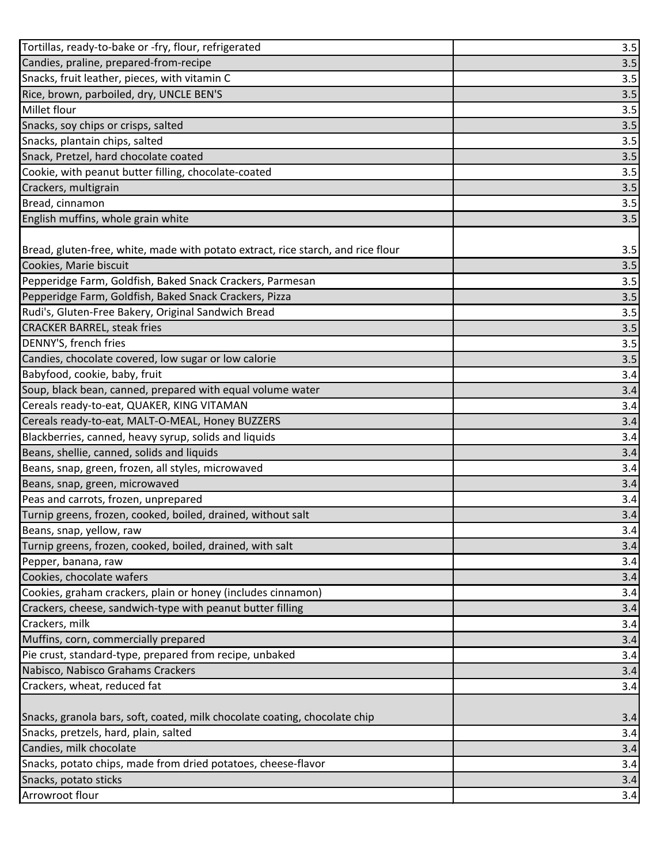| Tortillas, ready-to-bake or -fry, flour, refrigerated                            | 3.5 |
|----------------------------------------------------------------------------------|-----|
| Candies, praline, prepared-from-recipe                                           | 3.5 |
| Snacks, fruit leather, pieces, with vitamin C                                    | 3.5 |
| Rice, brown, parboiled, dry, UNCLE BEN'S                                         | 3.5 |
| Millet flour                                                                     | 3.5 |
| Snacks, soy chips or crisps, salted                                              | 3.5 |
| Snacks, plantain chips, salted                                                   | 3.5 |
| Snack, Pretzel, hard chocolate coated                                            | 3.5 |
| Cookie, with peanut butter filling, chocolate-coated                             | 3.5 |
| Crackers, multigrain                                                             | 3.5 |
| Bread, cinnamon                                                                  | 3.5 |
| English muffins, whole grain white                                               | 3.5 |
|                                                                                  |     |
| Bread, gluten-free, white, made with potato extract, rice starch, and rice flour | 3.5 |
| Cookies, Marie biscuit                                                           | 3.5 |
| Pepperidge Farm, Goldfish, Baked Snack Crackers, Parmesan                        | 3.5 |
| Pepperidge Farm, Goldfish, Baked Snack Crackers, Pizza                           | 3.5 |
| Rudi's, Gluten-Free Bakery, Original Sandwich Bread                              | 3.5 |
| <b>CRACKER BARREL, steak fries</b>                                               | 3.5 |
| DENNY'S, french fries                                                            | 3.5 |
| Candies, chocolate covered, low sugar or low calorie                             | 3.5 |
| Babyfood, cookie, baby, fruit                                                    | 3.4 |
| Soup, black bean, canned, prepared with equal volume water                       | 3.4 |
| Cereals ready-to-eat, QUAKER, KING VITAMAN                                       | 3.4 |
| Cereals ready-to-eat, MALT-O-MEAL, Honey BUZZERS                                 | 3.4 |
| Blackberries, canned, heavy syrup, solids and liquids                            | 3.4 |
| Beans, shellie, canned, solids and liquids                                       | 3.4 |
| Beans, snap, green, frozen, all styles, microwaved                               | 3.4 |
| Beans, snap, green, microwaved                                                   | 3.4 |
| Peas and carrots, frozen, unprepared                                             | 3.4 |
| Turnip greens, frozen, cooked, boiled, drained, without salt                     | 3.4 |
| Beans, snap, yellow, raw                                                         | 3.4 |
| Turnip greens, frozen, cooked, boiled, drained, with salt                        | 3.4 |
| Pepper, banana, raw                                                              | 3.4 |
| Cookies, chocolate wafers                                                        | 3.4 |
| Cookies, graham crackers, plain or honey (includes cinnamon)                     | 3.4 |
| Crackers, cheese, sandwich-type with peanut butter filling                       | 3.4 |
| Crackers, milk                                                                   | 3.4 |
| Muffins, corn, commercially prepared                                             | 3.4 |
| Pie crust, standard-type, prepared from recipe, unbaked                          | 3.4 |
| Nabisco, Nabisco Grahams Crackers                                                | 3.4 |
| Crackers, wheat, reduced fat                                                     | 3.4 |
|                                                                                  |     |
| Snacks, granola bars, soft, coated, milk chocolate coating, chocolate chip       | 3.4 |
| Snacks, pretzels, hard, plain, salted                                            | 3.4 |
| Candies, milk chocolate                                                          | 3.4 |
| Snacks, potato chips, made from dried potatoes, cheese-flavor                    | 3.4 |
| Snacks, potato sticks                                                            | 3.4 |
| Arrowroot flour                                                                  | 3.4 |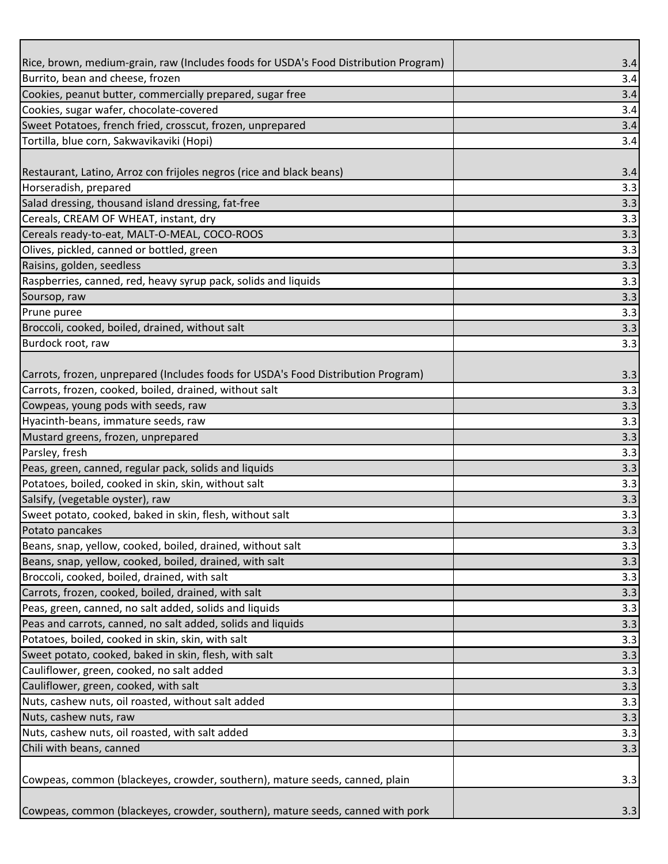| Rice, brown, medium-grain, raw (Includes foods for USDA's Food Distribution Program)<br>Burrito, bean and cheese, frozen<br>Cookies, peanut butter, commercially prepared, sugar free<br>Cookies, sugar wafer, chocolate-covered | 3.4<br>3.4<br>3.4<br>3.4<br>3.4 |
|----------------------------------------------------------------------------------------------------------------------------------------------------------------------------------------------------------------------------------|---------------------------------|
|                                                                                                                                                                                                                                  |                                 |
|                                                                                                                                                                                                                                  |                                 |
|                                                                                                                                                                                                                                  |                                 |
|                                                                                                                                                                                                                                  |                                 |
| Sweet Potatoes, french fried, crosscut, frozen, unprepared                                                                                                                                                                       |                                 |
| Tortilla, blue corn, Sakwavikaviki (Hopi)                                                                                                                                                                                        | 3.4                             |
|                                                                                                                                                                                                                                  |                                 |
| Restaurant, Latino, Arroz con frijoles negros (rice and black beans)                                                                                                                                                             | 3.4                             |
| Horseradish, prepared                                                                                                                                                                                                            | 3.3                             |
| Salad dressing, thousand island dressing, fat-free                                                                                                                                                                               | 3.3                             |
| Cereals, CREAM OF WHEAT, instant, dry                                                                                                                                                                                            | 3.3                             |
| Cereals ready-to-eat, MALT-O-MEAL, COCO-ROOS                                                                                                                                                                                     | 3.3                             |
| Olives, pickled, canned or bottled, green                                                                                                                                                                                        | 3.3                             |
| Raisins, golden, seedless                                                                                                                                                                                                        | 3.3                             |
| Raspberries, canned, red, heavy syrup pack, solids and liquids                                                                                                                                                                   | 3.3                             |
| Soursop, raw                                                                                                                                                                                                                     | 3.3                             |
| Prune puree                                                                                                                                                                                                                      | 3.3                             |
| Broccoli, cooked, boiled, drained, without salt                                                                                                                                                                                  | 3.3                             |
| Burdock root, raw                                                                                                                                                                                                                | 3.3                             |
|                                                                                                                                                                                                                                  |                                 |
| (Carrots, frozen, unprepared (Includes foods for USDA's Food Distribution Program)<br>Carrots, frozen, cooked, boiled, drained, without salt                                                                                     | 3.3                             |
|                                                                                                                                                                                                                                  | 3.3                             |
| Cowpeas, young pods with seeds, raw                                                                                                                                                                                              | 3.3                             |
| Hyacinth-beans, immature seeds, raw<br>Mustard greens, frozen, unprepared                                                                                                                                                        | 3.3                             |
| Parsley, fresh                                                                                                                                                                                                                   | 3.3<br>3.3                      |
| Peas, green, canned, regular pack, solids and liquids                                                                                                                                                                            | 3.3                             |
| Potatoes, boiled, cooked in skin, skin, without salt                                                                                                                                                                             | 3.3                             |
| Salsify, (vegetable oyster), raw                                                                                                                                                                                                 | 3.3                             |
| Sweet potato, cooked, baked in skin, flesh, without salt                                                                                                                                                                         | 3.3                             |
| Potato pancakes                                                                                                                                                                                                                  | 3.3                             |
| Beans, snap, yellow, cooked, boiled, drained, without salt                                                                                                                                                                       | 3.3                             |
| Beans, snap, yellow, cooked, boiled, drained, with salt                                                                                                                                                                          | 3.3                             |
| Broccoli, cooked, boiled, drained, with salt                                                                                                                                                                                     | 3.3                             |
| Carrots, frozen, cooked, boiled, drained, with salt                                                                                                                                                                              | 3.3                             |
| Peas, green, canned, no salt added, solids and liquids                                                                                                                                                                           | 3.3                             |
| Peas and carrots, canned, no salt added, solids and liquids                                                                                                                                                                      | 3.3                             |
| Potatoes, boiled, cooked in skin, skin, with salt                                                                                                                                                                                | 3.3                             |
| Sweet potato, cooked, baked in skin, flesh, with salt                                                                                                                                                                            | 3.3                             |
| Cauliflower, green, cooked, no salt added                                                                                                                                                                                        | 3.3                             |
| Cauliflower, green, cooked, with salt                                                                                                                                                                                            | 3.3                             |
| Nuts, cashew nuts, oil roasted, without salt added                                                                                                                                                                               | 3.3                             |
| Nuts, cashew nuts, raw                                                                                                                                                                                                           | 3.3                             |
| Nuts, cashew nuts, oil roasted, with salt added                                                                                                                                                                                  | 3.3                             |
| Chili with beans, canned                                                                                                                                                                                                         | 3.3                             |
|                                                                                                                                                                                                                                  |                                 |
| Cowpeas, common (blackeyes, crowder, southern), mature seeds, canned, plain                                                                                                                                                      | 3.3                             |
|                                                                                                                                                                                                                                  |                                 |
| Cowpeas, common (blackeyes, crowder, southern), mature seeds, canned with pork                                                                                                                                                   | 3.3                             |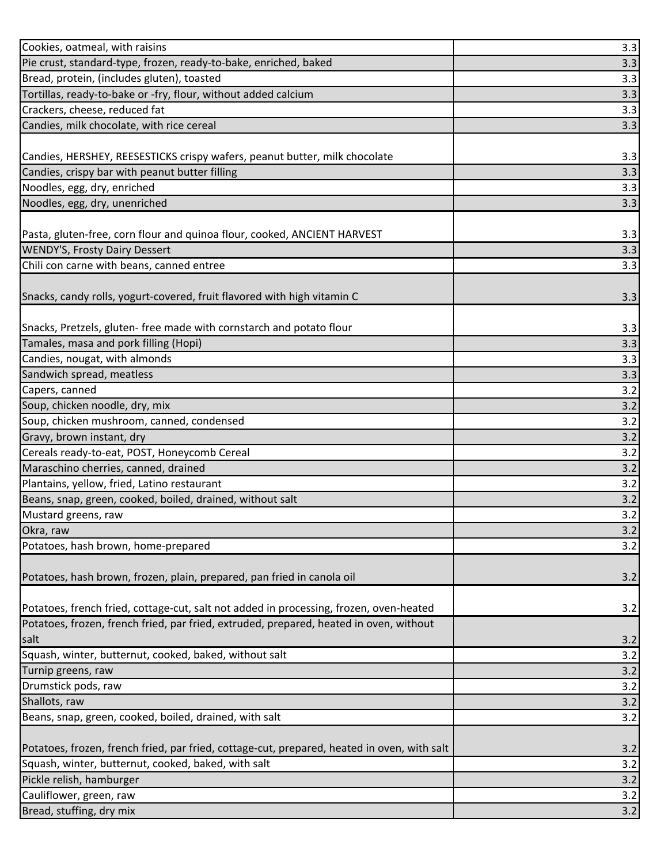| Cookies, oatmeal, with raisins                                                              | 3.3 |
|---------------------------------------------------------------------------------------------|-----|
| Pie crust, standard-type, frozen, ready-to-bake, enriched, baked                            | 3.3 |
| Bread, protein, (includes gluten), toasted                                                  | 3.3 |
| Tortillas, ready-to-bake or -fry, flour, without added calcium                              | 3.3 |
| Crackers, cheese, reduced fat                                                               | 3.3 |
| Candies, milk chocolate, with rice cereal                                                   | 3.3 |
|                                                                                             |     |
| Candies, HERSHEY, REESESTICKS crispy wafers, peanut butter, milk chocolate                  | 3.3 |
| Candies, crispy bar with peanut butter filling                                              | 3.3 |
| Noodles, egg, dry, enriched                                                                 | 3.3 |
| Noodles, egg, dry, unenriched                                                               | 3.3 |
|                                                                                             |     |
| Pasta, gluten-free, corn flour and quinoa flour, cooked, ANCIENT HARVEST                    | 3.3 |
| <b>WENDY'S, Frosty Dairy Dessert</b>                                                        | 3.3 |
| Chili con carne with beans, canned entree                                                   | 3.3 |
|                                                                                             |     |
| Snacks, candy rolls, yogurt-covered, fruit flavored with high vitamin C                     | 3.3 |
|                                                                                             |     |
| Snacks, Pretzels, gluten- free made with cornstarch and potato flour                        | 3.3 |
| Tamales, masa and pork filling (Hopi)                                                       | 3.3 |
| Candies, nougat, with almonds                                                               | 3.3 |
| Sandwich spread, meatless                                                                   | 3.3 |
| Capers, canned                                                                              | 3.2 |
| Soup, chicken noodle, dry, mix                                                              | 3.2 |
| Soup, chicken mushroom, canned, condensed                                                   | 3.2 |
| Gravy, brown instant, dry                                                                   | 3.2 |
| Cereals ready-to-eat, POST, Honeycomb Cereal                                                | 3.2 |
| Maraschino cherries, canned, drained                                                        | 3.2 |
| Plantains, yellow, fried, Latino restaurant                                                 | 3.2 |
| Beans, snap, green, cooked, boiled, drained, without salt                                   | 3.2 |
| Mustard greens, raw                                                                         | 3.2 |
| Okra, raw                                                                                   | 3.2 |
| Potatoes, hash brown, home-prepared                                                         | 3.2 |
|                                                                                             |     |
| Potatoes, hash brown, frozen, plain, prepared, pan fried in canola oil                      | 3.2 |
|                                                                                             |     |
| Potatoes, french fried, cottage-cut, salt not added in processing, frozen, oven-heated      | 3.2 |
| Potatoes, frozen, french fried, par fried, extruded, prepared, heated in oven, without      |     |
| salt                                                                                        | 3.2 |
| Squash, winter, butternut, cooked, baked, without salt                                      | 3.2 |
| Turnip greens, raw                                                                          | 3.2 |
| Drumstick pods, raw                                                                         | 3.2 |
| Shallots, raw                                                                               | 3.2 |
| Beans, snap, green, cooked, boiled, drained, with salt                                      | 3.2 |
|                                                                                             |     |
| Potatoes, frozen, french fried, par fried, cottage-cut, prepared, heated in oven, with salt | 3.2 |
| Squash, winter, butternut, cooked, baked, with salt                                         | 3.2 |
| Pickle relish, hamburger                                                                    | 3.2 |
| Cauliflower, green, raw                                                                     | 3.2 |
| Bread, stuffing, dry mix                                                                    | 3.2 |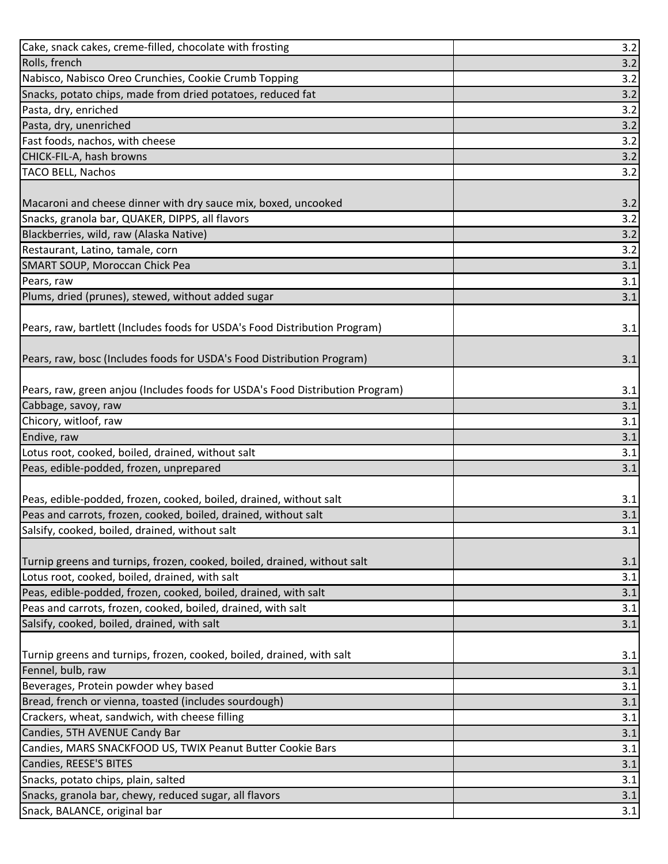| Cake, snack cakes, creme-filled, chocolate with frosting                               | 3.2        |
|----------------------------------------------------------------------------------------|------------|
| Rolls, french                                                                          | 3.2        |
| Nabisco, Nabisco Oreo Crunchies, Cookie Crumb Topping                                  | 3.2        |
| Snacks, potato chips, made from dried potatoes, reduced fat                            | 3.2        |
| Pasta, dry, enriched                                                                   | 3.2        |
| Pasta, dry, unenriched                                                                 | 3.2        |
| Fast foods, nachos, with cheese                                                        | 3.2        |
| CHICK-FIL-A, hash browns                                                               | 3.2        |
| <b>TACO BELL, Nachos</b>                                                               | 3.2        |
|                                                                                        |            |
| Macaroni and cheese dinner with dry sauce mix, boxed, uncooked                         | 3.2        |
| Snacks, granola bar, QUAKER, DIPPS, all flavors                                        | 3.2        |
| Blackberries, wild, raw (Alaska Native)                                                | 3.2        |
| Restaurant, Latino, tamale, corn                                                       | 3.2        |
| SMART SOUP, Moroccan Chick Pea                                                         | 3.1        |
| Pears, raw                                                                             | 3.1        |
| Plums, dried (prunes), stewed, without added sugar                                     | 3.1        |
|                                                                                        |            |
| Pears, raw, bartlett (Includes foods for USDA's Food Distribution Program)             | 3.1        |
|                                                                                        |            |
| Pears, raw, bosc (Includes foods for USDA's Food Distribution Program)                 | 3.1        |
|                                                                                        |            |
| Pears, raw, green anjou (Includes foods for USDA's Food Distribution Program)          | 3.1        |
| Cabbage, savoy, raw                                                                    | 3.1        |
| Chicory, witloof, raw                                                                  | 3.1        |
|                                                                                        |            |
| Endive, raw                                                                            | 3.1        |
| Lotus root, cooked, boiled, drained, without salt                                      | 3.1        |
| Peas, edible-podded, frozen, unprepared                                                | 3.1        |
|                                                                                        |            |
| Peas, edible-podded, frozen, cooked, boiled, drained, without salt                     | 3.1        |
| Peas and carrots, frozen, cooked, boiled, drained, without salt                        | 3.1        |
| Salsify, cooked, boiled, drained, without salt                                         | 3.1        |
|                                                                                        |            |
| Turnip greens and turnips, frozen, cooked, boiled, drained, without salt               | 3.1        |
| Lotus root, cooked, boiled, drained, with salt                                         | 3.1        |
| Peas, edible-podded, frozen, cooked, boiled, drained, with salt                        | 3.1        |
| Peas and carrots, frozen, cooked, boiled, drained, with salt                           | 3.1        |
| Salsify, cooked, boiled, drained, with salt                                            | 3.1        |
|                                                                                        |            |
| Turnip greens and turnips, frozen, cooked, boiled, drained, with salt                  | 3.1        |
| Fennel, bulb, raw                                                                      | 3.1        |
| Beverages, Protein powder whey based                                                   | 3.1        |
| Bread, french or vienna, toasted (includes sourdough)                                  | 3.1        |
| Crackers, wheat, sandwich, with cheese filling                                         | 3.1        |
| Candies, 5TH AVENUE Candy Bar                                                          | 3.1        |
| Candies, MARS SNACKFOOD US, TWIX Peanut Butter Cookie Bars                             | 3.1        |
| Candies, REESE'S BITES                                                                 | 3.1        |
| Snacks, potato chips, plain, salted                                                    | 3.1        |
| Snacks, granola bar, chewy, reduced sugar, all flavors<br>Snack, BALANCE, original bar | 3.1<br>3.1 |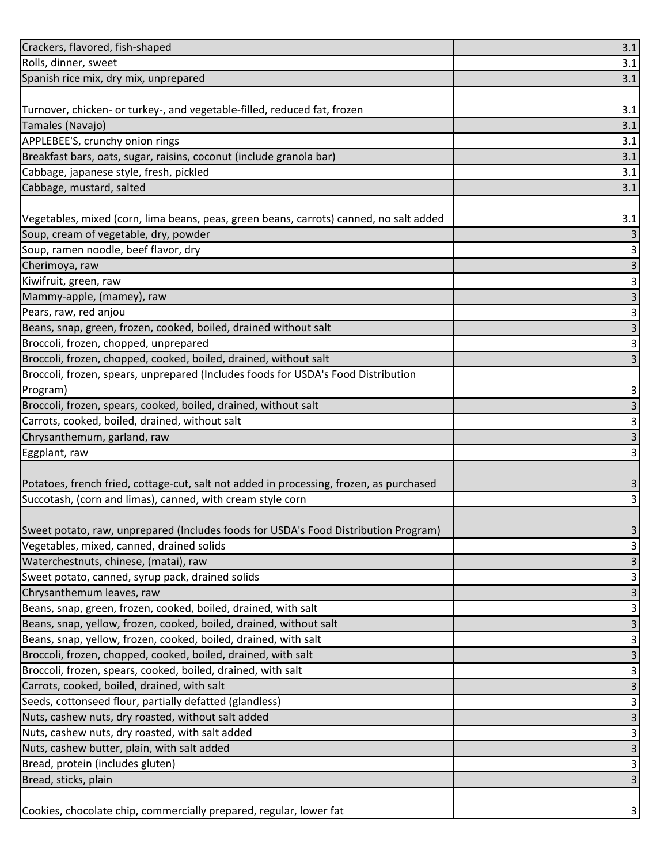| Crackers, flavored, fish-shaped                                                         | 3.1 |
|-----------------------------------------------------------------------------------------|-----|
| Rolls, dinner, sweet                                                                    | 3.1 |
| Spanish rice mix, dry mix, unprepared                                                   | 3.1 |
|                                                                                         |     |
| Turnover, chicken- or turkey-, and vegetable-filled, reduced fat, frozen                | 3.1 |
| Tamales (Navajo)                                                                        | 3.1 |
| APPLEBEE'S, crunchy onion rings                                                         | 3.1 |
| Breakfast bars, oats, sugar, raisins, coconut (include granola bar)                     | 3.1 |
| Cabbage, japanese style, fresh, pickled                                                 | 3.1 |
| Cabbage, mustard, salted                                                                | 3.1 |
|                                                                                         |     |
| Vegetables, mixed (corn, lima beans, peas, green beans, carrots) canned, no salt added  | 3.1 |
| Soup, cream of vegetable, dry, powder                                                   |     |
| Soup, ramen noodle, beef flavor, dry                                                    | 3   |
| Cherimoya, raw                                                                          | 3   |
| Kiwifruit, green, raw                                                                   | 3   |
| Mammy-apple, (mamey), raw                                                               | 3   |
| Pears, raw, red anjou                                                                   | 3   |
| Beans, snap, green, frozen, cooked, boiled, drained without salt                        | 3   |
| Broccoli, frozen, chopped, unprepared                                                   | 3   |
| Broccoli, frozen, chopped, cooked, boiled, drained, without salt                        | 3   |
| Broccoli, frozen, spears, unprepared (Includes foods for USDA's Food Distribution       |     |
| Program)                                                                                | 3   |
| Broccoli, frozen, spears, cooked, boiled, drained, without salt                         | 3   |
| Carrots, cooked, boiled, drained, without salt                                          | 3   |
| Chrysanthemum, garland, raw                                                             | 3   |
| Eggplant, raw                                                                           | 3   |
|                                                                                         |     |
| Potatoes, french fried, cottage-cut, salt not added in processing, frozen, as purchased | 3   |
| Succotash, (corn and limas), canned, with cream style corn                              | 3   |
|                                                                                         |     |
| (Sweet potato, raw, unprepared (Includes foods for USDA's Food Distribution Program)    | 3   |
| Vegetables, mixed, canned, drained solids                                               |     |
| Waterchestnuts, chinese, (matai), raw                                                   |     |
| Sweet potato, canned, syrup pack, drained solids                                        | 3   |
| Chrysanthemum leaves, raw                                                               |     |
| Beans, snap, green, frozen, cooked, boiled, drained, with salt                          |     |
| Beans, snap, yellow, frozen, cooked, boiled, drained, without salt                      | 3   |
| Beans, snap, yellow, frozen, cooked, boiled, drained, with salt                         | 3   |
| Broccoli, frozen, chopped, cooked, boiled, drained, with salt                           | 3   |
| Broccoli, frozen, spears, cooked, boiled, drained, with salt                            | 3   |
| Carrots, cooked, boiled, drained, with salt                                             |     |
| Seeds, cottonseed flour, partially defatted (glandless)                                 | 3   |
| Nuts, cashew nuts, dry roasted, without salt added                                      |     |
| Nuts, cashew nuts, dry roasted, with salt added                                         |     |
| Nuts, cashew butter, plain, with salt added                                             | 3   |
| Bread, protein (includes gluten)                                                        | 3   |
| Bread, sticks, plain                                                                    |     |
|                                                                                         |     |
|                                                                                         |     |
| Cookies, chocolate chip, commercially prepared, regular, lower fat                      |     |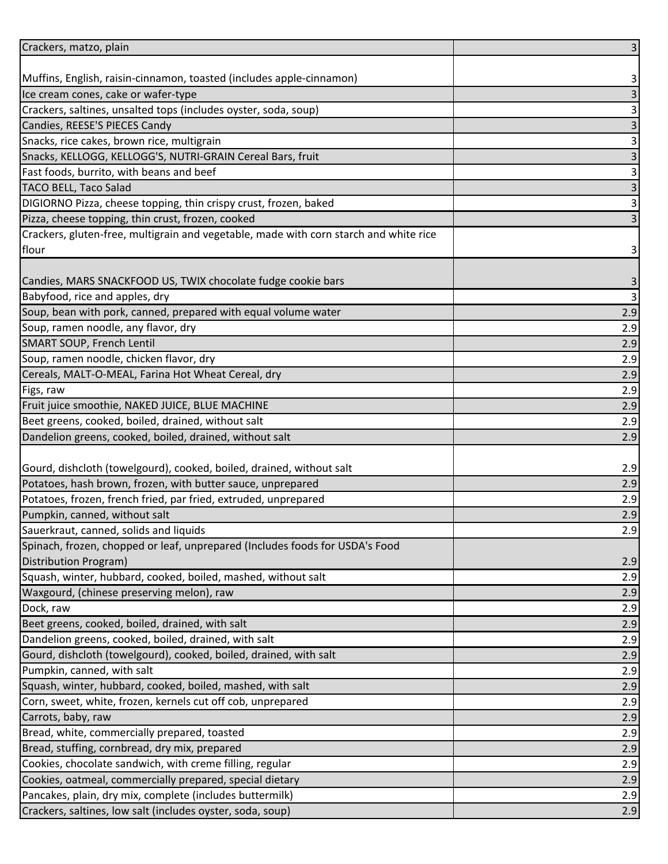| Crackers, matzo, plain                                                                | $\overline{\mathbf{3}}$ |
|---------------------------------------------------------------------------------------|-------------------------|
|                                                                                       |                         |
| Muffins, English, raisin-cinnamon, toasted (includes apple-cinnamon)                  | 3                       |
| Ice cream cones, cake or wafer-type                                                   | $\overline{3}$          |
| Crackers, saltines, unsalted tops (includes oyster, soda, soup)                       | $\mathsf 3$             |
| Candies, REESE'S PIECES Candy                                                         | $\overline{\mathbf{3}}$ |
| Snacks, rice cakes, brown rice, multigrain                                            | $\mathsf 3$             |
| Snacks, KELLOGG, KELLOGG'S, NUTRI-GRAIN Cereal Bars, fruit                            | $\overline{3}$          |
| Fast foods, burrito, with beans and beef                                              | $\mathbf{3}$            |
| <b>TACO BELL, Taco Salad</b>                                                          | $\overline{3}$          |
| DIGIORNO Pizza, cheese topping, thin crispy crust, frozen, baked                      | $\overline{3}$          |
| Pizza, cheese topping, thin crust, frozen, cooked                                     | $\mathbf{3}$            |
| Crackers, gluten-free, multigrain and vegetable, made with corn starch and white rice |                         |
| flour                                                                                 | 3                       |
|                                                                                       |                         |
| Candies, MARS SNACKFOOD US, TWIX chocolate fudge cookie bars                          | 3                       |
| Babyfood, rice and apples, dry                                                        | $\mathbf{3}$            |
| Soup, bean with pork, canned, prepared with equal volume water                        | 2.9                     |
| Soup, ramen noodle, any flavor, dry                                                   | 2.9                     |
| SMART SOUP, French Lentil                                                             | 2.9                     |
| Soup, ramen noodle, chicken flavor, dry                                               | 2.9                     |
| Cereals, MALT-O-MEAL, Farina Hot Wheat Cereal, dry                                    | 2.9                     |
| Figs, raw                                                                             | 2.9                     |
| Fruit juice smoothie, NAKED JUICE, BLUE MACHINE                                       | 2.9                     |
| Beet greens, cooked, boiled, drained, without salt                                    | 2.9                     |
| Dandelion greens, cooked, boiled, drained, without salt                               | 2.9                     |
|                                                                                       |                         |
| Gourd, dishcloth (towelgourd), cooked, boiled, drained, without salt                  | 2.9                     |
| Potatoes, hash brown, frozen, with butter sauce, unprepared                           | 2.9                     |
| Potatoes, frozen, french fried, par fried, extruded, unprepared                       | 2.9                     |
| Pumpkin, canned, without salt                                                         | 2.9                     |
| Sauerkraut, canned, solids and liquids                                                | 2.9                     |
| Spinach, frozen, chopped or leaf, unprepared (Includes foods for USDA's Food          |                         |
| Distribution Program)                                                                 | 2.9                     |
| Squash, winter, hubbard, cooked, boiled, mashed, without salt                         | 2.9                     |
| Waxgourd, (chinese preserving melon), raw                                             | 2.9                     |
| Dock, raw                                                                             | 2.9                     |
| Beet greens, cooked, boiled, drained, with salt                                       | 2.9                     |
| Dandelion greens, cooked, boiled, drained, with salt                                  | 2.9                     |
| Gourd, dishcloth (towelgourd), cooked, boiled, drained, with salt                     | 2.9                     |
| Pumpkin, canned, with salt                                                            | 2.9                     |
| Squash, winter, hubbard, cooked, boiled, mashed, with salt                            | 2.9                     |
| Corn, sweet, white, frozen, kernels cut off cob, unprepared                           | 2.9                     |
| Carrots, baby, raw                                                                    | 2.9                     |
| Bread, white, commercially prepared, toasted                                          | 2.9                     |
| Bread, stuffing, cornbread, dry mix, prepared                                         | 2.9                     |
| Cookies, chocolate sandwich, with creme filling, regular                              | 2.9                     |
| Cookies, oatmeal, commercially prepared, special dietary                              | 2.9                     |
| Pancakes, plain, dry mix, complete (includes buttermilk)                              | 2.9                     |
| Crackers, saltines, low salt (includes oyster, soda, soup)                            | 2.9                     |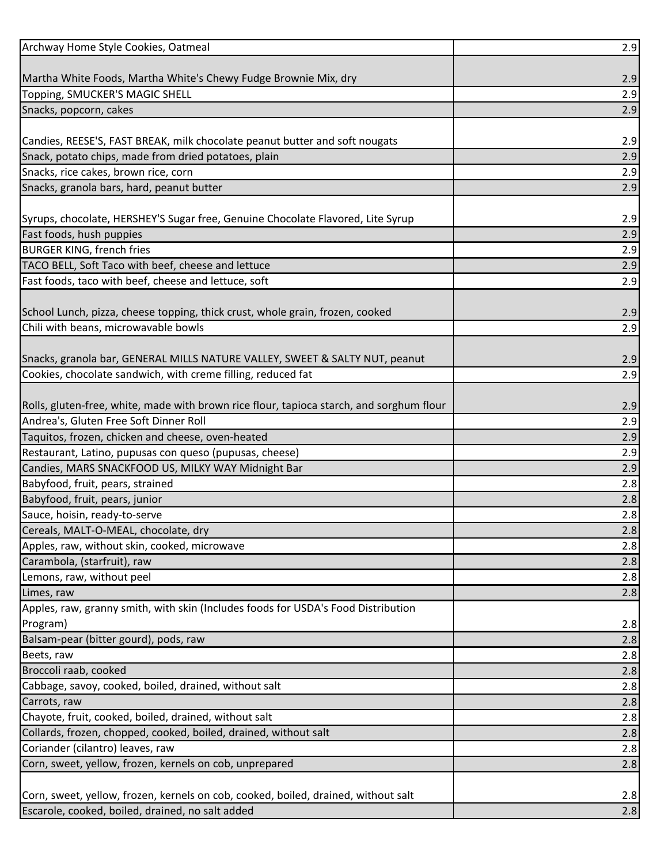| Archway Home Style Cookies, Oatmeal                                                      | 2.9        |
|------------------------------------------------------------------------------------------|------------|
|                                                                                          |            |
| Martha White Foods, Martha White's Chewy Fudge Brownie Mix, dry                          | 2.9        |
| Topping, SMUCKER'S MAGIC SHELL                                                           | 2.9        |
| Snacks, popcorn, cakes                                                                   | 2.9        |
|                                                                                          |            |
| Candies, REESE'S, FAST BREAK, milk chocolate peanut butter and soft nougats              | 2.9        |
| Snack, potato chips, made from dried potatoes, plain                                     | 2.9        |
| Snacks, rice cakes, brown rice, corn                                                     | 2.9        |
| Snacks, granola bars, hard, peanut butter                                                | 2.9        |
| Syrups, chocolate, HERSHEY'S Sugar free, Genuine Chocolate Flavored, Lite Syrup          | 2.9        |
| Fast foods, hush puppies                                                                 | 2.9        |
| <b>BURGER KING, french fries</b>                                                         | 2.9        |
| TACO BELL, Soft Taco with beef, cheese and lettuce                                       | 2.9        |
| Fast foods, taco with beef, cheese and lettuce, soft                                     | 2.9        |
|                                                                                          |            |
| School Lunch, pizza, cheese topping, thick crust, whole grain, frozen, cooked            | 2.9        |
| Chili with beans, microwavable bowls                                                     | 2.9        |
|                                                                                          |            |
| Snacks, granola bar, GENERAL MILLS NATURE VALLEY, SWEET & SALTY NUT, peanut              | 2.9        |
| Cookies, chocolate sandwich, with creme filling, reduced fat                             | 2.9        |
|                                                                                          |            |
| Rolls, gluten-free, white, made with brown rice flour, tapioca starch, and sorghum flour | 2.9        |
| Andrea's, Gluten Free Soft Dinner Roll                                                   | 2.9        |
| Taquitos, frozen, chicken and cheese, oven-heated                                        | 2.9        |
| Restaurant, Latino, pupusas con queso (pupusas, cheese)                                  | 2.9        |
| Candies, MARS SNACKFOOD US, MILKY WAY Midnight Bar                                       | 2.9        |
| Babyfood, fruit, pears, strained                                                         | 2.8        |
| Babyfood, fruit, pears, junior                                                           | 2.8        |
| Sauce, hoisin, ready-to-serve                                                            | 2.8        |
| Cereals, MALT-O-MEAL, chocolate, dry                                                     | 2.8        |
| Apples, raw, without skin, cooked, microwave                                             | 2.8        |
| Carambola, (starfruit), raw                                                              | 2.8        |
| Lemons, raw, without peel                                                                | 2.8        |
| Limes, raw                                                                               | 2.8        |
| Apples, raw, granny smith, with skin (Includes foods for USDA's Food Distribution        |            |
| Program)<br>Balsam-pear (bitter gourd), pods, raw                                        | 2.8<br>2.8 |
| Beets, raw                                                                               | 2.8        |
| Broccoli raab, cooked                                                                    | 2.8        |
| Cabbage, savoy, cooked, boiled, drained, without salt                                    | 2.8        |
| Carrots, raw                                                                             | 2.8        |
| Chayote, fruit, cooked, boiled, drained, without salt                                    | 2.8        |
| Collards, frozen, chopped, cooked, boiled, drained, without salt                         | 2.8        |
| Coriander (cilantro) leaves, raw                                                         | 2.8        |
| Corn, sweet, yellow, frozen, kernels on cob, unprepared                                  | 2.8        |
|                                                                                          |            |
| Corn, sweet, yellow, frozen, kernels on cob, cooked, boiled, drained, without salt       | 2.8        |
| Escarole, cooked, boiled, drained, no salt added                                         | 2.8        |
|                                                                                          |            |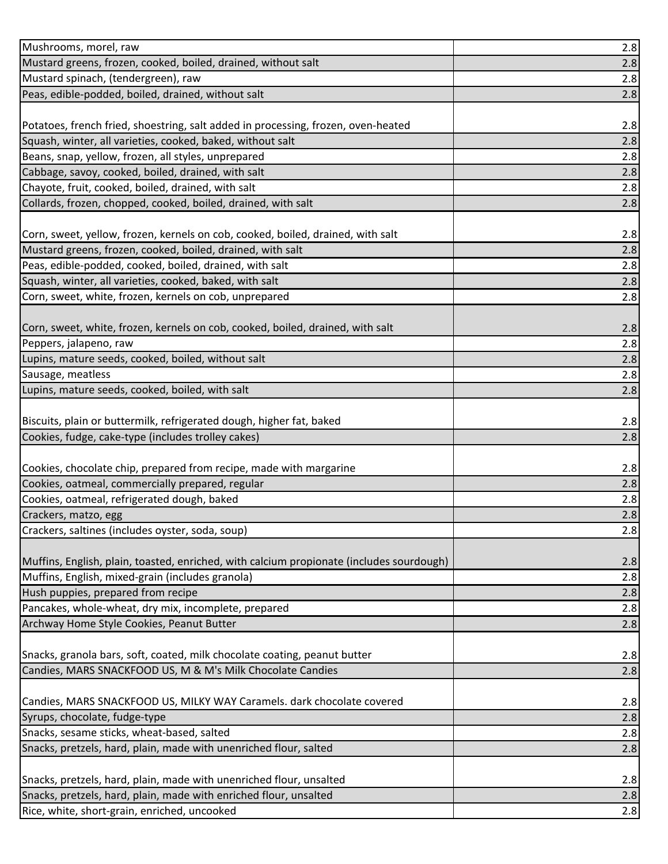| Mushrooms, morel, raw                                                                                             | 2.8        |
|-------------------------------------------------------------------------------------------------------------------|------------|
| Mustard greens, frozen, cooked, boiled, drained, without salt                                                     | 2.8        |
| Mustard spinach, (tendergreen), raw                                                                               | 2.8        |
| Peas, edible-podded, boiled, drained, without salt                                                                | 2.8        |
|                                                                                                                   |            |
| Potatoes, french fried, shoestring, salt added in processing, frozen, oven-heated                                 | 2.8        |
| Squash, winter, all varieties, cooked, baked, without salt                                                        | 2.8        |
| Beans, snap, yellow, frozen, all styles, unprepared                                                               | 2.8        |
| Cabbage, savoy, cooked, boiled, drained, with salt                                                                | 2.8        |
| Chayote, fruit, cooked, boiled, drained, with salt                                                                | 2.8        |
| Collards, frozen, chopped, cooked, boiled, drained, with salt                                                     | 2.8        |
|                                                                                                                   |            |
| Corn, sweet, yellow, frozen, kernels on cob, cooked, boiled, drained, with salt                                   | 2.8        |
| Mustard greens, frozen, cooked, boiled, drained, with salt                                                        | 2.8        |
| Peas, edible-podded, cooked, boiled, drained, with salt                                                           | 2.8        |
| Squash, winter, all varieties, cooked, baked, with salt                                                           | 2.8        |
| Corn, sweet, white, frozen, kernels on cob, unprepared                                                            | 2.8        |
|                                                                                                                   |            |
| Corn, sweet, white, frozen, kernels on cob, cooked, boiled, drained, with salt                                    | 2.8        |
| Peppers, jalapeno, raw                                                                                            | 2.8        |
| Lupins, mature seeds, cooked, boiled, without salt                                                                | 2.8        |
| Sausage, meatless                                                                                                 | 2.8        |
| Lupins, mature seeds, cooked, boiled, with salt                                                                   | 2.8        |
|                                                                                                                   |            |
| Biscuits, plain or buttermilk, refrigerated dough, higher fat, baked                                              | 2.8        |
|                                                                                                                   |            |
| Cookies, fudge, cake-type (includes trolley cakes)                                                                | 2.8        |
|                                                                                                                   |            |
| Cookies, chocolate chip, prepared from recipe, made with margarine                                                | 2.8        |
| Cookies, oatmeal, commercially prepared, regular                                                                  | 2.8        |
| Cookies, oatmeal, refrigerated dough, baked                                                                       | 2.8        |
| Crackers, matzo, egg                                                                                              | 2.8        |
| Crackers, saltines (includes oyster, soda, soup)                                                                  | 2.8        |
|                                                                                                                   |            |
| Muffins, English, plain, toasted, enriched, with calcium propionate (includes sourdough)                          | 2.8        |
| Muffins, English, mixed-grain (includes granola)                                                                  | 2.8        |
| Hush puppies, prepared from recipe                                                                                | 2.8        |
| Pancakes, whole-wheat, dry mix, incomplete, prepared                                                              | 2.8        |
| Archway Home Style Cookies, Peanut Butter                                                                         | 2.8        |
| Snacks, granola bars, soft, coated, milk chocolate coating, peanut butter                                         |            |
| Candies, MARS SNACKFOOD US, M & M's Milk Chocolate Candies                                                        | 2.8<br>2.8 |
|                                                                                                                   |            |
| Candies, MARS SNACKFOOD US, MILKY WAY Caramels. dark chocolate covered                                            | 2.8        |
| Syrups, chocolate, fudge-type                                                                                     | 2.8        |
| Snacks, sesame sticks, wheat-based, salted                                                                        | 2.8        |
| Snacks, pretzels, hard, plain, made with unenriched flour, salted                                                 | 2.8        |
|                                                                                                                   |            |
| Snacks, pretzels, hard, plain, made with unenriched flour, unsalted                                               | 2.8        |
| Snacks, pretzels, hard, plain, made with enriched flour, unsalted<br>Rice, white, short-grain, enriched, uncooked | 2.8<br>2.8 |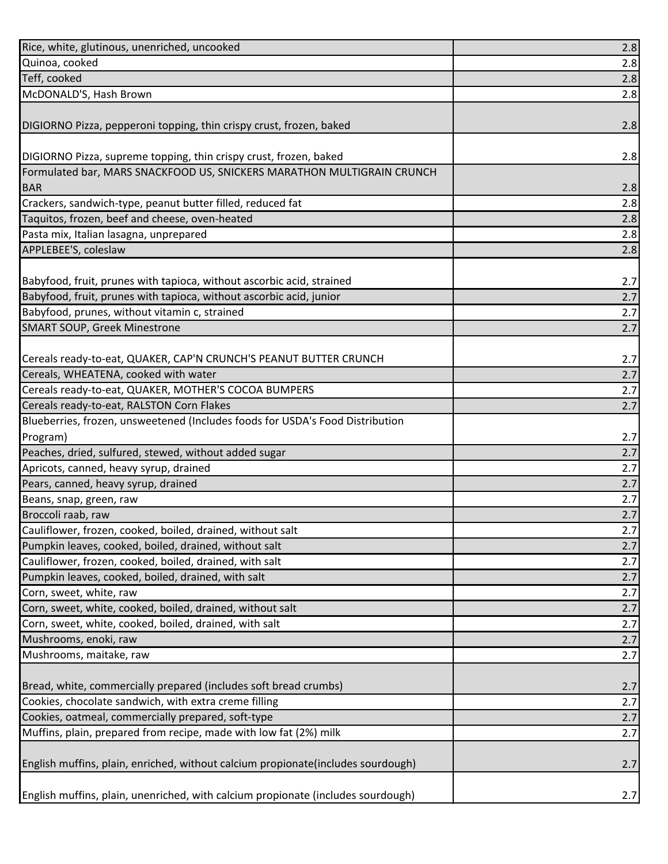| Rice, white, glutinous, unenriched, uncooked                                     | 2.8 |
|----------------------------------------------------------------------------------|-----|
| Quinoa, cooked                                                                   | 2.8 |
| Teff, cooked                                                                     | 2.8 |
| McDONALD'S, Hash Brown                                                           | 2.8 |
|                                                                                  |     |
| DIGIORNO Pizza, pepperoni topping, thin crispy crust, frozen, baked              | 2.8 |
|                                                                                  |     |
| DIGIORNO Pizza, supreme topping, thin crispy crust, frozen, baked                | 2.8 |
| Formulated bar, MARS SNACKFOOD US, SNICKERS MARATHON MULTIGRAIN CRUNCH           |     |
| <b>BAR</b>                                                                       | 2.8 |
| Crackers, sandwich-type, peanut butter filled, reduced fat                       | 2.8 |
| Taquitos, frozen, beef and cheese, oven-heated                                   | 2.8 |
| Pasta mix, Italian lasagna, unprepared                                           | 2.8 |
| APPLEBEE'S, coleslaw                                                             | 2.8 |
|                                                                                  |     |
| Babyfood, fruit, prunes with tapioca, without ascorbic acid, strained            | 2.7 |
| Babyfood, fruit, prunes with tapioca, without ascorbic acid, junior              | 2.7 |
| Babyfood, prunes, without vitamin c, strained                                    | 2.7 |
| <b>SMART SOUP, Greek Minestrone</b>                                              | 2.7 |
|                                                                                  |     |
| Cereals ready-to-eat, QUAKER, CAP'N CRUNCH'S PEANUT BUTTER CRUNCH                | 2.7 |
| Cereals, WHEATENA, cooked with water                                             | 2.7 |
| Cereals ready-to-eat, QUAKER, MOTHER'S COCOA BUMPERS                             | 2.7 |
| Cereals ready-to-eat, RALSTON Corn Flakes                                        | 2.7 |
| Blueberries, frozen, unsweetened (Includes foods for USDA's Food Distribution    |     |
| Program)                                                                         | 2.7 |
| Peaches, dried, sulfured, stewed, without added sugar                            | 2.7 |
| Apricots, canned, heavy syrup, drained                                           | 2.7 |
| Pears, canned, heavy syrup, drained                                              | 2.7 |
| Beans, snap, green, raw                                                          | 2.7 |
| Broccoli raab, raw                                                               | 2.7 |
| Cauliflower, frozen, cooked, boiled, drained, without salt                       | 2.7 |
| Pumpkin leaves, cooked, boiled, drained, without salt                            | 2.7 |
| Cauliflower, frozen, cooked, boiled, drained, with salt                          | 2.7 |
| Pumpkin leaves, cooked, boiled, drained, with salt                               | 2.7 |
| Corn, sweet, white, raw                                                          | 2.7 |
| Corn, sweet, white, cooked, boiled, drained, without salt                        | 2.7 |
| Corn, sweet, white, cooked, boiled, drained, with salt                           | 2.7 |
| Mushrooms, enoki, raw                                                            | 2.7 |
| Mushrooms, maitake, raw                                                          | 2.7 |
|                                                                                  |     |
| Bread, white, commercially prepared (includes soft bread crumbs)                 | 2.7 |
| Cookies, chocolate sandwich, with extra creme filling                            | 2.7 |
| Cookies, oatmeal, commercially prepared, soft-type                               | 2.7 |
| Muffins, plain, prepared from recipe, made with low fat (2%) milk                | 2.7 |
|                                                                                  |     |
| English muffins, plain, enriched, without calcium propionate(includes sourdough) | 2.7 |
|                                                                                  |     |
| English muffins, plain, unenriched, with calcium propionate (includes sourdough) | 2.7 |
|                                                                                  |     |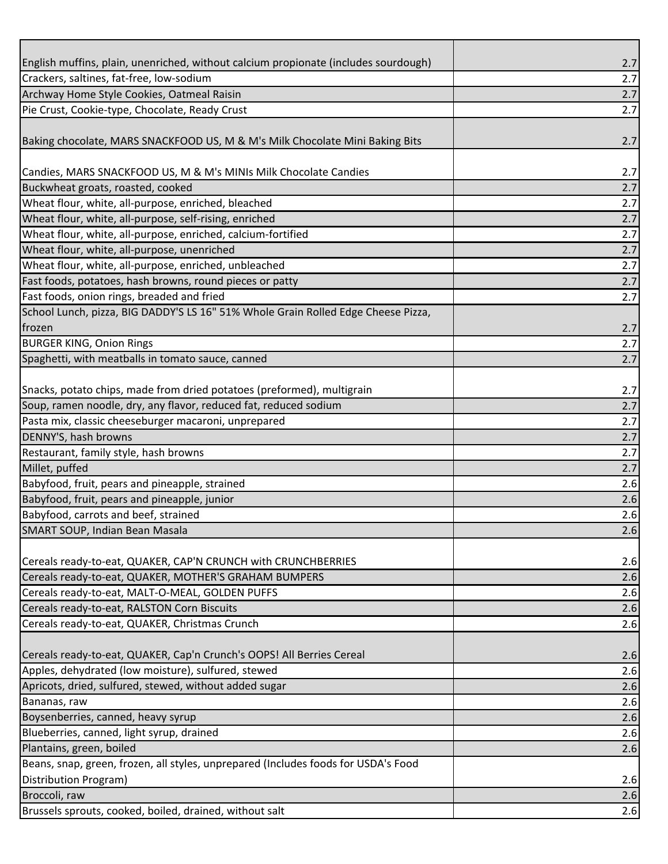| English muffins, plain, unenriched, without calcium propionate (includes sourdough) | 2.7        |
|-------------------------------------------------------------------------------------|------------|
| Crackers, saltines, fat-free, low-sodium                                            | 2.7        |
| Archway Home Style Cookies, Oatmeal Raisin                                          | 2.7        |
| Pie Crust, Cookie-type, Chocolate, Ready Crust                                      | 2.7        |
| Baking chocolate, MARS SNACKFOOD US, M & M's Milk Chocolate Mini Baking Bits        | 2.7        |
| Candies, MARS SNACKFOOD US, M & M's MINIs Milk Chocolate Candies                    | 2.7        |
| Buckwheat groats, roasted, cooked                                                   | 2.7        |
| Wheat flour, white, all-purpose, enriched, bleached                                 | 2.7        |
| Wheat flour, white, all-purpose, self-rising, enriched                              | 2.7        |
| Wheat flour, white, all-purpose, enriched, calcium-fortified                        | 2.7        |
| Wheat flour, white, all-purpose, unenriched                                         | 2.7        |
| Wheat flour, white, all-purpose, enriched, unbleached                               | 2.7        |
| Fast foods, potatoes, hash browns, round pieces or patty                            | 2.7        |
| Fast foods, onion rings, breaded and fried                                          | 2.7        |
| School Lunch, pizza, BIG DADDY'S LS 16" 51% Whole Grain Rolled Edge Cheese Pizza,   |            |
| frozen                                                                              | 2.7        |
| <b>BURGER KING, Onion Rings</b>                                                     | 2.7        |
| Spaghetti, with meatballs in tomato sauce, canned                                   | 2.7        |
|                                                                                     |            |
| Snacks, potato chips, made from dried potatoes (preformed), multigrain              | 2.7        |
| Soup, ramen noodle, dry, any flavor, reduced fat, reduced sodium                    | 2.7        |
| Pasta mix, classic cheeseburger macaroni, unprepared                                | 2.7        |
| DENNY'S, hash browns                                                                | 2.7        |
| Restaurant, family style, hash browns                                               | 2.7        |
| Millet, puffed                                                                      | 2.7        |
| Babyfood, fruit, pears and pineapple, strained                                      | 2.6        |
| Babyfood, fruit, pears and pineapple, junior                                        | 2.6        |
| Babyfood, carrots and beef, strained                                                | 2.6        |
| SMART SOUP, Indian Bean Masala                                                      | 2.6        |
| Cereals ready-to-eat, QUAKER, CAP'N CRUNCH with CRUNCHBERRIES                       | 2.6        |
| Cereals ready-to-eat, QUAKER, MOTHER'S GRAHAM BUMPERS                               | 2.6        |
| Cereals ready-to-eat, MALT-O-MEAL, GOLDEN PUFFS                                     | 2.6        |
| Cereals ready-to-eat, RALSTON Corn Biscuits                                         | 2.6        |
| Cereals ready-to-eat, QUAKER, Christmas Crunch                                      | 2.6        |
| Cereals ready-to-eat, QUAKER, Cap'n Crunch's OOPS! All Berries Cereal               |            |
| Apples, dehydrated (low moisture), sulfured, stewed                                 | 2.6<br>2.6 |
| Apricots, dried, sulfured, stewed, without added sugar                              |            |
| Bananas, raw                                                                        | 2.6<br>2.6 |
|                                                                                     |            |
| Boysenberries, canned, heavy syrup                                                  | 2.6        |
| Blueberries, canned, light syrup, drained                                           | 2.6        |
| Plantains, green, boiled                                                            | 2.6        |
| Beans, snap, green, frozen, all styles, unprepared (Includes foods for USDA's Food  |            |
| Distribution Program)                                                               | 2.6        |
| Broccoli, raw                                                                       | 2.6        |
| Brussels sprouts, cooked, boiled, drained, without salt                             | 2.6        |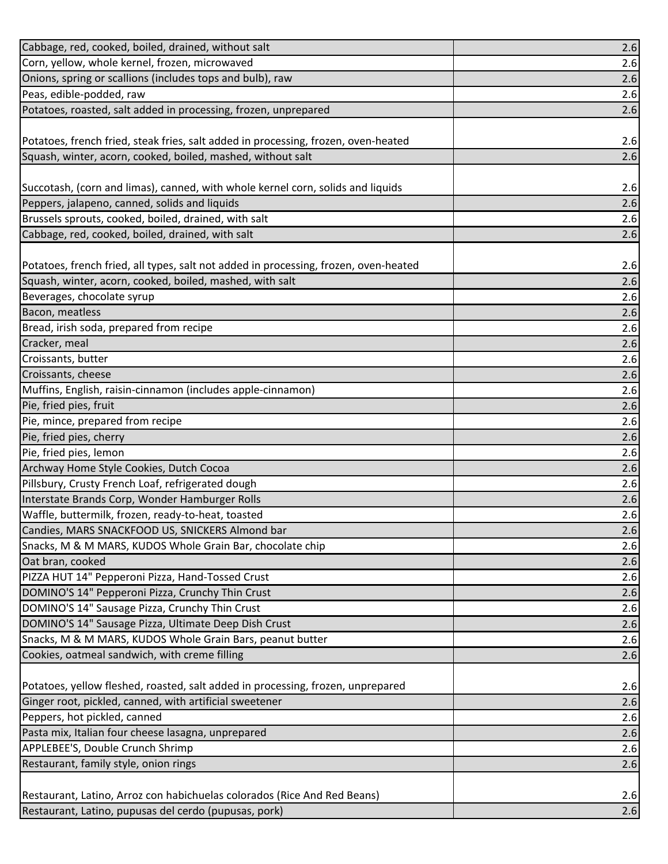| Cabbage, red, cooked, boiled, drained, without salt                                  | 2.6 |
|--------------------------------------------------------------------------------------|-----|
| Corn, yellow, whole kernel, frozen, microwaved                                       | 2.6 |
| Onions, spring or scallions (includes tops and bulb), raw                            | 2.6 |
| Peas, edible-podded, raw                                                             | 2.6 |
| Potatoes, roasted, salt added in processing, frozen, unprepared                      | 2.6 |
|                                                                                      |     |
| Potatoes, french fried, steak fries, salt added in processing, frozen, oven-heated   | 2.6 |
| Squash, winter, acorn, cooked, boiled, mashed, without salt                          | 2.6 |
|                                                                                      |     |
| Succotash, (corn and limas), canned, with whole kernel corn, solids and liquids      | 2.6 |
| Peppers, jalapeno, canned, solids and liquids                                        | 2.6 |
| Brussels sprouts, cooked, boiled, drained, with salt                                 | 2.6 |
| Cabbage, red, cooked, boiled, drained, with salt                                     | 2.6 |
|                                                                                      |     |
| Potatoes, french fried, all types, salt not added in processing, frozen, oven-heated | 2.6 |
| Squash, winter, acorn, cooked, boiled, mashed, with salt                             | 2.6 |
| Beverages, chocolate syrup                                                           | 2.6 |
| Bacon, meatless                                                                      | 2.6 |
| Bread, irish soda, prepared from recipe                                              | 2.6 |
| Cracker, meal                                                                        | 2.6 |
| Croissants, butter                                                                   | 2.6 |
| Croissants, cheese                                                                   | 2.6 |
| Muffins, English, raisin-cinnamon (includes apple-cinnamon)                          | 2.6 |
| Pie, fried pies, fruit                                                               | 2.6 |
| Pie, mince, prepared from recipe                                                     | 2.6 |
| Pie, fried pies, cherry                                                              | 2.6 |
| Pie, fried pies, lemon                                                               | 2.6 |
| Archway Home Style Cookies, Dutch Cocoa                                              | 2.6 |
| Pillsbury, Crusty French Loaf, refrigerated dough                                    | 2.6 |
| Interstate Brands Corp, Wonder Hamburger Rolls                                       | 2.6 |
| Waffle, buttermilk, frozen, ready-to-heat, toasted                                   | 2.6 |
| Candies, MARS SNACKFOOD US, SNICKERS Almond bar                                      | 2.6 |
| Snacks, M & M MARS, KUDOS Whole Grain Bar, chocolate chip                            | 2.6 |
| Oat bran, cooked                                                                     | 2.6 |
| PIZZA HUT 14" Pepperoni Pizza, Hand-Tossed Crust                                     | 2.6 |
| DOMINO'S 14" Pepperoni Pizza, Crunchy Thin Crust                                     | 2.6 |
| DOMINO'S 14" Sausage Pizza, Crunchy Thin Crust                                       | 2.6 |
| DOMINO'S 14" Sausage Pizza, Ultimate Deep Dish Crust                                 | 2.6 |
| Snacks, M & M MARS, KUDOS Whole Grain Bars, peanut butter                            | 2.6 |
| Cookies, oatmeal sandwich, with creme filling                                        | 2.6 |
| Potatoes, yellow fleshed, roasted, salt added in processing, frozen, unprepared      | 2.6 |
| Ginger root, pickled, canned, with artificial sweetener                              | 2.6 |
| Peppers, hot pickled, canned                                                         | 2.6 |
| Pasta mix, Italian four cheese lasagna, unprepared                                   | 2.6 |
| APPLEBEE'S, Double Crunch Shrimp                                                     | 2.6 |
| Restaurant, family style, onion rings                                                | 2.6 |
|                                                                                      |     |
| Restaurant, Latino, Arroz con habichuelas colorados (Rice And Red Beans)             | 2.6 |
| Restaurant, Latino, pupusas del cerdo (pupusas, pork)                                | 2.6 |
|                                                                                      |     |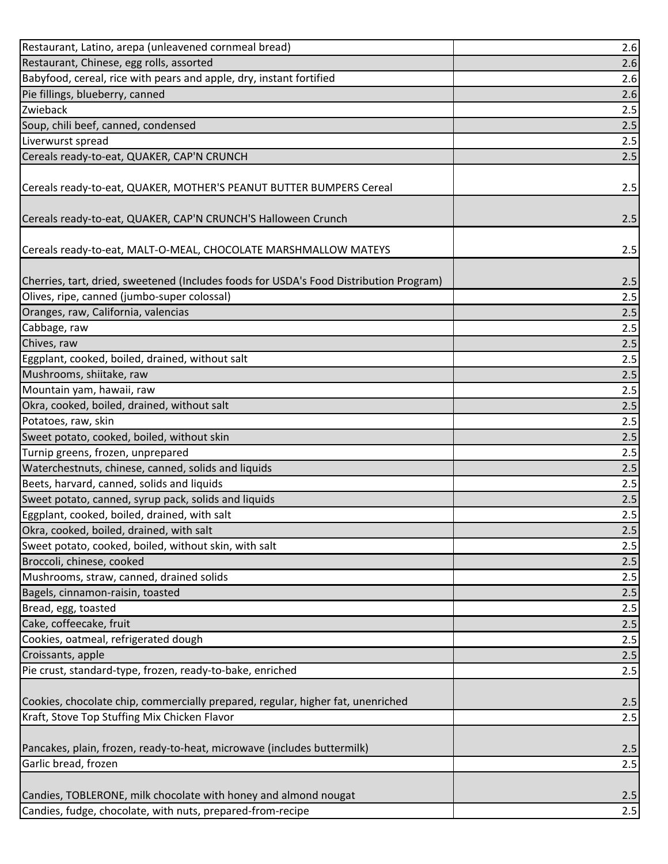| Restaurant, Latino, arepa (unleavened cornmeal bread)                                  | 2.6   |
|----------------------------------------------------------------------------------------|-------|
| Restaurant, Chinese, egg rolls, assorted                                               | 2.6   |
| Babyfood, cereal, rice with pears and apple, dry, instant fortified                    | 2.6   |
| Pie fillings, blueberry, canned                                                        | 2.6   |
| Zwieback                                                                               | 2.5   |
| Soup, chili beef, canned, condensed                                                    | 2.5   |
| Liverwurst spread                                                                      | 2.5   |
| Cereals ready-to-eat, QUAKER, CAP'N CRUNCH                                             | 2.5   |
| Cereals ready-to-eat, QUAKER, MOTHER'S PEANUT BUTTER BUMPERS Cereal                    | 2.5   |
| Cereals ready-to-eat, QUAKER, CAP'N CRUNCH'S Halloween Crunch                          | 2.5   |
| Cereals ready-to-eat, MALT-O-MEAL, CHOCOLATE MARSHMALLOW MATEYS                        | 2.5   |
| Cherries, tart, dried, sweetened (Includes foods for USDA's Food Distribution Program) | 2.5   |
| Olives, ripe, canned (jumbo-super colossal)                                            | 2.5   |
| Oranges, raw, California, valencias                                                    | 2.5   |
| Cabbage, raw                                                                           | 2.5   |
| Chives, raw                                                                            | 2.5   |
| Eggplant, cooked, boiled, drained, without salt                                        | 2.5   |
| Mushrooms, shiitake, raw                                                               | 2.5   |
| Mountain yam, hawaii, raw                                                              | 2.5   |
| Okra, cooked, boiled, drained, without salt                                            | 2.5   |
| Potatoes, raw, skin                                                                    | 2.5   |
| Sweet potato, cooked, boiled, without skin                                             | $2.5$ |
| Turnip greens, frozen, unprepared                                                      | 2.5   |
| Waterchestnuts, chinese, canned, solids and liquids                                    | 2.5   |
| Beets, harvard, canned, solids and liquids                                             | 2.5   |
| Sweet potato, canned, syrup pack, solids and liquids                                   | $2.5$ |
| Eggplant, cooked, boiled, drained, with salt                                           | 2.5   |
| Okra, cooked, boiled, drained, with salt                                               | 2.5   |
| Sweet potato, cooked, boiled, without skin, with salt                                  | 2.5   |
| Broccoli, chinese, cooked                                                              | 2.5   |
| Mushrooms, straw, canned, drained solids                                               | 2.5   |
| Bagels, cinnamon-raisin, toasted                                                       | 2.5   |
| Bread, egg, toasted                                                                    | 2.5   |
| Cake, coffeecake, fruit                                                                | 2.5   |
| Cookies, oatmeal, refrigerated dough                                                   | 2.5   |
| Croissants, apple                                                                      | 2.5   |
| Pie crust, standard-type, frozen, ready-to-bake, enriched                              | 2.5   |
| Cookies, chocolate chip, commercially prepared, regular, higher fat, unenriched        | 2.5   |
| Kraft, Stove Top Stuffing Mix Chicken Flavor                                           | 2.5   |
| Pancakes, plain, frozen, ready-to-heat, microwave (includes buttermilk)                | 2.5   |
| Garlic bread, frozen                                                                   | 2.5   |
| Candies, TOBLERONE, milk chocolate with honey and almond nougat                        | 2.5   |
| Candies, fudge, chocolate, with nuts, prepared-from-recipe                             | 2.5   |
|                                                                                        |       |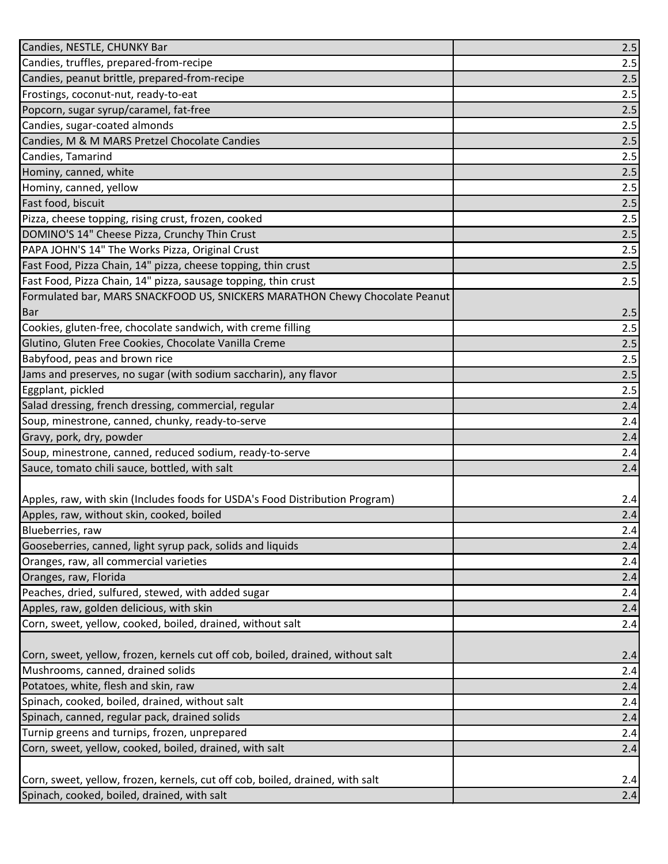| Candies, NESTLE, CHUNKY Bar                                                     | 2.5 |
|---------------------------------------------------------------------------------|-----|
| Candies, truffles, prepared-from-recipe                                         | 2.5 |
| Candies, peanut brittle, prepared-from-recipe                                   | 2.5 |
| Frostings, coconut-nut, ready-to-eat                                            | 2.5 |
| Popcorn, sugar syrup/caramel, fat-free                                          | 2.5 |
| Candies, sugar-coated almonds                                                   | 2.5 |
| Candies, M & M MARS Pretzel Chocolate Candies                                   | 2.5 |
| Candies, Tamarind                                                               | 2.5 |
| Hominy, canned, white                                                           | 2.5 |
| Hominy, canned, yellow                                                          | 2.5 |
| Fast food, biscuit                                                              | 2.5 |
| Pizza, cheese topping, rising crust, frozen, cooked                             | 2.5 |
| DOMINO'S 14" Cheese Pizza, Crunchy Thin Crust                                   | 2.5 |
| PAPA JOHN'S 14" The Works Pizza, Original Crust                                 | 2.5 |
| Fast Food, Pizza Chain, 14" pizza, cheese topping, thin crust                   | 2.5 |
| Fast Food, Pizza Chain, 14" pizza, sausage topping, thin crust                  | 2.5 |
| Formulated bar, MARS SNACKFOOD US, SNICKERS MARATHON Chewy Chocolate Peanut     |     |
| <b>Bar</b>                                                                      | 2.5 |
| Cookies, gluten-free, chocolate sandwich, with creme filling                    | 2.5 |
| Glutino, Gluten Free Cookies, Chocolate Vanilla Creme                           | 2.5 |
| Babyfood, peas and brown rice                                                   | 2.5 |
| Jams and preserves, no sugar (with sodium saccharin), any flavor                | 2.5 |
| Eggplant, pickled                                                               | 2.5 |
| Salad dressing, french dressing, commercial, regular                            | 2.4 |
| Soup, minestrone, canned, chunky, ready-to-serve                                | 2.4 |
| Gravy, pork, dry, powder                                                        | 2.4 |
| Soup, minestrone, canned, reduced sodium, ready-to-serve                        | 2.4 |
| Sauce, tomato chili sauce, bottled, with salt                                   | 2.4 |
|                                                                                 |     |
| Apples, raw, with skin (Includes foods for USDA's Food Distribution Program)    | 2.4 |
| Apples, raw, without skin, cooked, boiled                                       | 2.4 |
| Blueberries, raw                                                                | 2.4 |
| Gooseberries, canned, light syrup pack, solids and liquids                      | 2.4 |
| Oranges, raw, all commercial varieties                                          | 2.4 |
| Oranges, raw, Florida                                                           | 2.4 |
| Peaches, dried, sulfured, stewed, with added sugar                              | 2.4 |
| Apples, raw, golden delicious, with skin                                        | 2.4 |
| Corn, sweet, yellow, cooked, boiled, drained, without salt                      | 2.4 |
| Corn, sweet, yellow, frozen, kernels cut off cob, boiled, drained, without salt | 2.4 |
| Mushrooms, canned, drained solids                                               | 2.4 |
| Potatoes, white, flesh and skin, raw                                            | 2.4 |
| Spinach, cooked, boiled, drained, without salt                                  | 2.4 |
| Spinach, canned, regular pack, drained solids                                   | 2.4 |
| Turnip greens and turnips, frozen, unprepared                                   | 2.4 |
| Corn, sweet, yellow, cooked, boiled, drained, with salt                         | 2.4 |
|                                                                                 |     |
| Corn, sweet, yellow, frozen, kernels, cut off cob, boiled, drained, with salt   | 2.4 |
| Spinach, cooked, boiled, drained, with salt                                     | 2.4 |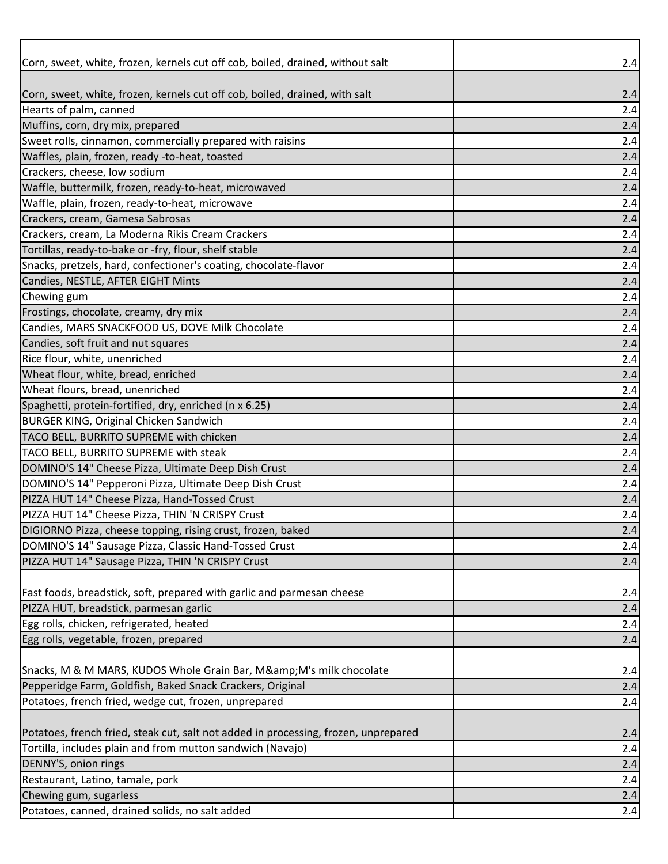| Corn, sweet, white, frozen, kernels cut off cob, boiled, drained, without salt      | 2.4   |
|-------------------------------------------------------------------------------------|-------|
|                                                                                     |       |
| Corn, sweet, white, frozen, kernels cut off cob, boiled, drained, with salt         | 2.4   |
| Hearts of palm, canned                                                              | 2.4   |
| Muffins, corn, dry mix, prepared                                                    | 2.4   |
| Sweet rolls, cinnamon, commercially prepared with raisins                           | 2.4   |
| Waffles, plain, frozen, ready -to-heat, toasted                                     | 2.4   |
| Crackers, cheese, low sodium                                                        | 2.4   |
| Waffle, buttermilk, frozen, ready-to-heat, microwaved                               | 2.4   |
| Waffle, plain, frozen, ready-to-heat, microwave                                     | 2.4   |
| Crackers, cream, Gamesa Sabrosas                                                    | 2.4   |
| Crackers, cream, La Moderna Rikis Cream Crackers                                    | 2.4   |
| Tortillas, ready-to-bake or -fry, flour, shelf stable                               | 2.4   |
| Snacks, pretzels, hard, confectioner's coating, chocolate-flavor                    | 2.4   |
| Candies, NESTLE, AFTER EIGHT Mints                                                  | 2.4   |
| Chewing gum                                                                         | 2.4   |
| Frostings, chocolate, creamy, dry mix                                               | 2.4   |
| Candies, MARS SNACKFOOD US, DOVE Milk Chocolate                                     | 2.4   |
| Candies, soft fruit and nut squares                                                 | 2.4   |
| Rice flour, white, unenriched                                                       | 2.4   |
| Wheat flour, white, bread, enriched                                                 | 2.4   |
| Wheat flours, bread, unenriched                                                     | 2.4   |
| Spaghetti, protein-fortified, dry, enriched (n x 6.25)                              | 2.4   |
| <b>BURGER KING, Original Chicken Sandwich</b>                                       | 2.4   |
| TACO BELL, BURRITO SUPREME with chicken                                             | 2.4   |
| TACO BELL, BURRITO SUPREME with steak                                               | 2.4   |
| DOMINO'S 14" Cheese Pizza, Ultimate Deep Dish Crust                                 | 2.4   |
| DOMINO'S 14" Pepperoni Pizza, Ultimate Deep Dish Crust                              | 2.4   |
| PIZZA HUT 14" Cheese Pizza, Hand-Tossed Crust                                       | 2.4   |
| PIZZA HUT 14" Cheese Pizza, THIN 'N CRISPY Crust                                    | 2.4   |
| DIGIORNO Pizza, cheese topping, rising crust, frozen, baked                         | 2.4   |
| DOMINO'S 14" Sausage Pizza, Classic Hand-Tossed Crust                               | $2.4$ |
| PIZZA HUT 14" Sausage Pizza, THIN 'N CRISPY Crust                                   | 2.4   |
|                                                                                     |       |
| Fast foods, breadstick, soft, prepared with garlic and parmesan cheese              | 2.4   |
| PIZZA HUT, breadstick, parmesan garlic                                              | 2.4   |
| Egg rolls, chicken, refrigerated, heated                                            | 2.4   |
| Egg rolls, vegetable, frozen, prepared                                              | 2.4   |
| Snacks, M & M MARS, KUDOS Whole Grain Bar, M& M's milk chocolate                    | 2.4   |
| Pepperidge Farm, Goldfish, Baked Snack Crackers, Original                           | 2.4   |
| Potatoes, french fried, wedge cut, frozen, unprepared                               | 2.4   |
| Potatoes, french fried, steak cut, salt not added in processing, frozen, unprepared | 2.4   |
| Tortilla, includes plain and from mutton sandwich (Navajo)                          | 2.4   |
| DENNY'S, onion rings                                                                | 2.4   |
| Restaurant, Latino, tamale, pork                                                    | 2.4   |
| Chewing gum, sugarless                                                              | 2.4   |
| Potatoes, canned, drained solids, no salt added                                     | $2.4$ |
|                                                                                     |       |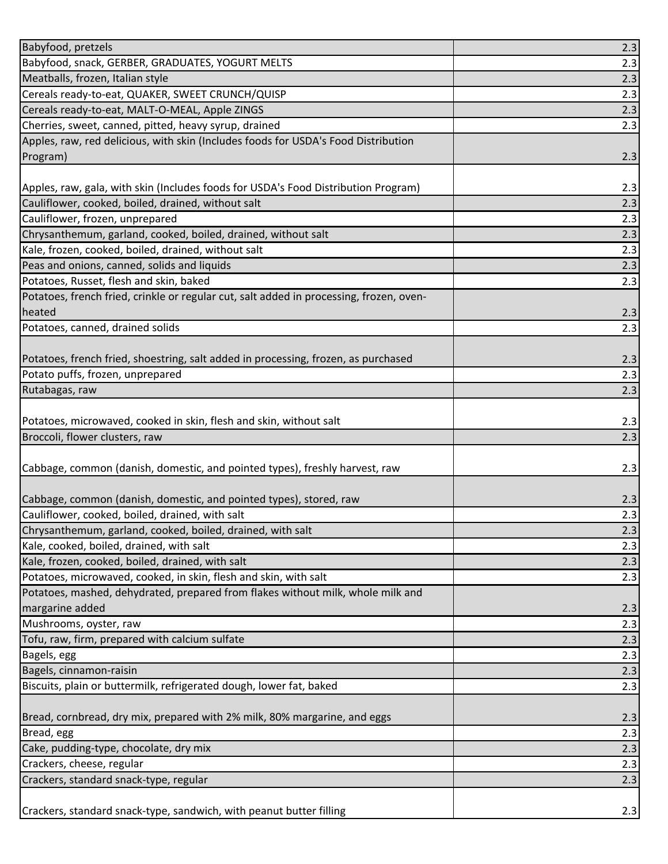| Babyfood, pretzels                                                                             | 2.3 |
|------------------------------------------------------------------------------------------------|-----|
| Babyfood, snack, GERBER, GRADUATES, YOGURT MELTS                                               | 2.3 |
| Meatballs, frozen, Italian style                                                               | 2.3 |
| Cereals ready-to-eat, QUAKER, SWEET CRUNCH/QUISP                                               | 2.3 |
| Cereals ready-to-eat, MALT-O-MEAL, Apple ZINGS                                                 | 2.3 |
| Cherries, sweet, canned, pitted, heavy syrup, drained                                          | 2.3 |
| Apples, raw, red delicious, with skin (Includes foods for USDA's Food Distribution             |     |
| Program)                                                                                       | 2.3 |
|                                                                                                |     |
| Apples, raw, gala, with skin (Includes foods for USDA's Food Distribution Program)             | 2.3 |
| Cauliflower, cooked, boiled, drained, without salt                                             | 2.3 |
| Cauliflower, frozen, unprepared                                                                | 2.3 |
| Chrysanthemum, garland, cooked, boiled, drained, without salt                                  | 2.3 |
| Kale, frozen, cooked, boiled, drained, without salt                                            | 2.3 |
| Peas and onions, canned, solids and liquids                                                    | 2.3 |
| Potatoes, Russet, flesh and skin, baked                                                        | 2.3 |
| Potatoes, french fried, crinkle or regular cut, salt added in processing, frozen, oven-        |     |
| heated                                                                                         | 2.3 |
| Potatoes, canned, drained solids                                                               | 2.3 |
|                                                                                                |     |
| Potatoes, french fried, shoestring, salt added in processing, frozen, as purchased             | 2.3 |
| Potato puffs, frozen, unprepared                                                               | 2.3 |
| Rutabagas, raw                                                                                 | 2.3 |
|                                                                                                |     |
| Potatoes, microwaved, cooked in skin, flesh and skin, without salt                             | 2.3 |
|                                                                                                |     |
| Broccoli, flower clusters, raw                                                                 | 2.3 |
|                                                                                                |     |
| Cabbage, common (danish, domestic, and pointed types), freshly harvest, raw                    | 2.3 |
|                                                                                                |     |
| Cabbage, common (danish, domestic, and pointed types), stored, raw                             | 2.3 |
| Cauliflower, cooked, boiled, drained, with salt                                                | 2.3 |
| Chrysanthemum, garland, cooked, boiled, drained, with salt                                     | 2.3 |
| Kale, cooked, boiled, drained, with salt                                                       | 2.3 |
| Kale, frozen, cooked, boiled, drained, with salt                                               | 2.3 |
| Potatoes, microwaved, cooked, in skin, flesh and skin, with salt                               | 2.3 |
| Potatoes, mashed, dehydrated, prepared from flakes without milk, whole milk and                |     |
| margarine added                                                                                | 2.3 |
| Mushrooms, oyster, raw                                                                         | 2.3 |
| Tofu, raw, firm, prepared with calcium sulfate                                                 | 2.3 |
| Bagels, egg                                                                                    | 2.3 |
|                                                                                                | 2.3 |
| Bagels, cinnamon-raisin<br>Biscuits, plain or buttermilk, refrigerated dough, lower fat, baked | 2.3 |
|                                                                                                |     |
| Bread, cornbread, dry mix, prepared with 2% milk, 80% margarine, and eggs                      | 2.3 |
| Bread, egg                                                                                     | 2.3 |
|                                                                                                | 2.3 |
| Cake, pudding-type, chocolate, dry mix<br>Crackers, cheese, regular                            | 2.3 |
| Crackers, standard snack-type, regular                                                         | 2.3 |
| Crackers, standard snack-type, sandwich, with peanut butter filling                            | 2.3 |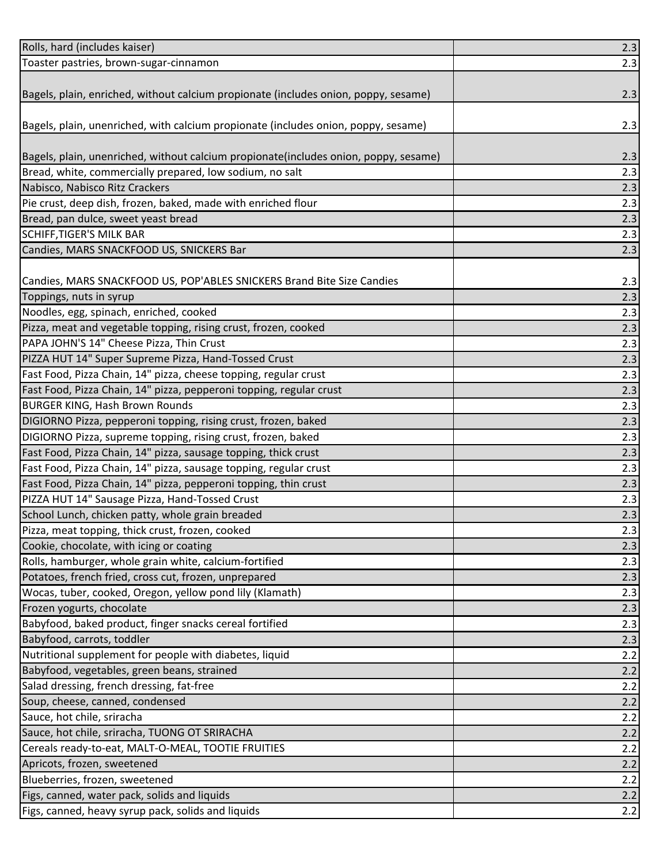| Rolls, hard (includes kaiser)                                                        | 2.3 |
|--------------------------------------------------------------------------------------|-----|
| Toaster pastries, brown-sugar-cinnamon                                               | 2.3 |
|                                                                                      |     |
| Bagels, plain, enriched, without calcium propionate (includes onion, poppy, sesame)  | 2.3 |
|                                                                                      |     |
| Bagels, plain, unenriched, with calcium propionate (includes onion, poppy, sesame)   | 2.3 |
|                                                                                      |     |
| Bagels, plain, unenriched, without calcium propionate(includes onion, poppy, sesame) | 2.3 |
| Bread, white, commercially prepared, low sodium, no salt                             | 2.3 |
| Nabisco, Nabisco Ritz Crackers                                                       | 2.3 |
| Pie crust, deep dish, frozen, baked, made with enriched flour                        | 2.3 |
| Bread, pan dulce, sweet yeast bread                                                  | 2.3 |
| <b>SCHIFF, TIGER'S MILK BAR</b>                                                      | 2.3 |
| Candies, MARS SNACKFOOD US, SNICKERS Bar                                             | 2.3 |
|                                                                                      |     |
| Candies, MARS SNACKFOOD US, POP'ABLES SNICKERS Brand Bite Size Candies               | 2.3 |
| Toppings, nuts in syrup                                                              | 2.3 |
| Noodles, egg, spinach, enriched, cooked                                              | 2.3 |
| Pizza, meat and vegetable topping, rising crust, frozen, cooked                      | 2.3 |
| PAPA JOHN'S 14" Cheese Pizza, Thin Crust                                             | 2.3 |
| PIZZA HUT 14" Super Supreme Pizza, Hand-Tossed Crust                                 | 2.3 |
| Fast Food, Pizza Chain, 14" pizza, cheese topping, regular crust                     | 2.3 |
| Fast Food, Pizza Chain, 14" pizza, pepperoni topping, regular crust                  | 2.3 |
| <b>BURGER KING, Hash Brown Rounds</b>                                                | 2.3 |
| DIGIORNO Pizza, pepperoni topping, rising crust, frozen, baked                       | 2.3 |
| DIGIORNO Pizza, supreme topping, rising crust, frozen, baked                         | 2.3 |
| Fast Food, Pizza Chain, 14" pizza, sausage topping, thick crust                      | 2.3 |
| Fast Food, Pizza Chain, 14" pizza, sausage topping, regular crust                    | 2.3 |
| Fast Food, Pizza Chain, 14" pizza, pepperoni topping, thin crust                     | 2.3 |
| PIZZA HUT 14" Sausage Pizza, Hand-Tossed Crust                                       | 2.3 |
| School Lunch, chicken patty, whole grain breaded                                     | 2.3 |
| Pizza, meat topping, thick crust, frozen, cooked                                     | 2.3 |
| Cookie, chocolate, with icing or coating                                             | 2.3 |
| Rolls, hamburger, whole grain white, calcium-fortified                               | 2.3 |
| Potatoes, french fried, cross cut, frozen, unprepared                                | 2.3 |
| Wocas, tuber, cooked, Oregon, yellow pond lily (Klamath)                             | 2.3 |
| Frozen yogurts, chocolate                                                            | 2.3 |
| Babyfood, baked product, finger snacks cereal fortified                              | 2.3 |
| Babyfood, carrots, toddler                                                           | 2.3 |
| Nutritional supplement for people with diabetes, liquid                              | 2.2 |
| Babyfood, vegetables, green beans, strained                                          | 2.2 |
| Salad dressing, french dressing, fat-free                                            | 2.2 |
| Soup, cheese, canned, condensed                                                      | 2.2 |
| Sauce, hot chile, sriracha                                                           | 2.2 |
| Sauce, hot chile, sriracha, TUONG OT SRIRACHA                                        | 2.2 |
| Cereals ready-to-eat, MALT-O-MEAL, TOOTIE FRUITIES                                   | 2.2 |
| Apricots, frozen, sweetened                                                          | 2.2 |
| Blueberries, frozen, sweetened                                                       | 2.2 |
| Figs, canned, water pack, solids and liquids                                         | 2.2 |
| Figs, canned, heavy syrup pack, solids and liquids                                   | 2.2 |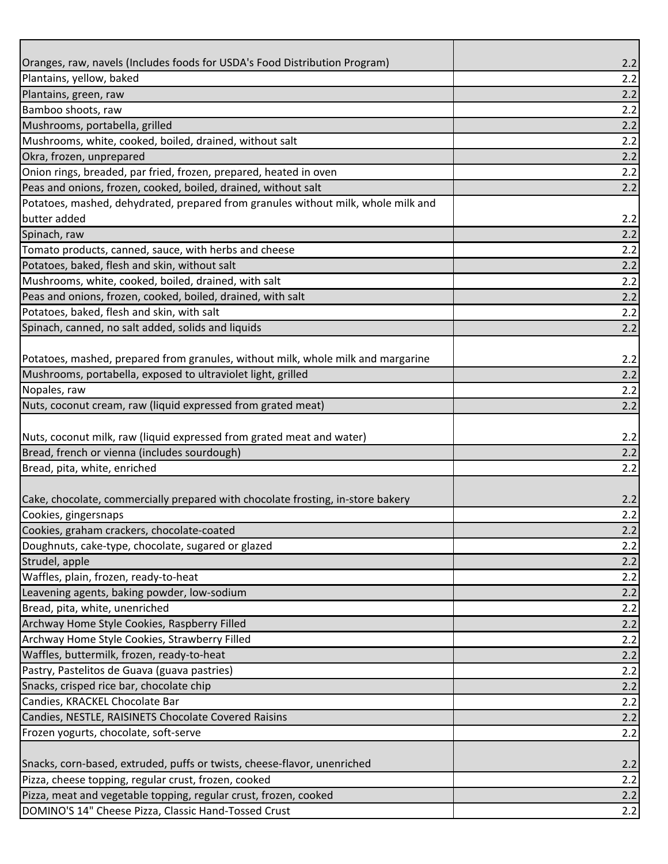| Plantains, yellow, baked<br>2.2<br>Plantains, green, raw<br>2.2<br>Bamboo shoots, raw<br>2.2<br>2.2<br>Mushrooms, portabella, grilled<br>Mushrooms, white, cooked, boiled, drained, without salt<br>2.2<br>Okra, frozen, unprepared<br>2.2<br>Onion rings, breaded, par fried, frozen, prepared, heated in oven<br>2.2<br>2.2<br>Potatoes, mashed, dehydrated, prepared from granules without milk, whole milk and<br>butter added<br>2.2<br>2.2<br>2.2<br>2.2<br>2.2<br>2.2<br>2.2<br>2.2<br>2.2<br>2.2<br>2.2<br>2.2<br>2.2<br>2.2<br>2.2<br>2.2<br>2.2<br>2.2<br>2.2<br>2.2<br>2.2<br>2.2<br>2.2<br>2.2<br>2.2<br>2.2<br>2.2<br>2.2<br>2.2<br>2.2<br>2.2<br>2.2<br>2.2<br>2.2<br>2.2 |                                                                                  |     |
|-----------------------------------------------------------------------------------------------------------------------------------------------------------------------------------------------------------------------------------------------------------------------------------------------------------------------------------------------------------------------------------------------------------------------------------------------------------------------------------------------------------------------------------------------------------------------------------------------------------------------------------------------------------------------------------------|----------------------------------------------------------------------------------|-----|
|                                                                                                                                                                                                                                                                                                                                                                                                                                                                                                                                                                                                                                                                                         | Oranges, raw, navels (Includes foods for USDA's Food Distribution Program)       | 2.2 |
|                                                                                                                                                                                                                                                                                                                                                                                                                                                                                                                                                                                                                                                                                         |                                                                                  |     |
|                                                                                                                                                                                                                                                                                                                                                                                                                                                                                                                                                                                                                                                                                         |                                                                                  |     |
|                                                                                                                                                                                                                                                                                                                                                                                                                                                                                                                                                                                                                                                                                         |                                                                                  |     |
|                                                                                                                                                                                                                                                                                                                                                                                                                                                                                                                                                                                                                                                                                         |                                                                                  |     |
|                                                                                                                                                                                                                                                                                                                                                                                                                                                                                                                                                                                                                                                                                         |                                                                                  |     |
|                                                                                                                                                                                                                                                                                                                                                                                                                                                                                                                                                                                                                                                                                         |                                                                                  |     |
|                                                                                                                                                                                                                                                                                                                                                                                                                                                                                                                                                                                                                                                                                         |                                                                                  |     |
|                                                                                                                                                                                                                                                                                                                                                                                                                                                                                                                                                                                                                                                                                         | Peas and onions, frozen, cooked, boiled, drained, without salt                   |     |
|                                                                                                                                                                                                                                                                                                                                                                                                                                                                                                                                                                                                                                                                                         |                                                                                  |     |
|                                                                                                                                                                                                                                                                                                                                                                                                                                                                                                                                                                                                                                                                                         |                                                                                  |     |
|                                                                                                                                                                                                                                                                                                                                                                                                                                                                                                                                                                                                                                                                                         | Spinach, raw                                                                     |     |
|                                                                                                                                                                                                                                                                                                                                                                                                                                                                                                                                                                                                                                                                                         | Tomato products, canned, sauce, with herbs and cheese                            |     |
|                                                                                                                                                                                                                                                                                                                                                                                                                                                                                                                                                                                                                                                                                         | Potatoes, baked, flesh and skin, without salt                                    |     |
|                                                                                                                                                                                                                                                                                                                                                                                                                                                                                                                                                                                                                                                                                         | Mushrooms, white, cooked, boiled, drained, with salt                             |     |
|                                                                                                                                                                                                                                                                                                                                                                                                                                                                                                                                                                                                                                                                                         | Peas and onions, frozen, cooked, boiled, drained, with salt                      |     |
|                                                                                                                                                                                                                                                                                                                                                                                                                                                                                                                                                                                                                                                                                         | Potatoes, baked, flesh and skin, with salt                                       |     |
|                                                                                                                                                                                                                                                                                                                                                                                                                                                                                                                                                                                                                                                                                         | Spinach, canned, no salt added, solids and liquids                               |     |
|                                                                                                                                                                                                                                                                                                                                                                                                                                                                                                                                                                                                                                                                                         |                                                                                  |     |
|                                                                                                                                                                                                                                                                                                                                                                                                                                                                                                                                                                                                                                                                                         | Potatoes, mashed, prepared from granules, without milk, whole milk and margarine |     |
|                                                                                                                                                                                                                                                                                                                                                                                                                                                                                                                                                                                                                                                                                         | Mushrooms, portabella, exposed to ultraviolet light, grilled                     |     |
|                                                                                                                                                                                                                                                                                                                                                                                                                                                                                                                                                                                                                                                                                         | Nopales, raw                                                                     |     |
|                                                                                                                                                                                                                                                                                                                                                                                                                                                                                                                                                                                                                                                                                         | Nuts, coconut cream, raw (liquid expressed from grated meat)                     |     |
|                                                                                                                                                                                                                                                                                                                                                                                                                                                                                                                                                                                                                                                                                         |                                                                                  |     |
|                                                                                                                                                                                                                                                                                                                                                                                                                                                                                                                                                                                                                                                                                         | Nuts, coconut milk, raw (liquid expressed from grated meat and water)            |     |
|                                                                                                                                                                                                                                                                                                                                                                                                                                                                                                                                                                                                                                                                                         | Bread, french or vienna (includes sourdough)                                     |     |
|                                                                                                                                                                                                                                                                                                                                                                                                                                                                                                                                                                                                                                                                                         | Bread, pita, white, enriched                                                     |     |
|                                                                                                                                                                                                                                                                                                                                                                                                                                                                                                                                                                                                                                                                                         |                                                                                  |     |
|                                                                                                                                                                                                                                                                                                                                                                                                                                                                                                                                                                                                                                                                                         | Cake, chocolate, commercially prepared with chocolate frosting, in-store bakery  |     |
|                                                                                                                                                                                                                                                                                                                                                                                                                                                                                                                                                                                                                                                                                         | Cookies, gingersnaps                                                             |     |
|                                                                                                                                                                                                                                                                                                                                                                                                                                                                                                                                                                                                                                                                                         | Cookies, graham crackers, chocolate-coated                                       |     |
|                                                                                                                                                                                                                                                                                                                                                                                                                                                                                                                                                                                                                                                                                         | Doughnuts, cake-type, chocolate, sugared or glazed                               |     |
|                                                                                                                                                                                                                                                                                                                                                                                                                                                                                                                                                                                                                                                                                         | Strudel, apple                                                                   |     |
|                                                                                                                                                                                                                                                                                                                                                                                                                                                                                                                                                                                                                                                                                         | Waffles, plain, frozen, ready-to-heat                                            |     |
|                                                                                                                                                                                                                                                                                                                                                                                                                                                                                                                                                                                                                                                                                         | Leavening agents, baking powder, low-sodium                                      |     |
|                                                                                                                                                                                                                                                                                                                                                                                                                                                                                                                                                                                                                                                                                         | Bread, pita, white, unenriched                                                   |     |
|                                                                                                                                                                                                                                                                                                                                                                                                                                                                                                                                                                                                                                                                                         | Archway Home Style Cookies, Raspberry Filled                                     |     |
|                                                                                                                                                                                                                                                                                                                                                                                                                                                                                                                                                                                                                                                                                         | Archway Home Style Cookies, Strawberry Filled                                    |     |
|                                                                                                                                                                                                                                                                                                                                                                                                                                                                                                                                                                                                                                                                                         | Waffles, buttermilk, frozen, ready-to-heat                                       |     |
|                                                                                                                                                                                                                                                                                                                                                                                                                                                                                                                                                                                                                                                                                         | Pastry, Pastelitos de Guava (guava pastries)                                     |     |
|                                                                                                                                                                                                                                                                                                                                                                                                                                                                                                                                                                                                                                                                                         | Snacks, crisped rice bar, chocolate chip                                         |     |
|                                                                                                                                                                                                                                                                                                                                                                                                                                                                                                                                                                                                                                                                                         | Candies, KRACKEL Chocolate Bar                                                   |     |
|                                                                                                                                                                                                                                                                                                                                                                                                                                                                                                                                                                                                                                                                                         | Candies, NESTLE, RAISINETS Chocolate Covered Raisins                             |     |
|                                                                                                                                                                                                                                                                                                                                                                                                                                                                                                                                                                                                                                                                                         | Frozen yogurts, chocolate, soft-serve                                            |     |
|                                                                                                                                                                                                                                                                                                                                                                                                                                                                                                                                                                                                                                                                                         |                                                                                  |     |
|                                                                                                                                                                                                                                                                                                                                                                                                                                                                                                                                                                                                                                                                                         | Snacks, corn-based, extruded, puffs or twists, cheese-flavor, unenriched         |     |
|                                                                                                                                                                                                                                                                                                                                                                                                                                                                                                                                                                                                                                                                                         | Pizza, cheese topping, regular crust, frozen, cooked                             |     |
|                                                                                                                                                                                                                                                                                                                                                                                                                                                                                                                                                                                                                                                                                         | Pizza, meat and vegetable topping, regular crust, frozen, cooked                 |     |
|                                                                                                                                                                                                                                                                                                                                                                                                                                                                                                                                                                                                                                                                                         | DOMINO'S 14" Cheese Pizza, Classic Hand-Tossed Crust                             |     |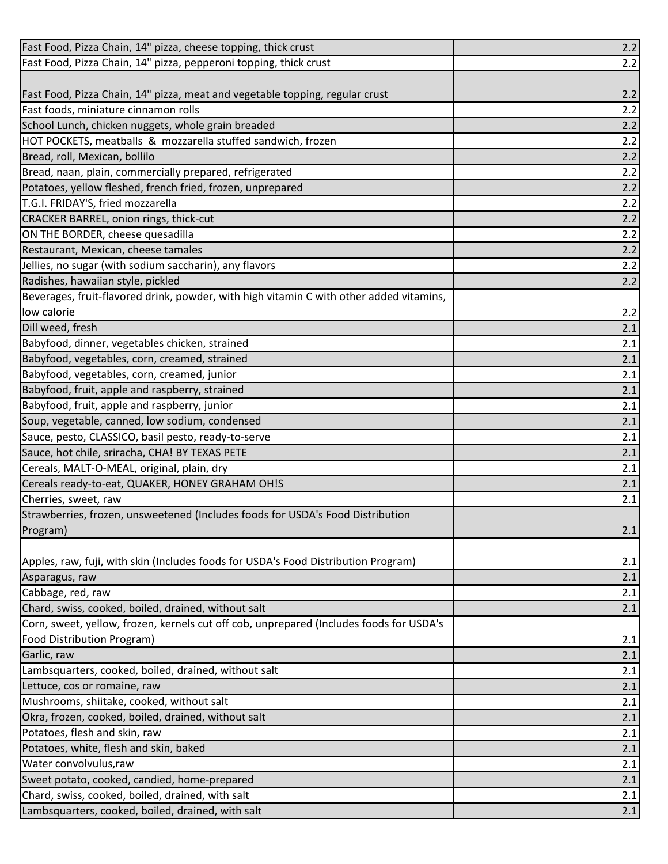| Fast Food, Pizza Chain, 14" pizza, cheese topping, thick crust                          | $2.2$ |
|-----------------------------------------------------------------------------------------|-------|
| Fast Food, Pizza Chain, 14" pizza, pepperoni topping, thick crust                       | 2.2   |
|                                                                                         |       |
| Fast Food, Pizza Chain, 14" pizza, meat and vegetable topping, regular crust            | 2.2   |
| Fast foods, miniature cinnamon rolls                                                    | 2.2   |
| School Lunch, chicken nuggets, whole grain breaded                                      | 2.2   |
| HOT POCKETS, meatballs & mozzarella stuffed sandwich, frozen                            | 2.2   |
| Bread, roll, Mexican, bollilo                                                           | 2.2   |
| Bread, naan, plain, commercially prepared, refrigerated                                 | 2.2   |
| Potatoes, yellow fleshed, french fried, frozen, unprepared                              | 2.2   |
| T.G.I. FRIDAY'S, fried mozzarella                                                       | 2.2   |
| CRACKER BARREL, onion rings, thick-cut                                                  | 2.2   |
| ON THE BORDER, cheese quesadilla                                                        | 2.2   |
| Restaurant, Mexican, cheese tamales                                                     | 2.2   |
| Jellies, no sugar (with sodium saccharin), any flavors                                  | 2.2   |
| Radishes, hawaiian style, pickled                                                       | 2.2   |
| Beverages, fruit-flavored drink, powder, with high vitamin C with other added vitamins, |       |
| low calorie                                                                             | 2.2   |
| Dill weed, fresh                                                                        | 2.1   |
| Babyfood, dinner, vegetables chicken, strained                                          | 2.1   |
| Babyfood, vegetables, corn, creamed, strained                                           | 2.1   |
| Babyfood, vegetables, corn, creamed, junior                                             | 2.1   |
| Babyfood, fruit, apple and raspberry, strained                                          | 2.1   |
| Babyfood, fruit, apple and raspberry, junior                                            | 2.1   |
| Soup, vegetable, canned, low sodium, condensed                                          | 2.1   |
| Sauce, pesto, CLASSICO, basil pesto, ready-to-serve                                     | 2.1   |
| Sauce, hot chile, sriracha, CHA! BY TEXAS PETE                                          | 2.1   |
| Cereals, MALT-O-MEAL, original, plain, dry                                              | 2.1   |
| Cereals ready-to-eat, QUAKER, HONEY GRAHAM OH!S                                         | 2.1   |
| Cherries, sweet, raw                                                                    | 2.1   |
| Strawberries, frozen, unsweetened (Includes foods for USDA's Food Distribution          |       |
| Program)                                                                                | 2.1   |
|                                                                                         |       |
| Apples, raw, fuji, with skin (Includes foods for USDA's Food Distribution Program)      | 2.1   |
| Asparagus, raw                                                                          | 2.1   |
| Cabbage, red, raw                                                                       | 2.1   |
| Chard, swiss, cooked, boiled, drained, without salt                                     | 2.1   |
| Corn, sweet, yellow, frozen, kernels cut off cob, unprepared (Includes foods for USDA's |       |
| Food Distribution Program)                                                              | 2.1   |
| Garlic, raw                                                                             | 2.1   |
| Lambsquarters, cooked, boiled, drained, without salt                                    | 2.1   |
| Lettuce, cos or romaine, raw                                                            | 2.1   |
| Mushrooms, shiitake, cooked, without salt                                               | 2.1   |
| Okra, frozen, cooked, boiled, drained, without salt                                     | 2.1   |
| Potatoes, flesh and skin, raw                                                           | 2.1   |
| Potatoes, white, flesh and skin, baked                                                  | 2.1   |
| Water convolvulus, raw                                                                  | 2.1   |
| Sweet potato, cooked, candied, home-prepared                                            | 2.1   |
| Chard, swiss, cooked, boiled, drained, with salt                                        | 2.1   |
| Lambsquarters, cooked, boiled, drained, with salt                                       | 2.1   |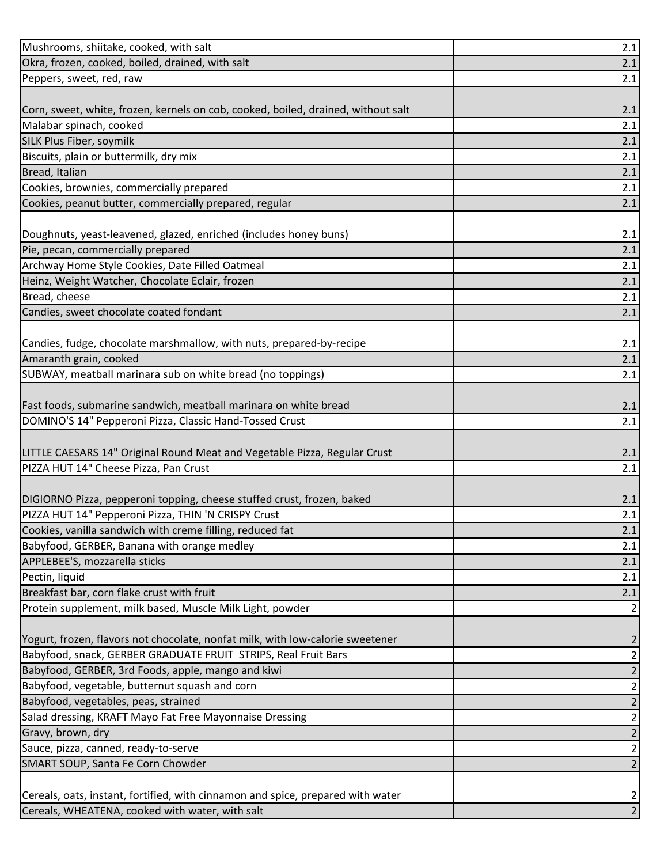| Mushrooms, shiitake, cooked, with salt                                            | $2.1$ |
|-----------------------------------------------------------------------------------|-------|
| Okra, frozen, cooked, boiled, drained, with salt                                  | 2.1   |
| Peppers, sweet, red, raw                                                          | 2.1   |
|                                                                                   |       |
| Corn, sweet, white, frozen, kernels on cob, cooked, boiled, drained, without salt | 2.1   |
| Malabar spinach, cooked                                                           | 2.1   |
| SILK Plus Fiber, soymilk                                                          | 2.1   |
| Biscuits, plain or buttermilk, dry mix                                            | 2.1   |
| Bread, Italian                                                                    | 2.1   |
| Cookies, brownies, commercially prepared                                          | 2.1   |
| Cookies, peanut butter, commercially prepared, regular                            | 2.1   |
|                                                                                   |       |
| Doughnuts, yeast-leavened, glazed, enriched (includes honey buns)                 | 2.1   |
| Pie, pecan, commercially prepared                                                 | 2.1   |
| Archway Home Style Cookies, Date Filled Oatmeal                                   | 2.1   |
| Heinz, Weight Watcher, Chocolate Eclair, frozen                                   | 2.1   |
| Bread, cheese                                                                     | 2.1   |
| Candies, sweet chocolate coated fondant                                           | 2.1   |
|                                                                                   |       |
| Candies, fudge, chocolate marshmallow, with nuts, prepared-by-recipe              | 2.1   |
| Amaranth grain, cooked                                                            | 2.1   |
| SUBWAY, meatball marinara sub on white bread (no toppings)                        | 2.1   |
|                                                                                   |       |
| Fast foods, submarine sandwich, meatball marinara on white bread                  | 2.1   |
| DOMINO'S 14" Pepperoni Pizza, Classic Hand-Tossed Crust                           | 2.1   |
|                                                                                   |       |
| LITTLE CAESARS 14" Original Round Meat and Vegetable Pizza, Regular Crust         | 2.1   |
| PIZZA HUT 14" Cheese Pizza, Pan Crust                                             | 2.1   |
|                                                                                   |       |
| DIGIORNO Pizza, pepperoni topping, cheese stuffed crust, frozen, baked            | 2.1   |
| PIZZA HUT 14" Pepperoni Pizza, THIN 'N CRISPY Crust                               | 2.1   |
| Cookies, vanilla sandwich with creme filling, reduced fat                         | 2.1   |
| Babyfood, GERBER, Banana with orange medley                                       | 2.1   |
| APPLEBEE'S, mozzarella sticks                                                     | 2.1   |
| Pectin, liquid                                                                    | 2.1   |
| Breakfast bar, corn flake crust with fruit                                        | 2.1   |
| Protein supplement, milk based, Muscle Milk Light, powder                         | 2     |
|                                                                                   |       |
| Yogurt, frozen, flavors not chocolate, nonfat milk, with low-calorie sweetener    | 2     |
| Babyfood, snack, GERBER GRADUATE FRUIT STRIPS, Real Fruit Bars                    | 2     |
| Babyfood, GERBER, 3rd Foods, apple, mango and kiwi                                | 2     |
| Babyfood, vegetable, butternut squash and corn                                    | 2     |
| Babyfood, vegetables, peas, strained                                              | 2     |
| Salad dressing, KRAFT Mayo Fat Free Mayonnaise Dressing                           | 2     |
| Gravy, brown, dry                                                                 | 2     |
| Sauce, pizza, canned, ready-to-serve                                              | 2     |
| SMART SOUP, Santa Fe Corn Chowder                                                 | 2     |
|                                                                                   |       |
| Cereals, oats, instant, fortified, with cinnamon and spice, prepared with water   | 2     |
| Cereals, WHEATENA, cooked with water, with salt                                   |       |
|                                                                                   |       |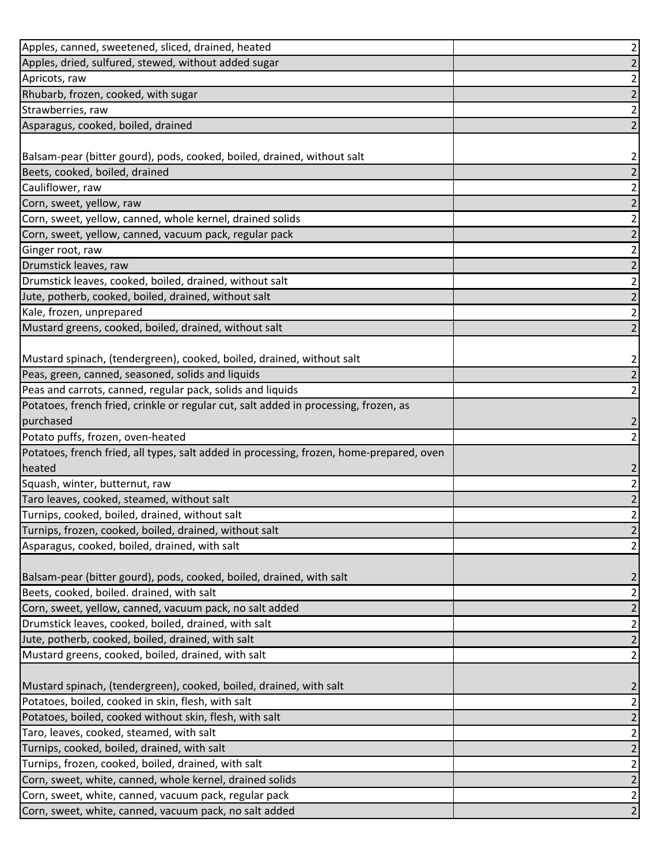| Apples, canned, sweetened, sliced, drained, heated                                       | $\overline{2}$ |
|------------------------------------------------------------------------------------------|----------------|
| Apples, dried, sulfured, stewed, without added sugar                                     | $\overline{2}$ |
| Apricots, raw                                                                            | 2              |
| Rhubarb, frozen, cooked, with sugar                                                      | $\overline{2}$ |
| Strawberries, raw                                                                        | $\overline{2}$ |
| Asparagus, cooked, boiled, drained                                                       | $\overline{2}$ |
|                                                                                          |                |
| Balsam-pear (bitter gourd), pods, cooked, boiled, drained, without salt                  | 2              |
| Beets, cooked, boiled, drained                                                           | $\overline{2}$ |
| Cauliflower, raw                                                                         | $\overline{2}$ |
| Corn, sweet, yellow, raw                                                                 | $\overline{2}$ |
| Corn, sweet, yellow, canned, whole kernel, drained solids                                | $\overline{2}$ |
| Corn, sweet, yellow, canned, vacuum pack, regular pack                                   | 2              |
| Ginger root, raw                                                                         | $\overline{2}$ |
| Drumstick leaves, raw                                                                    | $\overline{2}$ |
| Drumstick leaves, cooked, boiled, drained, without salt                                  | $\overline{c}$ |
| Jute, potherb, cooked, boiled, drained, without salt                                     | $\overline{2}$ |
| Kale, frozen, unprepared                                                                 | $\overline{2}$ |
| Mustard greens, cooked, boiled, drained, without salt                                    | $\overline{2}$ |
|                                                                                          |                |
| Mustard spinach, (tendergreen), cooked, boiled, drained, without salt                    | $\overline{a}$ |
| Peas, green, canned, seasoned, solids and liquids                                        | $\overline{2}$ |
| Peas and carrots, canned, regular pack, solids and liquids                               | $\overline{2}$ |
| Potatoes, french fried, crinkle or regular cut, salt added in processing, frozen, as     |                |
| purchased                                                                                | 2              |
| Potato puffs, frozen, oven-heated                                                        | $\overline{2}$ |
| Potatoes, french fried, all types, salt added in processing, frozen, home-prepared, oven |                |
| heated                                                                                   | $\overline{c}$ |
| Squash, winter, butternut, raw                                                           | $\mathbf 2$    |
| Taro leaves, cooked, steamed, without salt                                               | $\overline{c}$ |
| Turnips, cooked, boiled, drained, without salt                                           | $2\vert$       |
| Turnips, frozen, cooked, boiled, drained, without salt                                   | $\overline{2}$ |
| Asparagus, cooked, boiled, drained, with salt                                            | $\overline{2}$ |
|                                                                                          |                |
| Balsam-pear (bitter gourd), pods, cooked, boiled, drained, with salt                     | $\overline{2}$ |
| Beets, cooked, boiled. drained, with salt                                                | $\overline{2}$ |
| Corn, sweet, yellow, canned, vacuum pack, no salt added                                  | $\overline{2}$ |
| Drumstick leaves, cooked, boiled, drained, with salt                                     | $\overline{a}$ |
| Jute, potherb, cooked, boiled, drained, with salt                                        | $\overline{2}$ |
| Mustard greens, cooked, boiled, drained, with salt                                       | $\overline{2}$ |
|                                                                                          |                |
| Mustard spinach, (tendergreen), cooked, boiled, drained, with salt                       | $\overline{c}$ |
| Potatoes, boiled, cooked in skin, flesh, with salt                                       | $\overline{a}$ |
| Potatoes, boiled, cooked without skin, flesh, with salt                                  | $\overline{2}$ |
| Taro, leaves, cooked, steamed, with salt                                                 | $\overline{2}$ |
| Turnips, cooked, boiled, drained, with salt                                              | $\overline{2}$ |
| Turnips, frozen, cooked, boiled, drained, with salt                                      | $\mathbf{2}$   |
| Corn, sweet, white, canned, whole kernel, drained solids                                 | $\overline{2}$ |
| Corn, sweet, white, canned, vacuum pack, regular pack                                    | $\overline{a}$ |
| Corn, sweet, white, canned, vacuum pack, no salt added                                   | $\overline{2}$ |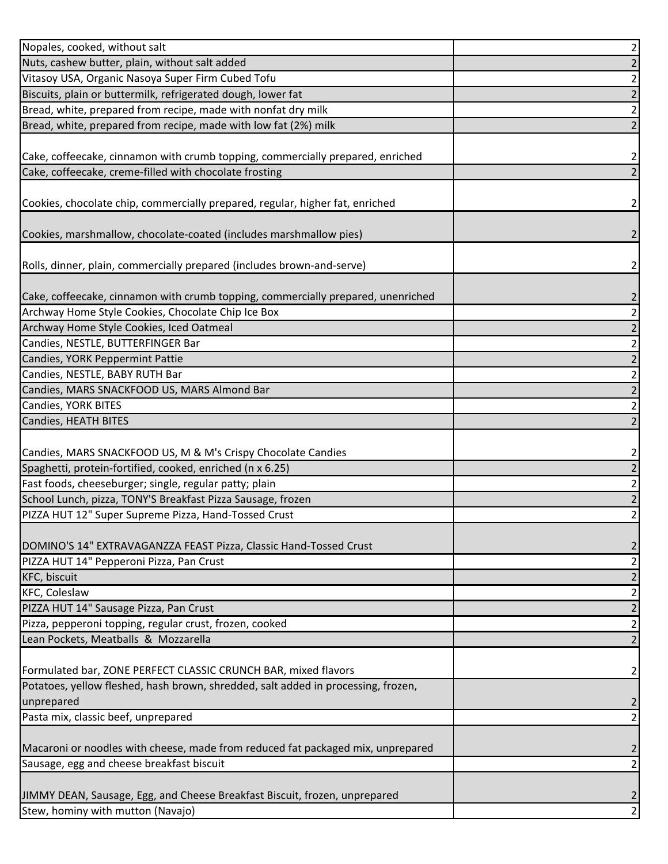| Nopales, cooked, without salt                                                     | 2              |
|-----------------------------------------------------------------------------------|----------------|
| Nuts, cashew butter, plain, without salt added                                    |                |
| Vitasoy USA, Organic Nasoya Super Firm Cubed Tofu                                 | 2              |
| Biscuits, plain or buttermilk, refrigerated dough, lower fat                      | 2              |
| Bread, white, prepared from recipe, made with nonfat dry milk                     | 2              |
| Bread, white, prepared from recipe, made with low fat (2%) milk                   | 2              |
|                                                                                   |                |
| Cake, coffeecake, cinnamon with crumb topping, commercially prepared, enriched    | 2              |
| Cake, coffeecake, creme-filled with chocolate frosting                            |                |
|                                                                                   |                |
| Cookies, chocolate chip, commercially prepared, regular, higher fat, enriched     | 2              |
|                                                                                   |                |
| Cookies, marshmallow, chocolate-coated (includes marshmallow pies)                | 2              |
|                                                                                   |                |
| Rolls, dinner, plain, commercially prepared (includes brown-and-serve)            | 2              |
|                                                                                   |                |
| Cake, coffeecake, cinnamon with crumb topping, commercially prepared, unenriched  | 2              |
| Archway Home Style Cookies, Chocolate Chip Ice Box                                | 2              |
| Archway Home Style Cookies, Iced Oatmeal                                          | 2              |
| Candies, NESTLE, BUTTERFINGER Bar                                                 | 2              |
| Candies, YORK Peppermint Pattie                                                   | 2              |
| Candies, NESTLE, BABY RUTH Bar                                                    | 2              |
| Candies, MARS SNACKFOOD US, MARS Almond Bar                                       | 2              |
| Candies, YORK BITES                                                               | 2              |
| Candies, HEATH BITES                                                              | 2              |
|                                                                                   |                |
| Candies, MARS SNACKFOOD US, M & M's Crispy Chocolate Candies                      | 2              |
| Spaghetti, protein-fortified, cooked, enriched (n x 6.25)                         | 2              |
| Fast foods, cheeseburger; single, regular patty; plain                            | 2              |
| School Lunch, pizza, TONY'S Breakfast Pizza Sausage, frozen                       | 2              |
| PIZZA HUT 12" Super Supreme Pizza, Hand-Tossed Crust                              | 2              |
|                                                                                   |                |
| DOMINO'S 14" EXTRAVAGANZZA FEAST Pizza, Classic Hand-Tossed Crust                 | 2              |
| PIZZA HUT 14" Pepperoni Pizza, Pan Crust                                          | 2              |
| KFC, biscuit                                                                      | 2              |
| <b>KFC, Coleslaw</b>                                                              | 2              |
| PIZZA HUT 14" Sausage Pizza, Pan Crust                                            | 2              |
| Pizza, pepperoni topping, regular crust, frozen, cooked                           | 2              |
| Lean Pockets, Meatballs & Mozzarella                                              | 2              |
|                                                                                   |                |
| Formulated bar, ZONE PERFECT CLASSIC CRUNCH BAR, mixed flavors                    | 2              |
| Potatoes, yellow fleshed, hash brown, shredded, salt added in processing, frozen, |                |
| unprepared                                                                        | 2              |
| Pasta mix, classic beef, unprepared                                               | 2              |
|                                                                                   |                |
| Macaroni or noodles with cheese, made from reduced fat packaged mix, unprepared   | $\overline{2}$ |
| Sausage, egg and cheese breakfast biscuit                                         |                |
|                                                                                   |                |
| JIMMY DEAN, Sausage, Egg, and Cheese Breakfast Biscuit, frozen, unprepared        |                |
| Stew, hominy with mutton (Navajo)                                                 |                |
|                                                                                   |                |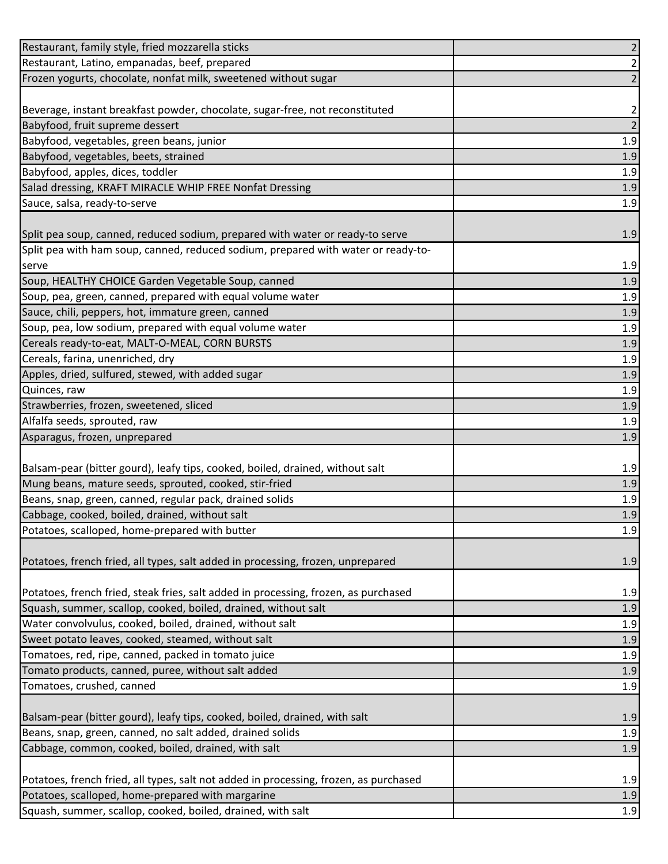|                                                                                                                  | $\overline{2}$ |
|------------------------------------------------------------------------------------------------------------------|----------------|
| Restaurant, Latino, empanadas, beef, prepared                                                                    | 2              |
| Frozen yogurts, chocolate, nonfat milk, sweetened without sugar                                                  | $\overline{2}$ |
|                                                                                                                  |                |
| Beverage, instant breakfast powder, chocolate, sugar-free, not reconstituted                                     | 2              |
| Babyfood, fruit supreme dessert                                                                                  | $\mathbf 2$    |
| Babyfood, vegetables, green beans, junior                                                                        | 1.9            |
| Babyfood, vegetables, beets, strained                                                                            | 1.9            |
| Babyfood, apples, dices, toddler                                                                                 | 1.9            |
| Salad dressing, KRAFT MIRACLE WHIP FREE Nonfat Dressing                                                          | $1.9\,$        |
| Sauce, salsa, ready-to-serve                                                                                     | 1.9            |
|                                                                                                                  |                |
| Split pea soup, canned, reduced sodium, prepared with water or ready-to serve                                    | 1.9            |
| Split pea with ham soup, canned, reduced sodium, prepared with water or ready-to-                                |                |
| serve                                                                                                            | 1.9            |
| Soup, HEALTHY CHOICE Garden Vegetable Soup, canned                                                               | $1.9$          |
| Soup, pea, green, canned, prepared with equal volume water                                                       | 1.9            |
| Sauce, chili, peppers, hot, immature green, canned                                                               | $1.9\,$        |
| Soup, pea, low sodium, prepared with equal volume water                                                          | 1.9            |
| Cereals ready-to-eat, MALT-O-MEAL, CORN BURSTS                                                                   | 1.9            |
| Cereals, farina, unenriched, dry                                                                                 | $1.9\,$        |
| Apples, dried, sulfured, stewed, with added sugar                                                                | 1.9            |
| Quinces, raw                                                                                                     | 1.9            |
| Strawberries, frozen, sweetened, sliced                                                                          | 1.9            |
| Alfalfa seeds, sprouted, raw                                                                                     | $1.9\,$        |
| Asparagus, frozen, unprepared                                                                                    | 1.9            |
|                                                                                                                  |                |
| Balsam-pear (bitter gourd), leafy tips, cooked, boiled, drained, without salt                                    |                |
|                                                                                                                  | 1.9            |
| Mung beans, mature seeds, sprouted, cooked, stir-fried                                                           | 1.9            |
| Beans, snap, green, canned, regular pack, drained solids                                                         | 1.9            |
| Cabbage, cooked, boiled, drained, without salt                                                                   | 1.9            |
| Potatoes, scalloped, home-prepared with butter                                                                   | 1.9            |
|                                                                                                                  |                |
| Potatoes, french fried, all types, salt added in processing, frozen, unprepared                                  | 1.9            |
|                                                                                                                  |                |
| Potatoes, french fried, steak fries, salt added in processing, frozen, as purchased                              | 1.9            |
| Squash, summer, scallop, cooked, boiled, drained, without salt                                                   | 1.9            |
| Water convolvulus, cooked, boiled, drained, without salt                                                         | 1.9            |
| Sweet potato leaves, cooked, steamed, without salt                                                               | 1.9            |
| Tomatoes, red, ripe, canned, packed in tomato juice                                                              | 1.9            |
| Tomato products, canned, puree, without salt added                                                               | 1.9            |
| Tomatoes, crushed, canned                                                                                        | $1.9\,$        |
|                                                                                                                  |                |
| Balsam-pear (bitter gourd), leafy tips, cooked, boiled, drained, with salt                                       | 1.9            |
| Beans, snap, green, canned, no salt added, drained solids                                                        | 1.9            |
| Cabbage, common, cooked, boiled, drained, with salt                                                              | 1.9            |
|                                                                                                                  |                |
| Potatoes, french fried, all types, salt not added in processing, frozen, as purchased                            | 1.9            |
| Potatoes, scalloped, home-prepared with margarine<br>Squash, summer, scallop, cooked, boiled, drained, with salt | 1.9<br>1.9     |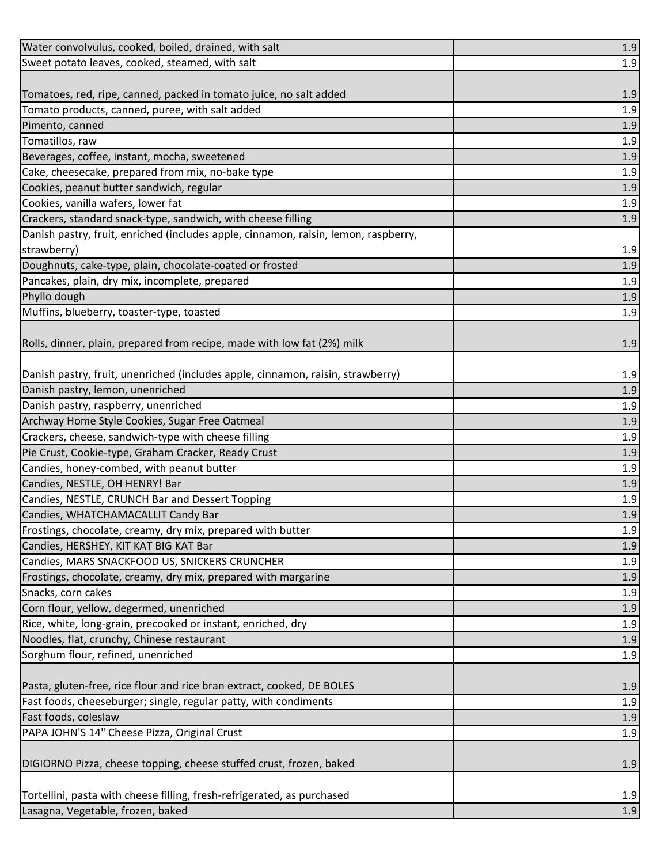| Water convolvulus, cooked, boiled, drained, with salt                               | $1.9\,$ |
|-------------------------------------------------------------------------------------|---------|
| Sweet potato leaves, cooked, steamed, with salt                                     | 1.9     |
|                                                                                     |         |
| Tomatoes, red, ripe, canned, packed in tomato juice, no salt added                  | 1.9     |
| Tomato products, canned, puree, with salt added                                     | 1.9     |
| Pimento, canned                                                                     | 1.9     |
| Tomatillos, raw                                                                     | 1.9     |
| Beverages, coffee, instant, mocha, sweetened                                        | 1.9     |
| Cake, cheesecake, prepared from mix, no-bake type                                   | 1.9     |
| Cookies, peanut butter sandwich, regular                                            | 1.9     |
| Cookies, vanilla wafers, lower fat                                                  | 1.9     |
| Crackers, standard snack-type, sandwich, with cheese filling                        | 1.9     |
| Danish pastry, fruit, enriched (includes apple, cinnamon, raisin, lemon, raspberry, |         |
| strawberry)                                                                         | 1.9     |
| Doughnuts, cake-type, plain, chocolate-coated or frosted                            | 1.9     |
| Pancakes, plain, dry mix, incomplete, prepared                                      | 1.9     |
| Phyllo dough                                                                        | 1.9     |
| Muffins, blueberry, toaster-type, toasted                                           | 1.9     |
|                                                                                     |         |
| Rolls, dinner, plain, prepared from recipe, made with low fat (2%) milk             | 1.9     |
|                                                                                     |         |
| Danish pastry, fruit, unenriched (includes apple, cinnamon, raisin, strawberry)     | 1.9     |
| Danish pastry, lemon, unenriched                                                    | 1.9     |
| Danish pastry, raspberry, unenriched                                                | 1.9     |
| Archway Home Style Cookies, Sugar Free Oatmeal                                      | 1.9     |
| Crackers, cheese, sandwich-type with cheese filling                                 | 1.9     |
| Pie Crust, Cookie-type, Graham Cracker, Ready Crust                                 | 1.9     |
| Candies, honey-combed, with peanut butter                                           | 1.9     |
| Candies, NESTLE, OH HENRY! Bar                                                      | 1.9     |
| Candies, NESTLE, CRUNCH Bar and Dessert Topping                                     | 1.9     |
| Candies, WHATCHAMACALLIT Candy Bar                                                  | 1.9     |
| Frostings, chocolate, creamy, dry mix, prepared with butter                         | 1.9     |
| Candies, HERSHEY, KIT KAT BIG KAT Bar                                               | 1.9     |
| Candies, MARS SNACKFOOD US, SNICKERS CRUNCHER                                       | 1.9     |
| Frostings, chocolate, creamy, dry mix, prepared with margarine                      | 1.9     |
| Snacks, corn cakes                                                                  | 1.9     |
| Corn flour, yellow, degermed, unenriched                                            | 1.9     |
| Rice, white, long-grain, precooked or instant, enriched, dry                        | 1.9     |
| Noodles, flat, crunchy, Chinese restaurant                                          | 1.9     |
| Sorghum flour, refined, unenriched                                                  | 1.9     |
|                                                                                     |         |
| Pasta, gluten-free, rice flour and rice bran extract, cooked, DE BOLES              | 1.9     |
| Fast foods, cheeseburger; single, regular patty, with condiments                    | 1.9     |
| Fast foods, coleslaw                                                                | 1.9     |
| PAPA JOHN'S 14" Cheese Pizza, Original Crust                                        | 1.9     |
|                                                                                     |         |
| DIGIORNO Pizza, cheese topping, cheese stuffed crust, frozen, baked                 | 1.9     |
|                                                                                     |         |
| Tortellini, pasta with cheese filling, fresh-refrigerated, as purchased             | 1.9     |
| Lasagna, Vegetable, frozen, baked                                                   | 1.9     |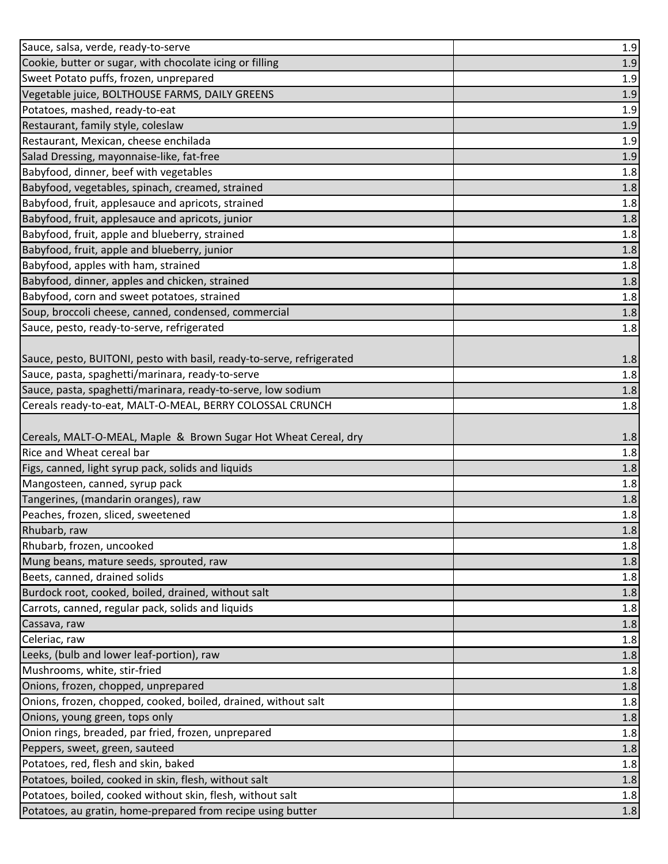| Sauce, salsa, verde, ready-to-serve                                   | 1.9 |
|-----------------------------------------------------------------------|-----|
| Cookie, butter or sugar, with chocolate icing or filling              | 1.9 |
| Sweet Potato puffs, frozen, unprepared                                | 1.9 |
| Vegetable juice, BOLTHOUSE FARMS, DAILY GREENS                        | 1.9 |
| Potatoes, mashed, ready-to-eat                                        | 1.9 |
| Restaurant, family style, coleslaw                                    | 1.9 |
| Restaurant, Mexican, cheese enchilada                                 | 1.9 |
| Salad Dressing, mayonnaise-like, fat-free                             | 1.9 |
| Babyfood, dinner, beef with vegetables                                | 1.8 |
| Babyfood, vegetables, spinach, creamed, strained                      | 1.8 |
| Babyfood, fruit, applesauce and apricots, strained                    | 1.8 |
| Babyfood, fruit, applesauce and apricots, junior                      | 1.8 |
| Babyfood, fruit, apple and blueberry, strained                        | 1.8 |
| Babyfood, fruit, apple and blueberry, junior                          | 1.8 |
| Babyfood, apples with ham, strained                                   | 1.8 |
| Babyfood, dinner, apples and chicken, strained                        | 1.8 |
| Babyfood, corn and sweet potatoes, strained                           | 1.8 |
| Soup, broccoli cheese, canned, condensed, commercial                  | 1.8 |
| Sauce, pesto, ready-to-serve, refrigerated                            | 1.8 |
|                                                                       |     |
| Sauce, pesto, BUITONI, pesto with basil, ready-to-serve, refrigerated | 1.8 |
| Sauce, pasta, spaghetti/marinara, ready-to-serve                      | 1.8 |
| Sauce, pasta, spaghetti/marinara, ready-to-serve, low sodium          | 1.8 |
| Cereals ready-to-eat, MALT-O-MEAL, BERRY COLOSSAL CRUNCH              | 1.8 |
|                                                                       |     |
| Cereals, MALT-O-MEAL, Maple & Brown Sugar Hot Wheat Cereal, dry       | 1.8 |
| Rice and Wheat cereal bar                                             | 1.8 |
| Figs, canned, light syrup pack, solids and liquids                    | 1.8 |
| Mangosteen, canned, syrup pack                                        | 1.8 |
| Tangerines, (mandarin oranges), raw                                   | 1.8 |
| Peaches, frozen, sliced, sweetened                                    | 1.8 |
| Rhubarb, raw                                                          | 1.8 |
| Rhubarb, frozen, uncooked                                             | 1.8 |
| Mung beans, mature seeds, sprouted, raw                               | 1.8 |
| Beets, canned, drained solids                                         | 1.8 |
| Burdock root, cooked, boiled, drained, without salt                   | 1.8 |
| Carrots, canned, regular pack, solids and liquids                     | 1.8 |
| Cassava, raw                                                          | 1.8 |
| Celeriac, raw                                                         | 1.8 |
| Leeks, (bulb and lower leaf-portion), raw                             | 1.8 |
| Mushrooms, white, stir-fried                                          | 1.8 |
| Onions, frozen, chopped, unprepared                                   | 1.8 |
| Onions, frozen, chopped, cooked, boiled, drained, without salt        | 1.8 |
| Onions, young green, tops only                                        | 1.8 |
| Onion rings, breaded, par fried, frozen, unprepared                   | 1.8 |
| Peppers, sweet, green, sauteed                                        | 1.8 |
| Potatoes, red, flesh and skin, baked                                  | 1.8 |
| Potatoes, boiled, cooked in skin, flesh, without salt                 | 1.8 |
| Potatoes, boiled, cooked without skin, flesh, without salt            | 1.8 |
| Potatoes, au gratin, home-prepared from recipe using butter           | 1.8 |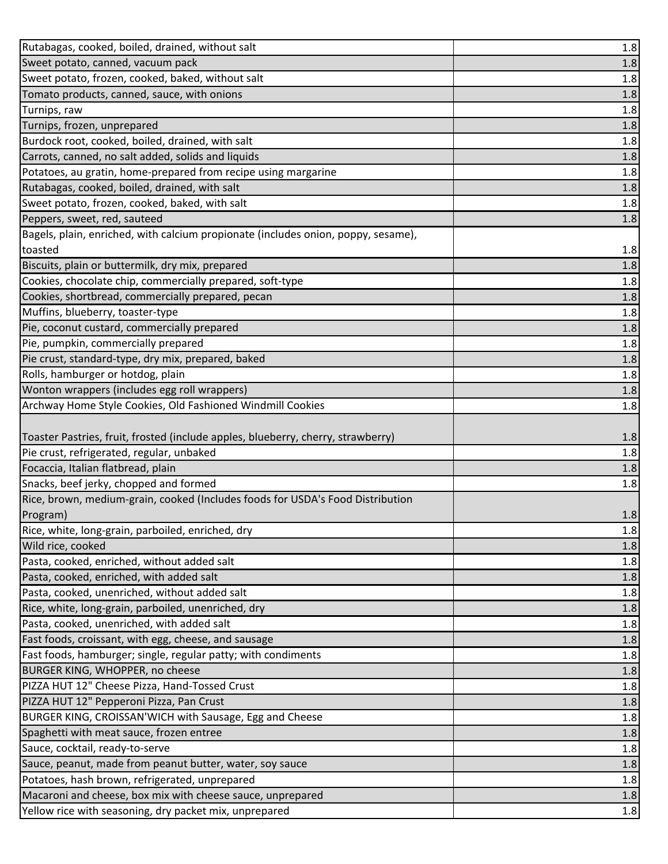| Rutabagas, cooked, boiled, drained, without salt                                  | 1.8     |
|-----------------------------------------------------------------------------------|---------|
| Sweet potato, canned, vacuum pack                                                 | 1.8     |
| Sweet potato, frozen, cooked, baked, without salt                                 | 1.8     |
| Tomato products, canned, sauce, with onions                                       | 1.8     |
| Turnips, raw                                                                      | 1.8     |
| Turnips, frozen, unprepared                                                       | 1.8     |
| Burdock root, cooked, boiled, drained, with salt                                  | 1.8     |
| Carrots, canned, no salt added, solids and liquids                                | 1.8     |
| Potatoes, au gratin, home-prepared from recipe using margarine                    | 1.8     |
| Rutabagas, cooked, boiled, drained, with salt                                     | 1.8     |
| Sweet potato, frozen, cooked, baked, with salt                                    | 1.8     |
| Peppers, sweet, red, sauteed                                                      | 1.8     |
| Bagels, plain, enriched, with calcium propionate (includes onion, poppy, sesame), |         |
| toasted                                                                           | 1.8     |
| Biscuits, plain or buttermilk, dry mix, prepared                                  | 1.8     |
| Cookies, chocolate chip, commercially prepared, soft-type                         | 1.8     |
| Cookies, shortbread, commercially prepared, pecan                                 | 1.8     |
| Muffins, blueberry, toaster-type                                                  | 1.8     |
| Pie, coconut custard, commercially prepared                                       | $1.8\,$ |
| Pie, pumpkin, commercially prepared                                               | 1.8     |
| Pie crust, standard-type, dry mix, prepared, baked                                | 1.8     |
| Rolls, hamburger or hotdog, plain                                                 | 1.8     |
| Wonton wrappers (includes egg roll wrappers)                                      | 1.8     |
| Archway Home Style Cookies, Old Fashioned Windmill Cookies                        | 1.8     |
|                                                                                   |         |
| Toaster Pastries, fruit, frosted (include apples, blueberry, cherry, strawberry)  | 1.8     |
| Pie crust, refrigerated, regular, unbaked                                         | 1.8     |
| Focaccia, Italian flatbread, plain                                                | 1.8     |
| Snacks, beef jerky, chopped and formed                                            | 1.8     |
| Rice, brown, medium-grain, cooked (Includes foods for USDA's Food Distribution    |         |
| Program)                                                                          | 1.8     |
| Rice, white, long-grain, parboiled, enriched, dry                                 | 1.8     |
| Wild rice, cooked                                                                 | 1.8     |
| Pasta, cooked, enriched, without added salt                                       | 1.8     |
| Pasta, cooked, enriched, with added salt                                          | 1.8     |
| Pasta, cooked, unenriched, without added salt                                     | 1.8     |
| Rice, white, long-grain, parboiled, unenriched, dry                               | 1.8     |
| Pasta, cooked, unenriched, with added salt                                        | 1.8     |
| Fast foods, croissant, with egg, cheese, and sausage                              | 1.8     |
| Fast foods, hamburger; single, regular patty; with condiments                     | 1.8     |
| BURGER KING, WHOPPER, no cheese                                                   | 1.8     |
| PIZZA HUT 12" Cheese Pizza, Hand-Tossed Crust                                     | 1.8     |
| PIZZA HUT 12" Pepperoni Pizza, Pan Crust                                          | 1.8     |
| BURGER KING, CROISSAN'WICH with Sausage, Egg and Cheese                           | 1.8     |
| Spaghetti with meat sauce, frozen entree                                          | 1.8     |
| Sauce, cocktail, ready-to-serve                                                   | 1.8     |
| Sauce, peanut, made from peanut butter, water, soy sauce                          | 1.8     |
| Potatoes, hash brown, refrigerated, unprepared                                    | 1.8     |
| Macaroni and cheese, box mix with cheese sauce, unprepared                        | 1.8     |
| Yellow rice with seasoning, dry packet mix, unprepared                            | 1.8     |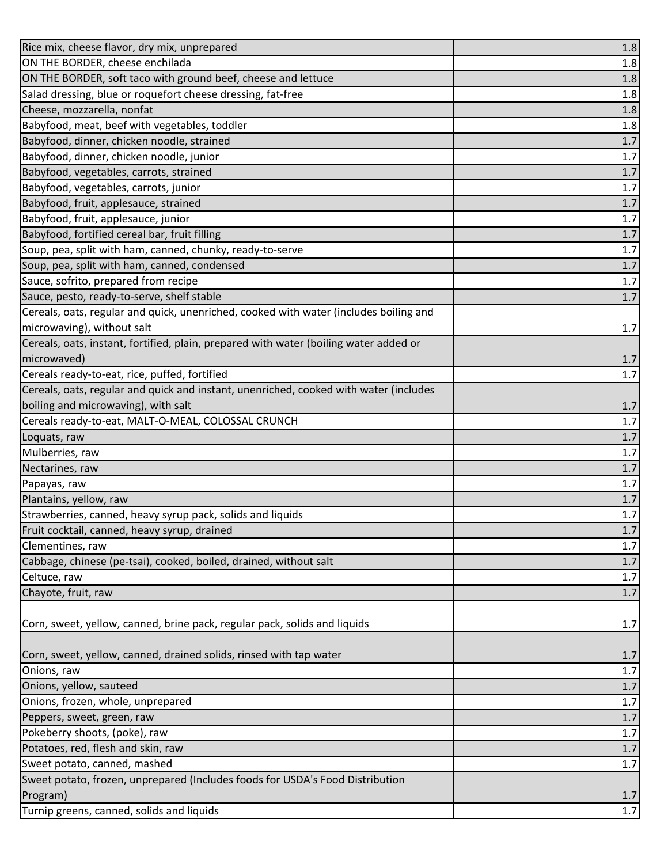| Rice mix, cheese flavor, dry mix, unprepared                                              | 1.8     |
|-------------------------------------------------------------------------------------------|---------|
| ON THE BORDER, cheese enchilada                                                           | 1.8     |
| ON THE BORDER, soft taco with ground beef, cheese and lettuce                             | 1.8     |
| Salad dressing, blue or roquefort cheese dressing, fat-free                               | 1.8     |
| Cheese, mozzarella, nonfat                                                                | 1.8     |
| Babyfood, meat, beef with vegetables, toddler                                             | 1.8     |
| Babyfood, dinner, chicken noodle, strained                                                | 1.7     |
| Babyfood, dinner, chicken noodle, junior                                                  | 1.7     |
| Babyfood, vegetables, carrots, strained                                                   | 1.7     |
| Babyfood, vegetables, carrots, junior                                                     | 1.7     |
| Babyfood, fruit, applesauce, strained                                                     | 1.7     |
| Babyfood, fruit, applesauce, junior                                                       | 1.7     |
| Babyfood, fortified cereal bar, fruit filling                                             | 1.7     |
| Soup, pea, split with ham, canned, chunky, ready-to-serve                                 | 1.7     |
| Soup, pea, split with ham, canned, condensed                                              | 1.7     |
| Sauce, sofrito, prepared from recipe                                                      | 1.7     |
| Sauce, pesto, ready-to-serve, shelf stable                                                | 1.7     |
| Cereals, oats, regular and quick, unenriched, cooked with water (includes boiling and     |         |
| microwaving), without salt                                                                | 1.7     |
| Cereals, oats, instant, fortified, plain, prepared with water (boiling water added or     |         |
| microwaved)                                                                               | 1.7     |
| Cereals ready-to-eat, rice, puffed, fortified                                             | 1.7     |
| Cereals, oats, regular and quick and instant, unenriched, cooked with water (includes     |         |
| boiling and microwaving), with salt                                                       | 1.7     |
| Cereals ready-to-eat, MALT-O-MEAL, COLOSSAL CRUNCH                                        | 1.7     |
| Loquats, raw                                                                              | 1.7     |
| Mulberries, raw                                                                           | 1.7     |
| Nectarines, raw                                                                           | 1.7     |
| Papayas, raw                                                                              | $1.7$   |
| Plantains, yellow, raw                                                                    | 1.7     |
| Strawberries, canned, heavy syrup pack, solids and liquids                                | 1.7     |
| Fruit cocktail, canned, heavy syrup, drained                                              | 1.7     |
| Clementines, raw                                                                          | 1.7     |
| Cabbage, chinese (pe-tsai), cooked, boiled, drained, without salt                         | 1.7     |
| Celtuce, raw                                                                              | 1.7     |
| Chayote, fruit, raw                                                                       | 1.7     |
|                                                                                           |         |
| Corn, sweet, yellow, canned, brine pack, regular pack, solids and liquids                 | 1.7     |
| Corn, sweet, yellow, canned, drained solids, rinsed with tap water                        | 1.7     |
| Onions, raw                                                                               | $1.7\,$ |
| Onions, yellow, sauteed                                                                   | 1.7     |
| Onions, frozen, whole, unprepared                                                         | 1.7     |
| Peppers, sweet, green, raw                                                                | $1.7\,$ |
| Pokeberry shoots, (poke), raw                                                             | 1.7     |
| Potatoes, red, flesh and skin, raw                                                        | 1.7     |
| Sweet potato, canned, mashed                                                              | 1.7     |
| Sweet potato, frozen, unprepared (Includes foods for USDA's Food Distribution<br>Program) | 1.7     |
| Turnip greens, canned, solids and liquids                                                 | 1.7     |
|                                                                                           |         |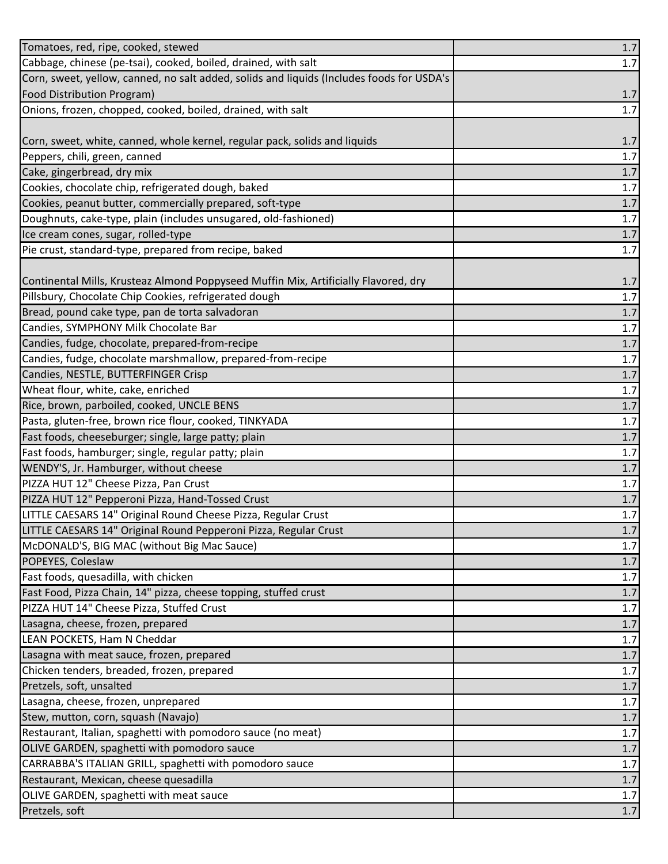| Tomatoes, red, ripe, cooked, stewed                                                       | 1.7     |
|-------------------------------------------------------------------------------------------|---------|
| Cabbage, chinese (pe-tsai), cooked, boiled, drained, with salt                            | 1.7     |
| Corn, sweet, yellow, canned, no salt added, solids and liquids (Includes foods for USDA's |         |
| Food Distribution Program)                                                                | 1.7     |
| Onions, frozen, chopped, cooked, boiled, drained, with salt                               | 1.7     |
|                                                                                           |         |
| Corn, sweet, white, canned, whole kernel, regular pack, solids and liquids                | 1.7     |
| Peppers, chili, green, canned                                                             | 1.7     |
| Cake, gingerbread, dry mix                                                                | $1.7$   |
| Cookies, chocolate chip, refrigerated dough, baked                                        | 1.7     |
| Cookies, peanut butter, commercially prepared, soft-type                                  | 1.7     |
| Doughnuts, cake-type, plain (includes unsugared, old-fashioned)                           | 1.7     |
| Ice cream cones, sugar, rolled-type                                                       | 1.7     |
| Pie crust, standard-type, prepared from recipe, baked                                     | 1.7     |
|                                                                                           |         |
| Continental Mills, Krusteaz Almond Poppyseed Muffin Mix, Artificially Flavored, dry       | 1.7     |
| Pillsbury, Chocolate Chip Cookies, refrigerated dough                                     | 1.7     |
| Bread, pound cake type, pan de torta salvadoran                                           | $1.7\,$ |
| Candies, SYMPHONY Milk Chocolate Bar                                                      | $1.7\,$ |
| Candies, fudge, chocolate, prepared-from-recipe                                           | 1.7     |
| Candies, fudge, chocolate marshmallow, prepared-from-recipe                               | 1.7     |
| Candies, NESTLE, BUTTERFINGER Crisp                                                       | $1.7\,$ |
| Wheat flour, white, cake, enriched                                                        | 1.7     |
| Rice, brown, parboiled, cooked, UNCLE BENS                                                | $1.7\,$ |
| Pasta, gluten-free, brown rice flour, cooked, TINKYADA                                    | 1.7     |
| Fast foods, cheeseburger; single, large patty; plain                                      | $1.7\,$ |
| Fast foods, hamburger; single, regular patty; plain                                       | 1.7     |
| WENDY'S, Jr. Hamburger, without cheese                                                    | 1.7     |
| PIZZA HUT 12" Cheese Pizza, Pan Crust                                                     | $1.7\,$ |
| PIZZA HUT 12" Pepperoni Pizza, Hand-Tossed Crust                                          | 1.7     |
| LITTLE CAESARS 14" Original Round Cheese Pizza, Regular Crust                             | $1.7\,$ |
| LITTLE CAESARS 14" Original Round Pepperoni Pizza, Regular Crust                          | 1.7     |
| McDONALD'S, BIG MAC (without Big Mac Sauce)                                               | 1.7     |
| POPEYES, Coleslaw                                                                         | $1.7\,$ |
| Fast foods, quesadilla, with chicken                                                      | 1.7     |
| Fast Food, Pizza Chain, 14" pizza, cheese topping, stuffed crust                          | $1.7$   |
| PIZZA HUT 14" Cheese Pizza, Stuffed Crust                                                 | 1.7     |
| Lasagna, cheese, frozen, prepared                                                         | $1.7\,$ |
| LEAN POCKETS, Ham N Cheddar                                                               | $1.7\,$ |
| Lasagna with meat sauce, frozen, prepared                                                 | 1.7     |
| Chicken tenders, breaded, frozen, prepared                                                | 1.7     |
| Pretzels, soft, unsalted                                                                  | 1.7     |
| Lasagna, cheese, frozen, unprepared                                                       | 1.7     |
| Stew, mutton, corn, squash (Navajo)                                                       | 1.7     |
| Restaurant, Italian, spaghetti with pomodoro sauce (no meat)                              | 1.7     |
| OLIVE GARDEN, spaghetti with pomodoro sauce                                               | $1.7$   |
| CARRABBA'S ITALIAN GRILL, spaghetti with pomodoro sauce                                   | 1.7     |
| Restaurant, Mexican, cheese quesadilla                                                    | 1.7     |
| OLIVE GARDEN, spaghetti with meat sauce                                                   | 1.7     |
| Pretzels, soft                                                                            | $1.7\,$ |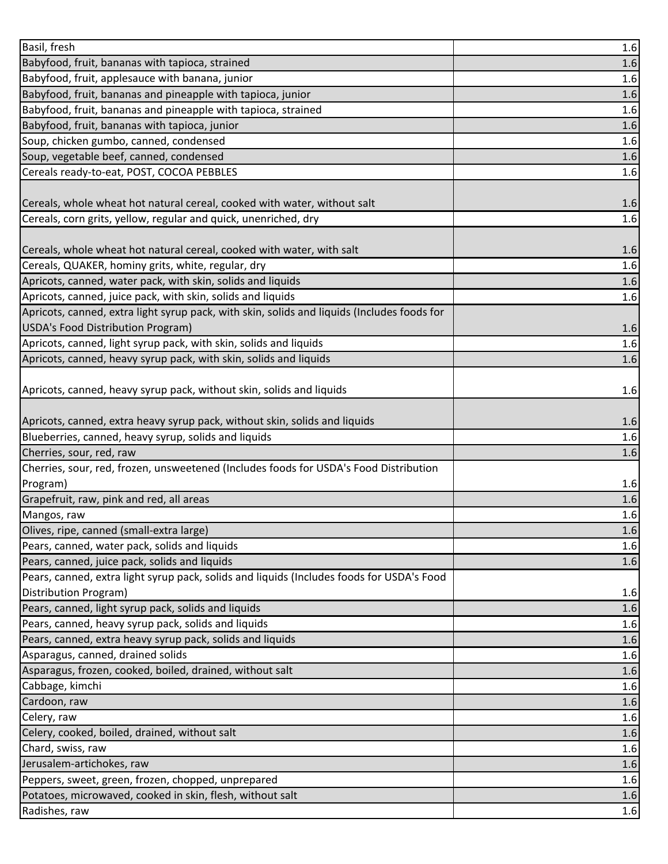| Basil, fresh                                                                                | 1.6     |
|---------------------------------------------------------------------------------------------|---------|
| Babyfood, fruit, bananas with tapioca, strained                                             | 1.6     |
| Babyfood, fruit, applesauce with banana, junior                                             | 1.6     |
| Babyfood, fruit, bananas and pineapple with tapioca, junior                                 | $1.6\,$ |
| Babyfood, fruit, bananas and pineapple with tapioca, strained                               | 1.6     |
| Babyfood, fruit, bananas with tapioca, junior                                               | $1.6\,$ |
| Soup, chicken gumbo, canned, condensed                                                      | 1.6     |
| Soup, vegetable beef, canned, condensed                                                     | 1.6     |
| Cereals ready-to-eat, POST, COCOA PEBBLES                                                   | 1.6     |
|                                                                                             |         |
| Cereals, whole wheat hot natural cereal, cooked with water, without salt                    | 1.6     |
| Cereals, corn grits, yellow, regular and quick, unenriched, dry                             | 1.6     |
|                                                                                             |         |
| Cereals, whole wheat hot natural cereal, cooked with water, with salt                       | 1.6     |
| Cereals, QUAKER, hominy grits, white, regular, dry                                          | 1.6     |
| Apricots, canned, water pack, with skin, solids and liquids                                 | 1.6     |
| Apricots, canned, juice pack, with skin, solids and liquids                                 | 1.6     |
| Apricots, canned, extra light syrup pack, with skin, solids and liquids (Includes foods for |         |
| USDA's Food Distribution Program)                                                           | 1.6     |
| Apricots, canned, light syrup pack, with skin, solids and liquids                           | 1.6     |
| Apricots, canned, heavy syrup pack, with skin, solids and liquids                           | 1.6     |
|                                                                                             |         |
| Apricots, canned, heavy syrup pack, without skin, solids and liquids                        | 1.6     |
|                                                                                             |         |
| Apricots, canned, extra heavy syrup pack, without skin, solids and liquids                  | 1.6     |
| Blueberries, canned, heavy syrup, solids and liquids                                        | 1.6     |
| Cherries, sour, red, raw                                                                    | 1.6     |
| Cherries, sour, red, frozen, unsweetened (Includes foods for USDA's Food Distribution       |         |
| Program)                                                                                    | 1.6     |
| Grapefruit, raw, pink and red, all areas                                                    | 1.6     |
| Mangos, raw                                                                                 | 1.6     |
| Olives, ripe, canned (small-extra large)                                                    | 1.6     |
| Pears, canned, water pack, solids and liquids                                               | 1.6     |
| Pears, canned, juice pack, solids and liquids                                               | 1.6     |
| Pears, canned, extra light syrup pack, solids and liquids (Includes foods for USDA's Food   |         |
| Distribution Program)                                                                       | 1.6     |
| Pears, canned, light syrup pack, solids and liquids                                         | 1.6     |
| Pears, canned, heavy syrup pack, solids and liquids                                         | 1.6     |
| Pears, canned, extra heavy syrup pack, solids and liquids                                   | 1.6     |
| Asparagus, canned, drained solids                                                           | 1.6     |
| Asparagus, frozen, cooked, boiled, drained, without salt                                    | 1.6     |
| Cabbage, kimchi                                                                             | 1.6     |
| Cardoon, raw                                                                                | 1.6     |
| Celery, raw                                                                                 | 1.6     |
| Celery, cooked, boiled, drained, without salt                                               | 1.6     |
| Chard, swiss, raw                                                                           | 1.6     |
| Jerusalem-artichokes, raw                                                                   | 1.6     |
| Peppers, sweet, green, frozen, chopped, unprepared                                          | 1.6     |
| Potatoes, microwaved, cooked in skin, flesh, without salt                                   | 1.6     |
| Radishes, raw                                                                               | 1.6     |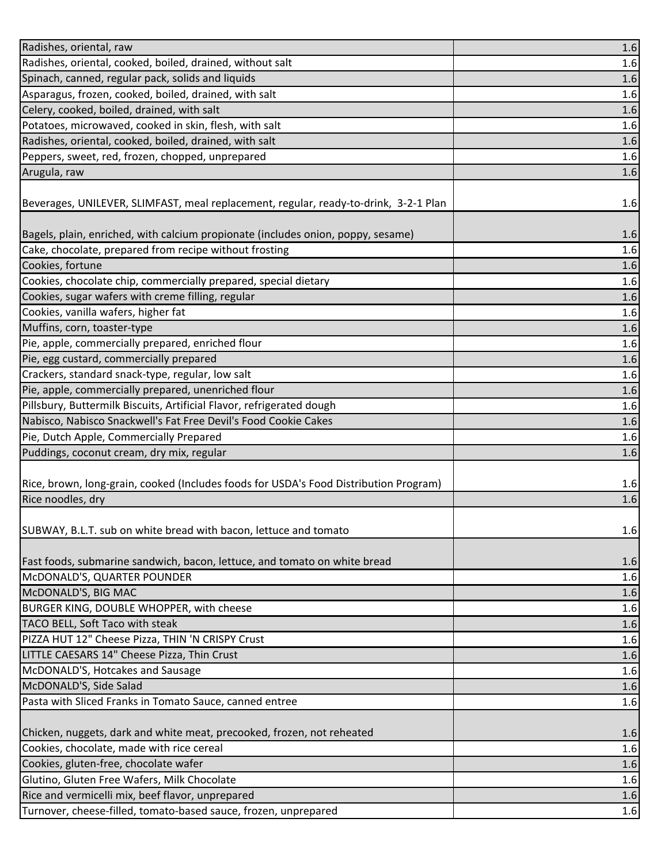| Radishes, oriental, raw                                                                                                             | 1.6        |
|-------------------------------------------------------------------------------------------------------------------------------------|------------|
| Radishes, oriental, cooked, boiled, drained, without salt                                                                           | 1.6        |
| Spinach, canned, regular pack, solids and liquids                                                                                   | 1.6        |
| Asparagus, frozen, cooked, boiled, drained, with salt                                                                               | 1.6        |
| Celery, cooked, boiled, drained, with salt                                                                                          | 1.6        |
| Potatoes, microwaved, cooked in skin, flesh, with salt                                                                              | 1.6        |
| Radishes, oriental, cooked, boiled, drained, with salt                                                                              | 1.6        |
| Peppers, sweet, red, frozen, chopped, unprepared                                                                                    | 1.6        |
| Arugula, raw                                                                                                                        | 1.6        |
|                                                                                                                                     |            |
| Beverages, UNILEVER, SLIMFAST, meal replacement, regular, ready-to-drink, 3-2-1 Plan                                                | 1.6        |
|                                                                                                                                     |            |
| Bagels, plain, enriched, with calcium propionate (includes onion, poppy, sesame)                                                    | 1.6        |
| Cake, chocolate, prepared from recipe without frosting                                                                              | 1.6        |
| Cookies, fortune                                                                                                                    | 1.6        |
| Cookies, chocolate chip, commercially prepared, special dietary                                                                     | 1.6        |
| Cookies, sugar wafers with creme filling, regular                                                                                   | 1.6        |
| Cookies, vanilla wafers, higher fat                                                                                                 | 1.6        |
| Muffins, corn, toaster-type                                                                                                         | 1.6        |
| Pie, apple, commercially prepared, enriched flour                                                                                   | 1.6        |
| Pie, egg custard, commercially prepared                                                                                             | 1.6        |
| Crackers, standard snack-type, regular, low salt                                                                                    | 1.6        |
| Pie, apple, commercially prepared, unenriched flour                                                                                 | 1.6        |
| Pillsbury, Buttermilk Biscuits, Artificial Flavor, refrigerated dough                                                               | 1.6        |
| Nabisco, Nabisco Snackwell's Fat Free Devil's Food Cookie Cakes                                                                     | 1.6        |
|                                                                                                                                     |            |
| Pie, Dutch Apple, Commercially Prepared                                                                                             | $1.6\,$    |
| Puddings, coconut cream, dry mix, regular                                                                                           | 1.6        |
|                                                                                                                                     |            |
| Rice, brown, long-grain, cooked (Includes foods for USDA's Food Distribution Program)                                               | 1.6        |
| Rice noodles, dry                                                                                                                   | 1.6        |
|                                                                                                                                     |            |
| SUBWAY, B.L.T. sub on white bread with bacon, lettuce and tomato                                                                    | 1.6        |
|                                                                                                                                     |            |
|                                                                                                                                     | 1.6        |
| McDONALD'S, QUARTER POUNDER                                                                                                         | 1.6        |
|                                                                                                                                     | 1.6        |
| BURGER KING, DOUBLE WHOPPER, with cheese                                                                                            | 1.6        |
| Fast foods, submarine sandwich, bacon, lettuce, and tomato on white bread<br>McDONALD'S, BIG MAC<br>TACO BELL, Soft Taco with steak | 1.6        |
| PIZZA HUT 12" Cheese Pizza, THIN 'N CRISPY Crust                                                                                    | 1.6        |
| LITTLE CAESARS 14" Cheese Pizza, Thin Crust                                                                                         | 1.6        |
| McDONALD'S, Hotcakes and Sausage                                                                                                    | 1.6        |
| McDONALD'S, Side Salad                                                                                                              | 1.6        |
| Pasta with Sliced Franks in Tomato Sauce, canned entree                                                                             | 1.6        |
|                                                                                                                                     |            |
| Chicken, nuggets, dark and white meat, precooked, frozen, not reheated                                                              | 1.6        |
| Cookies, chocolate, made with rice cereal                                                                                           | 1.6        |
| Cookies, gluten-free, chocolate wafer                                                                                               | 1.6        |
| Glutino, Gluten Free Wafers, Milk Chocolate                                                                                         | 1.6        |
| Rice and vermicelli mix, beef flavor, unprepared<br>Turnover, cheese-filled, tomato-based sauce, frozen, unprepared                 | 1.6<br>1.6 |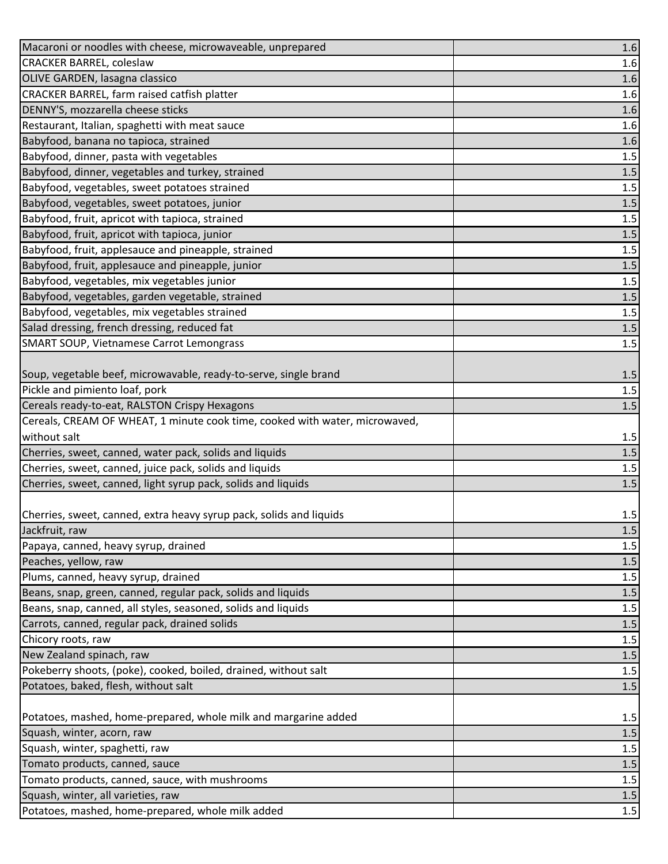| Macaroni or noodles with cheese, microwaveable, unprepared                  | 1.6     |
|-----------------------------------------------------------------------------|---------|
| <b>CRACKER BARREL, coleslaw</b>                                             | 1.6     |
| OLIVE GARDEN, lasagna classico                                              | 1.6     |
| CRACKER BARREL, farm raised catfish platter                                 | 1.6     |
| DENNY'S, mozzarella cheese sticks                                           | 1.6     |
| Restaurant, Italian, spaghetti with meat sauce                              | 1.6     |
| Babyfood, banana no tapioca, strained                                       | 1.6     |
| Babyfood, dinner, pasta with vegetables                                     | 1.5     |
| Babyfood, dinner, vegetables and turkey, strained                           | $1.5$   |
| Babyfood, vegetables, sweet potatoes strained                               | 1.5     |
| Babyfood, vegetables, sweet potatoes, junior                                | $1.5$   |
| Babyfood, fruit, apricot with tapioca, strained                             | 1.5     |
| Babyfood, fruit, apricot with tapioca, junior                               | 1.5     |
| Babyfood, fruit, applesauce and pineapple, strained                         | $1.5\,$ |
| Babyfood, fruit, applesauce and pineapple, junior                           | 1.5     |
| Babyfood, vegetables, mix vegetables junior                                 | 1.5     |
| Babyfood, vegetables, garden vegetable, strained                            | $1.5$   |
| Babyfood, vegetables, mix vegetables strained                               | $1.5\,$ |
| Salad dressing, french dressing, reduced fat                                | $1.5\,$ |
| <b>SMART SOUP, Vietnamese Carrot Lemongrass</b>                             | 1.5     |
|                                                                             |         |
| Soup, vegetable beef, microwavable, ready-to-serve, single brand            | 1.5     |
| Pickle and pimiento loaf, pork                                              | 1.5     |
| Cereals ready-to-eat, RALSTON Crispy Hexagons                               | 1.5     |
| Cereals, CREAM OF WHEAT, 1 minute cook time, cooked with water, microwaved, |         |
| without salt                                                                | 1.5     |
| Cherries, sweet, canned, water pack, solids and liquids                     | 1.5     |
| Cherries, sweet, canned, juice pack, solids and liquids                     | 1.5     |
| Cherries, sweet, canned, light syrup pack, solids and liquids               | $1.5\,$ |
|                                                                             |         |
| Cherries, sweet, canned, extra heavy syrup pack, solids and liquids         | 1.5     |
| Jackfruit, raw                                                              | 1.5     |
| Papaya, canned, heavy syrup, drained                                        | 1.5     |
| Peaches, yellow, raw                                                        | $1.5$   |
| Plums, canned, heavy syrup, drained                                         | 1.5     |
| Beans, snap, green, canned, regular pack, solids and liquids                | 1.5     |
| Beans, snap, canned, all styles, seasoned, solids and liquids               | 1.5     |
| Carrots, canned, regular pack, drained solids                               | 1.5     |
| Chicory roots, raw                                                          | $1.5\,$ |
| New Zealand spinach, raw                                                    | 1.5     |
| Pokeberry shoots, (poke), cooked, boiled, drained, without salt             | 1.5     |
| Potatoes, baked, flesh, without salt                                        | 1.5     |
| Potatoes, mashed, home-prepared, whole milk and margarine added             | 1.5     |
| Squash, winter, acorn, raw                                                  | 1.5     |
| Squash, winter, spaghetti, raw                                              | $1.5$   |
| Tomato products, canned, sauce                                              | 1.5     |
| Tomato products, canned, sauce, with mushrooms                              | 1.5     |
| Squash, winter, all varieties, raw                                          | $1.5\,$ |
| Potatoes, mashed, home-prepared, whole milk added                           | 1.5     |
|                                                                             |         |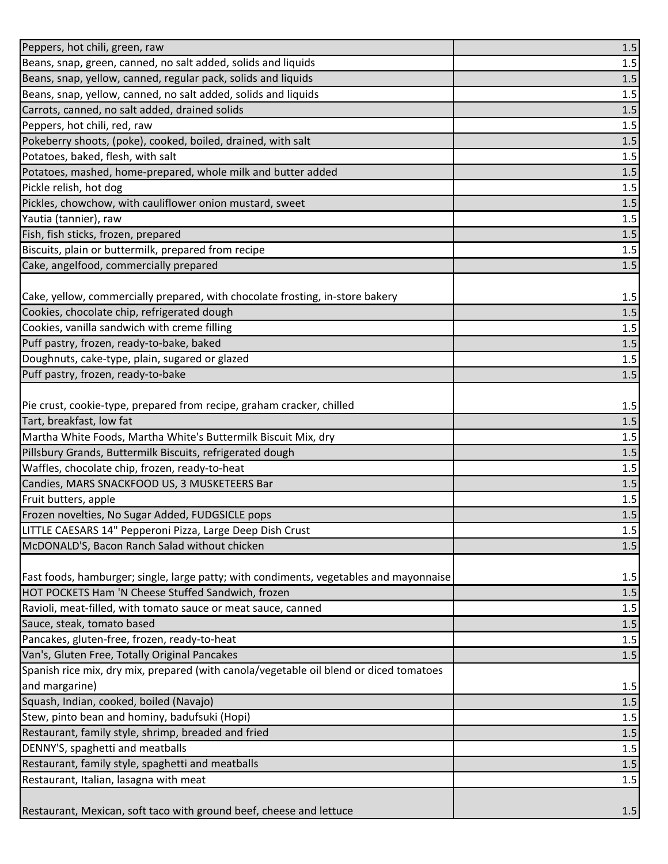| Peppers, hot chili, green, raw                                                         | $1.5\,$ |
|----------------------------------------------------------------------------------------|---------|
| Beans, snap, green, canned, no salt added, solids and liquids                          | 1.5     |
| Beans, snap, yellow, canned, regular pack, solids and liquids                          | $1.5$   |
| Beans, snap, yellow, canned, no salt added, solids and liquids                         | 1.5     |
| Carrots, canned, no salt added, drained solids                                         | 1.5     |
| Peppers, hot chili, red, raw                                                           | 1.5     |
| Pokeberry shoots, (poke), cooked, boiled, drained, with salt                           | 1.5     |
| Potatoes, baked, flesh, with salt                                                      | 1.5     |
| Potatoes, mashed, home-prepared, whole milk and butter added                           | $1.5$   |
| Pickle relish, hot dog                                                                 | 1.5     |
| Pickles, chowchow, with cauliflower onion mustard, sweet                               | $1.5$   |
| Yautia (tannier), raw                                                                  | 1.5     |
| Fish, fish sticks, frozen, prepared                                                    | $1.5\,$ |
| Biscuits, plain or buttermilk, prepared from recipe                                    | 1.5     |
| Cake, angelfood, commercially prepared                                                 | 1.5     |
|                                                                                        |         |
| Cake, yellow, commercially prepared, with chocolate frosting, in-store bakery          | 1.5     |
| Cookies, chocolate chip, refrigerated dough                                            | $1.5\,$ |
| Cookies, vanilla sandwich with creme filling                                           | $1.5\,$ |
| Puff pastry, frozen, ready-to-bake, baked                                              | $1.5\,$ |
| Doughnuts, cake-type, plain, sugared or glazed                                         | $1.5\,$ |
| Puff pastry, frozen, ready-to-bake                                                     | 1.5     |
|                                                                                        |         |
| Pie crust, cookie-type, prepared from recipe, graham cracker, chilled                  | 1.5     |
| Tart, breakfast, low fat                                                               | 1.5     |
| Martha White Foods, Martha White's Buttermilk Biscuit Mix, dry                         | 1.5     |
| Pillsbury Grands, Buttermilk Biscuits, refrigerated dough                              | 1.5     |
| Waffles, chocolate chip, frozen, ready-to-heat                                         | 1.5     |
| Candies, MARS SNACKFOOD US, 3 MUSKETEERS Bar                                           | $1.5\,$ |
| Fruit butters, apple                                                                   | $1.5\,$ |
| Frozen novelties, No Sugar Added, FUDGSICLE pops                                       | 1.5     |
| LITTLE CAESARS 14" Pepperoni Pizza, Large Deep Dish Crust                              | 1.5     |
| McDONALD'S, Bacon Ranch Salad without chicken                                          | 1.5     |
|                                                                                        |         |
| Fast foods, hamburger; single, large patty; with condiments, vegetables and mayonnaise | 1.5     |
| HOT POCKETS Ham 'N Cheese Stuffed Sandwich, frozen                                     | $1.5$   |
| Ravioli, meat-filled, with tomato sauce or meat sauce, canned                          | 1.5     |
| Sauce, steak, tomato based                                                             | 1.5     |
| Pancakes, gluten-free, frozen, ready-to-heat                                           | 1.5     |
| Van's, Gluten Free, Totally Original Pancakes                                          | 1.5     |
| Spanish rice mix, dry mix, prepared (with canola/vegetable oil blend or diced tomatoes |         |
| and margarine)                                                                         | 1.5     |
| Squash, Indian, cooked, boiled (Navajo)                                                | 1.5     |
| Stew, pinto bean and hominy, badufsuki (Hopi)                                          | 1.5     |
| Restaurant, family style, shrimp, breaded and fried                                    | 1.5     |
| DENNY'S, spaghetti and meatballs                                                       | $1.5$   |
| Restaurant, family style, spaghetti and meatballs                                      | 1.5     |
| Restaurant, Italian, lasagna with meat                                                 | 1.5     |
|                                                                                        |         |
| Restaurant, Mexican, soft taco with ground beef, cheese and lettuce                    | 1.5     |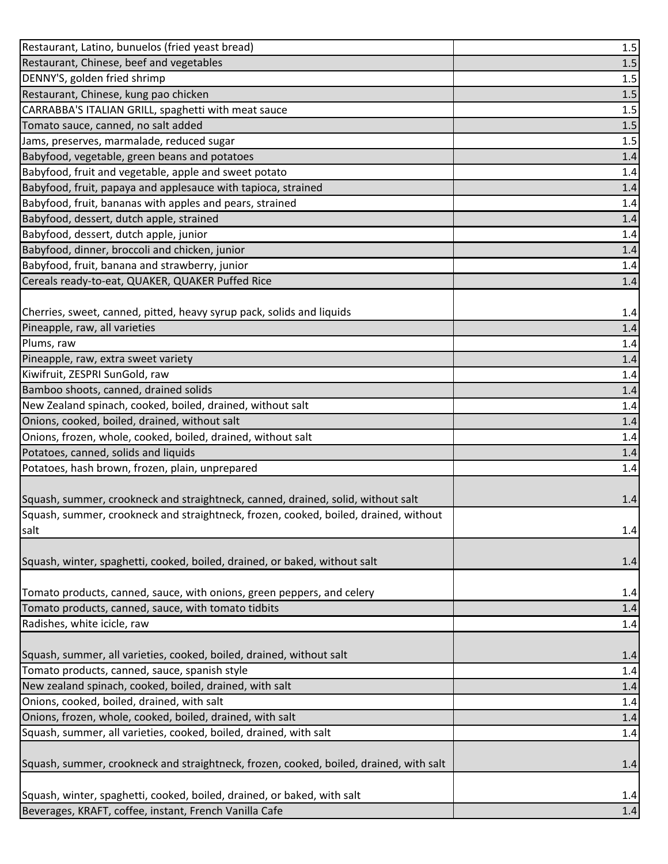| Restaurant, Latino, bunuelos (fried yeast bread)                                                                                  | 1.5          |
|-----------------------------------------------------------------------------------------------------------------------------------|--------------|
| Restaurant, Chinese, beef and vegetables                                                                                          | 1.5          |
| DENNY'S, golden fried shrimp                                                                                                      | 1.5          |
| Restaurant, Chinese, kung pao chicken                                                                                             | $1.5\,$      |
| CARRABBA'S ITALIAN GRILL, spaghetti with meat sauce                                                                               | $1.5\,$      |
| Tomato sauce, canned, no salt added                                                                                               | $1.5\,$      |
| Jams, preserves, marmalade, reduced sugar                                                                                         | 1.5          |
| Babyfood, vegetable, green beans and potatoes                                                                                     | 1.4          |
| Babyfood, fruit and vegetable, apple and sweet potato                                                                             | 1.4          |
| Babyfood, fruit, papaya and applesauce with tapioca, strained                                                                     | $1.4\,$      |
| Babyfood, fruit, bananas with apples and pears, strained                                                                          | $1.4\,$      |
| Babyfood, dessert, dutch apple, strained                                                                                          | 1.4          |
| Babyfood, dessert, dutch apple, junior                                                                                            | 1.4          |
| Babyfood, dinner, broccoli and chicken, junior                                                                                    | 1.4          |
| Babyfood, fruit, banana and strawberry, junior                                                                                    | $1.4\,$      |
| Cereals ready-to-eat, QUAKER, QUAKER Puffed Rice                                                                                  | 1.4          |
|                                                                                                                                   |              |
| Cherries, sweet, canned, pitted, heavy syrup pack, solids and liquids                                                             | 1.4          |
| Pineapple, raw, all varieties                                                                                                     | $1.4$        |
| Plums, raw                                                                                                                        | 1.4          |
| Pineapple, raw, extra sweet variety                                                                                               | 1.4          |
| Kiwifruit, ZESPRI SunGold, raw                                                                                                    | 1.4          |
| Bamboo shoots, canned, drained solids                                                                                             | 1.4          |
| New Zealand spinach, cooked, boiled, drained, without salt                                                                        | 1.4          |
| Onions, cooked, boiled, drained, without salt                                                                                     | 1.4          |
| Onions, frozen, whole, cooked, boiled, drained, without salt                                                                      | 1.4          |
| Potatoes, canned, solids and liquids                                                                                              | 1.4          |
| Potatoes, hash brown, frozen, plain, unprepared                                                                                   | 1.4          |
|                                                                                                                                   |              |
| Squash, summer, crookneck and straightneck, canned, drained, solid, without salt                                                  | 1.4          |
|                                                                                                                                   |              |
| Squash, summer, crookneck and straightneck, frozen, cooked, boiled, drained, without                                              |              |
| salt                                                                                                                              | 1.4          |
|                                                                                                                                   |              |
| Squash, winter, spaghetti, cooked, boiled, drained, or baked, without salt                                                        | 1.4          |
|                                                                                                                                   |              |
| Tomato products, canned, sauce, with onions, green peppers, and celery                                                            | 1.4          |
| Tomato products, canned, sauce, with tomato tidbits                                                                               | 1.4          |
| Radishes, white icicle, raw                                                                                                       | $1.4\,$      |
|                                                                                                                                   |              |
| Squash, summer, all varieties, cooked, boiled, drained, without salt                                                              | 1.4          |
| Tomato products, canned, sauce, spanish style                                                                                     | $1.4\,$      |
| New zealand spinach, cooked, boiled, drained, with salt                                                                           | 1.4          |
| Onions, cooked, boiled, drained, with salt                                                                                        | 1.4          |
| Onions, frozen, whole, cooked, boiled, drained, with salt                                                                         | 1.4          |
| Squash, summer, all varieties, cooked, boiled, drained, with salt                                                                 | 1.4          |
|                                                                                                                                   |              |
| Squash, summer, crookneck and straightneck, frozen, cooked, boiled, drained, with salt                                            | 1.4          |
|                                                                                                                                   |              |
| Squash, winter, spaghetti, cooked, boiled, drained, or baked, with salt<br>Beverages, KRAFT, coffee, instant, French Vanilla Cafe | 1.4<br>$1.4$ |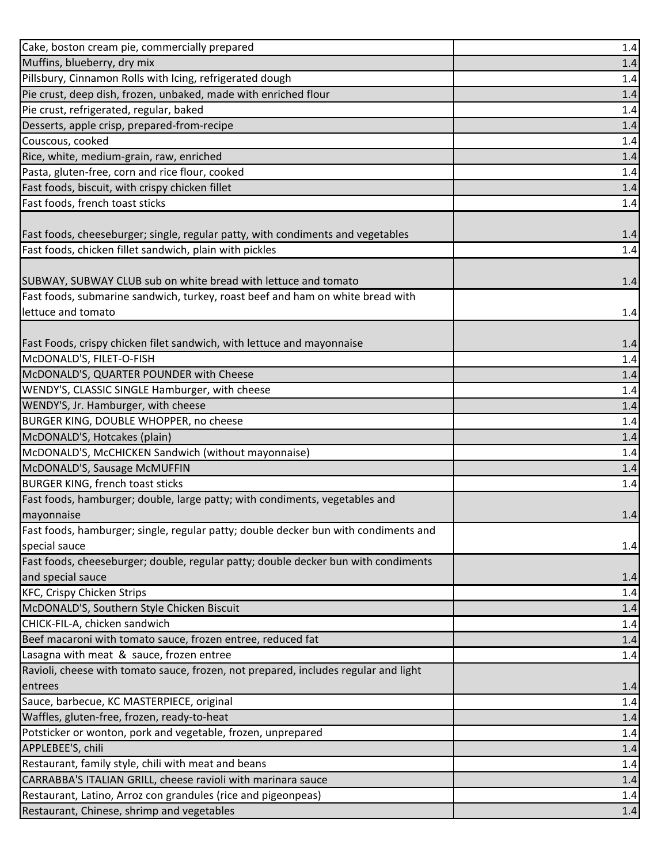| Cake, boston cream pie, commercially prepared                                       | 1.4     |
|-------------------------------------------------------------------------------------|---------|
| Muffins, blueberry, dry mix                                                         | 1.4     |
| Pillsbury, Cinnamon Rolls with Icing, refrigerated dough                            | 1.4     |
| Pie crust, deep dish, frozen, unbaked, made with enriched flour                     | 1.4     |
| Pie crust, refrigerated, regular, baked                                             | 1.4     |
| Desserts, apple crisp, prepared-from-recipe                                         | 1.4     |
| Couscous, cooked                                                                    | 1.4     |
| Rice, white, medium-grain, raw, enriched                                            | 1.4     |
| Pasta, gluten-free, corn and rice flour, cooked                                     | 1.4     |
| Fast foods, biscuit, with crispy chicken fillet                                     | 1.4     |
| Fast foods, french toast sticks                                                     | 1.4     |
|                                                                                     |         |
| Fast foods, cheeseburger; single, regular patty, with condiments and vegetables     | 1.4     |
| Fast foods, chicken fillet sandwich, plain with pickles                             | 1.4     |
|                                                                                     |         |
| SUBWAY, SUBWAY CLUB sub on white bread with lettuce and tomato                      | 1.4     |
| Fast foods, submarine sandwich, turkey, roast beef and ham on white bread with      |         |
| lettuce and tomato                                                                  | 1.4     |
|                                                                                     |         |
| Fast Foods, crispy chicken filet sandwich, with lettuce and mayonnaise              | 1.4     |
| McDONALD'S, FILET-O-FISH                                                            | $1.4\,$ |
| McDONALD'S, QUARTER POUNDER with Cheese                                             | 1.4     |
| WENDY'S, CLASSIC SINGLE Hamburger, with cheese                                      | 1.4     |
| WENDY'S, Jr. Hamburger, with cheese                                                 | 1.4     |
| BURGER KING, DOUBLE WHOPPER, no cheese                                              | 1.4     |
|                                                                                     |         |
| McDONALD'S, Hotcakes (plain)                                                        | 1.4     |
| McDONALD'S, McCHICKEN Sandwich (without mayonnaise)                                 | 1.4     |
| McDONALD'S, Sausage McMUFFIN                                                        | 1.4     |
| <b>BURGER KING, french toast sticks</b>                                             | 1.4     |
| Fast foods, hamburger; double, large patty; with condiments, vegetables and         |         |
| mayonnaise                                                                          | 1.4     |
| Fast foods, hamburger; single, regular patty; double decker bun with condiments and |         |
| special sauce                                                                       | 1.4     |
| Fast foods, cheeseburger; double, regular patty; double decker bun with condiments  |         |
| and special sauce                                                                   | 1.4     |
| <b>KFC, Crispy Chicken Strips</b>                                                   | 1.4     |
| McDONALD'S, Southern Style Chicken Biscuit                                          | 1.4     |
| CHICK-FIL-A, chicken sandwich                                                       | 1.4     |
| Beef macaroni with tomato sauce, frozen entree, reduced fat                         | 1.4     |
| Lasagna with meat & sauce, frozen entree                                            | 1.4     |
| Ravioli, cheese with tomato sauce, frozen, not prepared, includes regular and light |         |
| entrees                                                                             | 1.4     |
| Sauce, barbecue, KC MASTERPIECE, original                                           | 1.4     |
| Waffles, gluten-free, frozen, ready-to-heat                                         | 1.4     |
| Potsticker or wonton, pork and vegetable, frozen, unprepared                        | 1.4     |
| APPLEBEE'S, chili                                                                   | 1.4     |
| Restaurant, family style, chili with meat and beans                                 | 1.4     |
| CARRABBA'S ITALIAN GRILL, cheese ravioli with marinara sauce                        | 1.4     |
| Restaurant, Latino, Arroz con grandules (rice and pigeonpeas)                       | 1.4     |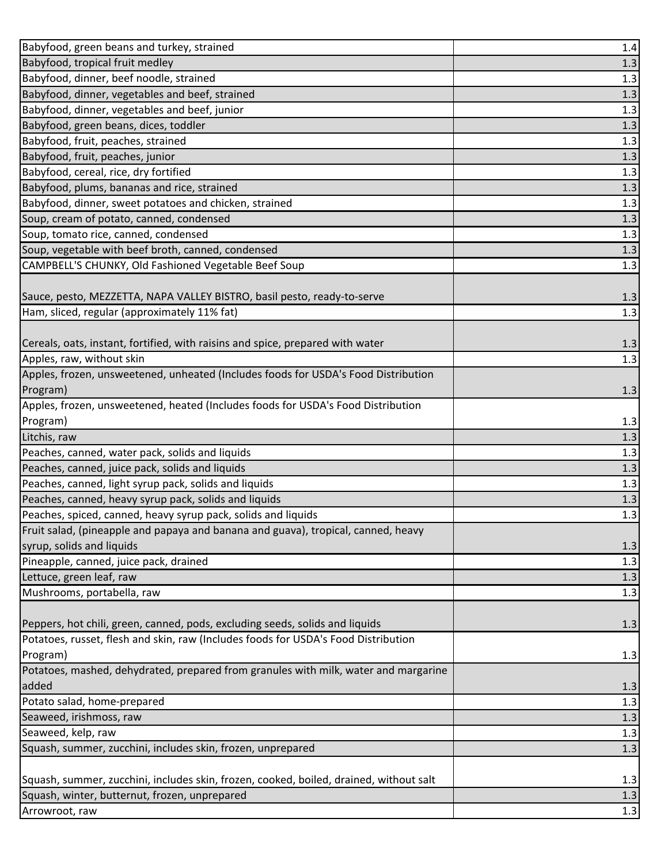| Babyfood, green beans and turkey, strained                                             | 1.4   |
|----------------------------------------------------------------------------------------|-------|
| Babyfood, tropical fruit medley                                                        | 1.3   |
| Babyfood, dinner, beef noodle, strained                                                | 1.3   |
| Babyfood, dinner, vegetables and beef, strained                                        | 1.3   |
| Babyfood, dinner, vegetables and beef, junior                                          | 1.3   |
| Babyfood, green beans, dices, toddler                                                  | 1.3   |
| Babyfood, fruit, peaches, strained                                                     | 1.3   |
| Babyfood, fruit, peaches, junior                                                       | 1.3   |
| Babyfood, cereal, rice, dry fortified                                                  | 1.3   |
| Babyfood, plums, bananas and rice, strained                                            | 1.3   |
| Babyfood, dinner, sweet potatoes and chicken, strained                                 | 1.3   |
| Soup, cream of potato, canned, condensed                                               | 1.3   |
| Soup, tomato rice, canned, condensed                                                   | 1.3   |
| Soup, vegetable with beef broth, canned, condensed                                     | $1.3$ |
| CAMPBELL'S CHUNKY, Old Fashioned Vegetable Beef Soup                                   | 1.3   |
|                                                                                        |       |
| Sauce, pesto, MEZZETTA, NAPA VALLEY BISTRO, basil pesto, ready-to-serve                | 1.3   |
| Ham, sliced, regular (approximately 11% fat)                                           | 1.3   |
|                                                                                        |       |
| Cereals, oats, instant, fortified, with raisins and spice, prepared with water         | 1.3   |
| Apples, raw, without skin                                                              | 1.3   |
| Apples, frozen, unsweetened, unheated (Includes foods for USDA's Food Distribution     |       |
| Program)                                                                               | 1.3   |
| Apples, frozen, unsweetened, heated (Includes foods for USDA's Food Distribution       |       |
| Program)                                                                               | 1.3   |
| Litchis, raw                                                                           | $1.3$ |
| Peaches, canned, water pack, solids and liquids                                        | 1.3   |
| Peaches, canned, juice pack, solids and liquids                                        | 1.3   |
| Peaches, canned, light syrup pack, solids and liquids                                  | 1.3   |
| Peaches, canned, heavy syrup pack, solids and liquids                                  | 1.3   |
| Peaches, spiced, canned, heavy syrup pack, solids and liquids                          | 1.3   |
| Fruit salad, (pineapple and papaya and banana and guava), tropical, canned, heavy      |       |
| syrup, solids and liquids                                                              | 1.3   |
| Pineapple, canned, juice pack, drained                                                 | 1.3   |
| Lettuce, green leaf, raw                                                               | 1.3   |
| Mushrooms, portabella, raw                                                             | 1.3   |
|                                                                                        |       |
| Peppers, hot chili, green, canned, pods, excluding seeds, solids and liquids           | 1.3   |
| Potatoes, russet, flesh and skin, raw (Includes foods for USDA's Food Distribution     |       |
| Program)                                                                               | 1.3   |
| Potatoes, mashed, dehydrated, prepared from granules with milk, water and margarine    |       |
| added                                                                                  | 1.3   |
| Potato salad, home-prepared                                                            | 1.3   |
| Seaweed, irishmoss, raw                                                                | 1.3   |
| Seaweed, kelp, raw                                                                     | 1.3   |
| Squash, summer, zucchini, includes skin, frozen, unprepared                            | 1.3   |
|                                                                                        |       |
| Squash, summer, zucchini, includes skin, frozen, cooked, boiled, drained, without salt | 1.3   |
| Squash, winter, butternut, frozen, unprepared                                          | 1.3   |
| Arrowroot, raw                                                                         | 1.3   |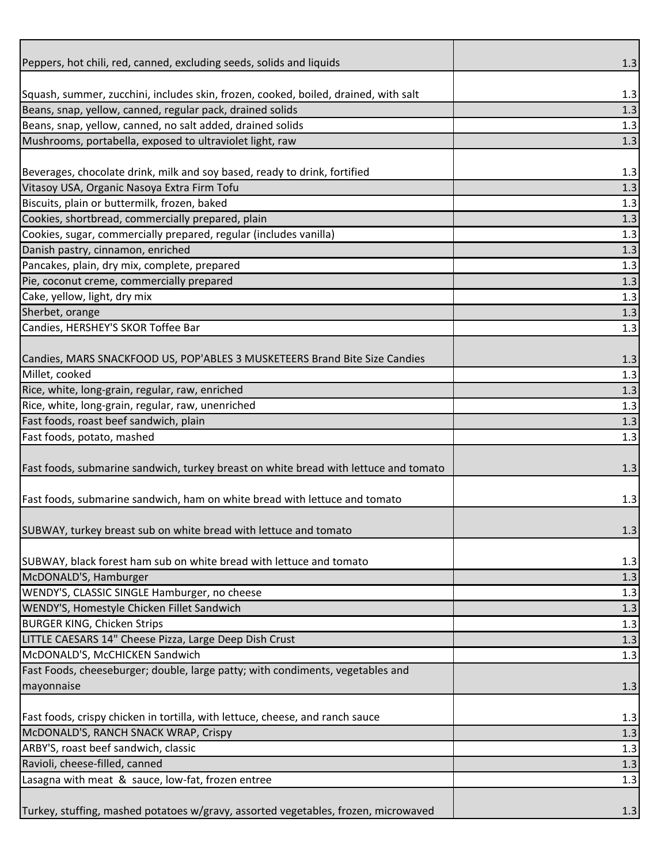| Peppers, hot chili, red, canned, excluding seeds, solids and liquids                 |       |
|--------------------------------------------------------------------------------------|-------|
|                                                                                      | 1.3   |
| Squash, summer, zucchini, includes skin, frozen, cooked, boiled, drained, with salt  | 1.3   |
| Beans, snap, yellow, canned, regular pack, drained solids                            | 1.3   |
| Beans, snap, yellow, canned, no salt added, drained solids                           | 1.3   |
| Mushrooms, portabella, exposed to ultraviolet light, raw                             | 1.3   |
|                                                                                      |       |
| Beverages, chocolate drink, milk and soy based, ready to drink, fortified            | 1.3   |
| Vitasoy USA, Organic Nasoya Extra Firm Tofu                                          | 1.3   |
| Biscuits, plain or buttermilk, frozen, baked                                         | 1.3   |
| Cookies, shortbread, commercially prepared, plain                                    | 1.3   |
| Cookies, sugar, commercially prepared, regular (includes vanilla)                    | 1.3   |
| Danish pastry, cinnamon, enriched                                                    | 1.3   |
| Pancakes, plain, dry mix, complete, prepared                                         | 1.3   |
| Pie, coconut creme, commercially prepared                                            | 1.3   |
| Cake, yellow, light, dry mix                                                         | 1.3   |
| Sherbet, orange                                                                      | 1.3   |
| Candies, HERSHEY'S SKOR Toffee Bar                                                   | 1.3   |
|                                                                                      |       |
| Candies, MARS SNACKFOOD US, POP'ABLES 3 MUSKETEERS Brand Bite Size Candies           | 1.3   |
| Millet, cooked                                                                       | 1.3   |
| Rice, white, long-grain, regular, raw, enriched                                      | 1.3   |
| Rice, white, long-grain, regular, raw, unenriched                                    | 1.3   |
| Fast foods, roast beef sandwich, plain                                               | 1.3   |
| Fast foods, potato, mashed                                                           | 1.3   |
|                                                                                      |       |
| Fast foods, submarine sandwich, turkey breast on white bread with lettuce and tomato | 1.3   |
|                                                                                      |       |
| Fast foods, submarine sandwich, ham on white bread with lettuce and tomato           | 1.3   |
|                                                                                      |       |
| SUBWAY, turkey breast sub on white bread with lettuce and tomato                     | 1.3   |
|                                                                                      |       |
| SUBWAY, black forest ham sub on white bread with lettuce and tomato                  | 1.3   |
| McDONALD'S, Hamburger                                                                | 1.3   |
| WENDY'S, CLASSIC SINGLE Hamburger, no cheese                                         | 1.3   |
| WENDY'S, Homestyle Chicken Fillet Sandwich                                           | $1.3$ |
| <b>BURGER KING, Chicken Strips</b>                                                   | 1.3   |
| LITTLE CAESARS 14" Cheese Pizza, Large Deep Dish Crust                               | 1.3   |
| McDONALD'S, McCHICKEN Sandwich                                                       | 1.3   |
| Fast Foods, cheeseburger; double, large patty; with condiments, vegetables and       |       |
| mayonnaise                                                                           |       |
|                                                                                      | 1.3   |
| Fast foods, crispy chicken in tortilla, with lettuce, cheese, and ranch sauce        | 1.3   |
| McDONALD'S, RANCH SNACK WRAP, Crispy                                                 | 1.3   |
| ARBY'S, roast beef sandwich, classic                                                 | 1.3   |
| Ravioli, cheese-filled, canned                                                       | 1.3   |
| Lasagna with meat & sauce, low-fat, frozen entree                                    | 1.3   |
|                                                                                      |       |
| Turkey, stuffing, mashed potatoes w/gravy, assorted vegetables, frozen, microwaved   | 1.3   |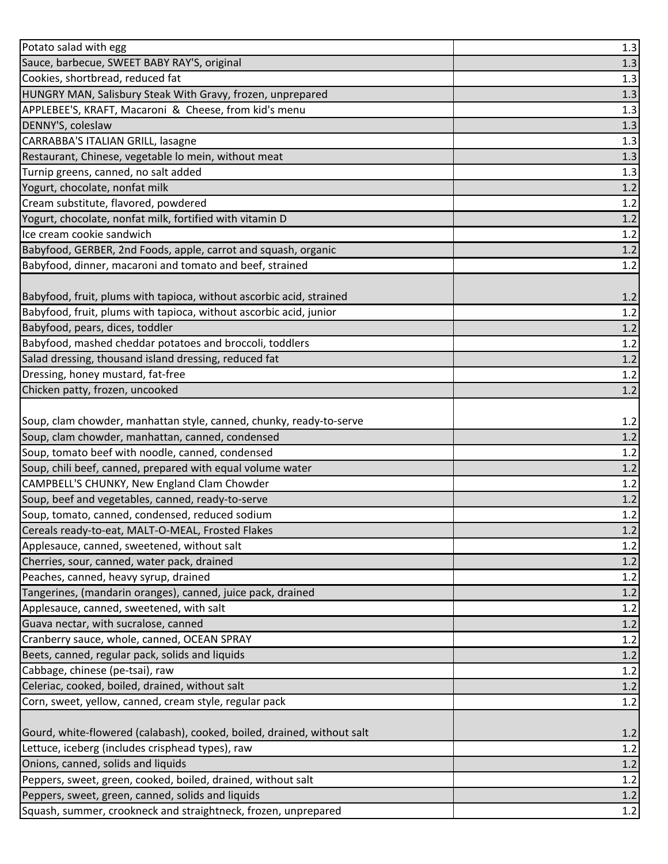| Potato salad with egg                                                   | 1.3     |
|-------------------------------------------------------------------------|---------|
| Sauce, barbecue, SWEET BABY RAY'S, original                             | 1.3     |
| Cookies, shortbread, reduced fat                                        | 1.3     |
| HUNGRY MAN, Salisbury Steak With Gravy, frozen, unprepared              | 1.3     |
| APPLEBEE'S, KRAFT, Macaroni & Cheese, from kid's menu                   | 1.3     |
| DENNY'S, coleslaw                                                       | 1.3     |
| CARRABBA'S ITALIAN GRILL, lasagne                                       | 1.3     |
| Restaurant, Chinese, vegetable lo mein, without meat                    | 1.3     |
| Turnip greens, canned, no salt added                                    | 1.3     |
| Yogurt, chocolate, nonfat milk                                          | $1.2\,$ |
| Cream substitute, flavored, powdered                                    | $1.2\,$ |
| Yogurt, chocolate, nonfat milk, fortified with vitamin D                | 1.2     |
| Ice cream cookie sandwich                                               | 1.2     |
| Babyfood, GERBER, 2nd Foods, apple, carrot and squash, organic          | $1.2\,$ |
| Babyfood, dinner, macaroni and tomato and beef, strained                | 1.2     |
|                                                                         |         |
| Babyfood, fruit, plums with tapioca, without ascorbic acid, strained    | 1.2     |
| Babyfood, fruit, plums with tapioca, without ascorbic acid, junior      | $1.2\,$ |
| Babyfood, pears, dices, toddler                                         | $1.2\,$ |
| Babyfood, mashed cheddar potatoes and broccoli, toddlers                | 1.2     |
| Salad dressing, thousand island dressing, reduced fat                   | $1.2\,$ |
| Dressing, honey mustard, fat-free                                       | 1.2     |
| Chicken patty, frozen, uncooked                                         | 1.2     |
|                                                                         |         |
| Soup, clam chowder, manhattan style, canned, chunky, ready-to-serve     | 1.2     |
| Soup, clam chowder, manhattan, canned, condensed                        | $1.2\,$ |
| Soup, tomato beef with noodle, canned, condensed                        | $1.2\,$ |
| Soup, chili beef, canned, prepared with equal volume water              | 1.2     |
| CAMPBELL'S CHUNKY, New England Clam Chowder                             | 1.2     |
| Soup, beef and vegetables, canned, ready-to-serve                       | $1.2\,$ |
| Soup, tomato, canned, condensed, reduced sodium                         | 1.2     |
| Cereals ready-to-eat, MALT-O-MEAL, Frosted Flakes                       | 1.2     |
| Applesauce, canned, sweetened, without salt                             | 1.2     |
| Cherries, sour, canned, water pack, drained                             | $1.2$   |
| Peaches, canned, heavy syrup, drained                                   | $1.2\,$ |
| Tangerines, (mandarin oranges), canned, juice pack, drained             | $1.2$   |
| Applesauce, canned, sweetened, with salt                                | 1.2     |
| Guava nectar, with sucralose, canned                                    | $1.2$   |
| Cranberry sauce, whole, canned, OCEAN SPRAY                             | $1.2\,$ |
| Beets, canned, regular pack, solids and liquids                         | $1.2\,$ |
| Cabbage, chinese (pe-tsai), raw                                         | 1.2     |
| Celeriac, cooked, boiled, drained, without salt                         | $1.2\,$ |
| Corn, sweet, yellow, canned, cream style, regular pack                  | 1.2     |
|                                                                         |         |
| Gourd, white-flowered (calabash), cooked, boiled, drained, without salt | 1.2     |
| Lettuce, iceberg (includes crisphead types), raw                        | 1.2     |
| Onions, canned, solids and liquids                                      | $1.2$   |
| Peppers, sweet, green, cooked, boiled, drained, without salt            | $1.2\,$ |
| Peppers, sweet, green, canned, solids and liquids                       | $1.2$   |
| Squash, summer, crookneck and straightneck, frozen, unprepared          | 1.2     |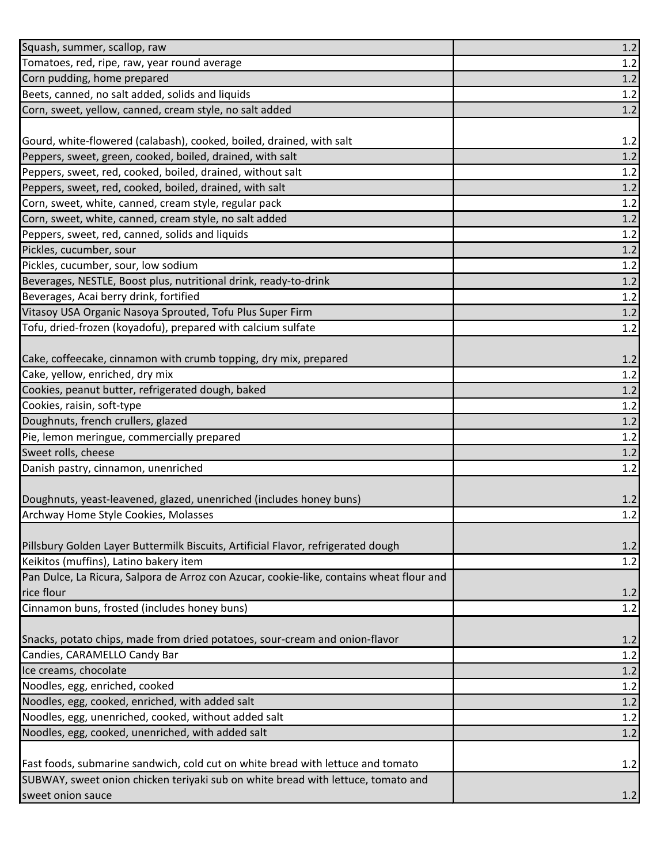| Squash, summer, scallop, raw                                                             | $1.2\,$    |
|------------------------------------------------------------------------------------------|------------|
| Tomatoes, red, ripe, raw, year round average                                             | 1.2        |
| Corn pudding, home prepared                                                              | $1.2$      |
| Beets, canned, no salt added, solids and liquids                                         | $1.2\,$    |
| Corn, sweet, yellow, canned, cream style, no salt added                                  | 1.2        |
|                                                                                          |            |
| Gourd, white-flowered (calabash), cooked, boiled, drained, with salt                     | 1.2        |
| Peppers, sweet, green, cooked, boiled, drained, with salt                                | $1.2\,$    |
| Peppers, sweet, red, cooked, boiled, drained, without salt                               | $1.2\,$    |
| Peppers, sweet, red, cooked, boiled, drained, with salt                                  | 1.2        |
| Corn, sweet, white, canned, cream style, regular pack                                    | 1.2        |
| Corn, sweet, white, canned, cream style, no salt added                                   | 1.2        |
| Peppers, sweet, red, canned, solids and liquids                                          | 1.2        |
| Pickles, cucumber, sour                                                                  | $1.2$      |
| Pickles, cucumber, sour, low sodium                                                      | 1.2        |
| Beverages, NESTLE, Boost plus, nutritional drink, ready-to-drink                         | $1.2$      |
| Beverages, Acai berry drink, fortified                                                   | $1.2\,$    |
| Vitasoy USA Organic Nasoya Sprouted, Tofu Plus Super Firm                                | 1.2        |
| Tofu, dried-frozen (koyadofu), prepared with calcium sulfate                             | 1.2        |
|                                                                                          |            |
| Cake, coffeecake, cinnamon with crumb topping, dry mix, prepared                         | 1.2        |
| Cake, yellow, enriched, dry mix                                                          | 1.2        |
| Cookies, peanut butter, refrigerated dough, baked                                        | 1.2        |
| Cookies, raisin, soft-type                                                               | 1.2        |
| Doughnuts, french crullers, glazed                                                       | $1.2$      |
| Pie, lemon meringue, commercially prepared                                               | 1.2        |
| Sweet rolls, cheese                                                                      | 1.2        |
| Danish pastry, cinnamon, unenriched                                                      | 1.2        |
|                                                                                          |            |
| Doughnuts, yeast-leavened, glazed, unenriched (includes honey buns)                      | 1.2<br>1.2 |
| Archway Home Style Cookies, Molasses                                                     |            |
| Pillsbury Golden Layer Buttermilk Biscuits, Artificial Flavor, refrigerated dough        | 1.2        |
| Keikitos (muffins), Latino bakery item                                                   | 1.2        |
| Pan Dulce, La Ricura, Salpora de Arroz con Azucar, cookie-like, contains wheat flour and |            |
| rice flour                                                                               | 1.2        |
| Cinnamon buns, frosted (includes honey buns)                                             | 1.2        |
|                                                                                          |            |
| Snacks, potato chips, made from dried potatoes, sour-cream and onion-flavor              | 1.2        |
| Candies, CARAMELLO Candy Bar                                                             | 1.2        |
| Ice creams, chocolate                                                                    | 1.2        |
| Noodles, egg, enriched, cooked                                                           | $1.2$      |
| Noodles, egg, cooked, enriched, with added salt                                          | 1.2        |
| Noodles, egg, unenriched, cooked, without added salt                                     | 1.2        |
| Noodles, egg, cooked, unenriched, with added salt                                        | 1.2        |
|                                                                                          |            |
| Fast foods, submarine sandwich, cold cut on white bread with lettuce and tomato          | 1.2        |
| SUBWAY, sweet onion chicken teriyaki sub on white bread with lettuce, tomato and         |            |
| sweet onion sauce                                                                        | 1.2        |
|                                                                                          |            |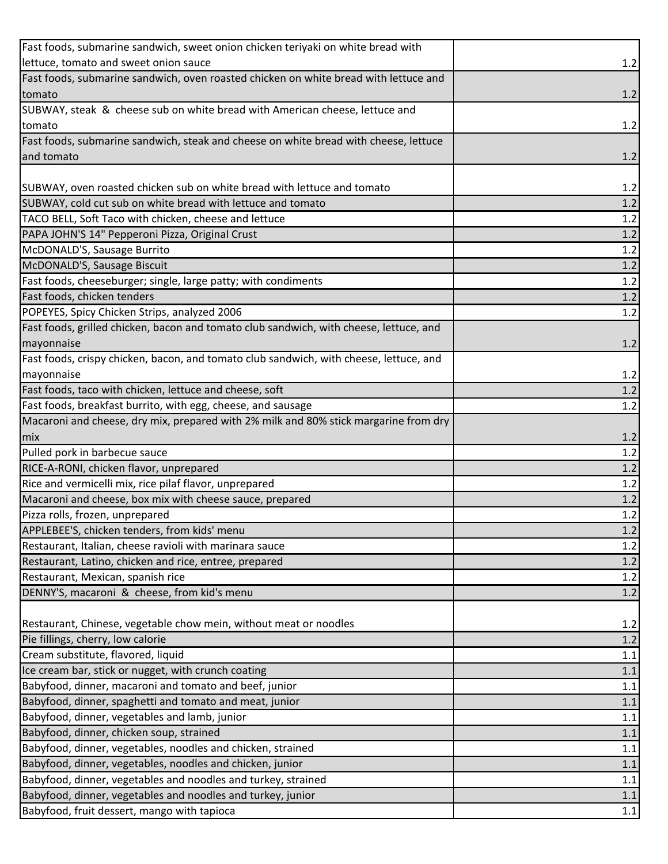| Fast foods, submarine sandwich, sweet onion chicken teriyaki on white bread with       |         |
|----------------------------------------------------------------------------------------|---------|
| lettuce, tomato and sweet onion sauce                                                  | 1.2     |
| Fast foods, submarine sandwich, oven roasted chicken on white bread with lettuce and   |         |
| tomato                                                                                 | 1.2     |
| SUBWAY, steak & cheese sub on white bread with American cheese, lettuce and            |         |
| tomato                                                                                 | 1.2     |
| Fast foods, submarine sandwich, steak and cheese on white bread with cheese, lettuce   |         |
| and tomato                                                                             | 1.2     |
|                                                                                        |         |
| SUBWAY, oven roasted chicken sub on white bread with lettuce and tomato                | 1.2     |
| SUBWAY, cold cut sub on white bread with lettuce and tomato                            | $1.2\,$ |
| TACO BELL, Soft Taco with chicken, cheese and lettuce                                  | 1.2     |
| PAPA JOHN'S 14" Pepperoni Pizza, Original Crust                                        | 1.2     |
| McDONALD'S, Sausage Burrito                                                            | $1.2\,$ |
| McDONALD'S, Sausage Biscuit                                                            | 1.2     |
| Fast foods, cheeseburger; single, large patty; with condiments                         | 1.2     |
| Fast foods, chicken tenders                                                            | 1.2     |
| POPEYES, Spicy Chicken Strips, analyzed 2006                                           | 1.2     |
| Fast foods, grilled chicken, bacon and tomato club sandwich, with cheese, lettuce, and |         |
| mayonnaise                                                                             | 1.2     |
| Fast foods, crispy chicken, bacon, and tomato club sandwich, with cheese, lettuce, and |         |
| mayonnaise                                                                             | 1.2     |
| Fast foods, taco with chicken, lettuce and cheese, soft                                | 1.2     |
| Fast foods, breakfast burrito, with egg, cheese, and sausage                           | 1.2     |
| Macaroni and cheese, dry mix, prepared with 2% milk and 80% stick margarine from dry   |         |
| mix                                                                                    | 1.2     |
| Pulled pork in barbecue sauce                                                          | 1.2     |
| RICE-A-RONI, chicken flavor, unprepared                                                | 1.2     |
| Rice and vermicelli mix, rice pilaf flavor, unprepared                                 | 1.2     |
| Macaroni and cheese, box mix with cheese sauce, prepared                               | $1.2\,$ |
| Pizza rolls, frozen, unprepared                                                        | 1.2     |
| APPLEBEE'S, chicken tenders, from kids' menu                                           | 1.2     |
| Restaurant, Italian, cheese ravioli with marinara sauce                                | 1.2     |
| Restaurant, Latino, chicken and rice, entree, prepared                                 | $1.2$   |
| Restaurant, Mexican, spanish rice                                                      | 1.2     |
| DENNY'S, macaroni & cheese, from kid's menu                                            | 1.2     |
|                                                                                        |         |
| Restaurant, Chinese, vegetable chow mein, without meat or noodles                      | 1.2     |
| Pie fillings, cherry, low calorie                                                      | 1.2     |
| Cream substitute, flavored, liquid                                                     | 1.1     |
| Ice cream bar, stick or nugget, with crunch coating                                    | 1.1     |
| Babyfood, dinner, macaroni and tomato and beef, junior                                 | 1.1     |
| Babyfood, dinner, spaghetti and tomato and meat, junior                                | 1.1     |
| Babyfood, dinner, vegetables and lamb, junior                                          | 1.1     |
| Babyfood, dinner, chicken soup, strained                                               | $1.1\,$ |
| Babyfood, dinner, vegetables, noodles and chicken, strained                            | 1.1     |
| Babyfood, dinner, vegetables, noodles and chicken, junior                              | 1.1     |
| Babyfood, dinner, vegetables and noodles and turkey, strained                          | 1.1     |
| Babyfood, dinner, vegetables and noodles and turkey, junior                            | 1.1     |
| Babyfood, fruit dessert, mango with tapioca                                            | $1.1\,$ |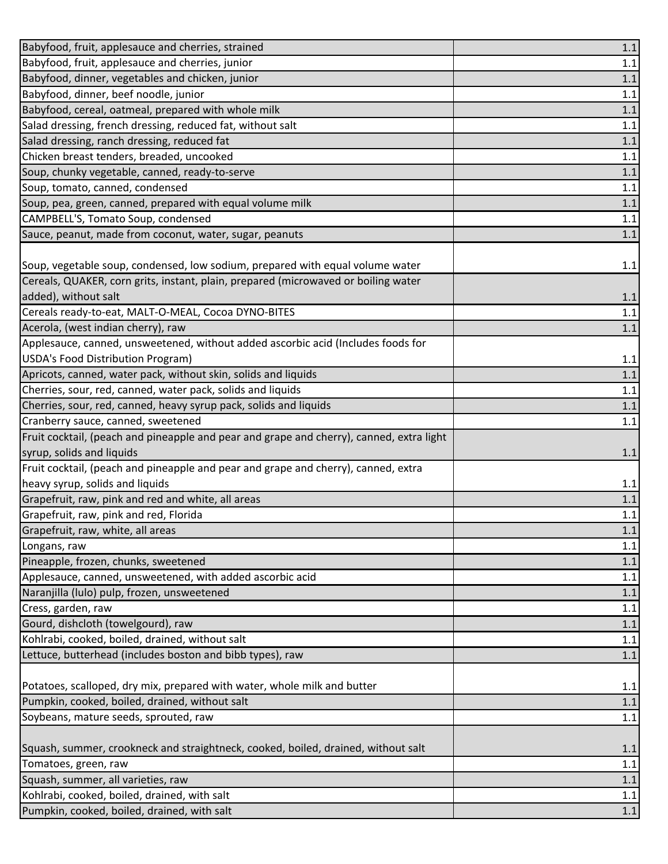| Babyfood, fruit, applesauce and cherries, strained                                       | 1.1     |
|------------------------------------------------------------------------------------------|---------|
| Babyfood, fruit, applesauce and cherries, junior                                         | $1.1\,$ |
| Babyfood, dinner, vegetables and chicken, junior                                         | 1.1     |
| Babyfood, dinner, beef noodle, junior                                                    | 1.1     |
| Babyfood, cereal, oatmeal, prepared with whole milk                                      | 1.1     |
| Salad dressing, french dressing, reduced fat, without salt                               | 1.1     |
| Salad dressing, ranch dressing, reduced fat                                              | 1.1     |
| Chicken breast tenders, breaded, uncooked                                                | 1.1     |
| Soup, chunky vegetable, canned, ready-to-serve                                           | 1.1     |
| Soup, tomato, canned, condensed                                                          | 1.1     |
| Soup, pea, green, canned, prepared with equal volume milk                                | 1.1     |
| CAMPBELL'S, Tomato Soup, condensed                                                       | 1.1     |
| Sauce, peanut, made from coconut, water, sugar, peanuts                                  | 1.1     |
|                                                                                          |         |
| Soup, vegetable soup, condensed, low sodium, prepared with equal volume water            | 1.1     |
| Cereals, QUAKER, corn grits, instant, plain, prepared (microwaved or boiling water       |         |
| added), without salt                                                                     | 1.1     |
| Cereals ready-to-eat, MALT-O-MEAL, Cocoa DYNO-BITES                                      | $1.1\,$ |
| Acerola, (west indian cherry), raw                                                       | 1.1     |
| Applesauce, canned, unsweetened, without added ascorbic acid (Includes foods for         |         |
| USDA's Food Distribution Program)                                                        | 1.1     |
| Apricots, canned, water pack, without skin, solids and liquids                           | 1.1     |
| Cherries, sour, red, canned, water pack, solids and liquids                              | 1.1     |
| Cherries, sour, red, canned, heavy syrup pack, solids and liquids                        | $1.1\,$ |
| Cranberry sauce, canned, sweetened                                                       | 1.1     |
| Fruit cocktail, (peach and pineapple and pear and grape and cherry), canned, extra light |         |
| syrup, solids and liquids                                                                | 1.1     |
| Fruit cocktail, (peach and pineapple and pear and grape and cherry), canned, extra       |         |
| heavy syrup, solids and liquids                                                          | 1.1     |
| Grapefruit, raw, pink and red and white, all areas                                       | 1.1     |
| Grapefruit, raw, pink and red, Florida                                                   | $1.1\,$ |
| Grapefruit, raw, white, all areas                                                        | 1.1     |
| Longans, raw                                                                             | 1.1     |
| Pineapple, frozen, chunks, sweetened                                                     | 1.1     |
| Applesauce, canned, unsweetened, with added ascorbic acid                                | 1.1     |
| Naranjilla (lulo) pulp, frozen, unsweetened                                              | 1.1     |
| Cress, garden, raw                                                                       | 1.1     |
| Gourd, dishcloth (towelgourd), raw                                                       | 1.1     |
| Kohlrabi, cooked, boiled, drained, without salt                                          | 1.1     |
| Lettuce, butterhead (includes boston and bibb types), raw                                | 1.1     |
|                                                                                          |         |
| Potatoes, scalloped, dry mix, prepared with water, whole milk and butter                 | 1.1     |
| Pumpkin, cooked, boiled, drained, without salt                                           | 1.1     |
| Soybeans, mature seeds, sprouted, raw                                                    | 1.1     |
|                                                                                          |         |
| Squash, summer, crookneck and straightneck, cooked, boiled, drained, without salt        | 1.1     |
| Tomatoes, green, raw                                                                     | 1.1     |
| Squash, summer, all varieties, raw                                                       | 1.1     |
| Kohlrabi, cooked, boiled, drained, with salt                                             | $1.1\,$ |
| Pumpkin, cooked, boiled, drained, with salt                                              | $1.1\,$ |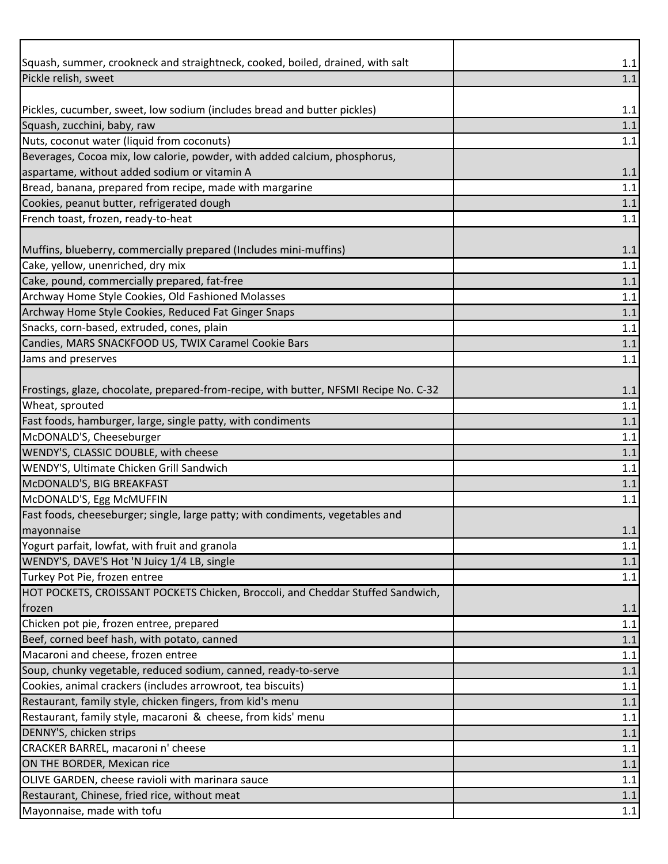| Squash, summer, crookneck and straightneck, cooked, boiled, drained, with salt        | 1.1     |
|---------------------------------------------------------------------------------------|---------|
| Pickle relish, sweet                                                                  | 1.1     |
|                                                                                       |         |
| Pickles, cucumber, sweet, low sodium (includes bread and butter pickles)              | 1.1     |
| Squash, zucchini, baby, raw                                                           | 1.1     |
| Nuts, coconut water (liquid from coconuts)                                            | 1.1     |
| Beverages, Cocoa mix, low calorie, powder, with added calcium, phosphorus,            |         |
| aspartame, without added sodium or vitamin A                                          | 1.1     |
| Bread, banana, prepared from recipe, made with margarine                              | 1.1     |
| Cookies, peanut butter, refrigerated dough                                            | 1.1     |
| French toast, frozen, ready-to-heat                                                   | 1.1     |
|                                                                                       |         |
| Muffins, blueberry, commercially prepared (Includes mini-muffins)                     | 1.1     |
| Cake, yellow, unenriched, dry mix<br>Cake, pound, commercially prepared, fat-free     | 1.1     |
|                                                                                       | 1.1     |
| Archway Home Style Cookies, Old Fashioned Molasses                                    | 1.1     |
| Archway Home Style Cookies, Reduced Fat Ginger Snaps                                  | 1.1     |
| Snacks, corn-based, extruded, cones, plain                                            | 1.1     |
| Candies, MARS SNACKFOOD US, TWIX Caramel Cookie Bars                                  | 1.1     |
| Jams and preserves                                                                    | 1.1     |
| Frostings, glaze, chocolate, prepared-from-recipe, with butter, NFSMI Recipe No. C-32 | 1.1     |
| Wheat, sprouted                                                                       | 1.1     |
| Fast foods, hamburger, large, single patty, with condiments                           | 1.1     |
| McDONALD'S, Cheeseburger                                                              | 1.1     |
| WENDY'S, CLASSIC DOUBLE, with cheese                                                  | 1.1     |
| WENDY'S, Ultimate Chicken Grill Sandwich                                              | 1.1     |
| McDONALD'S, BIG BREAKFAST                                                             | 1.1     |
| McDONALD'S, Egg McMUFFIN                                                              | 1.1     |
| Fast foods, cheeseburger; single, large patty; with condiments, vegetables and        |         |
| mayonnaise                                                                            | $1.1\,$ |
| Yogurt parfait, lowfat, with fruit and granola                                        | 1.1     |
| WENDY'S, DAVE'S Hot 'N Juicy 1/4 LB, single                                           | $1.1$   |
| Turkey Pot Pie, frozen entree                                                         | 1.1     |
| HOT POCKETS, CROISSANT POCKETS Chicken, Broccoli, and Cheddar Stuffed Sandwich,       |         |
| frozen                                                                                | 1.1     |
| Chicken pot pie, frozen entree, prepared                                              | 1.1     |
| Beef, corned beef hash, with potato, canned                                           | 1.1     |
| Macaroni and cheese, frozen entree                                                    | 1.1     |
| Soup, chunky vegetable, reduced sodium, canned, ready-to-serve                        | 1.1     |
| Cookies, animal crackers (includes arrowroot, tea biscuits)                           | 1.1     |
| Restaurant, family style, chicken fingers, from kid's menu                            | 1.1     |
| Restaurant, family style, macaroni & cheese, from kids' menu                          | 1.1     |
| DENNY'S, chicken strips                                                               | 1.1     |
| CRACKER BARREL, macaroni n' cheese                                                    | 1.1     |
| ON THE BORDER, Mexican rice                                                           | 1.1     |
| OLIVE GARDEN, cheese ravioli with marinara sauce                                      | 1.1     |
| Restaurant, Chinese, fried rice, without meat                                         | 1.1     |
| Mayonnaise, made with tofu                                                            | $1.1\,$ |
|                                                                                       |         |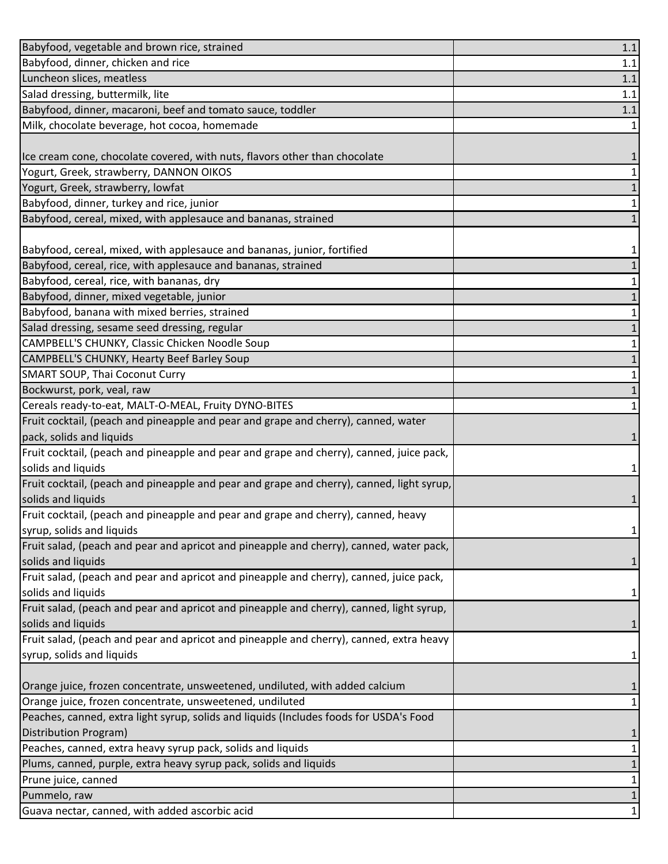| Babyfood, vegetable and brown rice, strained                                              | 1.1     |
|-------------------------------------------------------------------------------------------|---------|
| Babyfood, dinner, chicken and rice                                                        | 1.1     |
| Luncheon slices, meatless                                                                 | 1.1     |
| Salad dressing, buttermilk, lite                                                          | 1.1     |
| Babyfood, dinner, macaroni, beef and tomato sauce, toddler                                | $1.1\,$ |
| Milk, chocolate beverage, hot cocoa, homemade                                             |         |
|                                                                                           |         |
| Ice cream cone, chocolate covered, with nuts, flavors other than chocolate                | 1       |
| Yogurt, Greek, strawberry, DANNON OIKOS                                                   |         |
| Yogurt, Greek, strawberry, lowfat                                                         |         |
| Babyfood, dinner, turkey and rice, junior                                                 | 1       |
| Babyfood, cereal, mixed, with applesauce and bananas, strained                            |         |
|                                                                                           |         |
| Babyfood, cereal, mixed, with applesauce and bananas, junior, fortified                   | 1       |
| Babyfood, cereal, rice, with applesauce and bananas, strained                             |         |
| Babyfood, cereal, rice, with bananas, dry                                                 | 1       |
| Babyfood, dinner, mixed vegetable, junior                                                 |         |
| Babyfood, banana with mixed berries, strained                                             |         |
| Salad dressing, sesame seed dressing, regular                                             |         |
| CAMPBELL'S CHUNKY, Classic Chicken Noodle Soup                                            |         |
| CAMPBELL'S CHUNKY, Hearty Beef Barley Soup                                                |         |
| <b>SMART SOUP, Thai Coconut Curry</b>                                                     |         |
| Bockwurst, pork, veal, raw                                                                |         |
| Cereals ready-to-eat, MALT-O-MEAL, Fruity DYNO-BITES                                      | 1       |
| Fruit cocktail, (peach and pineapple and pear and grape and cherry), canned, water        |         |
| pack, solids and liquids                                                                  |         |
| Fruit cocktail, (peach and pineapple and pear and grape and cherry), canned, juice pack,  |         |
| solids and liquids                                                                        |         |
| Fruit cocktail, (peach and pineapple and pear and grape and cherry), canned, light syrup, |         |
| solids and liquids                                                                        | 1       |
| Fruit cocktail, (peach and pineapple and pear and grape and cherry), canned, heavy        |         |
| syrup, solids and liquids                                                                 | 1       |
| Fruit salad, (peach and pear and apricot and pineapple and cherry), canned, water pack,   |         |
| solids and liquids                                                                        |         |
| Fruit salad, (peach and pear and apricot and pineapple and cherry), canned, juice pack,   |         |
| solids and liquids                                                                        |         |
| Fruit salad, (peach and pear and apricot and pineapple and cherry), canned, light syrup,  |         |
| solids and liquids                                                                        |         |
| Fruit salad, (peach and pear and apricot and pineapple and cherry), canned, extra heavy   |         |
| syrup, solids and liquids                                                                 |         |
|                                                                                           |         |
| Orange juice, frozen concentrate, unsweetened, undiluted, with added calcium              |         |
| Orange juice, frozen concentrate, unsweetened, undiluted                                  |         |
| Peaches, canned, extra light syrup, solids and liquids (Includes foods for USDA's Food    |         |
| Distribution Program)                                                                     | 1       |
| Peaches, canned, extra heavy syrup pack, solids and liquids                               | 1       |
| Plums, canned, purple, extra heavy syrup pack, solids and liquids                         |         |
| Prune juice, canned                                                                       | 1       |
| Pummelo, raw                                                                              |         |
| Guava nectar, canned, with added ascorbic acid                                            |         |
|                                                                                           |         |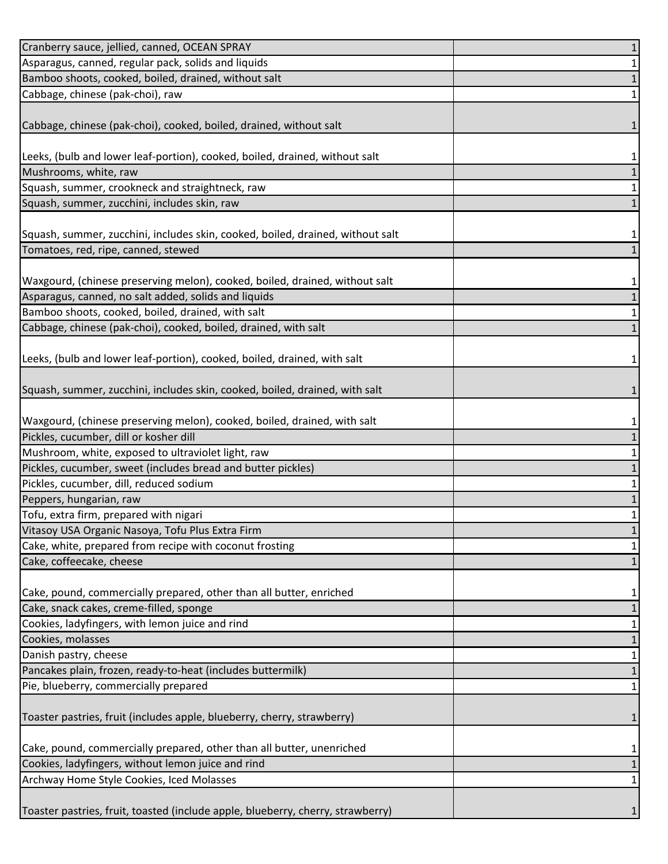| Cranberry sauce, jellied, canned, OCEAN SPRAY                                   | $\mathbf 1$       |
|---------------------------------------------------------------------------------|-------------------|
| Asparagus, canned, regular pack, solids and liquids                             | $\mathbf{1}$      |
| Bamboo shoots, cooked, boiled, drained, without salt                            | $\mathbf{1}$      |
| Cabbage, chinese (pak-choi), raw                                                | 1                 |
|                                                                                 |                   |
| Cabbage, chinese (pak-choi), cooked, boiled, drained, without salt              | 1                 |
|                                                                                 |                   |
| Leeks, (bulb and lower leaf-portion), cooked, boiled, drained, without salt     | 1                 |
| Mushrooms, white, raw                                                           | $\mathbf 1$       |
| Squash, summer, crookneck and straightneck, raw                                 | $\mathbf{1}$      |
| Squash, summer, zucchini, includes skin, raw                                    | $\mathbf{1}$      |
|                                                                                 |                   |
| Squash, summer, zucchini, includes skin, cooked, boiled, drained, without salt  | 1                 |
| Tomatoes, red, ripe, canned, stewed                                             | $\mathbf{1}$      |
|                                                                                 |                   |
| Waxgourd, (chinese preserving melon), cooked, boiled, drained, without salt     | 1                 |
| Asparagus, canned, no salt added, solids and liquids                            | $\mathbf{1}$      |
| Bamboo shoots, cooked, boiled, drained, with salt                               | $\mathbf{1}$      |
| Cabbage, chinese (pak-choi), cooked, boiled, drained, with salt                 | $\mathbf{1}$      |
|                                                                                 |                   |
| Leeks, (bulb and lower leaf-portion), cooked, boiled, drained, with salt        | 1                 |
|                                                                                 |                   |
| Squash, summer, zucchini, includes skin, cooked, boiled, drained, with salt     | 1                 |
|                                                                                 |                   |
| Waxgourd, (chinese preserving melon), cooked, boiled, drained, with salt        | 1                 |
| Pickles, cucumber, dill or kosher dill                                          | $\mathbf 1$       |
| Mushroom, white, exposed to ultraviolet light, raw                              | $\mathbf{1}$      |
| Pickles, cucumber, sweet (includes bread and butter pickles)                    | $\mathbf{1}$      |
| Pickles, cucumber, dill, reduced sodium                                         | $\mathbf{1}$      |
| Peppers, hungarian, raw                                                         | $\mathbf{1}$      |
| Tofu, extra firm, prepared with nigari                                          | $\mathbf{1}$      |
| Vitasoy USA Organic Nasoya, Tofu Plus Extra Firm                                | $\mathbf{1}$      |
| Cake, white, prepared from recipe with coconut frosting                         | 1                 |
| Cake, coffeecake, cheese                                                        | 1                 |
|                                                                                 |                   |
| Cake, pound, commercially prepared, other than all butter, enriched             | 1                 |
| Cake, snack cakes, creme-filled, sponge                                         | $\mathbf 1$       |
| Cookies, ladyfingers, with lemon juice and rind                                 | 1                 |
| Cookies, molasses<br>Danish pastry, cheese                                      | $\mathbf{1}$      |
| Pancakes plain, frozen, ready-to-heat (includes buttermilk)                     | 1<br>$\mathbf{1}$ |
| Pie, blueberry, commercially prepared                                           | 1                 |
|                                                                                 |                   |
| Toaster pastries, fruit (includes apple, blueberry, cherry, strawberry)         | 1                 |
|                                                                                 |                   |
| Cake, pound, commercially prepared, other than all butter, unenriched           |                   |
| Cookies, ladyfingers, without lemon juice and rind                              | 1<br>$\mathbf{1}$ |
| Archway Home Style Cookies, Iced Molasses                                       | 1                 |
|                                                                                 |                   |
| Toaster pastries, fruit, toasted (include apple, blueberry, cherry, strawberry) | 1                 |
|                                                                                 |                   |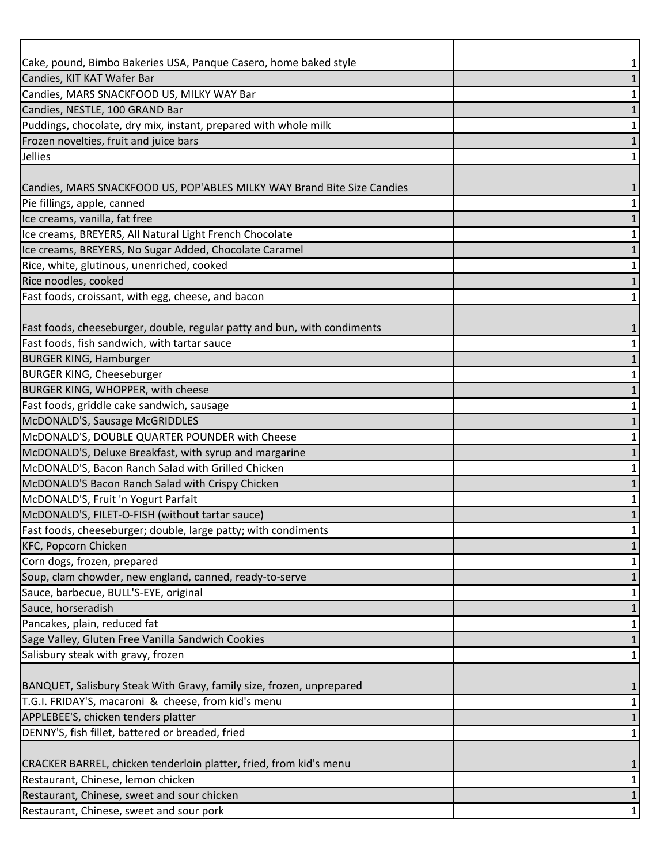| Cake, pound, Bimbo Bakeries USA, Panque Casero, home baked style         |   |
|--------------------------------------------------------------------------|---|
| Candies, KIT KAT Wafer Bar                                               |   |
| Candies, MARS SNACKFOOD US, MILKY WAY Bar                                |   |
| Candies, NESTLE, 100 GRAND Bar                                           |   |
| Puddings, chocolate, dry mix, instant, prepared with whole milk          |   |
| Frozen novelties, fruit and juice bars                                   |   |
| Jellies                                                                  |   |
|                                                                          |   |
| Candies, MARS SNACKFOOD US, POP'ABLES MILKY WAY Brand Bite Size Candies  |   |
| Pie fillings, apple, canned                                              |   |
| Ice creams, vanilla, fat free                                            |   |
| Ice creams, BREYERS, All Natural Light French Chocolate                  |   |
| Ice creams, BREYERS, No Sugar Added, Chocolate Caramel                   |   |
| Rice, white, glutinous, unenriched, cooked                               |   |
| Rice noodles, cooked                                                     |   |
| Fast foods, croissant, with egg, cheese, and bacon                       |   |
|                                                                          |   |
| Fast foods, cheeseburger, double, regular patty and bun, with condiments |   |
| Fast foods, fish sandwich, with tartar sauce                             |   |
| <b>BURGER KING, Hamburger</b>                                            |   |
| <b>BURGER KING, Cheeseburger</b>                                         |   |
| BURGER KING, WHOPPER, with cheese                                        |   |
| Fast foods, griddle cake sandwich, sausage                               |   |
| McDONALD'S, Sausage McGRIDDLES                                           |   |
| McDONALD'S, DOUBLE QUARTER POUNDER with Cheese                           |   |
| McDONALD'S, Deluxe Breakfast, with syrup and margarine                   |   |
| McDONALD'S, Bacon Ranch Salad with Grilled Chicken                       |   |
| McDONALD'S Bacon Ranch Salad with Crispy Chicken                         |   |
| McDONALD'S, Fruit 'n Yogurt Parfait                                      |   |
| McDONALD'S, FILET-O-FISH (without tartar sauce)                          |   |
| Fast foods, cheeseburger; double, large patty; with condiments           |   |
| <b>KFC, Popcorn Chicken</b>                                              |   |
| Corn dogs, frozen, prepared                                              |   |
| Soup, clam chowder, new england, canned, ready-to-serve                  |   |
| Sauce, barbecue, BULL'S-EYE, original                                    |   |
| Sauce, horseradish                                                       |   |
| Pancakes, plain, reduced fat                                             |   |
| Sage Valley, Gluten Free Vanilla Sandwich Cookies                        |   |
| Salisbury steak with gravy, frozen                                       | 1 |
|                                                                          |   |
| BANQUET, Salisbury Steak With Gravy, family size, frozen, unprepared     |   |
| T.G.I. FRIDAY'S, macaroni & cheese, from kid's menu                      |   |
| APPLEBEE'S, chicken tenders platter                                      |   |
| DENNY'S, fish fillet, battered or breaded, fried                         | 1 |
|                                                                          |   |
| CRACKER BARREL, chicken tenderloin platter, fried, from kid's menu       |   |
| Restaurant, Chinese, lemon chicken                                       |   |
| Restaurant, Chinese, sweet and sour chicken                              |   |
| Restaurant, Chinese, sweet and sour pork                                 |   |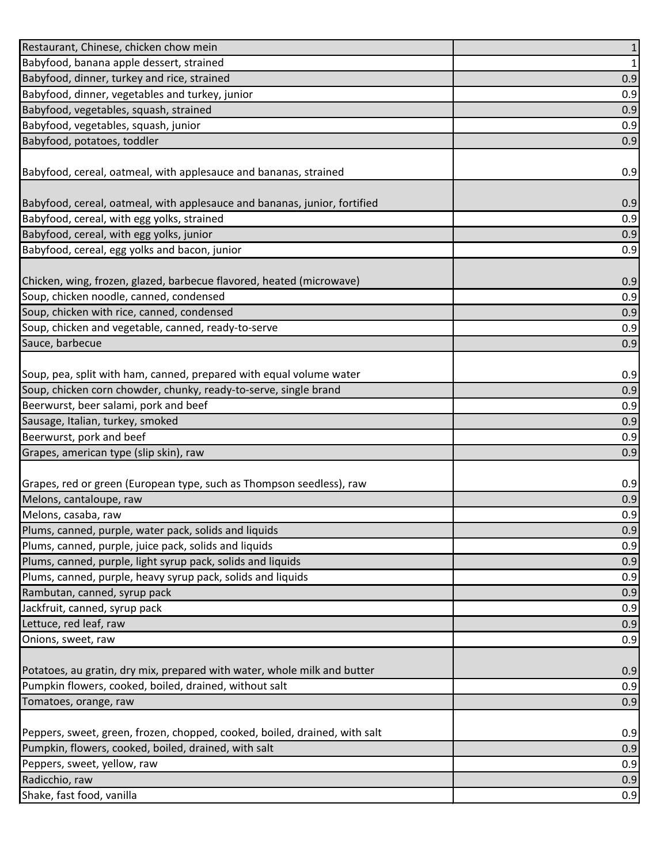| Restaurant, Chinese, chicken chow mein                                     | $\mathbf{1}$ |
|----------------------------------------------------------------------------|--------------|
| Babyfood, banana apple dessert, strained                                   | $\mathbf 1$  |
| Babyfood, dinner, turkey and rice, strained                                | 0.9          |
| Babyfood, dinner, vegetables and turkey, junior                            | 0.9          |
| Babyfood, vegetables, squash, strained                                     | 0.9          |
| Babyfood, vegetables, squash, junior                                       | 0.9          |
| Babyfood, potatoes, toddler                                                | 0.9          |
|                                                                            |              |
| Babyfood, cereal, oatmeal, with applesauce and bananas, strained           | 0.9          |
|                                                                            |              |
| Babyfood, cereal, oatmeal, with applesauce and bananas, junior, fortified  | 0.9          |
| Babyfood, cereal, with egg yolks, strained                                 | 0.9          |
| Babyfood, cereal, with egg yolks, junior                                   | 0.9          |
| Babyfood, cereal, egg yolks and bacon, junior                              | 0.9          |
|                                                                            |              |
| Chicken, wing, frozen, glazed, barbecue flavored, heated (microwave)       | 0.9          |
| Soup, chicken noodle, canned, condensed                                    | 0.9          |
| Soup, chicken with rice, canned, condensed                                 | 0.9          |
| Soup, chicken and vegetable, canned, ready-to-serve                        | 0.9          |
| Sauce, barbecue                                                            | 0.9          |
|                                                                            |              |
| Soup, pea, split with ham, canned, prepared with equal volume water        | 0.9          |
| Soup, chicken corn chowder, chunky, ready-to-serve, single brand           | 0.9          |
| Beerwurst, beer salami, pork and beef                                      | 0.9          |
| Sausage, Italian, turkey, smoked                                           | 0.9          |
| Beerwurst, pork and beef                                                   | 0.9          |
| Grapes, american type (slip skin), raw                                     | 0.9          |
|                                                                            |              |
| Grapes, red or green (European type, such as Thompson seedless), raw       | 0.9          |
| Melons, cantaloupe, raw                                                    | 0.9          |
| Melons, casaba, raw                                                        | 0.9          |
| Plums, canned, purple, water pack, solids and liquids                      | 0.9          |
| Plums, canned, purple, juice pack, solids and liquids                      | 0.9          |
| Plums, canned, purple, light syrup pack, solids and liquids                | 0.9          |
| Plums, canned, purple, heavy syrup pack, solids and liquids                | 0.9          |
| Rambutan, canned, syrup pack                                               | 0.9          |
| Jackfruit, canned, syrup pack                                              | 0.9          |
| Lettuce, red leaf, raw                                                     | 0.9          |
| Onions, sweet, raw                                                         | 0.9          |
|                                                                            |              |
| Potatoes, au gratin, dry mix, prepared with water, whole milk and butter   | 0.9          |
| Pumpkin flowers, cooked, boiled, drained, without salt                     | 0.9          |
| Tomatoes, orange, raw                                                      | 0.9          |
|                                                                            |              |
| Peppers, sweet, green, frozen, chopped, cooked, boiled, drained, with salt | 0.9          |
| Pumpkin, flowers, cooked, boiled, drained, with salt                       | 0.9          |
| Peppers, sweet, yellow, raw                                                | 0.9          |
| Radicchio, raw                                                             | 0.9          |
| Shake, fast food, vanilla                                                  | 0.9          |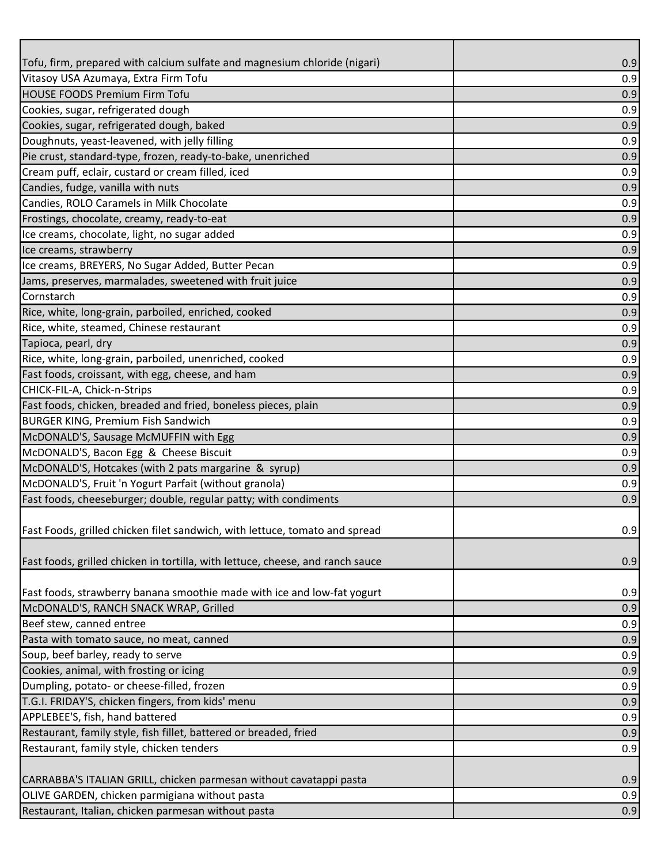| Tofu, firm, prepared with calcium sulfate and magnesium chloride (nigari)      | 0.9 |
|--------------------------------------------------------------------------------|-----|
| Vitasoy USA Azumaya, Extra Firm Tofu                                           | 0.9 |
| <b>HOUSE FOODS Premium Firm Tofu</b>                                           | 0.9 |
| Cookies, sugar, refrigerated dough                                             | 0.9 |
| Cookies, sugar, refrigerated dough, baked                                      | 0.9 |
| Doughnuts, yeast-leavened, with jelly filling                                  | 0.9 |
| Pie crust, standard-type, frozen, ready-to-bake, unenriched                    | 0.9 |
| Cream puff, eclair, custard or cream filled, iced                              | 0.9 |
| Candies, fudge, vanilla with nuts                                              | 0.9 |
| Candies, ROLO Caramels in Milk Chocolate                                       | 0.9 |
| Frostings, chocolate, creamy, ready-to-eat                                     | 0.9 |
| Ice creams, chocolate, light, no sugar added                                   | 0.9 |
| Ice creams, strawberry                                                         | 0.9 |
| Ice creams, BREYERS, No Sugar Added, Butter Pecan                              | 0.9 |
| Jams, preserves, marmalades, sweetened with fruit juice                        | 0.9 |
| Cornstarch                                                                     | 0.9 |
| Rice, white, long-grain, parboiled, enriched, cooked                           | 0.9 |
| Rice, white, steamed, Chinese restaurant                                       | 0.9 |
| Tapioca, pearl, dry                                                            | 0.9 |
| Rice, white, long-grain, parboiled, unenriched, cooked                         | 0.9 |
| Fast foods, croissant, with egg, cheese, and ham                               | 0.9 |
| CHICK-FIL-A, Chick-n-Strips                                                    | 0.9 |
| Fast foods, chicken, breaded and fried, boneless pieces, plain                 | 0.9 |
| <b>BURGER KING, Premium Fish Sandwich</b>                                      | 0.9 |
| McDONALD'S, Sausage McMUFFIN with Egg                                          | 0.9 |
| McDONALD'S, Bacon Egg & Cheese Biscuit                                         | 0.9 |
| McDONALD'S, Hotcakes (with 2 pats margarine & syrup)                           | 0.9 |
| McDONALD'S, Fruit 'n Yogurt Parfait (without granola)                          | 0.9 |
| Fast foods, cheeseburger; double, regular patty; with condiments               | 0.9 |
|                                                                                |     |
| Fast Foods, grilled chicken filet sandwich, with lettuce, tomato and spread    | 0.9 |
|                                                                                |     |
| Fast foods, grilled chicken in tortilla, with lettuce, cheese, and ranch sauce | 0.9 |
|                                                                                |     |
| Fast foods, strawberry banana smoothie made with ice and low-fat yogurt        | 0.9 |
| McDONALD'S, RANCH SNACK WRAP, Grilled                                          | 0.9 |
| Beef stew, canned entree                                                       | 0.9 |
| Pasta with tomato sauce, no meat, canned                                       | 0.9 |
| Soup, beef barley, ready to serve                                              | 0.9 |
| Cookies, animal, with frosting or icing                                        | 0.9 |
| Dumpling, potato- or cheese-filled, frozen                                     | 0.9 |
| T.G.I. FRIDAY'S, chicken fingers, from kids' menu                              | 0.9 |
| APPLEBEE'S, fish, hand battered                                                | 0.9 |
| Restaurant, family style, fish fillet, battered or breaded, fried              | 0.9 |
| Restaurant, family style, chicken tenders                                      | 0.9 |
|                                                                                |     |
| CARRABBA'S ITALIAN GRILL, chicken parmesan without cavatappi pasta             | 0.9 |
| OLIVE GARDEN, chicken parmigiana without pasta                                 | 0.9 |
| Restaurant, Italian, chicken parmesan without pasta                            | 0.9 |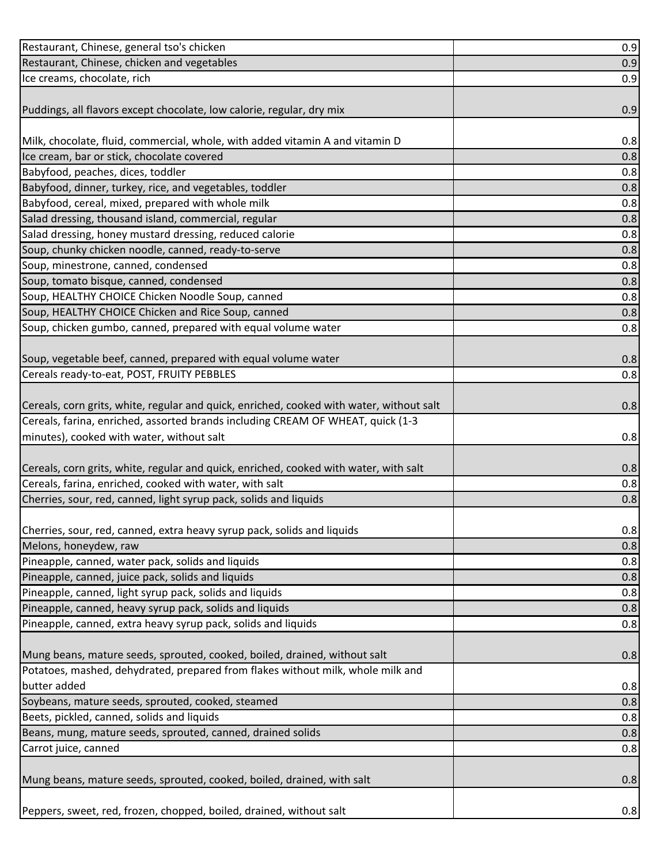| Restaurant, Chinese, general tso's chicken                                               | 0.9 |
|------------------------------------------------------------------------------------------|-----|
| Restaurant, Chinese, chicken and vegetables                                              | 0.9 |
| Ice creams, chocolate, rich                                                              | 0.9 |
|                                                                                          |     |
| Puddings, all flavors except chocolate, low calorie, regular, dry mix                    | 0.9 |
|                                                                                          |     |
| Milk, chocolate, fluid, commercial, whole, with added vitamin A and vitamin D            | 0.8 |
| Ice cream, bar or stick, chocolate covered                                               | 0.8 |
| Babyfood, peaches, dices, toddler                                                        | 0.8 |
| Babyfood, dinner, turkey, rice, and vegetables, toddler                                  | 0.8 |
| Babyfood, cereal, mixed, prepared with whole milk                                        | 0.8 |
| Salad dressing, thousand island, commercial, regular                                     | 0.8 |
| Salad dressing, honey mustard dressing, reduced calorie                                  | 0.8 |
| Soup, chunky chicken noodle, canned, ready-to-serve                                      | 0.8 |
| Soup, minestrone, canned, condensed                                                      | 0.8 |
| Soup, tomato bisque, canned, condensed                                                   | 0.8 |
| Soup, HEALTHY CHOICE Chicken Noodle Soup, canned                                         | 0.8 |
| Soup, HEALTHY CHOICE Chicken and Rice Soup, canned                                       | 0.8 |
| Soup, chicken gumbo, canned, prepared with equal volume water                            | 0.8 |
|                                                                                          |     |
| Soup, vegetable beef, canned, prepared with equal volume water                           | 0.8 |
| Cereals ready-to-eat, POST, FRUITY PEBBLES                                               | 0.8 |
|                                                                                          |     |
| Cereals, corn grits, white, regular and quick, enriched, cooked with water, without salt | 0.8 |
| Cereals, farina, enriched, assorted brands including CREAM OF WHEAT, quick (1-3          |     |
| minutes), cooked with water, without salt                                                | 0.8 |
|                                                                                          |     |
| Cereals, corn grits, white, regular and quick, enriched, cooked with water, with salt    | 0.8 |
| Cereals, farina, enriched, cooked with water, with salt                                  | 0.8 |
| Cherries, sour, red, canned, light syrup pack, solids and liquids                        | 0.8 |
|                                                                                          |     |
| Cherries, sour, red, canned, extra heavy syrup pack, solids and liquids                  | 0.8 |
| Melons, honeydew, raw                                                                    | 0.8 |
| Pineapple, canned, water pack, solids and liquids                                        | 0.8 |
| Pineapple, canned, juice pack, solids and liquids                                        | 0.8 |
| Pineapple, canned, light syrup pack, solids and liquids                                  | 0.8 |
| Pineapple, canned, heavy syrup pack, solids and liquids                                  | 0.8 |
| Pineapple, canned, extra heavy syrup pack, solids and liquids                            | 0.8 |
| Mung beans, mature seeds, sprouted, cooked, boiled, drained, without salt                |     |
| Potatoes, mashed, dehydrated, prepared from flakes without milk, whole milk and          | 0.8 |
| butter added                                                                             | 0.8 |
| Soybeans, mature seeds, sprouted, cooked, steamed                                        | 0.8 |
| Beets, pickled, canned, solids and liquids                                               | 0.8 |
| Beans, mung, mature seeds, sprouted, canned, drained solids                              | 0.8 |
| Carrot juice, canned                                                                     | 0.8 |
|                                                                                          |     |
| Mung beans, mature seeds, sprouted, cooked, boiled, drained, with salt                   | 0.8 |
|                                                                                          |     |
| Peppers, sweet, red, frozen, chopped, boiled, drained, without salt                      | 0.8 |
|                                                                                          |     |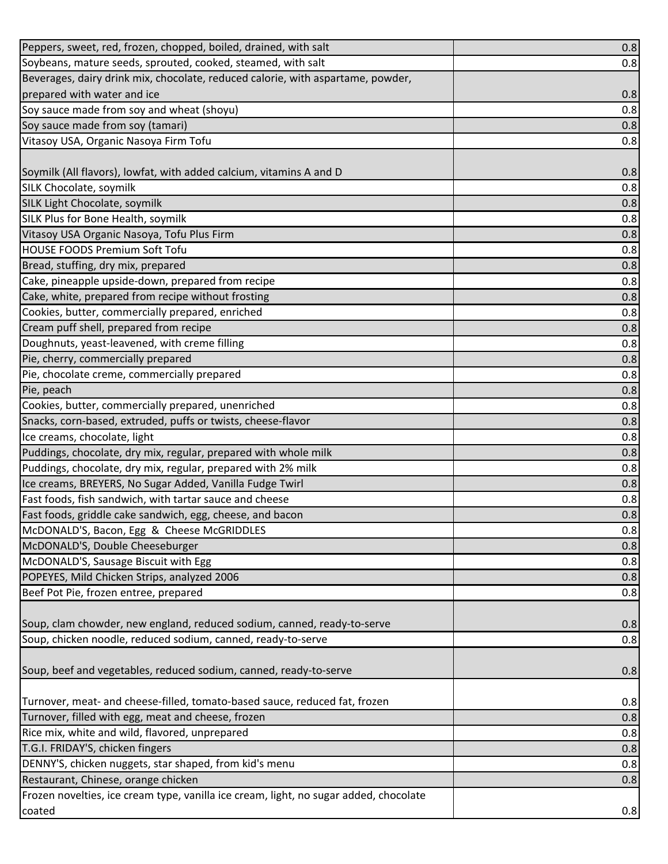| Peppers, sweet, red, frozen, chopped, boiled, drained, with salt                      | 0.8 |
|---------------------------------------------------------------------------------------|-----|
| Soybeans, mature seeds, sprouted, cooked, steamed, with salt                          | 0.8 |
| Beverages, dairy drink mix, chocolate, reduced calorie, with aspartame, powder,       |     |
| prepared with water and ice                                                           | 0.8 |
| Soy sauce made from soy and wheat (shoyu)                                             | 0.8 |
| Soy sauce made from soy (tamari)                                                      | 0.8 |
| Vitasoy USA, Organic Nasoya Firm Tofu                                                 | 0.8 |
|                                                                                       |     |
| Soymilk (All flavors), lowfat, with added calcium, vitamins A and D                   | 0.8 |
| SILK Chocolate, soymilk                                                               | 0.8 |
| SILK Light Chocolate, soymilk                                                         | 0.8 |
| SILK Plus for Bone Health, soymilk                                                    | 0.8 |
| Vitasoy USA Organic Nasoya, Tofu Plus Firm                                            | 0.8 |
| <b>HOUSE FOODS Premium Soft Tofu</b>                                                  | 0.8 |
| Bread, stuffing, dry mix, prepared                                                    | 0.8 |
| Cake, pineapple upside-down, prepared from recipe                                     | 0.8 |
| Cake, white, prepared from recipe without frosting                                    | 0.8 |
| Cookies, butter, commercially prepared, enriched                                      | 0.8 |
| Cream puff shell, prepared from recipe                                                | 0.8 |
| Doughnuts, yeast-leavened, with creme filling                                         | 0.8 |
| Pie, cherry, commercially prepared                                                    | 0.8 |
| Pie, chocolate creme, commercially prepared                                           | 0.8 |
| Pie, peach                                                                            | 0.8 |
| Cookies, butter, commercially prepared, unenriched                                    | 0.8 |
| Snacks, corn-based, extruded, puffs or twists, cheese-flavor                          | 0.8 |
| Ice creams, chocolate, light                                                          | 0.8 |
| Puddings, chocolate, dry mix, regular, prepared with whole milk                       | 0.8 |
| Puddings, chocolate, dry mix, regular, prepared with 2% milk                          | 0.8 |
| Ice creams, BREYERS, No Sugar Added, Vanilla Fudge Twirl                              | 0.8 |
| Fast foods, fish sandwich, with tartar sauce and cheese                               | 0.8 |
| Fast foods, griddle cake sandwich, egg, cheese, and bacon                             | 0.8 |
| McDONALD'S, Bacon, Egg & Cheese McGRIDDLES                                            | 0.8 |
| McDONALD'S, Double Cheeseburger                                                       | 0.8 |
| McDONALD'S, Sausage Biscuit with Egg                                                  | 0.8 |
| POPEYES, Mild Chicken Strips, analyzed 2006                                           | 0.8 |
| Beef Pot Pie, frozen entree, prepared                                                 | 0.8 |
|                                                                                       |     |
| Soup, clam chowder, new england, reduced sodium, canned, ready-to-serve               | 0.8 |
| Soup, chicken noodle, reduced sodium, canned, ready-to-serve                          | 0.8 |
|                                                                                       |     |
| Soup, beef and vegetables, reduced sodium, canned, ready-to-serve                     | 0.8 |
|                                                                                       |     |
| Turnover, meat- and cheese-filled, tomato-based sauce, reduced fat, frozen            | 0.8 |
| Turnover, filled with egg, meat and cheese, frozen                                    | 0.8 |
| Rice mix, white and wild, flavored, unprepared                                        | 0.8 |
| T.G.I. FRIDAY'S, chicken fingers                                                      | 0.8 |
| DENNY'S, chicken nuggets, star shaped, from kid's menu                                | 0.8 |
| Restaurant, Chinese, orange chicken                                                   | 0.8 |
| Frozen novelties, ice cream type, vanilla ice cream, light, no sugar added, chocolate |     |
| coated                                                                                | 0.8 |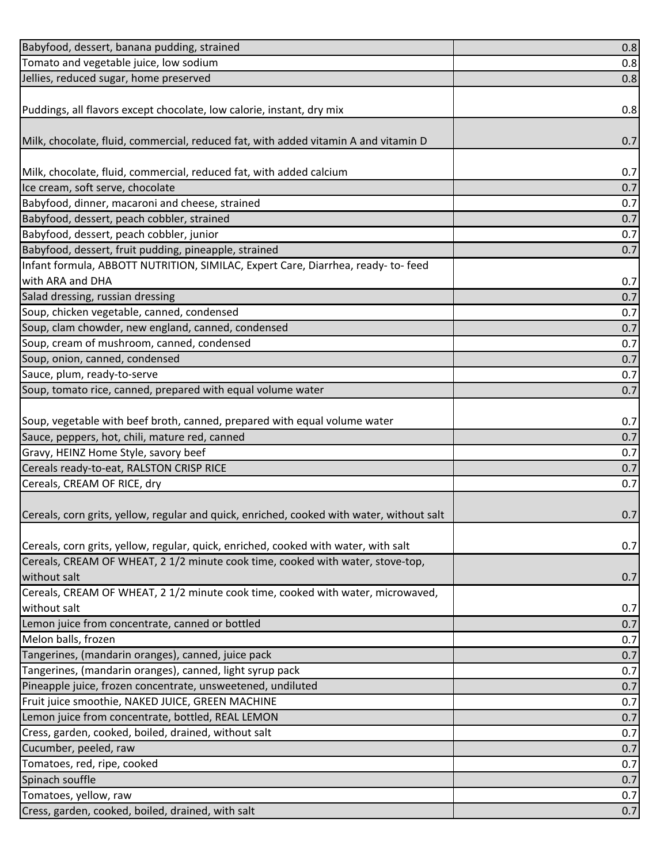| Babyfood, dessert, banana pudding, strained                                                    | 0.8 |
|------------------------------------------------------------------------------------------------|-----|
| Tomato and vegetable juice, low sodium                                                         | 0.8 |
| Jellies, reduced sugar, home preserved                                                         | 0.8 |
|                                                                                                |     |
| Puddings, all flavors except chocolate, low calorie, instant, dry mix                          | 0.8 |
|                                                                                                |     |
| Milk, chocolate, fluid, commercial, reduced fat, with added vitamin A and vitamin D            | 0.7 |
|                                                                                                |     |
| Milk, chocolate, fluid, commercial, reduced fat, with added calcium                            | 0.7 |
| Ice cream, soft serve, chocolate                                                               | 0.7 |
| Babyfood, dinner, macaroni and cheese, strained                                                | 0.7 |
| Babyfood, dessert, peach cobbler, strained                                                     | 0.7 |
| Babyfood, dessert, peach cobbler, junior                                                       | 0.7 |
| Babyfood, dessert, fruit pudding, pineapple, strained                                          | 0.7 |
| Infant formula, ABBOTT NUTRITION, SIMILAC, Expert Care, Diarrhea, ready- to-feed               |     |
| with ARA and DHA                                                                               | 0.7 |
| Salad dressing, russian dressing                                                               | 0.7 |
| Soup, chicken vegetable, canned, condensed                                                     | 0.7 |
| Soup, clam chowder, new england, canned, condensed                                             | 0.7 |
| Soup, cream of mushroom, canned, condensed                                                     | 0.7 |
| Soup, onion, canned, condensed                                                                 | 0.7 |
| Sauce, plum, ready-to-serve                                                                    | 0.7 |
| Soup, tomato rice, canned, prepared with equal volume water                                    | 0.7 |
|                                                                                                |     |
| Soup, vegetable with beef broth, canned, prepared with equal volume water                      | 0.7 |
| Sauce, peppers, hot, chili, mature red, canned                                                 | 0.7 |
| Gravy, HEINZ Home Style, savory beef                                                           | 0.7 |
| Cereals ready-to-eat, RALSTON CRISP RICE                                                       | 0.7 |
| Cereals, CREAM OF RICE, dry                                                                    | 0.7 |
|                                                                                                |     |
| Cereals, corn grits, yellow, regular and quick, enriched, cooked with water, without salt      | 0.7 |
|                                                                                                |     |
| Cereals, corn grits, yellow, regular, quick, enriched, cooked with water, with salt            | 0.7 |
| Cereals, CREAM OF WHEAT, 2 1/2 minute cook time, cooked with water, stove-top,<br>without salt |     |
| Cereals, CREAM OF WHEAT, 2 1/2 minute cook time, cooked with water, microwaved,                | 0.7 |
| without salt                                                                                   | 0.7 |
| Lemon juice from concentrate, canned or bottled                                                | 0.7 |
| Melon balls, frozen                                                                            | 0.7 |
| Tangerines, (mandarin oranges), canned, juice pack                                             | 0.7 |
| Tangerines, (mandarin oranges), canned, light syrup pack                                       | 0.7 |
| Pineapple juice, frozen concentrate, unsweetened, undiluted                                    | 0.7 |
| Fruit juice smoothie, NAKED JUICE, GREEN MACHINE                                               | 0.7 |
| Lemon juice from concentrate, bottled, REAL LEMON                                              | 0.7 |
| Cress, garden, cooked, boiled, drained, without salt                                           | 0.7 |
| Cucumber, peeled, raw                                                                          | 0.7 |
| Tomatoes, red, ripe, cooked                                                                    | 0.7 |
| Spinach souffle                                                                                | 0.7 |
| Tomatoes, yellow, raw                                                                          | 0.7 |
| Cress, garden, cooked, boiled, drained, with salt                                              | 0.7 |
|                                                                                                |     |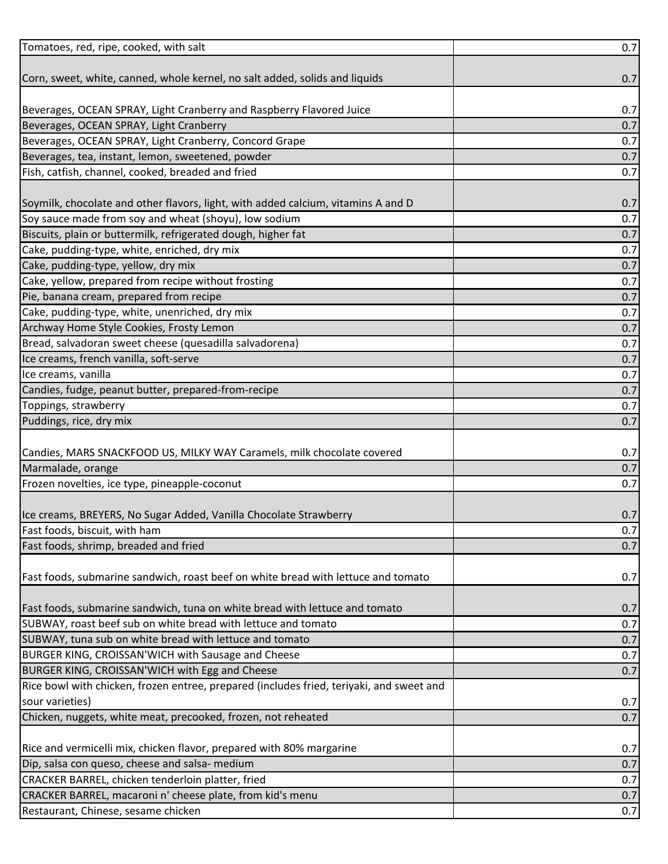| Tomatoes, red, ripe, cooked, with salt                                                   | 0.7 |
|------------------------------------------------------------------------------------------|-----|
|                                                                                          |     |
| Corn, sweet, white, canned, whole kernel, no salt added, solids and liquids              | 0.7 |
|                                                                                          |     |
| Beverages, OCEAN SPRAY, Light Cranberry and Raspberry Flavored Juice                     | 0.7 |
| Beverages, OCEAN SPRAY, Light Cranberry                                                  | 0.7 |
| Beverages, OCEAN SPRAY, Light Cranberry, Concord Grape                                   | 0.7 |
| Beverages, tea, instant, lemon, sweetened, powder                                        | 0.7 |
| Fish, catfish, channel, cooked, breaded and fried                                        | 0.7 |
|                                                                                          |     |
| Soymilk, chocolate and other flavors, light, with added calcium, vitamins A and D        | 0.7 |
| Soy sauce made from soy and wheat (shoyu), low sodium                                    | 0.7 |
| Biscuits, plain or buttermilk, refrigerated dough, higher fat                            | 0.7 |
| Cake, pudding-type, white, enriched, dry mix                                             | 0.7 |
| Cake, pudding-type, yellow, dry mix                                                      | 0.7 |
| Cake, yellow, prepared from recipe without frosting                                      | 0.7 |
| Pie, banana cream, prepared from recipe                                                  | 0.7 |
| Cake, pudding-type, white, unenriched, dry mix                                           | 0.7 |
| Archway Home Style Cookies, Frosty Lemon                                                 | 0.7 |
| Bread, salvadoran sweet cheese (quesadilla salvadorena)                                  | 0.7 |
| Ice creams, french vanilla, soft-serve                                                   | 0.7 |
| Ice creams, vanilla                                                                      | 0.7 |
| Candies, fudge, peanut butter, prepared-from-recipe                                      | 0.7 |
| Toppings, strawberry                                                                     | 0.7 |
| Puddings, rice, dry mix                                                                  | 0.7 |
|                                                                                          |     |
| Candies, MARS SNACKFOOD US, MILKY WAY Caramels, milk chocolate covered                   | 0.7 |
| Marmalade, orange                                                                        | 0.7 |
| Frozen novelties, ice type, pineapple-coconut                                            | 0.7 |
|                                                                                          |     |
| Ice creams, BREYERS, No Sugar Added, Vanilla Chocolate Strawberry                        | 0.7 |
| Fast foods, biscuit, with ham                                                            | 0.7 |
| Fast foods, shrimp, breaded and fried                                                    | 0.7 |
|                                                                                          |     |
| Fast foods, submarine sandwich, roast beef on white bread with lettuce and tomato        | 0.7 |
|                                                                                          |     |
| Fast foods, submarine sandwich, tuna on white bread with lettuce and tomato              | 0.7 |
| SUBWAY, roast beef sub on white bread with lettuce and tomato                            | 0.7 |
| SUBWAY, tuna sub on white bread with lettuce and tomato                                  | 0.7 |
| BURGER KING, CROISSAN'WICH with Sausage and Cheese                                       | 0.7 |
| BURGER KING, CROISSAN'WICH with Egg and Cheese                                           | 0.7 |
| Rice bowl with chicken, frozen entree, prepared (includes fried, teriyaki, and sweet and |     |
| sour varieties)                                                                          | 0.7 |
| Chicken, nuggets, white meat, precooked, frozen, not reheated                            | 0.7 |
|                                                                                          |     |
| Rice and vermicelli mix, chicken flavor, prepared with 80% margarine                     | 0.7 |
| Dip, salsa con queso, cheese and salsa- medium                                           | 0.7 |
| CRACKER BARREL, chicken tenderloin platter, fried                                        | 0.7 |
| CRACKER BARREL, macaroni n' cheese plate, from kid's menu                                | 0.7 |
| Restaurant, Chinese, sesame chicken                                                      | 0.7 |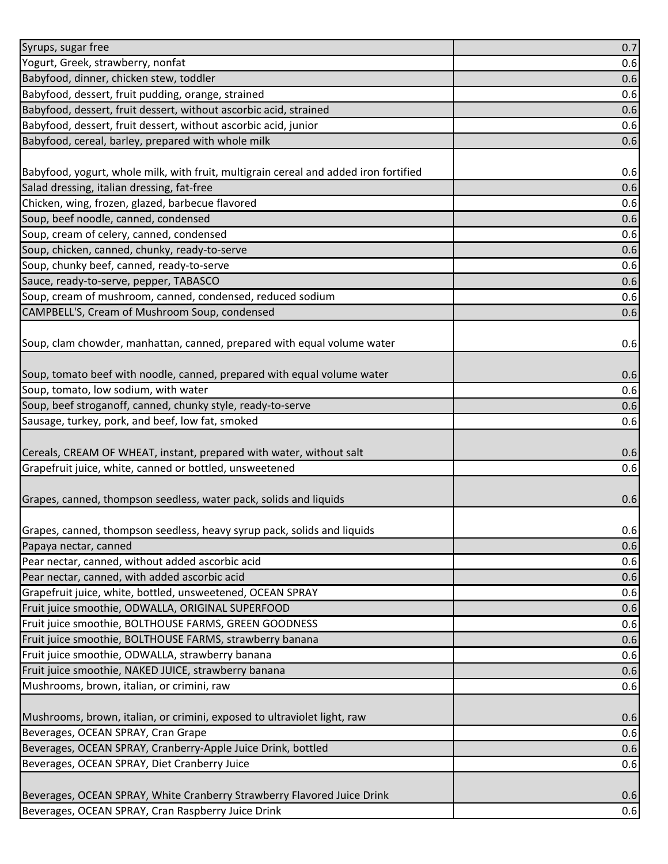| Syrups, sugar free                                                                   | 0.7 |
|--------------------------------------------------------------------------------------|-----|
| Yogurt, Greek, strawberry, nonfat                                                    | 0.6 |
| Babyfood, dinner, chicken stew, toddler                                              | 0.6 |
| Babyfood, dessert, fruit pudding, orange, strained                                   | 0.6 |
| Babyfood, dessert, fruit dessert, without ascorbic acid, strained                    | 0.6 |
| Babyfood, dessert, fruit dessert, without ascorbic acid, junior                      | 0.6 |
| Babyfood, cereal, barley, prepared with whole milk                                   | 0.6 |
|                                                                                      |     |
| Babyfood, yogurt, whole milk, with fruit, multigrain cereal and added iron fortified | 0.6 |
| Salad dressing, italian dressing, fat-free                                           | 0.6 |
| Chicken, wing, frozen, glazed, barbecue flavored                                     | 0.6 |
| Soup, beef noodle, canned, condensed                                                 | 0.6 |
| Soup, cream of celery, canned, condensed                                             | 0.6 |
| Soup, chicken, canned, chunky, ready-to-serve                                        | 0.6 |
| Soup, chunky beef, canned, ready-to-serve                                            | 0.6 |
| Sauce, ready-to-serve, pepper, TABASCO                                               | 0.6 |
| Soup, cream of mushroom, canned, condensed, reduced sodium                           | 0.6 |
| CAMPBELL'S, Cream of Mushroom Soup, condensed                                        | 0.6 |
| Soup, clam chowder, manhattan, canned, prepared with equal volume water              |     |
|                                                                                      | 0.6 |
| Soup, tomato beef with noodle, canned, prepared with equal volume water              | 0.6 |
| Soup, tomato, low sodium, with water                                                 | 0.6 |
| Soup, beef stroganoff, canned, chunky style, ready-to-serve                          | 0.6 |
| Sausage, turkey, pork, and beef, low fat, smoked                                     | 0.6 |
|                                                                                      |     |
| Cereals, CREAM OF WHEAT, instant, prepared with water, without salt                  | 0.6 |
| Grapefruit juice, white, canned or bottled, unsweetened                              | 0.6 |
|                                                                                      |     |
| Grapes, canned, thompson seedless, water pack, solids and liquids                    | 0.6 |
|                                                                                      |     |
| Grapes, canned, thompson seedless, heavy syrup pack, solids and liquids              | 0.6 |
| Papaya nectar, canned                                                                | 0.6 |
| Pear nectar, canned, without added ascorbic acid                                     | 0.6 |
| Pear nectar, canned, with added ascorbic acid                                        | 0.6 |
| Grapefruit juice, white, bottled, unsweetened, OCEAN SPRAY                           | 0.6 |
| Fruit juice smoothie, ODWALLA, ORIGINAL SUPERFOOD                                    | 0.6 |
| Fruit juice smoothie, BOLTHOUSE FARMS, GREEN GOODNESS                                | 0.6 |
| Fruit juice smoothie, BOLTHOUSE FARMS, strawberry banana                             | 0.6 |
| Fruit juice smoothie, ODWALLA, strawberry banana                                     | 0.6 |
| Fruit juice smoothie, NAKED JUICE, strawberry banana                                 | 0.6 |
| Mushrooms, brown, italian, or crimini, raw                                           | 0.6 |
| Mushrooms, brown, italian, or crimini, exposed to ultraviolet light, raw             | 0.6 |
| Beverages, OCEAN SPRAY, Cran Grape                                                   | 0.6 |
| Beverages, OCEAN SPRAY, Cranberry-Apple Juice Drink, bottled                         | 0.6 |
| Beverages, OCEAN SPRAY, Diet Cranberry Juice                                         | 0.6 |
|                                                                                      |     |
| Beverages, OCEAN SPRAY, White Cranberry Strawberry Flavored Juice Drink              | 0.6 |
| Beverages, OCEAN SPRAY, Cran Raspberry Juice Drink                                   | 0.6 |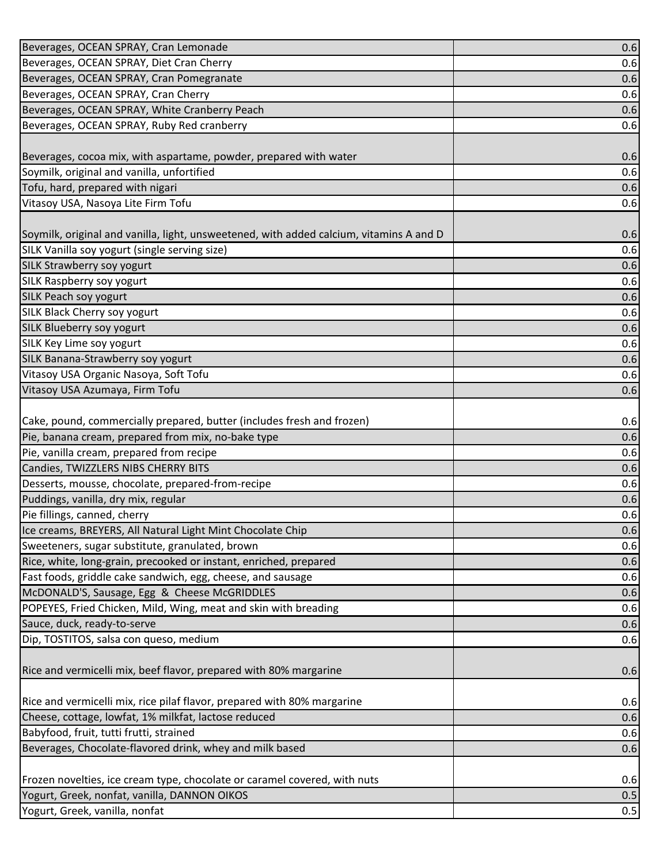| Beverages, OCEAN SPRAY, Cran Lemonade                                                    | 0.6        |
|------------------------------------------------------------------------------------------|------------|
| Beverages, OCEAN SPRAY, Diet Cran Cherry                                                 | 0.6        |
| Beverages, OCEAN SPRAY, Cran Pomegranate                                                 | 0.6        |
| Beverages, OCEAN SPRAY, Cran Cherry                                                      | 0.6        |
| Beverages, OCEAN SPRAY, White Cranberry Peach                                            | 0.6        |
| Beverages, OCEAN SPRAY, Ruby Red cranberry                                               | 0.6        |
|                                                                                          |            |
| Beverages, cocoa mix, with aspartame, powder, prepared with water                        | 0.6        |
| Soymilk, original and vanilla, unfortified                                               | 0.6        |
| Tofu, hard, prepared with nigari                                                         | 0.6        |
| Vitasoy USA, Nasoya Lite Firm Tofu                                                       | 0.6        |
|                                                                                          |            |
| Soymilk, original and vanilla, light, unsweetened, with added calcium, vitamins A and D  | 0.6        |
| SILK Vanilla soy yogurt (single serving size)                                            | 0.6        |
| SILK Strawberry soy yogurt                                                               | 0.6        |
| SILK Raspberry soy yogurt                                                                | 0.6        |
| <b>SILK Peach soy yogurt</b>                                                             | 0.6        |
| <b>SILK Black Cherry soy yogurt</b>                                                      | 0.6        |
| SILK Blueberry soy yogurt                                                                | 0.6        |
| SILK Key Lime soy yogurt                                                                 | 0.6        |
| SILK Banana-Strawberry soy yogurt                                                        | 0.6        |
| Vitasoy USA Organic Nasoya, Soft Tofu                                                    | 0.6        |
| Vitasoy USA Azumaya, Firm Tofu                                                           | 0.6        |
|                                                                                          |            |
| Cake, pound, commercially prepared, butter (includes fresh and frozen)                   | 0.6        |
| Pie, banana cream, prepared from mix, no-bake type                                       | 0.6        |
| Pie, vanilla cream, prepared from recipe                                                 | 0.6        |
| Candies, TWIZZLERS NIBS CHERRY BITS                                                      | 0.6        |
| Desserts, mousse, chocolate, prepared-from-recipe<br>Puddings, vanilla, dry mix, regular | 0.6        |
| Pie fillings, canned, cherry                                                             | 0.6<br>0.6 |
| Ice creams, BREYERS, All Natural Light Mint Chocolate Chip                               | 0.6        |
| Sweeteners, sugar substitute, granulated, brown                                          | 0.6        |
| Rice, white, long-grain, precooked or instant, enriched, prepared                        | 0.6        |
| Fast foods, griddle cake sandwich, egg, cheese, and sausage                              | 0.6        |
| McDONALD'S, Sausage, Egg & Cheese McGRIDDLES                                             | 0.6        |
| POPEYES, Fried Chicken, Mild, Wing, meat and skin with breading                          | 0.6        |
| Sauce, duck, ready-to-serve                                                              | 0.6        |
| Dip, TOSTITOS, salsa con queso, medium                                                   | 0.6        |
|                                                                                          |            |
| Rice and vermicelli mix, beef flavor, prepared with 80% margarine                        | 0.6        |
|                                                                                          |            |
| Rice and vermicelli mix, rice pilaf flavor, prepared with 80% margarine                  | 0.6        |
| Cheese, cottage, lowfat, 1% milkfat, lactose reduced                                     | 0.6        |
| Babyfood, fruit, tutti frutti, strained                                                  | 0.6        |
| Beverages, Chocolate-flavored drink, whey and milk based                                 | 0.6        |
|                                                                                          |            |
| Frozen novelties, ice cream type, chocolate or caramel covered, with nuts                | 0.6        |
| Yogurt, Greek, nonfat, vanilla, DANNON OIKOS                                             | 0.5        |
| Yogurt, Greek, vanilla, nonfat                                                           | 0.5        |
|                                                                                          |            |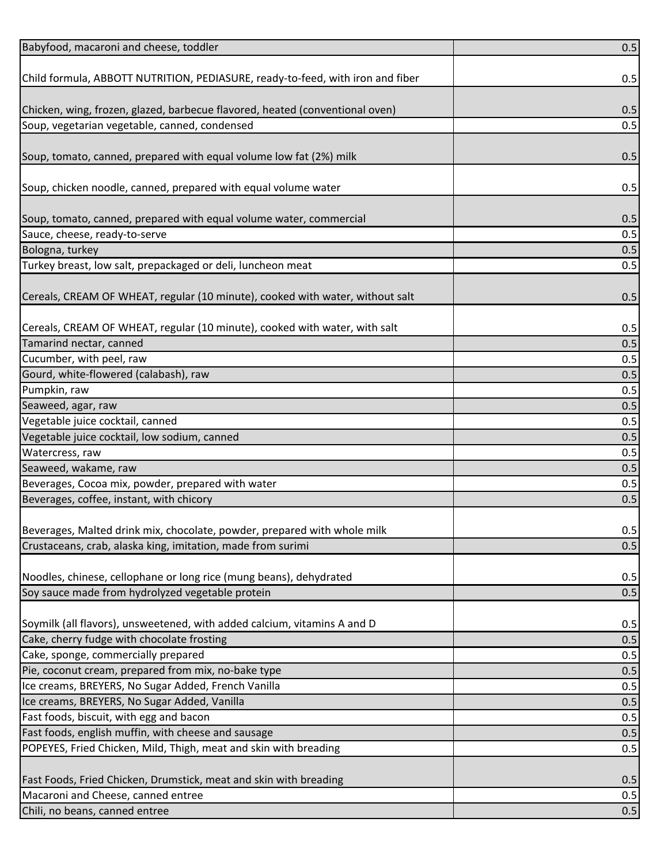| Babyfood, macaroni and cheese, toddler                                         | 0.5 |
|--------------------------------------------------------------------------------|-----|
|                                                                                |     |
| Child formula, ABBOTT NUTRITION, PEDIASURE, ready-to-feed, with iron and fiber | 0.5 |
|                                                                                |     |
| Chicken, wing, frozen, glazed, barbecue flavored, heated (conventional oven)   | 0.5 |
| Soup, vegetarian vegetable, canned, condensed                                  | 0.5 |
|                                                                                |     |
| Soup, tomato, canned, prepared with equal volume low fat (2%) milk             | 0.5 |
|                                                                                |     |
| Soup, chicken noodle, canned, prepared with equal volume water                 | 0.5 |
|                                                                                |     |
| Soup, tomato, canned, prepared with equal volume water, commercial             | 0.5 |
| Sauce, cheese, ready-to-serve                                                  | 0.5 |
| Bologna, turkey                                                                | 0.5 |
| Turkey breast, low salt, prepackaged or deli, luncheon meat                    | 0.5 |
|                                                                                |     |
| Cereals, CREAM OF WHEAT, regular (10 minute), cooked with water, without salt  | 0.5 |
|                                                                                |     |
| Cereals, CREAM OF WHEAT, regular (10 minute), cooked with water, with salt     | 0.5 |
| Tamarind nectar, canned                                                        | 0.5 |
| Cucumber, with peel, raw                                                       | 0.5 |
| Gourd, white-flowered (calabash), raw                                          | 0.5 |
| Pumpkin, raw                                                                   | 0.5 |
| Seaweed, agar, raw                                                             | 0.5 |
| Vegetable juice cocktail, canned                                               | 0.5 |
| Vegetable juice cocktail, low sodium, canned                                   | 0.5 |
| Watercress, raw                                                                | 0.5 |
| Seaweed, wakame, raw                                                           | 0.5 |
| Beverages, Cocoa mix, powder, prepared with water                              | 0.5 |
| Beverages, coffee, instant, with chicory                                       | 0.5 |
|                                                                                |     |
| Beverages, Malted drink mix, chocolate, powder, prepared with whole milk       | 0.5 |
| Crustaceans, crab, alaska king, imitation, made from surimi                    | 0.5 |
|                                                                                |     |
| Noodles, chinese, cellophane or long rice (mung beans), dehydrated             | 0.5 |
| Soy sauce made from hydrolyzed vegetable protein                               | 0.5 |
|                                                                                |     |
| Soymilk (all flavors), unsweetened, with added calcium, vitamins A and D       | 0.5 |
| Cake, cherry fudge with chocolate frosting                                     | 0.5 |
| Cake, sponge, commercially prepared                                            | 0.5 |
| Pie, coconut cream, prepared from mix, no-bake type                            | 0.5 |
| Ice creams, BREYERS, No Sugar Added, French Vanilla                            | 0.5 |
| Ice creams, BREYERS, No Sugar Added, Vanilla                                   | 0.5 |
| Fast foods, biscuit, with egg and bacon                                        | 0.5 |
| Fast foods, english muffin, with cheese and sausage                            | 0.5 |
| POPEYES, Fried Chicken, Mild, Thigh, meat and skin with breading               | 0.5 |
|                                                                                |     |
| Fast Foods, Fried Chicken, Drumstick, meat and skin with breading              | 0.5 |
| Macaroni and Cheese, canned entree                                             | 0.5 |
| Chili, no beans, canned entree                                                 | 0.5 |
|                                                                                |     |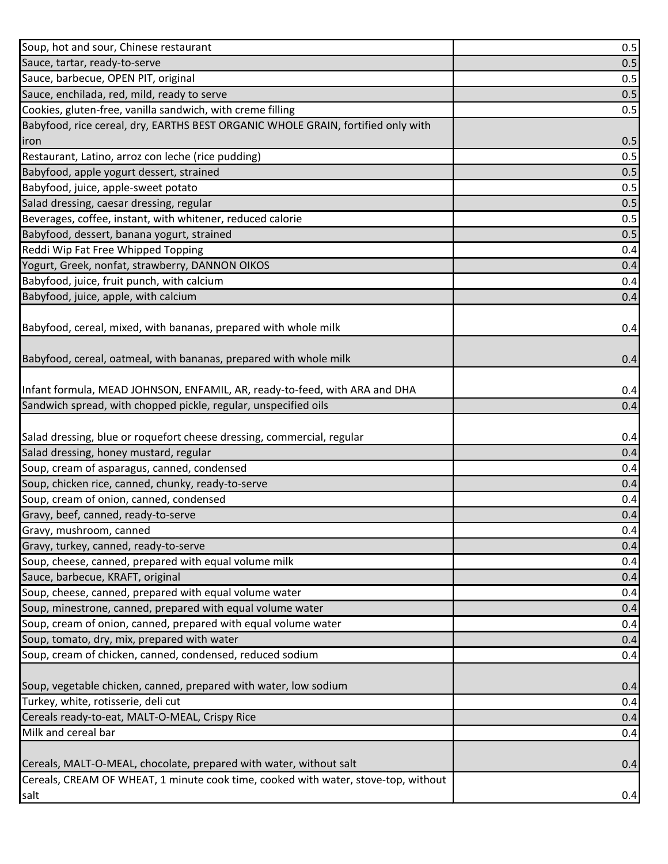| Soup, hot and sour, Chinese restaurant                                                     | 0.5 |
|--------------------------------------------------------------------------------------------|-----|
| Sauce, tartar, ready-to-serve                                                              | 0.5 |
| Sauce, barbecue, OPEN PIT, original                                                        | 0.5 |
| Sauce, enchilada, red, mild, ready to serve                                                | 0.5 |
| Cookies, gluten-free, vanilla sandwich, with creme filling                                 | 0.5 |
| Babyfood, rice cereal, dry, EARTHS BEST ORGANIC WHOLE GRAIN, fortified only with           |     |
| iron                                                                                       | 0.5 |
| Restaurant, Latino, arroz con leche (rice pudding)                                         | 0.5 |
| Babyfood, apple yogurt dessert, strained                                                   | 0.5 |
| Babyfood, juice, apple-sweet potato                                                        | 0.5 |
| Salad dressing, caesar dressing, regular                                                   | 0.5 |
| Beverages, coffee, instant, with whitener, reduced calorie                                 | 0.5 |
| Babyfood, dessert, banana yogurt, strained                                                 | 0.5 |
| Reddi Wip Fat Free Whipped Topping                                                         | 0.4 |
| Yogurt, Greek, nonfat, strawberry, DANNON OIKOS                                            | 0.4 |
| Babyfood, juice, fruit punch, with calcium                                                 | 0.4 |
| Babyfood, juice, apple, with calcium                                                       | 0.4 |
|                                                                                            |     |
| Babyfood, cereal, mixed, with bananas, prepared with whole milk                            | 0.4 |
|                                                                                            |     |
| Babyfood, cereal, oatmeal, with bananas, prepared with whole milk                          | 0.4 |
|                                                                                            |     |
| Infant formula, MEAD JOHNSON, ENFAMIL, AR, ready-to-feed, with ARA and DHA                 | 0.4 |
| Sandwich spread, with chopped pickle, regular, unspecified oils                            | 0.4 |
|                                                                                            |     |
| Salad dressing, blue or roquefort cheese dressing, commercial, regular                     | 0.4 |
| Salad dressing, honey mustard, regular                                                     | 0.4 |
| Soup, cream of asparagus, canned, condensed                                                | 0.4 |
| Soup, chicken rice, canned, chunky, ready-to-serve                                         | 0.4 |
| Soup, cream of onion, canned, condensed                                                    | 0.4 |
| Gravy, beef, canned, ready-to-serve                                                        | 0.4 |
| Gravy, mushroom, canned                                                                    | 0.4 |
| Gravy, turkey, canned, ready-to-serve                                                      | 0.4 |
|                                                                                            |     |
| Soup, cheese, canned, prepared with equal volume milk                                      | 0.4 |
| Sauce, barbecue, KRAFT, original                                                           | 0.4 |
| Soup, cheese, canned, prepared with equal volume water                                     | 0.4 |
| Soup, minestrone, canned, prepared with equal volume water                                 | 0.4 |
| Soup, cream of onion, canned, prepared with equal volume water                             | 0.4 |
| Soup, tomato, dry, mix, prepared with water                                                | 0.4 |
| Soup, cream of chicken, canned, condensed, reduced sodium                                  | 0.4 |
|                                                                                            |     |
| Soup, vegetable chicken, canned, prepared with water, low sodium                           | 0.4 |
| Turkey, white, rotisserie, deli cut                                                        | 0.4 |
| Cereals ready-to-eat, MALT-O-MEAL, Crispy Rice                                             | 0.4 |
| Milk and cereal bar                                                                        | 0.4 |
|                                                                                            |     |
| Cereals, MALT-O-MEAL, chocolate, prepared with water, without salt                         | 0.4 |
| Cereals, CREAM OF WHEAT, 1 minute cook time, cooked with water, stove-top, without<br>salt | 0.4 |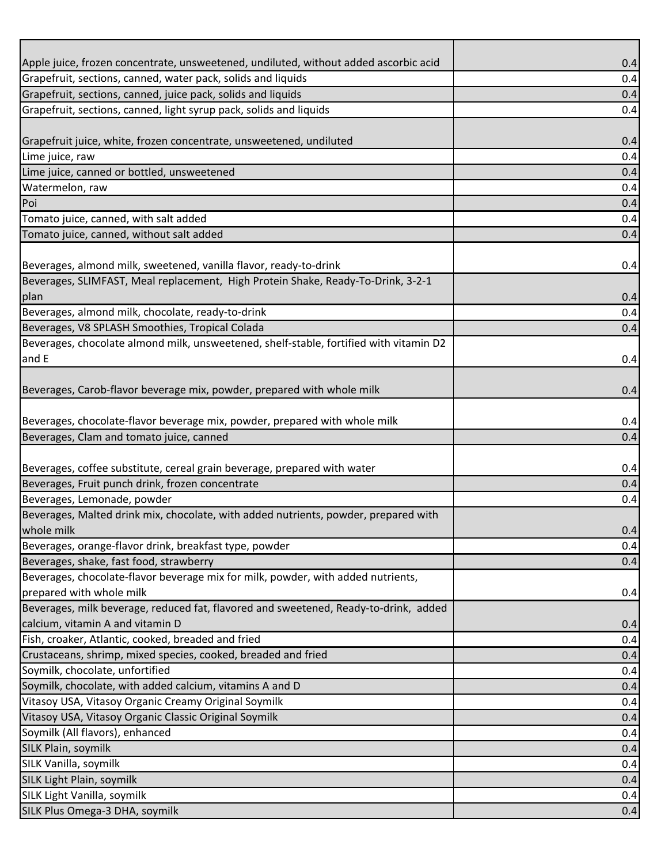| Apple juice, frozen concentrate, unsweetened, undiluted, without added ascorbic acid   | 0.4        |
|----------------------------------------------------------------------------------------|------------|
| Grapefruit, sections, canned, water pack, solids and liquids                           | 0.4        |
| Grapefruit, sections, canned, juice pack, solids and liquids                           | 0.4        |
| Grapefruit, sections, canned, light syrup pack, solids and liquids                     | 0.4        |
|                                                                                        |            |
| Grapefruit juice, white, frozen concentrate, unsweetened, undiluted                    | 0.4        |
| Lime juice, raw                                                                        | 0.4        |
| Lime juice, canned or bottled, unsweetened                                             | 0.4        |
| Watermelon, raw                                                                        | 0.4        |
| Poi                                                                                    | 0.4        |
| Tomato juice, canned, with salt added                                                  | 0.4        |
| Tomato juice, canned, without salt added                                               | 0.4        |
|                                                                                        |            |
| Beverages, almond milk, sweetened, vanilla flavor, ready-to-drink                      | 0.4        |
| Beverages, SLIMFAST, Meal replacement, High Protein Shake, Ready-To-Drink, 3-2-1       |            |
| plan                                                                                   | 0.4        |
| Beverages, almond milk, chocolate, ready-to-drink                                      | 0.4        |
| Beverages, V8 SPLASH Smoothies, Tropical Colada                                        | 0.4        |
| Beverages, chocolate almond milk, unsweetened, shelf-stable, fortified with vitamin D2 |            |
| and E                                                                                  | 0.4        |
|                                                                                        |            |
| Beverages, Carob-flavor beverage mix, powder, prepared with whole milk                 | 0.4        |
|                                                                                        |            |
| Beverages, chocolate-flavor beverage mix, powder, prepared with whole milk             | 0.4        |
| Beverages, Clam and tomato juice, canned                                               | 0.4        |
|                                                                                        |            |
| Beverages, coffee substitute, cereal grain beverage, prepared with water               | 0.4        |
| Beverages, Fruit punch drink, frozen concentrate                                       | 0.4        |
| Beverages, Lemonade, powder                                                            | 0.4        |
| Beverages, Malted drink mix, chocolate, with added nutrients, powder, prepared with    |            |
| whole milk                                                                             | 0.4        |
| Beverages, orange-flavor drink, breakfast type, powder                                 | 0.4        |
| Beverages, shake, fast food, strawberry                                                | 0.4        |
| Beverages, chocolate-flavor beverage mix for milk, powder, with added nutrients,       |            |
| prepared with whole milk                                                               | 0.4        |
| Beverages, milk beverage, reduced fat, flavored and sweetened, Ready-to-drink, added   |            |
| calcium, vitamin A and vitamin D                                                       | 0.4        |
| Fish, croaker, Atlantic, cooked, breaded and fried                                     | 0.4        |
| Crustaceans, shrimp, mixed species, cooked, breaded and fried                          | 0.4        |
| Soymilk, chocolate, unfortified                                                        | 0.4        |
| Soymilk, chocolate, with added calcium, vitamins A and D                               | 0.4        |
| Vitasoy USA, Vitasoy Organic Creamy Original Soymilk                                   | 0.4        |
| Vitasoy USA, Vitasoy Organic Classic Original Soymilk                                  | 0.4        |
| Soymilk (All flavors), enhanced                                                        | 0.4        |
|                                                                                        |            |
|                                                                                        |            |
| SILK Plain, soymilk                                                                    | 0.4        |
|                                                                                        | 0.4        |
| SILK Vanilla, soymilk<br>SILK Light Plain, soymilk                                     | 0.4        |
| SILK Light Vanilla, soymilk<br>SILK Plus Omega-3 DHA, soymilk                          | 0.4<br>0.4 |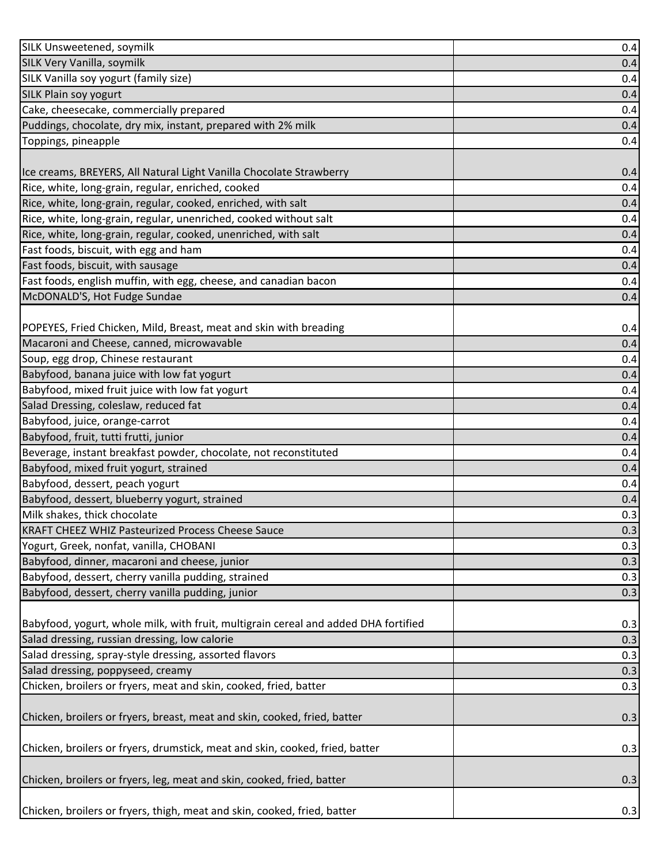| SILK Unsweetened, soymilk                                                           | 0.4 |
|-------------------------------------------------------------------------------------|-----|
| SILK Very Vanilla, soymilk                                                          | 0.4 |
| SILK Vanilla soy yogurt (family size)                                               | 0.4 |
| <b>SILK Plain soy yogurt</b>                                                        | 0.4 |
| Cake, cheesecake, commercially prepared                                             | 0.4 |
| Puddings, chocolate, dry mix, instant, prepared with 2% milk                        | 0.4 |
| Toppings, pineapple                                                                 | 0.4 |
|                                                                                     |     |
| Ice creams, BREYERS, All Natural Light Vanilla Chocolate Strawberry                 | 0.4 |
| Rice, white, long-grain, regular, enriched, cooked                                  | 0.4 |
| Rice, white, long-grain, regular, cooked, enriched, with salt                       | 0.4 |
| Rice, white, long-grain, regular, unenriched, cooked without salt                   | 0.4 |
| Rice, white, long-grain, regular, cooked, unenriched, with salt                     | 0.4 |
| Fast foods, biscuit, with egg and ham                                               | 0.4 |
| Fast foods, biscuit, with sausage                                                   | 0.4 |
| Fast foods, english muffin, with egg, cheese, and canadian bacon                    | 0.4 |
| McDONALD'S, Hot Fudge Sundae                                                        | 0.4 |
|                                                                                     |     |
| POPEYES, Fried Chicken, Mild, Breast, meat and skin with breading                   | 0.4 |
| Macaroni and Cheese, canned, microwavable                                           | 0.4 |
| Soup, egg drop, Chinese restaurant                                                  | 0.4 |
| Babyfood, banana juice with low fat yogurt                                          | 0.4 |
| Babyfood, mixed fruit juice with low fat yogurt                                     | 0.4 |
| Salad Dressing, coleslaw, reduced fat                                               | 0.4 |
| Babyfood, juice, orange-carrot                                                      | 0.4 |
| Babyfood, fruit, tutti frutti, junior                                               | 0.4 |
| Beverage, instant breakfast powder, chocolate, not reconstituted                    | 0.4 |
| Babyfood, mixed fruit yogurt, strained                                              | 0.4 |
| Babyfood, dessert, peach yogurt                                                     | 0.4 |
| Babyfood, dessert, blueberry yogurt, strained                                       | 0.4 |
| Milk shakes, thick chocolate                                                        | 0.3 |
| <b>KRAFT CHEEZ WHIZ Pasteurized Process Cheese Sauce</b>                            | 0.3 |
| Yogurt, Greek, nonfat, vanilla, CHOBANI                                             | 0.3 |
| Babyfood, dinner, macaroni and cheese, junior                                       | 0.3 |
| Babyfood, dessert, cherry vanilla pudding, strained                                 | 0.3 |
| Babyfood, dessert, cherry vanilla pudding, junior                                   | 0.3 |
|                                                                                     |     |
| Babyfood, yogurt, whole milk, with fruit, multigrain cereal and added DHA fortified | 0.3 |
| Salad dressing, russian dressing, low calorie                                       | 0.3 |
| Salad dressing, spray-style dressing, assorted flavors                              | 0.3 |
| Salad dressing, poppyseed, creamy                                                   | 0.3 |
| Chicken, broilers or fryers, meat and skin, cooked, fried, batter                   | 0.3 |
|                                                                                     |     |
| Chicken, broilers or fryers, breast, meat and skin, cooked, fried, batter           | 0.3 |
|                                                                                     |     |
| Chicken, broilers or fryers, drumstick, meat and skin, cooked, fried, batter        | 0.3 |
|                                                                                     |     |
| Chicken, broilers or fryers, leg, meat and skin, cooked, fried, batter              | 0.3 |
|                                                                                     |     |
| Chicken, broilers or fryers, thigh, meat and skin, cooked, fried, batter            | 0.3 |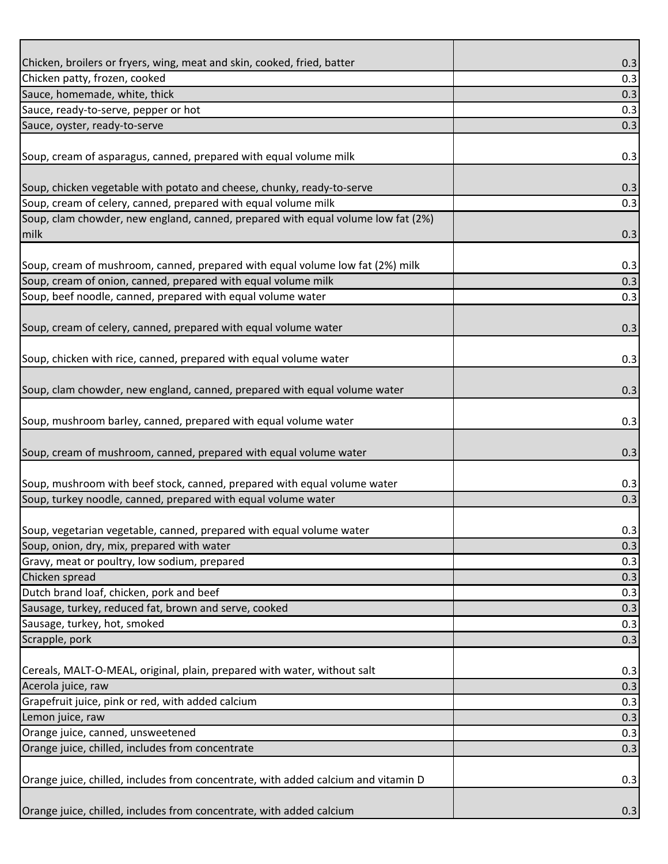| Chicken, broilers or fryers, wing, meat and skin, cooked, fried, batter                  | 0.3 |
|------------------------------------------------------------------------------------------|-----|
| Chicken patty, frozen, cooked                                                            | 0.3 |
| Sauce, homemade, white, thick                                                            | 0.3 |
| Sauce, ready-to-serve, pepper or hot                                                     | 0.3 |
| Sauce, oyster, ready-to-serve                                                            | 0.3 |
| Soup, cream of asparagus, canned, prepared with equal volume milk                        | 0.3 |
| Soup, chicken vegetable with potato and cheese, chunky, ready-to-serve                   | 0.3 |
| Soup, cream of celery, canned, prepared with equal volume milk                           | 0.3 |
| Soup, clam chowder, new england, canned, prepared with equal volume low fat (2%)<br>milk | 0.3 |
| Soup, cream of mushroom, canned, prepared with equal volume low fat (2%) milk            | 0.3 |
| Soup, cream of onion, canned, prepared with equal volume milk                            | 0.3 |
| Soup, beef noodle, canned, prepared with equal volume water                              | 0.3 |
| Soup, cream of celery, canned, prepared with equal volume water                          | 0.3 |
|                                                                                          |     |
| Soup, chicken with rice, canned, prepared with equal volume water                        | 0.3 |
| Soup, clam chowder, new england, canned, prepared with equal volume water                | 0.3 |
| Soup, mushroom barley, canned, prepared with equal volume water                          | 0.3 |
|                                                                                          |     |
| Soup, cream of mushroom, canned, prepared with equal volume water                        | 0.3 |
| Soup, mushroom with beef stock, canned, prepared with equal volume water                 | 0.3 |
| Soup, turkey noodle, canned, prepared with equal volume water                            | 0.3 |
|                                                                                          |     |
| Soup, vegetarian vegetable, canned, prepared with equal volume water                     | 0.3 |
| Soup, onion, dry, mix, prepared with water                                               | 0.3 |
| Gravy, meat or poultry, low sodium, prepared                                             | 0.3 |
| Chicken spread                                                                           | 0.3 |
| Dutch brand loaf, chicken, pork and beef                                                 | 0.3 |
| Sausage, turkey, reduced fat, brown and serve, cooked                                    | 0.3 |
| Sausage, turkey, hot, smoked                                                             | 0.3 |
| Scrapple, pork                                                                           | 0.3 |
| Cereals, MALT-O-MEAL, original, plain, prepared with water, without salt                 | 0.3 |
| Acerola juice, raw                                                                       | 0.3 |
| Grapefruit juice, pink or red, with added calcium                                        | 0.3 |
| Lemon juice, raw                                                                         | 0.3 |
| Orange juice, canned, unsweetened                                                        | 0.3 |
| Orange juice, chilled, includes from concentrate                                         | 0.3 |
| Orange juice, chilled, includes from concentrate, with added calcium and vitamin D       | 0.3 |
| Orange juice, chilled, includes from concentrate, with added calcium                     | 0.3 |
|                                                                                          |     |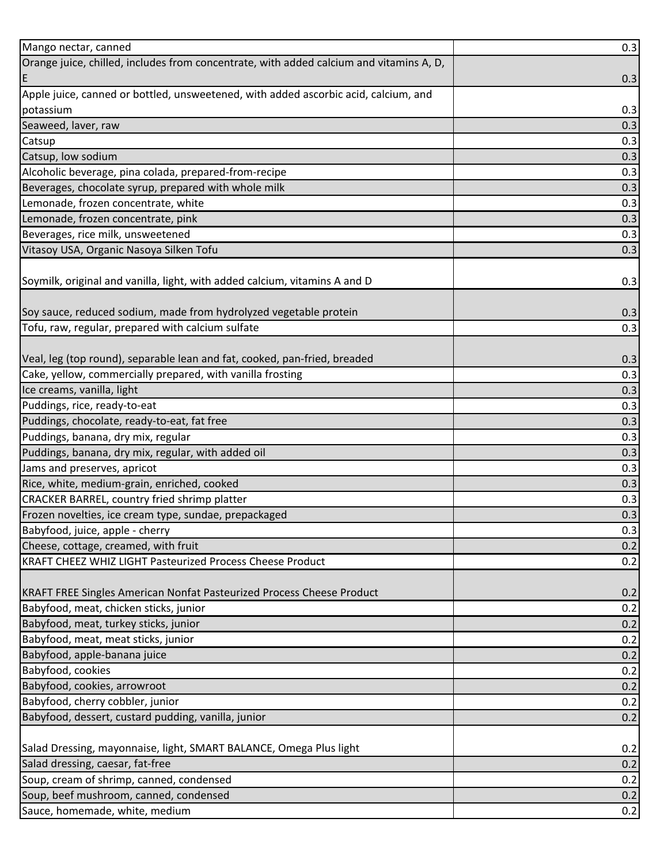| Mango nectar, canned                                                                    | 0.3 |
|-----------------------------------------------------------------------------------------|-----|
| Orange juice, chilled, includes from concentrate, with added calcium and vitamins A, D, |     |
| ΙE                                                                                      | 0.3 |
| Apple juice, canned or bottled, unsweetened, with added ascorbic acid, calcium, and     |     |
| potassium                                                                               | 0.3 |
| Seaweed, laver, raw                                                                     | 0.3 |
| Catsup                                                                                  | 0.3 |
| Catsup, low sodium                                                                      | 0.3 |
| Alcoholic beverage, pina colada, prepared-from-recipe                                   | 0.3 |
| Beverages, chocolate syrup, prepared with whole milk                                    | 0.3 |
| Lemonade, frozen concentrate, white                                                     | 0.3 |
| Lemonade, frozen concentrate, pink                                                      | 0.3 |
| Beverages, rice milk, unsweetened                                                       | 0.3 |
| Vitasoy USA, Organic Nasoya Silken Tofu                                                 | 0.3 |
|                                                                                         |     |
| Soymilk, original and vanilla, light, with added calcium, vitamins A and D              | 0.3 |
|                                                                                         |     |
| Soy sauce, reduced sodium, made from hydrolyzed vegetable protein                       | 0.3 |
| Tofu, raw, regular, prepared with calcium sulfate                                       | 0.3 |
|                                                                                         |     |
| Veal, leg (top round), separable lean and fat, cooked, pan-fried, breaded               | 0.3 |
| Cake, yellow, commercially prepared, with vanilla frosting                              | 0.3 |
| Ice creams, vanilla, light                                                              | 0.3 |
| Puddings, rice, ready-to-eat                                                            | 0.3 |
| Puddings, chocolate, ready-to-eat, fat free                                             | 0.3 |
| Puddings, banana, dry mix, regular                                                      | 0.3 |
| Puddings, banana, dry mix, regular, with added oil                                      | 0.3 |
| Jams and preserves, apricot                                                             | 0.3 |
| Rice, white, medium-grain, enriched, cooked                                             | 0.3 |
| CRACKER BARREL, country fried shrimp platter                                            | 0.3 |
| Frozen novelties, ice cream type, sundae, prepackaged                                   | 0.3 |
| Babyfood, juice, apple - cherry                                                         | 0.3 |
| Cheese, cottage, creamed, with fruit                                                    | 0.2 |
| KRAFT CHEEZ WHIZ LIGHT Pasteurized Process Cheese Product                               | 0.2 |
|                                                                                         |     |
| KRAFT FREE Singles American Nonfat Pasteurized Process Cheese Product                   | 0.2 |
| Babyfood, meat, chicken sticks, junior                                                  | 0.2 |
| Babyfood, meat, turkey sticks, junior                                                   | 0.2 |
| Babyfood, meat, meat sticks, junior                                                     | 0.2 |
| Babyfood, apple-banana juice                                                            | 0.2 |
| Babyfood, cookies                                                                       | 0.2 |
| Babyfood, cookies, arrowroot                                                            | 0.2 |
| Babyfood, cherry cobbler, junior                                                        | 0.2 |
| Babyfood, dessert, custard pudding, vanilla, junior                                     | 0.2 |
|                                                                                         |     |
| Salad Dressing, mayonnaise, light, SMART BALANCE, Omega Plus light                      | 0.2 |
| Salad dressing, caesar, fat-free                                                        | 0.2 |
| Soup, cream of shrimp, canned, condensed                                                | 0.2 |
| Soup, beef mushroom, canned, condensed                                                  | 0.2 |
| Sauce, homemade, white, medium                                                          | 0.2 |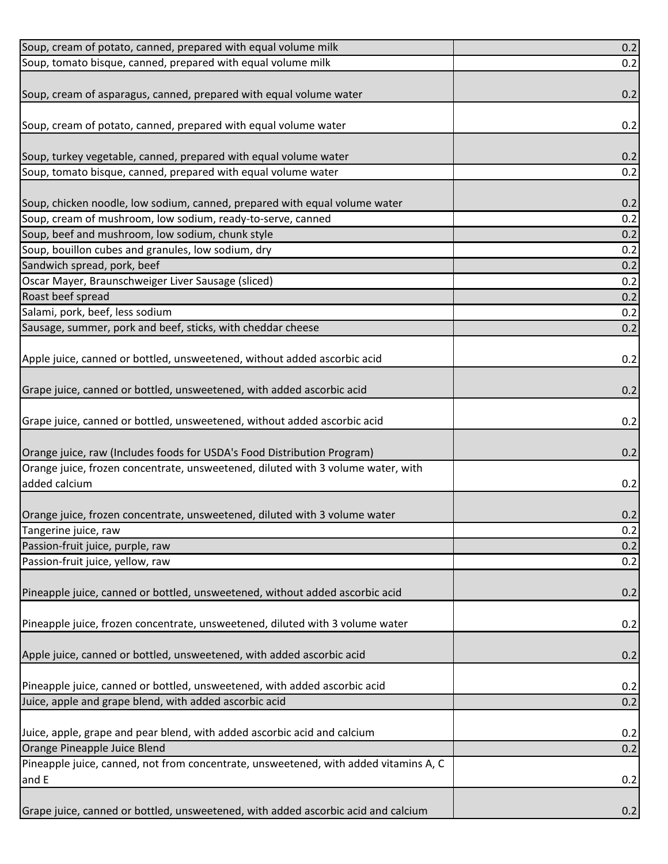| 0.2<br>0.2<br>0.2<br>0.2<br>Soup, tomato bisque, canned, prepared with equal volume water<br>0.2<br>Soup, chicken noodle, low sodium, canned, prepared with equal volume water<br>0.2<br>0.2<br>Soup, cream of mushroom, low sodium, ready-to-serve, canned<br>Soup, beef and mushroom, low sodium, chunk style<br>0.2<br>Soup, bouillon cubes and granules, low sodium, dry<br>0.2<br>Sandwich spread, pork, beef<br>0.2<br>Oscar Mayer, Braunschweiger Liver Sausage (sliced)<br>0.2<br>Roast beef spread<br>0.2<br>Salami, pork, beef, less sodium<br>0.2<br>Sausage, summer, pork and beef, sticks, with cheddar cheese<br>0.2<br>Apple juice, canned or bottled, unsweetened, without added ascorbic acid<br>0.2<br>Grape juice, canned or bottled, unsweetened, with added ascorbic acid<br>0.2<br>Grape juice, canned or bottled, unsweetened, without added ascorbic acid<br>0.2<br>Orange juice, raw (Includes foods for USDA's Food Distribution Program)<br>0.2<br>Orange juice, frozen concentrate, unsweetened, diluted with 3 volume water, with<br>added calcium<br>0.2<br>Orange juice, frozen concentrate, unsweetened, diluted with 3 volume water<br>0.2<br>Tangerine juice, raw<br>0.2<br>0.2<br>Passion-fruit juice, purple, raw<br>Passion-fruit juice, yellow, raw<br>0.2<br>Pineapple juice, canned or bottled, unsweetened, without added ascorbic acid<br>0.2<br>Pineapple juice, frozen concentrate, unsweetened, diluted with 3 volume water<br>0.2<br>Apple juice, canned or bottled, unsweetened, with added ascorbic acid<br>0.2<br>Pineapple juice, canned or bottled, unsweetened, with added ascorbic acid<br>0.2<br>Juice, apple and grape blend, with added ascorbic acid<br>0.2 | Soup, cream of potato, canned, prepared with equal volume milk                       | 0.2 |
|----------------------------------------------------------------------------------------------------------------------------------------------------------------------------------------------------------------------------------------------------------------------------------------------------------------------------------------------------------------------------------------------------------------------------------------------------------------------------------------------------------------------------------------------------------------------------------------------------------------------------------------------------------------------------------------------------------------------------------------------------------------------------------------------------------------------------------------------------------------------------------------------------------------------------------------------------------------------------------------------------------------------------------------------------------------------------------------------------------------------------------------------------------------------------------------------------------------------------------------------------------------------------------------------------------------------------------------------------------------------------------------------------------------------------------------------------------------------------------------------------------------------------------------------------------------------------------------------------------------------------------------------------------------------------------------------------------------------|--------------------------------------------------------------------------------------|-----|
|                                                                                                                                                                                                                                                                                                                                                                                                                                                                                                                                                                                                                                                                                                                                                                                                                                                                                                                                                                                                                                                                                                                                                                                                                                                                                                                                                                                                                                                                                                                                                                                                                                                                                                                      | Soup, tomato bisque, canned, prepared with equal volume milk                         |     |
|                                                                                                                                                                                                                                                                                                                                                                                                                                                                                                                                                                                                                                                                                                                                                                                                                                                                                                                                                                                                                                                                                                                                                                                                                                                                                                                                                                                                                                                                                                                                                                                                                                                                                                                      |                                                                                      |     |
|                                                                                                                                                                                                                                                                                                                                                                                                                                                                                                                                                                                                                                                                                                                                                                                                                                                                                                                                                                                                                                                                                                                                                                                                                                                                                                                                                                                                                                                                                                                                                                                                                                                                                                                      | Soup, cream of asparagus, canned, prepared with equal volume water                   |     |
|                                                                                                                                                                                                                                                                                                                                                                                                                                                                                                                                                                                                                                                                                                                                                                                                                                                                                                                                                                                                                                                                                                                                                                                                                                                                                                                                                                                                                                                                                                                                                                                                                                                                                                                      |                                                                                      |     |
|                                                                                                                                                                                                                                                                                                                                                                                                                                                                                                                                                                                                                                                                                                                                                                                                                                                                                                                                                                                                                                                                                                                                                                                                                                                                                                                                                                                                                                                                                                                                                                                                                                                                                                                      | Soup, cream of potato, canned, prepared with equal volume water                      |     |
|                                                                                                                                                                                                                                                                                                                                                                                                                                                                                                                                                                                                                                                                                                                                                                                                                                                                                                                                                                                                                                                                                                                                                                                                                                                                                                                                                                                                                                                                                                                                                                                                                                                                                                                      |                                                                                      |     |
|                                                                                                                                                                                                                                                                                                                                                                                                                                                                                                                                                                                                                                                                                                                                                                                                                                                                                                                                                                                                                                                                                                                                                                                                                                                                                                                                                                                                                                                                                                                                                                                                                                                                                                                      | Soup, turkey vegetable, canned, prepared with equal volume water                     |     |
|                                                                                                                                                                                                                                                                                                                                                                                                                                                                                                                                                                                                                                                                                                                                                                                                                                                                                                                                                                                                                                                                                                                                                                                                                                                                                                                                                                                                                                                                                                                                                                                                                                                                                                                      |                                                                                      |     |
|                                                                                                                                                                                                                                                                                                                                                                                                                                                                                                                                                                                                                                                                                                                                                                                                                                                                                                                                                                                                                                                                                                                                                                                                                                                                                                                                                                                                                                                                                                                                                                                                                                                                                                                      |                                                                                      |     |
|                                                                                                                                                                                                                                                                                                                                                                                                                                                                                                                                                                                                                                                                                                                                                                                                                                                                                                                                                                                                                                                                                                                                                                                                                                                                                                                                                                                                                                                                                                                                                                                                                                                                                                                      |                                                                                      |     |
|                                                                                                                                                                                                                                                                                                                                                                                                                                                                                                                                                                                                                                                                                                                                                                                                                                                                                                                                                                                                                                                                                                                                                                                                                                                                                                                                                                                                                                                                                                                                                                                                                                                                                                                      |                                                                                      |     |
|                                                                                                                                                                                                                                                                                                                                                                                                                                                                                                                                                                                                                                                                                                                                                                                                                                                                                                                                                                                                                                                                                                                                                                                                                                                                                                                                                                                                                                                                                                                                                                                                                                                                                                                      |                                                                                      |     |
|                                                                                                                                                                                                                                                                                                                                                                                                                                                                                                                                                                                                                                                                                                                                                                                                                                                                                                                                                                                                                                                                                                                                                                                                                                                                                                                                                                                                                                                                                                                                                                                                                                                                                                                      |                                                                                      |     |
|                                                                                                                                                                                                                                                                                                                                                                                                                                                                                                                                                                                                                                                                                                                                                                                                                                                                                                                                                                                                                                                                                                                                                                                                                                                                                                                                                                                                                                                                                                                                                                                                                                                                                                                      |                                                                                      |     |
|                                                                                                                                                                                                                                                                                                                                                                                                                                                                                                                                                                                                                                                                                                                                                                                                                                                                                                                                                                                                                                                                                                                                                                                                                                                                                                                                                                                                                                                                                                                                                                                                                                                                                                                      |                                                                                      |     |
|                                                                                                                                                                                                                                                                                                                                                                                                                                                                                                                                                                                                                                                                                                                                                                                                                                                                                                                                                                                                                                                                                                                                                                                                                                                                                                                                                                                                                                                                                                                                                                                                                                                                                                                      |                                                                                      |     |
|                                                                                                                                                                                                                                                                                                                                                                                                                                                                                                                                                                                                                                                                                                                                                                                                                                                                                                                                                                                                                                                                                                                                                                                                                                                                                                                                                                                                                                                                                                                                                                                                                                                                                                                      |                                                                                      |     |
|                                                                                                                                                                                                                                                                                                                                                                                                                                                                                                                                                                                                                                                                                                                                                                                                                                                                                                                                                                                                                                                                                                                                                                                                                                                                                                                                                                                                                                                                                                                                                                                                                                                                                                                      |                                                                                      |     |
|                                                                                                                                                                                                                                                                                                                                                                                                                                                                                                                                                                                                                                                                                                                                                                                                                                                                                                                                                                                                                                                                                                                                                                                                                                                                                                                                                                                                                                                                                                                                                                                                                                                                                                                      |                                                                                      |     |
|                                                                                                                                                                                                                                                                                                                                                                                                                                                                                                                                                                                                                                                                                                                                                                                                                                                                                                                                                                                                                                                                                                                                                                                                                                                                                                                                                                                                                                                                                                                                                                                                                                                                                                                      |                                                                                      |     |
|                                                                                                                                                                                                                                                                                                                                                                                                                                                                                                                                                                                                                                                                                                                                                                                                                                                                                                                                                                                                                                                                                                                                                                                                                                                                                                                                                                                                                                                                                                                                                                                                                                                                                                                      |                                                                                      |     |
|                                                                                                                                                                                                                                                                                                                                                                                                                                                                                                                                                                                                                                                                                                                                                                                                                                                                                                                                                                                                                                                                                                                                                                                                                                                                                                                                                                                                                                                                                                                                                                                                                                                                                                                      |                                                                                      |     |
|                                                                                                                                                                                                                                                                                                                                                                                                                                                                                                                                                                                                                                                                                                                                                                                                                                                                                                                                                                                                                                                                                                                                                                                                                                                                                                                                                                                                                                                                                                                                                                                                                                                                                                                      |                                                                                      |     |
|                                                                                                                                                                                                                                                                                                                                                                                                                                                                                                                                                                                                                                                                                                                                                                                                                                                                                                                                                                                                                                                                                                                                                                                                                                                                                                                                                                                                                                                                                                                                                                                                                                                                                                                      |                                                                                      |     |
|                                                                                                                                                                                                                                                                                                                                                                                                                                                                                                                                                                                                                                                                                                                                                                                                                                                                                                                                                                                                                                                                                                                                                                                                                                                                                                                                                                                                                                                                                                                                                                                                                                                                                                                      |                                                                                      |     |
|                                                                                                                                                                                                                                                                                                                                                                                                                                                                                                                                                                                                                                                                                                                                                                                                                                                                                                                                                                                                                                                                                                                                                                                                                                                                                                                                                                                                                                                                                                                                                                                                                                                                                                                      |                                                                                      |     |
|                                                                                                                                                                                                                                                                                                                                                                                                                                                                                                                                                                                                                                                                                                                                                                                                                                                                                                                                                                                                                                                                                                                                                                                                                                                                                                                                                                                                                                                                                                                                                                                                                                                                                                                      |                                                                                      |     |
|                                                                                                                                                                                                                                                                                                                                                                                                                                                                                                                                                                                                                                                                                                                                                                                                                                                                                                                                                                                                                                                                                                                                                                                                                                                                                                                                                                                                                                                                                                                                                                                                                                                                                                                      |                                                                                      |     |
|                                                                                                                                                                                                                                                                                                                                                                                                                                                                                                                                                                                                                                                                                                                                                                                                                                                                                                                                                                                                                                                                                                                                                                                                                                                                                                                                                                                                                                                                                                                                                                                                                                                                                                                      |                                                                                      |     |
|                                                                                                                                                                                                                                                                                                                                                                                                                                                                                                                                                                                                                                                                                                                                                                                                                                                                                                                                                                                                                                                                                                                                                                                                                                                                                                                                                                                                                                                                                                                                                                                                                                                                                                                      |                                                                                      |     |
|                                                                                                                                                                                                                                                                                                                                                                                                                                                                                                                                                                                                                                                                                                                                                                                                                                                                                                                                                                                                                                                                                                                                                                                                                                                                                                                                                                                                                                                                                                                                                                                                                                                                                                                      |                                                                                      |     |
|                                                                                                                                                                                                                                                                                                                                                                                                                                                                                                                                                                                                                                                                                                                                                                                                                                                                                                                                                                                                                                                                                                                                                                                                                                                                                                                                                                                                                                                                                                                                                                                                                                                                                                                      |                                                                                      |     |
|                                                                                                                                                                                                                                                                                                                                                                                                                                                                                                                                                                                                                                                                                                                                                                                                                                                                                                                                                                                                                                                                                                                                                                                                                                                                                                                                                                                                                                                                                                                                                                                                                                                                                                                      |                                                                                      |     |
|                                                                                                                                                                                                                                                                                                                                                                                                                                                                                                                                                                                                                                                                                                                                                                                                                                                                                                                                                                                                                                                                                                                                                                                                                                                                                                                                                                                                                                                                                                                                                                                                                                                                                                                      |                                                                                      |     |
|                                                                                                                                                                                                                                                                                                                                                                                                                                                                                                                                                                                                                                                                                                                                                                                                                                                                                                                                                                                                                                                                                                                                                                                                                                                                                                                                                                                                                                                                                                                                                                                                                                                                                                                      |                                                                                      |     |
|                                                                                                                                                                                                                                                                                                                                                                                                                                                                                                                                                                                                                                                                                                                                                                                                                                                                                                                                                                                                                                                                                                                                                                                                                                                                                                                                                                                                                                                                                                                                                                                                                                                                                                                      |                                                                                      |     |
|                                                                                                                                                                                                                                                                                                                                                                                                                                                                                                                                                                                                                                                                                                                                                                                                                                                                                                                                                                                                                                                                                                                                                                                                                                                                                                                                                                                                                                                                                                                                                                                                                                                                                                                      |                                                                                      |     |
|                                                                                                                                                                                                                                                                                                                                                                                                                                                                                                                                                                                                                                                                                                                                                                                                                                                                                                                                                                                                                                                                                                                                                                                                                                                                                                                                                                                                                                                                                                                                                                                                                                                                                                                      |                                                                                      |     |
|                                                                                                                                                                                                                                                                                                                                                                                                                                                                                                                                                                                                                                                                                                                                                                                                                                                                                                                                                                                                                                                                                                                                                                                                                                                                                                                                                                                                                                                                                                                                                                                                                                                                                                                      |                                                                                      |     |
|                                                                                                                                                                                                                                                                                                                                                                                                                                                                                                                                                                                                                                                                                                                                                                                                                                                                                                                                                                                                                                                                                                                                                                                                                                                                                                                                                                                                                                                                                                                                                                                                                                                                                                                      |                                                                                      |     |
|                                                                                                                                                                                                                                                                                                                                                                                                                                                                                                                                                                                                                                                                                                                                                                                                                                                                                                                                                                                                                                                                                                                                                                                                                                                                                                                                                                                                                                                                                                                                                                                                                                                                                                                      |                                                                                      |     |
|                                                                                                                                                                                                                                                                                                                                                                                                                                                                                                                                                                                                                                                                                                                                                                                                                                                                                                                                                                                                                                                                                                                                                                                                                                                                                                                                                                                                                                                                                                                                                                                                                                                                                                                      |                                                                                      |     |
|                                                                                                                                                                                                                                                                                                                                                                                                                                                                                                                                                                                                                                                                                                                                                                                                                                                                                                                                                                                                                                                                                                                                                                                                                                                                                                                                                                                                                                                                                                                                                                                                                                                                                                                      | Juice, apple, grape and pear blend, with added ascorbic acid and calcium             | 0.2 |
| 0.2                                                                                                                                                                                                                                                                                                                                                                                                                                                                                                                                                                                                                                                                                                                                                                                                                                                                                                                                                                                                                                                                                                                                                                                                                                                                                                                                                                                                                                                                                                                                                                                                                                                                                                                  | Orange Pineapple Juice Blend                                                         |     |
|                                                                                                                                                                                                                                                                                                                                                                                                                                                                                                                                                                                                                                                                                                                                                                                                                                                                                                                                                                                                                                                                                                                                                                                                                                                                                                                                                                                                                                                                                                                                                                                                                                                                                                                      | Pineapple juice, canned, not from concentrate, unsweetened, with added vitamins A, C |     |
| 0.2                                                                                                                                                                                                                                                                                                                                                                                                                                                                                                                                                                                                                                                                                                                                                                                                                                                                                                                                                                                                                                                                                                                                                                                                                                                                                                                                                                                                                                                                                                                                                                                                                                                                                                                  | and E                                                                                |     |
|                                                                                                                                                                                                                                                                                                                                                                                                                                                                                                                                                                                                                                                                                                                                                                                                                                                                                                                                                                                                                                                                                                                                                                                                                                                                                                                                                                                                                                                                                                                                                                                                                                                                                                                      |                                                                                      |     |
| 0.2                                                                                                                                                                                                                                                                                                                                                                                                                                                                                                                                                                                                                                                                                                                                                                                                                                                                                                                                                                                                                                                                                                                                                                                                                                                                                                                                                                                                                                                                                                                                                                                                                                                                                                                  | Grape juice, canned or bottled, unsweetened, with added ascorbic acid and calcium    |     |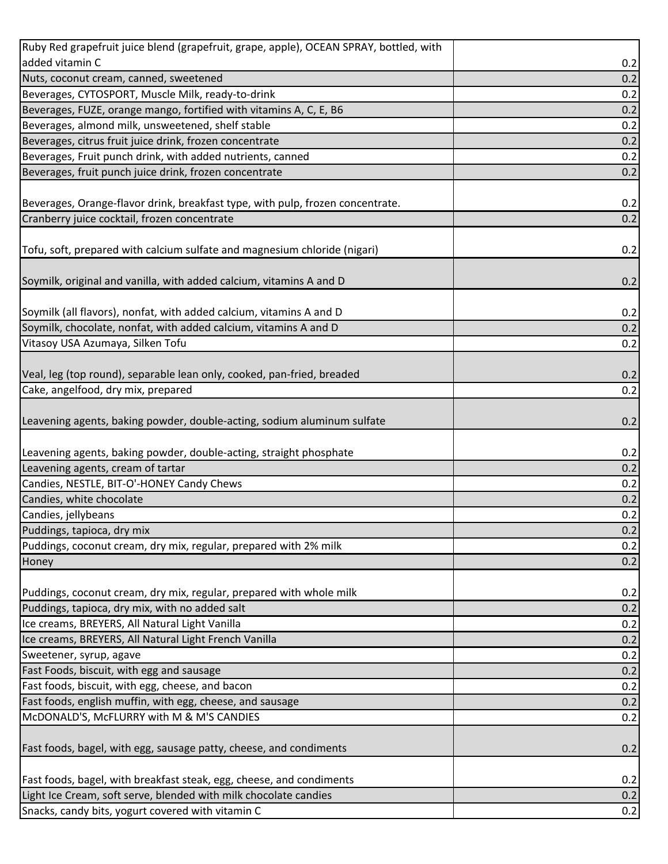| Ruby Red grapefruit juice blend (grapefruit, grape, apple), OCEAN SPRAY, bottled, with |     |
|----------------------------------------------------------------------------------------|-----|
| added vitamin C                                                                        | 0.2 |
| Nuts, coconut cream, canned, sweetened                                                 | 0.2 |
| Beverages, CYTOSPORT, Muscle Milk, ready-to-drink                                      | 0.2 |
| Beverages, FUZE, orange mango, fortified with vitamins A, C, E, B6                     | 0.2 |
| Beverages, almond milk, unsweetened, shelf stable                                      | 0.2 |
| Beverages, citrus fruit juice drink, frozen concentrate                                | 0.2 |
| Beverages, Fruit punch drink, with added nutrients, canned                             | 0.2 |
| Beverages, fruit punch juice drink, frozen concentrate                                 | 0.2 |
|                                                                                        |     |
| Beverages, Orange-flavor drink, breakfast type, with pulp, frozen concentrate.         | 0.2 |
| Cranberry juice cocktail, frozen concentrate                                           | 0.2 |
|                                                                                        |     |
| Tofu, soft, prepared with calcium sulfate and magnesium chloride (nigari)              | 0.2 |
|                                                                                        |     |
| Soymilk, original and vanilla, with added calcium, vitamins A and D                    | 0.2 |
|                                                                                        |     |
| Soymilk (all flavors), nonfat, with added calcium, vitamins A and D                    | 0.2 |
| Soymilk, chocolate, nonfat, with added calcium, vitamins A and D                       | 0.2 |
| Vitasoy USA Azumaya, Silken Tofu                                                       | 0.2 |
|                                                                                        |     |
| Veal, leg (top round), separable lean only, cooked, pan-fried, breaded                 | 0.2 |
| Cake, angelfood, dry mix, prepared                                                     | 0.2 |
|                                                                                        |     |
| Leavening agents, baking powder, double-acting, sodium aluminum sulfate                | 0.2 |
|                                                                                        |     |
| Leavening agents, baking powder, double-acting, straight phosphate                     | 0.2 |
| Leavening agents, cream of tartar                                                      | 0.2 |
| Candies, NESTLE, BIT-O'-HONEY Candy Chews                                              | 0.2 |
| Candies, white chocolate                                                               | 0.2 |
| Candies, jellybeans                                                                    | 0.2 |
| Puddings, tapioca, dry mix                                                             | 0.2 |
| Puddings, coconut cream, dry mix, regular, prepared with 2% milk                       | 0.2 |
| Honey                                                                                  | 0.2 |
|                                                                                        |     |
| Puddings, coconut cream, dry mix, regular, prepared with whole milk                    | 0.2 |
| Puddings, tapioca, dry mix, with no added salt                                         | 0.2 |
| Ice creams, BREYERS, All Natural Light Vanilla                                         | 0.2 |
| Ice creams, BREYERS, All Natural Light French Vanilla                                  | 0.2 |
| Sweetener, syrup, agave                                                                | 0.2 |
| Fast Foods, biscuit, with egg and sausage                                              | 0.2 |
| Fast foods, biscuit, with egg, cheese, and bacon                                       | 0.2 |
| Fast foods, english muffin, with egg, cheese, and sausage                              | 0.2 |
| McDONALD'S, McFLURRY with M & M'S CANDIES                                              | 0.2 |
|                                                                                        |     |
| Fast foods, bagel, with egg, sausage patty, cheese, and condiments                     | 0.2 |
|                                                                                        |     |
| Fast foods, bagel, with breakfast steak, egg, cheese, and condiments                   | 0.2 |
| Light Ice Cream, soft serve, blended with milk chocolate candies                       | 0.2 |
| Snacks, candy bits, yogurt covered with vitamin C                                      | 0.2 |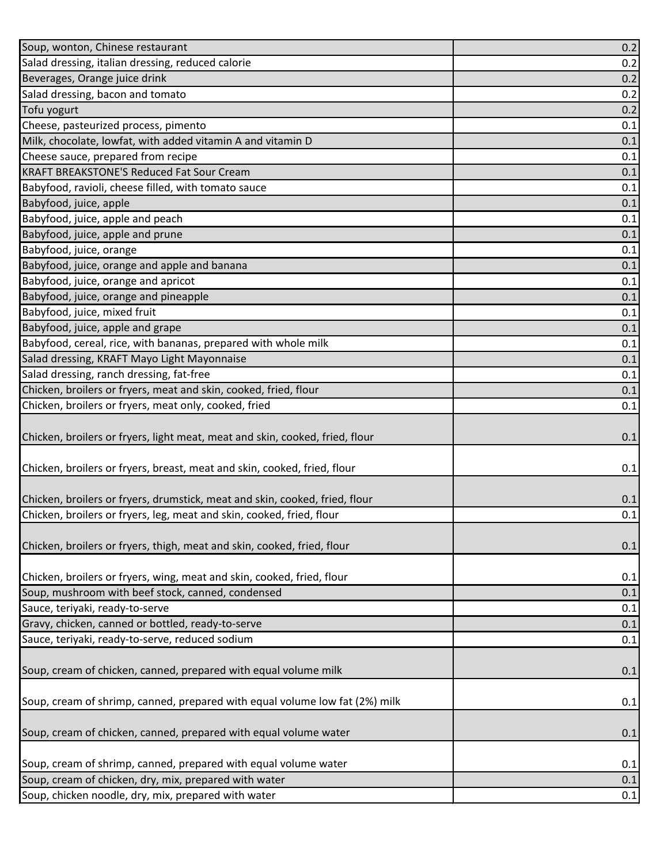| Soup, wonton, Chinese restaurant                                             | 0.2 |
|------------------------------------------------------------------------------|-----|
| Salad dressing, italian dressing, reduced calorie                            | 0.2 |
| Beverages, Orange juice drink                                                | 0.2 |
| Salad dressing, bacon and tomato                                             | 0.2 |
| Tofu yogurt                                                                  | 0.2 |
| Cheese, pasteurized process, pimento                                         | 0.1 |
| Milk, chocolate, lowfat, with added vitamin A and vitamin D                  | 0.1 |
| Cheese sauce, prepared from recipe                                           | 0.1 |
| <b>KRAFT BREAKSTONE'S Reduced Fat Sour Cream</b>                             | 0.1 |
| Babyfood, ravioli, cheese filled, with tomato sauce                          | 0.1 |
| Babyfood, juice, apple                                                       | 0.1 |
| Babyfood, juice, apple and peach                                             | 0.1 |
| Babyfood, juice, apple and prune                                             | 0.1 |
| Babyfood, juice, orange                                                      | 0.1 |
| Babyfood, juice, orange and apple and banana                                 | 0.1 |
| Babyfood, juice, orange and apricot                                          | 0.1 |
| Babyfood, juice, orange and pineapple                                        | 0.1 |
| Babyfood, juice, mixed fruit                                                 | 0.1 |
| Babyfood, juice, apple and grape                                             | 0.1 |
| Babyfood, cereal, rice, with bananas, prepared with whole milk               | 0.1 |
| Salad dressing, KRAFT Mayo Light Mayonnaise                                  | 0.1 |
| Salad dressing, ranch dressing, fat-free                                     | 0.1 |
| Chicken, broilers or fryers, meat and skin, cooked, fried, flour             | 0.1 |
| Chicken, broilers or fryers, meat only, cooked, fried                        | 0.1 |
| Chicken, broilers or fryers, light meat, meat and skin, cooked, fried, flour | 0.1 |
| Chicken, broilers or fryers, breast, meat and skin, cooked, fried, flour     | 0.1 |
| Chicken, broilers or fryers, drumstick, meat and skin, cooked, fried, flour  | 0.1 |
| Chicken, broilers or fryers, leg, meat and skin, cooked, fried, flour        | 0.1 |
| Chicken, broilers or fryers, thigh, meat and skin, cooked, fried, flour      | 0.1 |
| Chicken, broilers or fryers, wing, meat and skin, cooked, fried, flour       | 0.1 |
| Soup, mushroom with beef stock, canned, condensed                            | 0.1 |
| Sauce, teriyaki, ready-to-serve                                              | 0.1 |
| Gravy, chicken, canned or bottled, ready-to-serve                            | 0.1 |
| Sauce, teriyaki, ready-to-serve, reduced sodium                              | 0.1 |
| Soup, cream of chicken, canned, prepared with equal volume milk              | 0.1 |
| Soup, cream of shrimp, canned, prepared with equal volume low fat (2%) milk  | 0.1 |
| Soup, cream of chicken, canned, prepared with equal volume water             | 0.1 |
| Soup, cream of shrimp, canned, prepared with equal volume water              | 0.1 |
| Soup, cream of chicken, dry, mix, prepared with water                        | 0.1 |
| Soup, chicken noodle, dry, mix, prepared with water                          | 0.1 |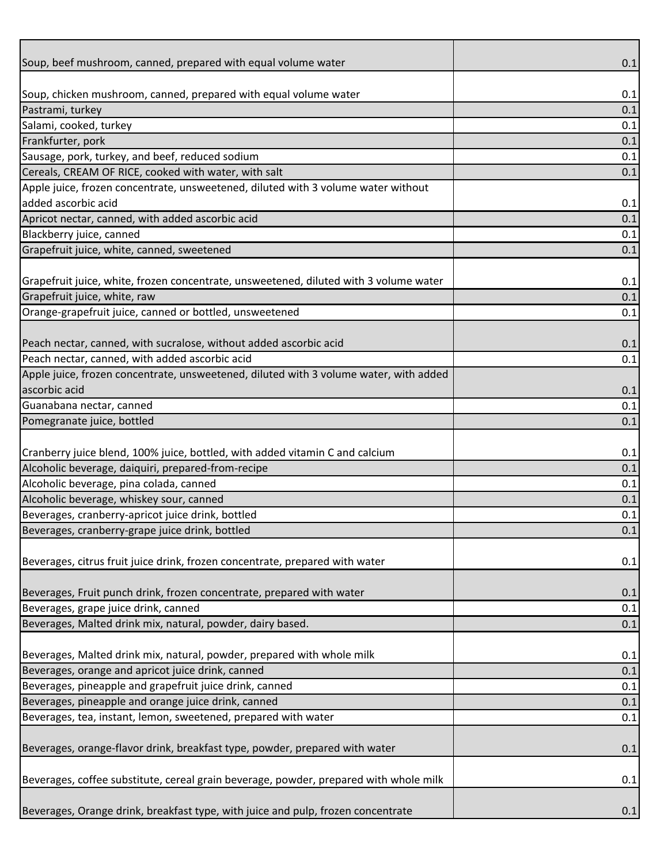| Soup, beef mushroom, canned, prepared with equal volume water                         | 0.1 |
|---------------------------------------------------------------------------------------|-----|
|                                                                                       |     |
| Soup, chicken mushroom, canned, prepared with equal volume water                      | 0.1 |
| Pastrami, turkey                                                                      | 0.1 |
| Salami, cooked, turkey                                                                | 0.1 |
| Frankfurter, pork                                                                     | 0.1 |
| Sausage, pork, turkey, and beef, reduced sodium                                       | 0.1 |
| Cereals, CREAM OF RICE, cooked with water, with salt                                  | 0.1 |
| Apple juice, frozen concentrate, unsweetened, diluted with 3 volume water without     |     |
| added ascorbic acid                                                                   | 0.1 |
| Apricot nectar, canned, with added ascorbic acid                                      | 0.1 |
| Blackberry juice, canned                                                              | 0.1 |
| Grapefruit juice, white, canned, sweetened                                            | 0.1 |
|                                                                                       |     |
| Grapefruit juice, white, frozen concentrate, unsweetened, diluted with 3 volume water | 0.1 |
| Grapefruit juice, white, raw                                                          | 0.1 |
| Orange-grapefruit juice, canned or bottled, unsweetened                               | 0.1 |
|                                                                                       |     |
| Peach nectar, canned, with sucralose, without added ascorbic acid                     | 0.1 |
| Peach nectar, canned, with added ascorbic acid                                        | 0.1 |
| Apple juice, frozen concentrate, unsweetened, diluted with 3 volume water, with added |     |
| ascorbic acid                                                                         | 0.1 |
| Guanabana nectar, canned                                                              | 0.1 |
| Pomegranate juice, bottled                                                            | 0.1 |
|                                                                                       |     |
| Cranberry juice blend, 100% juice, bottled, with added vitamin C and calcium          | 0.1 |
| Alcoholic beverage, daiquiri, prepared-from-recipe                                    | 0.1 |
| Alcoholic beverage, pina colada, canned                                               | 0.1 |
| Alcoholic beverage, whiskey sour, canned                                              | 0.1 |
| Beverages, cranberry-apricot juice drink, bottled                                     | 0.1 |
| Beverages, cranberry-grape juice drink, bottled                                       | 0.1 |
|                                                                                       |     |
| Beverages, citrus fruit juice drink, frozen concentrate, prepared with water          | 0.1 |
|                                                                                       |     |
| Beverages, Fruit punch drink, frozen concentrate, prepared with water                 | 0.1 |
| Beverages, grape juice drink, canned                                                  | 0.1 |
| Beverages, Malted drink mix, natural, powder, dairy based.                            | 0.1 |
|                                                                                       |     |
| Beverages, Malted drink mix, natural, powder, prepared with whole milk                | 0.1 |
| Beverages, orange and apricot juice drink, canned                                     | 0.1 |
| Beverages, pineapple and grapefruit juice drink, canned                               | 0.1 |
| Beverages, pineapple and orange juice drink, canned                                   | 0.1 |
| Beverages, tea, instant, lemon, sweetened, prepared with water                        | 0.1 |
|                                                                                       |     |
| Beverages, orange-flavor drink, breakfast type, powder, prepared with water           | 0.1 |
|                                                                                       |     |
| Beverages, coffee substitute, cereal grain beverage, powder, prepared with whole milk | 0.1 |
|                                                                                       |     |
| Beverages, Orange drink, breakfast type, with juice and pulp, frozen concentrate      | 0.1 |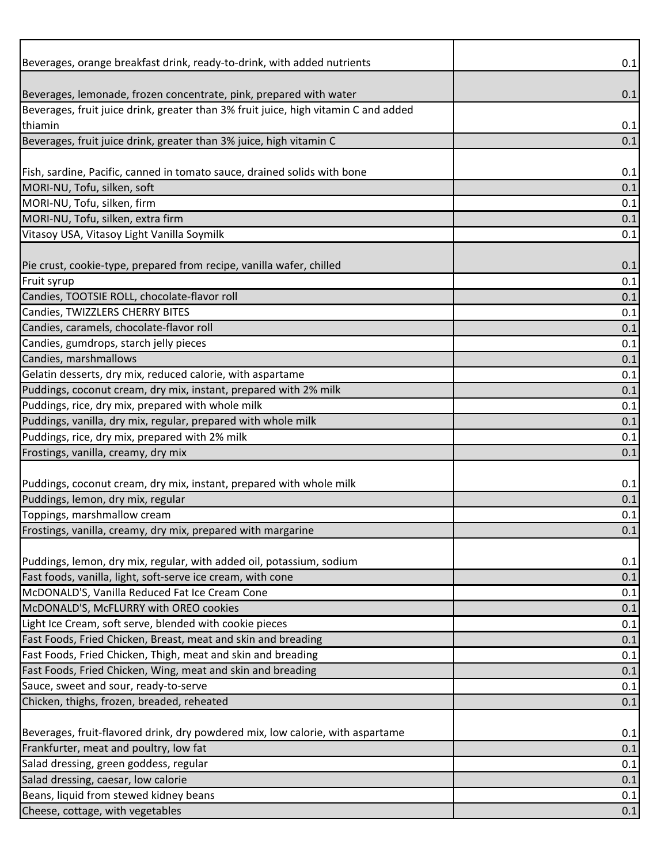| Beverages, orange breakfast drink, ready-to-drink, with added nutrients             | 0.1 |
|-------------------------------------------------------------------------------------|-----|
|                                                                                     |     |
| Beverages, lemonade, frozen concentrate, pink, prepared with water                  | 0.1 |
| Beverages, fruit juice drink, greater than 3% fruit juice, high vitamin C and added |     |
| thiamin                                                                             | 0.1 |
| Beverages, fruit juice drink, greater than 3% juice, high vitamin C                 | 0.1 |
|                                                                                     |     |
| Fish, sardine, Pacific, canned in tomato sauce, drained solids with bone            | 0.1 |
| MORI-NU, Tofu, silken, soft                                                         | 0.1 |
| MORI-NU, Tofu, silken, firm                                                         | 0.1 |
| MORI-NU, Tofu, silken, extra firm                                                   | 0.1 |
| Vitasoy USA, Vitasoy Light Vanilla Soymilk                                          | 0.1 |
|                                                                                     |     |
| Pie crust, cookie-type, prepared from recipe, vanilla wafer, chilled                | 0.1 |
| Fruit syrup                                                                         | 0.1 |
| Candies, TOOTSIE ROLL, chocolate-flavor roll                                        | 0.1 |
| Candies, TWIZZLERS CHERRY BITES                                                     | 0.1 |
| Candies, caramels, chocolate-flavor roll                                            | 0.1 |
| Candies, gumdrops, starch jelly pieces                                              | 0.1 |
| Candies, marshmallows                                                               | 0.1 |
| Gelatin desserts, dry mix, reduced calorie, with aspartame                          | 0.1 |
| Puddings, coconut cream, dry mix, instant, prepared with 2% milk                    | 0.1 |
| Puddings, rice, dry mix, prepared with whole milk                                   | 0.1 |
| Puddings, vanilla, dry mix, regular, prepared with whole milk                       | 0.1 |
| Puddings, rice, dry mix, prepared with 2% milk                                      | 0.1 |
| Frostings, vanilla, creamy, dry mix                                                 | 0.1 |
|                                                                                     |     |
| Puddings, coconut cream, dry mix, instant, prepared with whole milk                 | 0.1 |
| Puddings, lemon, dry mix, regular                                                   | 0.1 |
| Toppings, marshmallow cream                                                         | 0.1 |
| Frostings, vanilla, creamy, dry mix, prepared with margarine                        | 0.1 |
|                                                                                     |     |
| Puddings, lemon, dry mix, regular, with added oil, potassium, sodium                | 0.1 |
| Fast foods, vanilla, light, soft-serve ice cream, with cone                         | 0.1 |
| McDONALD'S, Vanilla Reduced Fat Ice Cream Cone                                      | 0.1 |
| McDONALD'S, McFLURRY with OREO cookies                                              | 0.1 |
| Light Ice Cream, soft serve, blended with cookie pieces                             | 0.1 |
| Fast Foods, Fried Chicken, Breast, meat and skin and breading                       | 0.1 |
| Fast Foods, Fried Chicken, Thigh, meat and skin and breading                        | 0.1 |
| Fast Foods, Fried Chicken, Wing, meat and skin and breading                         | 0.1 |
| Sauce, sweet and sour, ready-to-serve                                               | 0.1 |
| Chicken, thighs, frozen, breaded, reheated                                          | 0.1 |
|                                                                                     |     |
| Beverages, fruit-flavored drink, dry powdered mix, low calorie, with aspartame      | 0.1 |
| Frankfurter, meat and poultry, low fat                                              | 0.1 |
| Salad dressing, green goddess, regular                                              | 0.1 |
| Salad dressing, caesar, low calorie                                                 | 0.1 |
| Beans, liquid from stewed kidney beans                                              | 0.1 |
| Cheese, cottage, with vegetables                                                    | 0.1 |